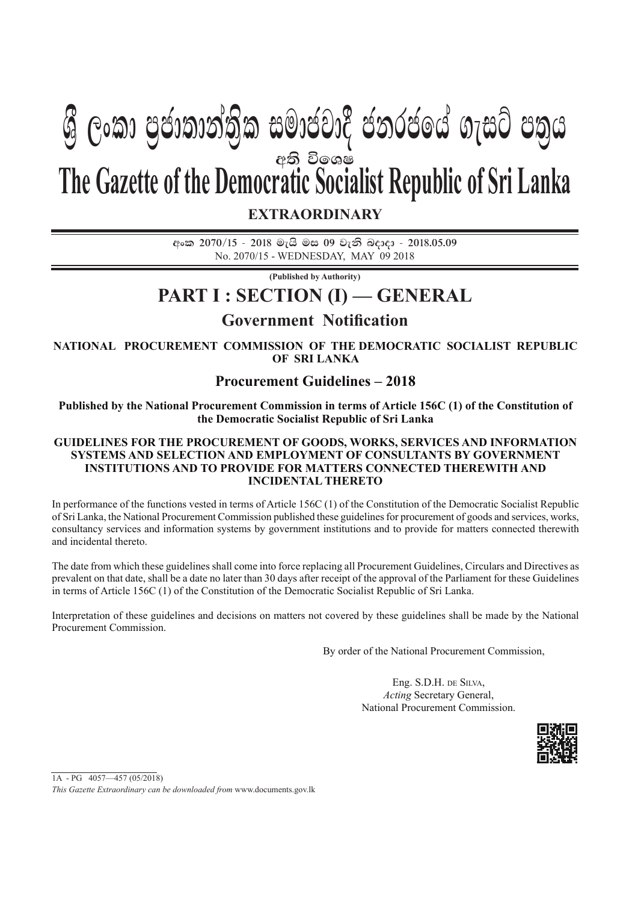# අති විලශ**ෂ The Gazette of the Democratic Socialist Republic of Sri Lanka**  $\mathcal{B}$  George Galanga) සුබායෝර යනුරයගේ බැසුර යනුග

**EXTRAORDINARY**

**අංක 2070/15 - 2018 මැයි මස 09 වැනි බදාදා - 2018.05.09** No. 2070/15 - WEDNESDAY, MAY 09 2018

**(Published by Authority)**

#### **PART I : SECTION (I) — GENERAL**

#### **Government Notification**

**NATIONAL PROCUREMENT COMMISSION OF THE DEMOCRATIC SOCIALIST REPUBLIC OF SRI LANKA**

#### **Procurement Guidelines – 2018**

**Published by the National Procurement Commission in terms of Article 156C (1) of the Constitution of the Democratic Socialist Republic of Sri Lanka**

#### **GUIDELINES FOR THE PROCUREMENT OF GOODS, WORKS, SERVICES AND INFORMATION SYSTEMS AND SELECTION AND EMPLOYMENT OF CONSULTANTS BY GOVERNMENT INSTITUTIONS AND TO PROVIDE FOR MATTERS CONNECTED THEREWITH AND INCIDENTAL THERETO**

In performance of the functions vested in terms of Article 156C (1) of the Constitution of the Democratic Socialist Republic of Sri Lanka, the National Procurement Commission published these guidelines for procurement of goods and services, works, consultancy services and information systems by government institutions and to provide for matters connected therewith and incidental thereto.

The date from which these guidelines shall come into force replacing all Procurement Guidelines, Circulars and Directives as prevalent on that date, shall be a date no later than 30 days after receipt of the approval of the Parliament for these Guidelines in terms of Article 156C (1) of the Constitution of the Democratic Socialist Republic of Sri Lanka.

Interpretation of these guidelines and decisions on matters not covered by these guidelines shall be made by the National Procurement Commission.

By order of the National Procurement Commission,

Eng. S.D.H. DE SILVA, *Acting* Secretary General, National Procurement Commission.



1A - PG 4057—457 (05/2018) *This Gazette Extraordinary can be downloaded from* www.documents.gov.lk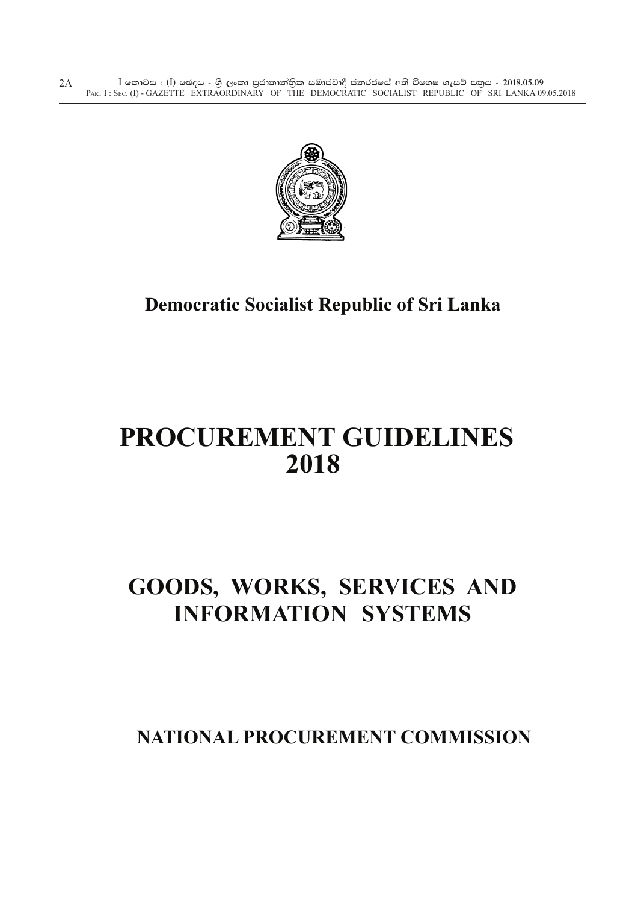$\bar{\rm I}$  කොටස : ( $\rm I$ ) ඡෙදය - ශුී ලංකා පුජාතාන්තිුක සමාජවාදී ජනරජයේ අති විශෙෂ ගැසට් පතුය - 2018.05.09 PART I : SEC. (I) - GAZETTE EXTRAORDINARY OF THE DEMOCRATIC SOCIALIST REPUBLIC OF SRI LANKA 09.05.2018 2A



### **Democratic Socialist Republic of Sri Lanka**

# **PROCUREMENT GUIDELINES 2018**

## **GOODS, WORKS, SERVICES AND INFORMATION SYSTEMS**

**NATIONAL PROCUREMENT COMMISSION**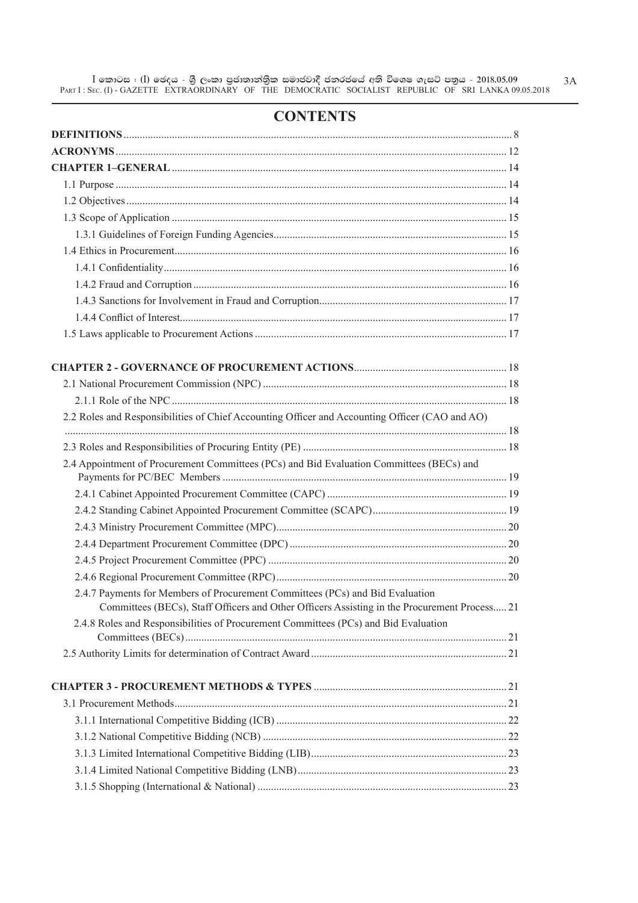#### **CONTENTS**

| 2.2 Roles and Responsibilities of Chief Accounting Officer and Accounting Officer (CAO and AO)                                                                                |  |
|-------------------------------------------------------------------------------------------------------------------------------------------------------------------------------|--|
|                                                                                                                                                                               |  |
| 2.4 Appointment of Procurement Committees (PCs) and Bid Evaluation Committees (BECs) and                                                                                      |  |
|                                                                                                                                                                               |  |
|                                                                                                                                                                               |  |
|                                                                                                                                                                               |  |
|                                                                                                                                                                               |  |
|                                                                                                                                                                               |  |
|                                                                                                                                                                               |  |
| 2.4.7 Payments for Members of Procurement Committees (PCs) and Bid Evaluation<br>Committees (BECs), Staff Officers and Other Officers Assisting in the Procurement Process 21 |  |
| 2.4.8 Roles and Responsibilities of Procurement Committees (PCs) and Bid Evaluation                                                                                           |  |
|                                                                                                                                                                               |  |
|                                                                                                                                                                               |  |
|                                                                                                                                                                               |  |
|                                                                                                                                                                               |  |
|                                                                                                                                                                               |  |
|                                                                                                                                                                               |  |
|                                                                                                                                                                               |  |
|                                                                                                                                                                               |  |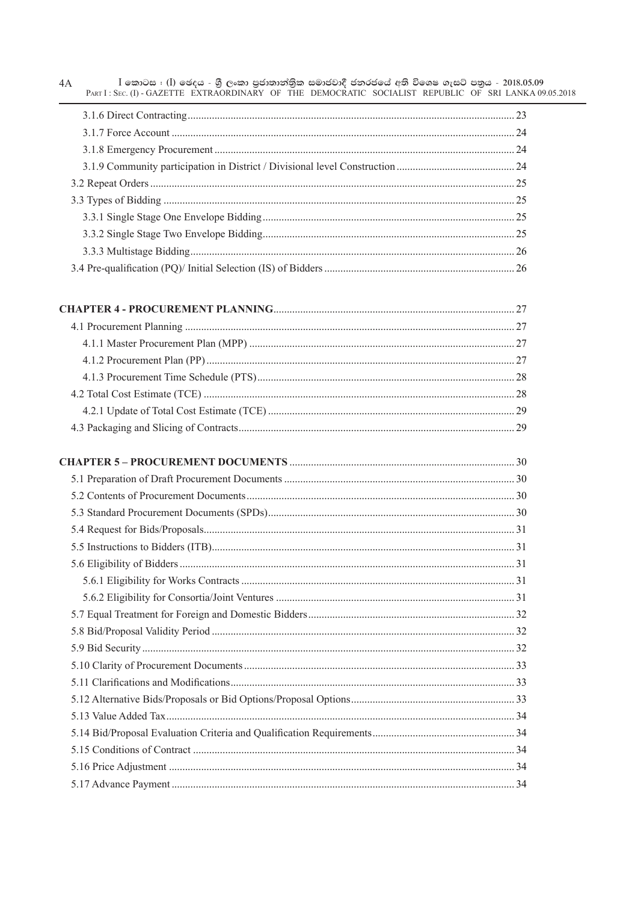| $I$ කොටස : (I) ඡෙදය - ශුී ලංකා පුජාතාන්තිුක සමාජවාදී ජනරජයේ අති විශෙෂ ගැසට් පනුය - 2018.05.09<br>4A<br>PART I: SEC. (I) - GAZETTE EXTRAORDINARY OF THE DEMOCRATIC SOCIALIST REPUBLIC OF SRI LANKA 09.05.2018 |  |
|--------------------------------------------------------------------------------------------------------------------------------------------------------------------------------------------------------------|--|
|                                                                                                                                                                                                              |  |
|                                                                                                                                                                                                              |  |
|                                                                                                                                                                                                              |  |
|                                                                                                                                                                                                              |  |
|                                                                                                                                                                                                              |  |
|                                                                                                                                                                                                              |  |
|                                                                                                                                                                                                              |  |
|                                                                                                                                                                                                              |  |
|                                                                                                                                                                                                              |  |
|                                                                                                                                                                                                              |  |
|                                                                                                                                                                                                              |  |
|                                                                                                                                                                                                              |  |
|                                                                                                                                                                                                              |  |
|                                                                                                                                                                                                              |  |
|                                                                                                                                                                                                              |  |
|                                                                                                                                                                                                              |  |
|                                                                                                                                                                                                              |  |
|                                                                                                                                                                                                              |  |
|                                                                                                                                                                                                              |  |
|                                                                                                                                                                                                              |  |
|                                                                                                                                                                                                              |  |
|                                                                                                                                                                                                              |  |
|                                                                                                                                                                                                              |  |
|                                                                                                                                                                                                              |  |
|                                                                                                                                                                                                              |  |
|                                                                                                                                                                                                              |  |
|                                                                                                                                                                                                              |  |
|                                                                                                                                                                                                              |  |
|                                                                                                                                                                                                              |  |
|                                                                                                                                                                                                              |  |
|                                                                                                                                                                                                              |  |
|                                                                                                                                                                                                              |  |
|                                                                                                                                                                                                              |  |
|                                                                                                                                                                                                              |  |
|                                                                                                                                                                                                              |  |
|                                                                                                                                                                                                              |  |
|                                                                                                                                                                                                              |  |
|                                                                                                                                                                                                              |  |
|                                                                                                                                                                                                              |  |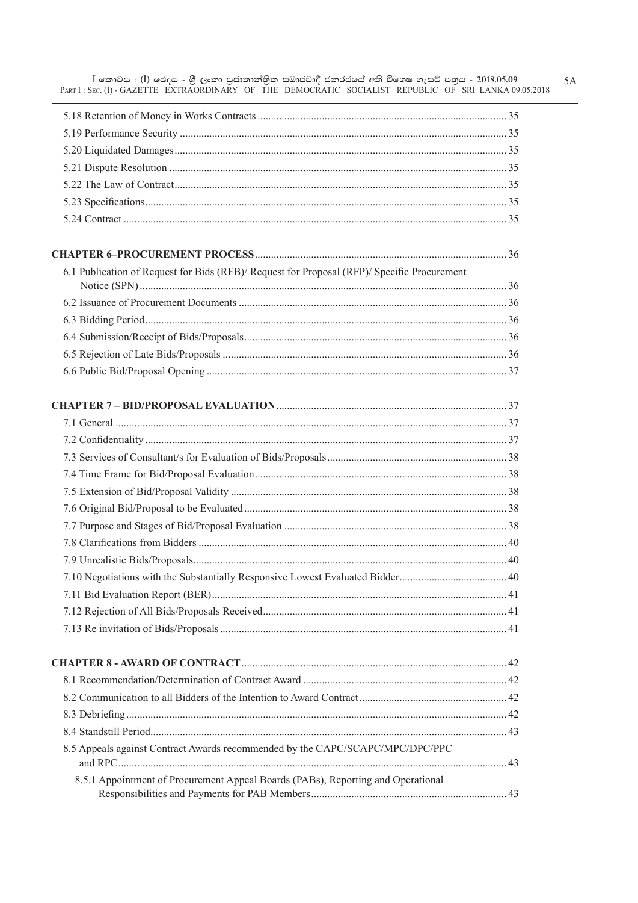| 6.1 Publication of Request for Bids (RFB)/ Request for Proposal (RFP)/ Specific Procurement |  |
|---------------------------------------------------------------------------------------------|--|
|                                                                                             |  |
|                                                                                             |  |
|                                                                                             |  |
|                                                                                             |  |
|                                                                                             |  |
|                                                                                             |  |
|                                                                                             |  |
|                                                                                             |  |
|                                                                                             |  |
|                                                                                             |  |
|                                                                                             |  |
|                                                                                             |  |
|                                                                                             |  |
|                                                                                             |  |
|                                                                                             |  |
|                                                                                             |  |
|                                                                                             |  |
|                                                                                             |  |
|                                                                                             |  |
|                                                                                             |  |
|                                                                                             |  |
|                                                                                             |  |
|                                                                                             |  |
|                                                                                             |  |
| 8.5 Appeals against Contract Awards recommended by the CAPC/SCAPC/MPC/DPC/PPC               |  |
| 8.5.1 Appointment of Procurement Appeal Boards (PABs), Reporting and Operational            |  |
|                                                                                             |  |

 $5A$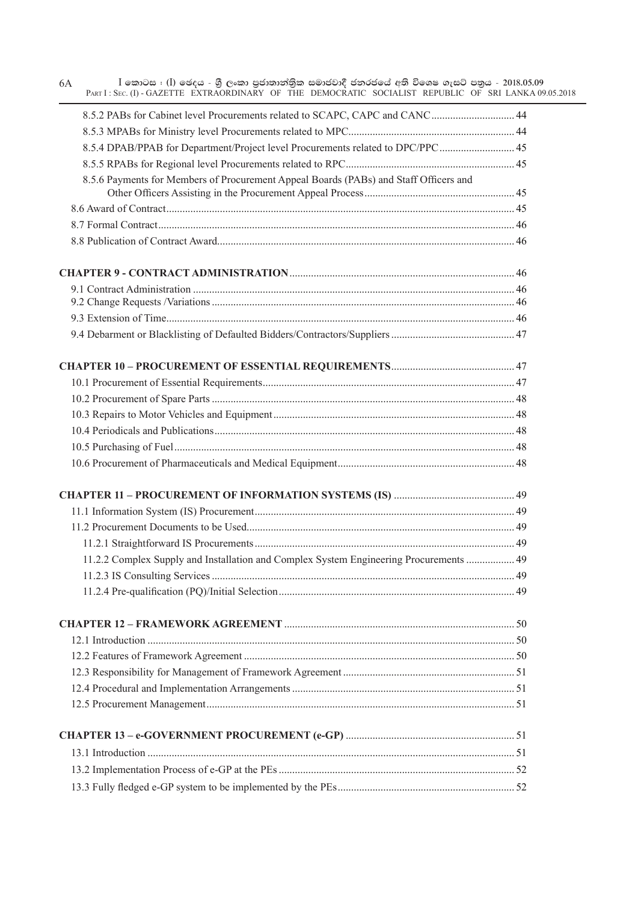| $I$ කොටස $I$ (I) ඡෙදය - ශුී ලංකා පුජාතාන්තික සමාජවාදී ජනරජයේ අති විශෙෂ ගැසට් පතුය - 2018.05.09<br>6A<br>PART I: SEC. (I) - GAZETTE EXTRAORDINARY OF THE DEMOCRATIC SOCIALIST REPUBLIC OF SRI LANKA 09.05.2018 |  |
|---------------------------------------------------------------------------------------------------------------------------------------------------------------------------------------------------------------|--|
| 8.5.2 PABs for Cabinet level Procurements related to SCAPC, CAPC and CANC 44                                                                                                                                  |  |
|                                                                                                                                                                                                               |  |
| 8.5.4 DPAB/PPAB for Department/Project level Procurements related to DPC/PPC 45                                                                                                                               |  |
|                                                                                                                                                                                                               |  |
| 8.5.6 Payments for Members of Procurement Appeal Boards (PABs) and Staff Officers and                                                                                                                         |  |
|                                                                                                                                                                                                               |  |
|                                                                                                                                                                                                               |  |
|                                                                                                                                                                                                               |  |
|                                                                                                                                                                                                               |  |
|                                                                                                                                                                                                               |  |
|                                                                                                                                                                                                               |  |
|                                                                                                                                                                                                               |  |
|                                                                                                                                                                                                               |  |
|                                                                                                                                                                                                               |  |
|                                                                                                                                                                                                               |  |
|                                                                                                                                                                                                               |  |
|                                                                                                                                                                                                               |  |
|                                                                                                                                                                                                               |  |
|                                                                                                                                                                                                               |  |
|                                                                                                                                                                                                               |  |
|                                                                                                                                                                                                               |  |
|                                                                                                                                                                                                               |  |
|                                                                                                                                                                                                               |  |
|                                                                                                                                                                                                               |  |
|                                                                                                                                                                                                               |  |
| 11.2.2 Complex Supply and Installation and Complex System Engineering Procurements  49                                                                                                                        |  |
|                                                                                                                                                                                                               |  |
|                                                                                                                                                                                                               |  |
|                                                                                                                                                                                                               |  |
|                                                                                                                                                                                                               |  |
|                                                                                                                                                                                                               |  |
|                                                                                                                                                                                                               |  |
|                                                                                                                                                                                                               |  |
|                                                                                                                                                                                                               |  |
|                                                                                                                                                                                                               |  |
|                                                                                                                                                                                                               |  |
|                                                                                                                                                                                                               |  |
|                                                                                                                                                                                                               |  |
|                                                                                                                                                                                                               |  |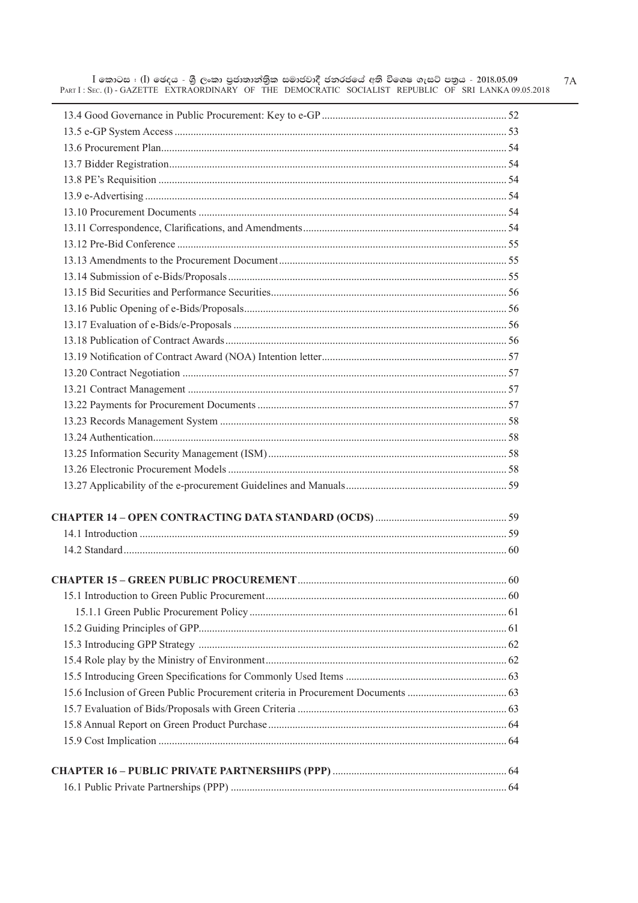$I$  කොටස $I$  ( $I$ ) ඡෙදය - ශුී ලංකා පුජාතාන්තිුක සමාජවාදී ජනරජයේ අති විශෙෂ ගැසට් පතුය - 2018.05.09  $7A$ 018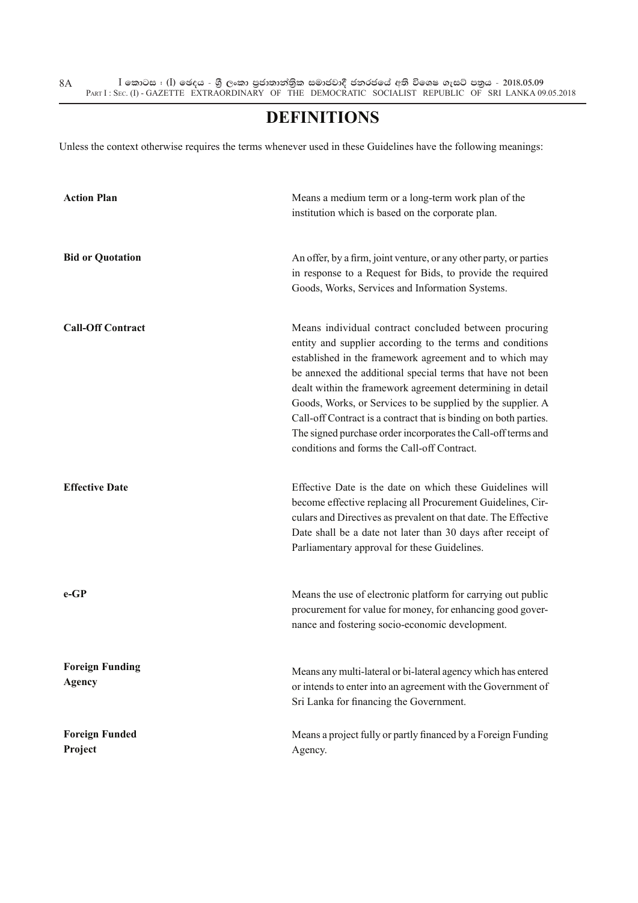#### **DEFINITIONS**

Unless the context otherwise requires the terms whenever used in these Guidelines have the following meanings:

| <b>Action Plan</b>                      | Means a medium term or a long-term work plan of the<br>institution which is based on the corporate plan.                                                                                                                                                                                                                                                                                                                                                                                                                                                     |
|-----------------------------------------|--------------------------------------------------------------------------------------------------------------------------------------------------------------------------------------------------------------------------------------------------------------------------------------------------------------------------------------------------------------------------------------------------------------------------------------------------------------------------------------------------------------------------------------------------------------|
| <b>Bid or Quotation</b>                 | An offer, by a firm, joint venture, or any other party, or parties<br>in response to a Request for Bids, to provide the required<br>Goods, Works, Services and Information Systems.                                                                                                                                                                                                                                                                                                                                                                          |
| <b>Call-Off Contract</b>                | Means individual contract concluded between procuring<br>entity and supplier according to the terms and conditions<br>established in the framework agreement and to which may<br>be annexed the additional special terms that have not been<br>dealt within the framework agreement determining in detail<br>Goods, Works, or Services to be supplied by the supplier. A<br>Call-off Contract is a contract that is binding on both parties.<br>The signed purchase order incorporates the Call-off terms and<br>conditions and forms the Call-off Contract. |
| <b>Effective Date</b>                   | Effective Date is the date on which these Guidelines will<br>become effective replacing all Procurement Guidelines, Cir-<br>culars and Directives as prevalent on that date. The Effective<br>Date shall be a date not later than 30 days after receipt of<br>Parliamentary approval for these Guidelines.                                                                                                                                                                                                                                                   |
| $e-GP$                                  | Means the use of electronic platform for carrying out public<br>procurement for value for money, for enhancing good gover-<br>nance and fostering socio-economic development.                                                                                                                                                                                                                                                                                                                                                                                |
| <b>Foreign Funding</b><br><b>Agency</b> | Means any multi-lateral or bi-lateral agency which has entered<br>or intends to enter into an agreement with the Government of<br>Sri Lanka for financing the Government.                                                                                                                                                                                                                                                                                                                                                                                    |
| <b>Foreign Funded</b><br>Project        | Means a project fully or partly financed by a Foreign Funding<br>Agency.                                                                                                                                                                                                                                                                                                                                                                                                                                                                                     |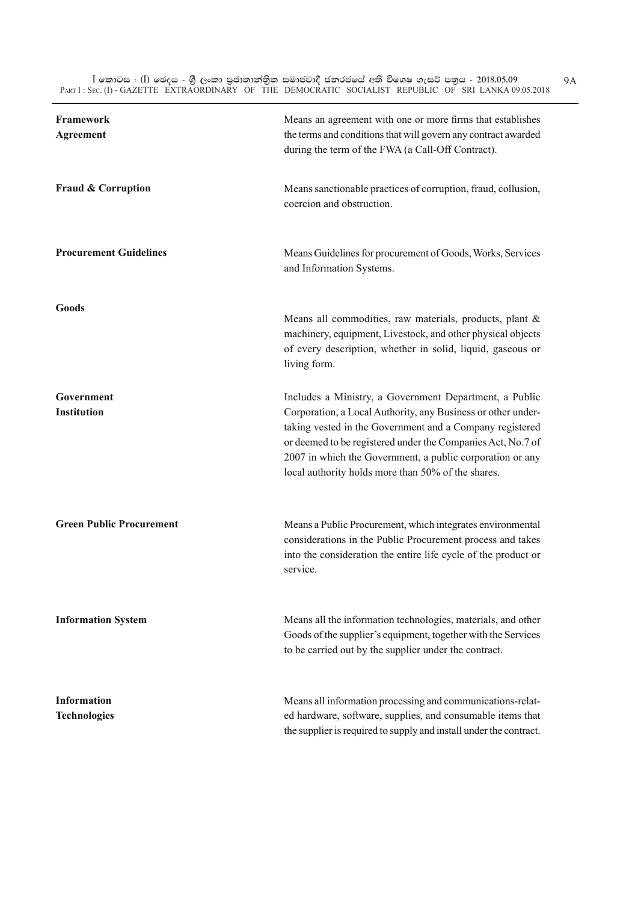$\bar{\rm I}$  කොටස : ( $\rm I$ ) ඡෙදය - ශුී ලංකා පුජාතාන්තිුක සමාජවාදී ජනරජයේ අති විශෙෂ ගැසට් පතුය - 2018.05.09 PART I : SEC. (I) - GAZETTE EXTRAORDINARY OF THE DEMOCRATIC SOCIALIST REPUBLIC OF SRI LANKA 09.05.2018

| Framework<br><b>Agreement</b>             | Means an agreement with one or more firms that establishes<br>the terms and conditions that will govern any contract awarded<br>during the term of the FWA (a Call-Off Contract).                                                                                                                                                                                    |
|-------------------------------------------|----------------------------------------------------------------------------------------------------------------------------------------------------------------------------------------------------------------------------------------------------------------------------------------------------------------------------------------------------------------------|
| <b>Fraud &amp; Corruption</b>             | Means sanctionable practices of corruption, fraud, collusion,<br>coercion and obstruction.                                                                                                                                                                                                                                                                           |
| <b>Procurement Guidelines</b>             | Means Guidelines for procurement of Goods, Works, Services<br>and Information Systems.                                                                                                                                                                                                                                                                               |
| Goods                                     | Means all commodities, raw materials, products, plant &<br>machinery, equipment, Livestock, and other physical objects<br>of every description, whether in solid, liquid, gaseous or<br>living form.                                                                                                                                                                 |
| Government<br><b>Institution</b>          | Includes a Ministry, a Government Department, a Public<br>Corporation, a Local Authority, any Business or other under-<br>taking vested in the Government and a Company registered<br>or deemed to be registered under the Companies Act, No.7 of<br>2007 in which the Government, a public corporation or any<br>local authority holds more than 50% of the shares. |
| <b>Green Public Procurement</b>           | Means a Public Procurement, which integrates environmental<br>considerations in the Public Procurement process and takes<br>into the consideration the entire life cycle of the product or<br>service.                                                                                                                                                               |
| <b>Information System</b>                 | Means all the information technologies, materials, and other<br>Goods of the supplier's equipment, together with the Services<br>to be carried out by the supplier under the contract.                                                                                                                                                                               |
| <b>Information</b><br><b>Technologies</b> | Means all information processing and communications-relat-<br>ed hardware, software, supplies, and consumable items that<br>the supplier is required to supply and install under the contract.                                                                                                                                                                       |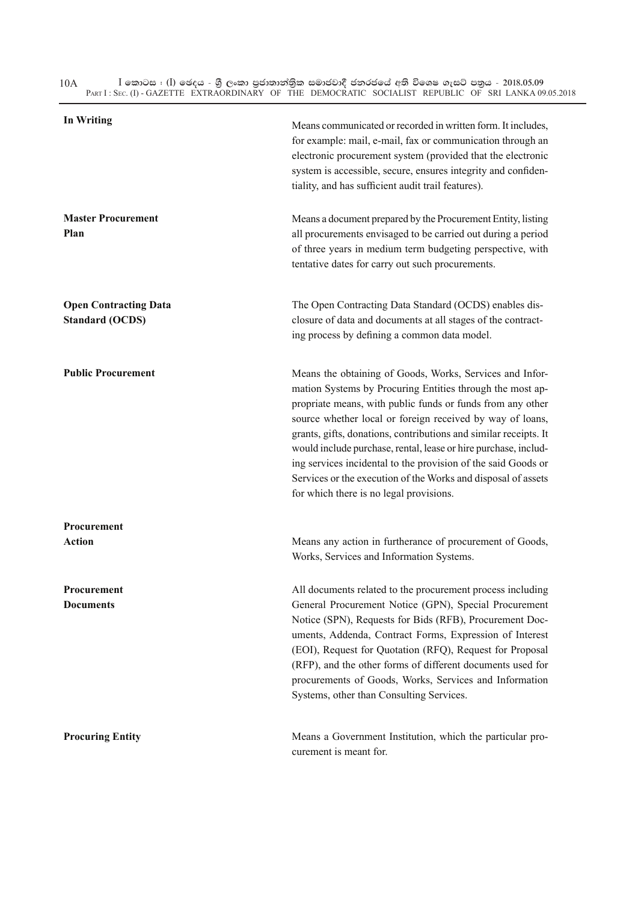$\bar{\rm I}$  කොටස : ( $\rm I$ ) ඡෙදය - ශුී ලංකා පුජාතාන්තිුක සමාජවාදී ජනරජයේ අති විශෙෂ ගැසට් පතුය - 2018.05.09 PART I : SEC. (I) - GAZETTE EXTRAORDINARY OF THE DEMOCRATIC SOCIALIST REPUBLIC OF SRI LANKA 09.05.2018 10A

| <b>In Writing</b>                                      | Means communicated or recorded in written form. It includes,<br>for example: mail, e-mail, fax or communication through an<br>electronic procurement system (provided that the electronic<br>system is accessible, secure, ensures integrity and confiden-<br>tiality, and has sufficient audit trail features).                                                                                                                                                                                                                                                     |
|--------------------------------------------------------|----------------------------------------------------------------------------------------------------------------------------------------------------------------------------------------------------------------------------------------------------------------------------------------------------------------------------------------------------------------------------------------------------------------------------------------------------------------------------------------------------------------------------------------------------------------------|
| <b>Master Procurement</b><br>Plan                      | Means a document prepared by the Procurement Entity, listing<br>all procurements envisaged to be carried out during a period<br>of three years in medium term budgeting perspective, with<br>tentative dates for carry out such procurements.                                                                                                                                                                                                                                                                                                                        |
| <b>Open Contracting Data</b><br><b>Standard (OCDS)</b> | The Open Contracting Data Standard (OCDS) enables dis-<br>closure of data and documents at all stages of the contract-<br>ing process by defining a common data model.                                                                                                                                                                                                                                                                                                                                                                                               |
| <b>Public Procurement</b>                              | Means the obtaining of Goods, Works, Services and Infor-<br>mation Systems by Procuring Entities through the most ap-<br>propriate means, with public funds or funds from any other<br>source whether local or foreign received by way of loans,<br>grants, gifts, donations, contributions and similar receipts. It<br>would include purchase, rental, lease or hire purchase, includ-<br>ing services incidental to the provision of the said Goods or<br>Services or the execution of the Works and disposal of assets<br>for which there is no legal provisions. |
| Procurement<br><b>Action</b>                           | Means any action in furtherance of procurement of Goods,<br>Works, Services and Information Systems.                                                                                                                                                                                                                                                                                                                                                                                                                                                                 |
| Procurement<br><b>Documents</b>                        | All documents related to the procurement process including<br>General Procurement Notice (GPN), Special Procurement<br>Notice (SPN), Requests for Bids (RFB), Procurement Doc-<br>uments, Addenda, Contract Forms, Expression of Interest<br>(EOI), Request for Quotation (RFQ), Request for Proposal<br>(RFP), and the other forms of different documents used for<br>procurements of Goods, Works, Services and Information<br>Systems, other than Consulting Services.                                                                                            |
| <b>Procuring Entity</b>                                | Means a Government Institution, which the particular pro-<br>curement is meant for.                                                                                                                                                                                                                                                                                                                                                                                                                                                                                  |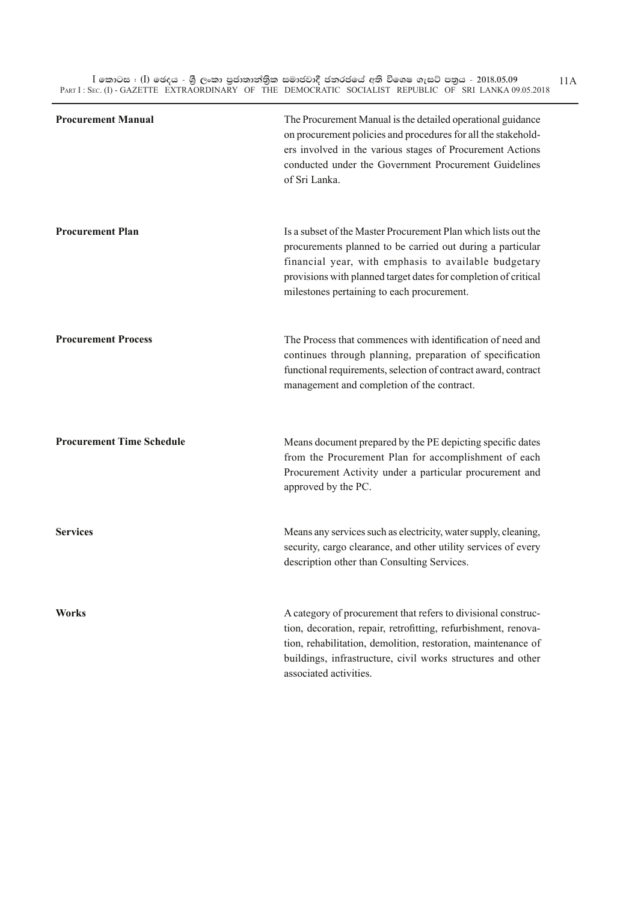$\bar{\rm I}$  කොටස : ( $\rm I$ ) ඡෙදය - ශුී ලංකා පුජාතාන්තිුක සමාජවාදී ජනරජයේ අති විශෙෂ ගැසට් පතුය - 2018.05.09 PART I : SEC. (I) - GAZETTE EXTRAORDINARY OF THE DEMOCRATIC SOCIALIST REPUBLIC OF SRI LANKA 09.05.2018 11A

| <b>Procurement Manual</b>        | The Procurement Manual is the detailed operational guidance<br>on procurement policies and procedures for all the stakehold-<br>ers involved in the various stages of Procurement Actions<br>conducted under the Government Procurement Guidelines<br>of Sri Lanka.                                   |
|----------------------------------|-------------------------------------------------------------------------------------------------------------------------------------------------------------------------------------------------------------------------------------------------------------------------------------------------------|
| <b>Procurement Plan</b>          | Is a subset of the Master Procurement Plan which lists out the<br>procurements planned to be carried out during a particular<br>financial year, with emphasis to available budgetary<br>provisions with planned target dates for completion of critical<br>milestones pertaining to each procurement. |
| <b>Procurement Process</b>       | The Process that commences with identification of need and<br>continues through planning, preparation of specification<br>functional requirements, selection of contract award, contract<br>management and completion of the contract.                                                                |
| <b>Procurement Time Schedule</b> | Means document prepared by the PE depicting specific dates<br>from the Procurement Plan for accomplishment of each<br>Procurement Activity under a particular procurement and<br>approved by the PC.                                                                                                  |
| <b>Services</b>                  | Means any services such as electricity, water supply, cleaning,<br>security, cargo clearance, and other utility services of every<br>description other than Consulting Services.                                                                                                                      |
| <b>Works</b>                     | A category of procurement that refers to divisional construc-<br>tion, decoration, repair, retrofitting, refurbishment, renova-<br>tion, rehabilitation, demolition, restoration, maintenance of<br>buildings, infrastructure, civil works structures and other<br>associated activities.             |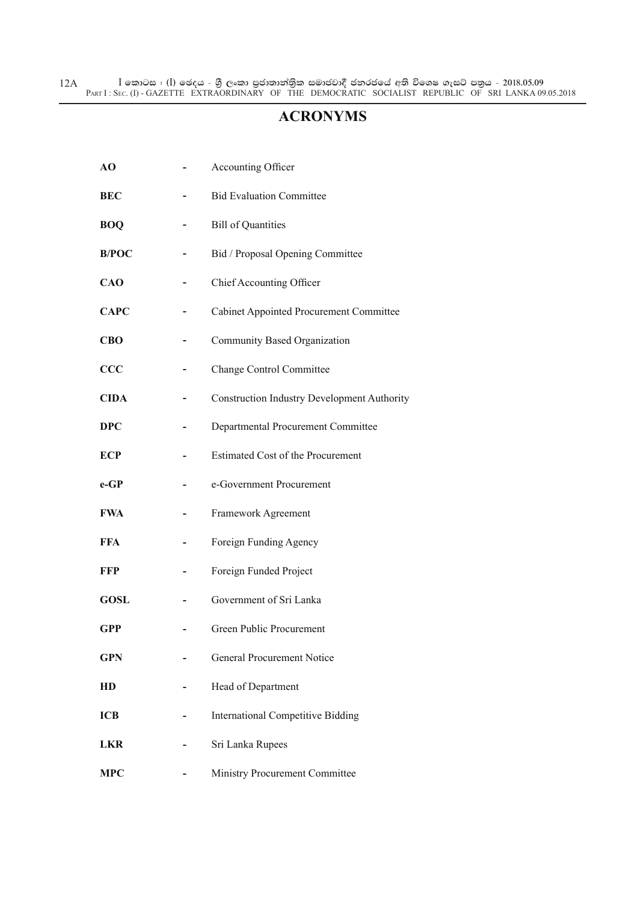$\bar{\rm I}$  කොටස : ( $\rm I$ ) ඡෙදය - ශුී ලංකා පුජාතාන්තිුක සමාජවාදී ජනරජයේ අති විශෙෂ ගැසට් පතුය - 2018.05.09 PART I : SEC. (I) - GAZETTE EXTRAORDINARY OF THE DEMOCRATIC SOCIALIST REPUBLIC OF SRI LANKA 09.05.2018 12A

#### **ACRONYMS**

| AO           | Accounting Officer                                 |
|--------------|----------------------------------------------------|
| <b>BEC</b>   | <b>Bid Evaluation Committee</b>                    |
| <b>BOQ</b>   | <b>Bill of Quantities</b>                          |
| <b>B/POC</b> | Bid / Proposal Opening Committee                   |
| <b>CAO</b>   | Chief Accounting Officer                           |
| <b>CAPC</b>  | <b>Cabinet Appointed Procurement Committee</b>     |
| <b>CBO</b>   | Community Based Organization                       |
| CCC          | <b>Change Control Committee</b>                    |
| <b>CIDA</b>  | <b>Construction Industry Development Authority</b> |
| <b>DPC</b>   | Departmental Procurement Committee                 |
| ECP          | <b>Estimated Cost of the Procurement</b>           |
| $e$ -GP      | e-Government Procurement                           |
| <b>FWA</b>   | Framework Agreement                                |
| FFA          | Foreign Funding Agency                             |
| FFP          | Foreign Funded Project                             |
| <b>GOSL</b>  | Government of Sri Lanka                            |
| GPP          | Green Public Procurement                           |
| <b>GPN</b>   | General Procurement Notice                         |
| HD           | Head of Department                                 |
| <b>ICB</b>   | <b>International Competitive Bidding</b>           |
| <b>LKR</b>   | Sri Lanka Rupees                                   |
| <b>MPC</b>   | Ministry Procurement Committee                     |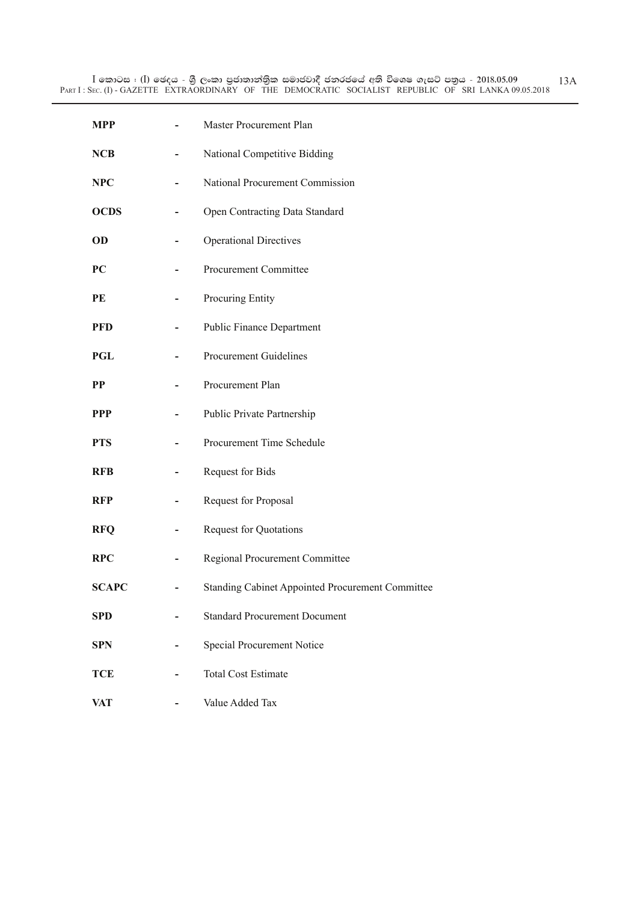| <b>MPP</b>   | Master Procurement Plan                          |
|--------------|--------------------------------------------------|
| <b>NCB</b>   | National Competitive Bidding                     |
| <b>NPC</b>   | National Procurement Commission                  |
| <b>OCDS</b>  | Open Contracting Data Standard                   |
| OD           | <b>Operational Directives</b>                    |
| PC           | Procurement Committee                            |
| PE           | Procuring Entity                                 |
| <b>PFD</b>   | <b>Public Finance Department</b>                 |
| PGL          | <b>Procurement Guidelines</b>                    |
| <b>PP</b>    | Procurement Plan                                 |
| <b>PPP</b>   | Public Private Partnership                       |
| <b>PTS</b>   | Procurement Time Schedule                        |
| <b>RFB</b>   | Request for Bids                                 |
| <b>RFP</b>   | Request for Proposal                             |
| <b>RFQ</b>   | <b>Request for Quotations</b>                    |
| <b>RPC</b>   | Regional Procurement Committee                   |
| <b>SCAPC</b> | Standing Cabinet Appointed Procurement Committee |
| <b>SPD</b>   | <b>Standard Procurement Document</b>             |
| <b>SPN</b>   | Special Procurement Notice                       |
| <b>TCE</b>   | <b>Total Cost Estimate</b>                       |
| <b>VAT</b>   | Value Added Tax                                  |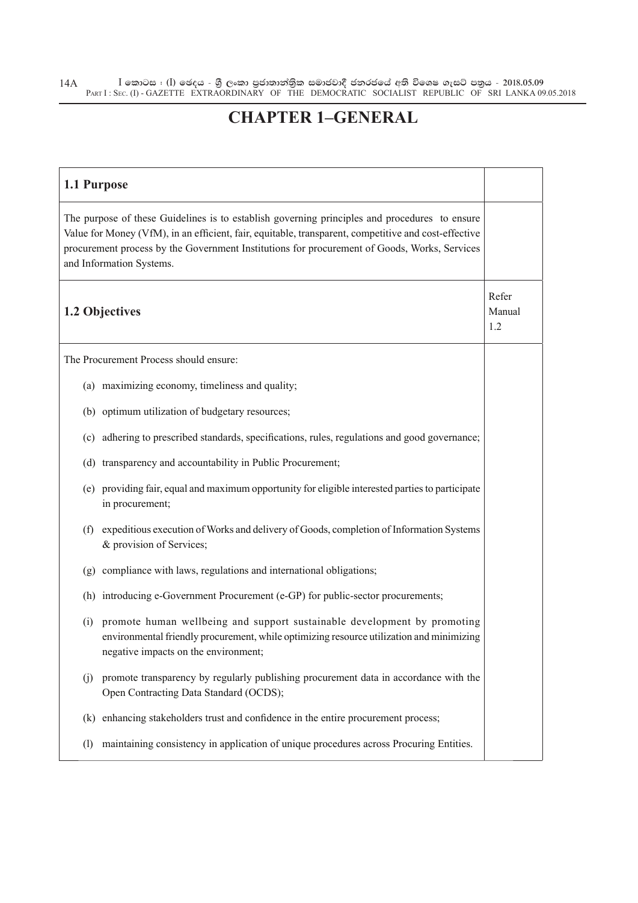$\bar{\rm I}$  කොටස : ( $\rm I$ ) ඡෙදය - ශුී ලංකා පුජාතාන්තිුක සමාජවාදී ජනරජයේ අති විශෙෂ ගැසට් පතුය - 2018.05.09 PART I : SEC. (I) - GAZETTE EXTRAORDINARY OF THE DEMOCRATIC SOCIALIST REPUBLIC OF SRI LANKA 09.05.2018 14A

#### **CHAPTER 1–GENERAL**

| 1.1 Purpose                                                                                                                                                                                                                                                                                                                       |                        |
|-----------------------------------------------------------------------------------------------------------------------------------------------------------------------------------------------------------------------------------------------------------------------------------------------------------------------------------|------------------------|
| The purpose of these Guidelines is to establish governing principles and procedures to ensure<br>Value for Money (VfM), in an efficient, fair, equitable, transparent, competitive and cost-effective<br>procurement process by the Government Institutions for procurement of Goods, Works, Services<br>and Information Systems. |                        |
| 1.2 Objectives                                                                                                                                                                                                                                                                                                                    | Refer<br>Manual<br>1.2 |
| The Procurement Process should ensure:                                                                                                                                                                                                                                                                                            |                        |
| (a) maximizing economy, timeliness and quality;                                                                                                                                                                                                                                                                                   |                        |
| (b) optimum utilization of budgetary resources;                                                                                                                                                                                                                                                                                   |                        |
| adhering to prescribed standards, specifications, rules, regulations and good governance;<br>(c)                                                                                                                                                                                                                                  |                        |
| transparency and accountability in Public Procurement;<br>(d)                                                                                                                                                                                                                                                                     |                        |
| providing fair, equal and maximum opportunity for eligible interested parties to participate<br>(e)<br>in procurement;                                                                                                                                                                                                            |                        |
| expeditious execution of Works and delivery of Goods, completion of Information Systems<br>(f)<br>& provision of Services;                                                                                                                                                                                                        |                        |
| compliance with laws, regulations and international obligations;<br>(g)                                                                                                                                                                                                                                                           |                        |
| (h) introducing e-Government Procurement (e-GP) for public-sector procurements;                                                                                                                                                                                                                                                   |                        |
| promote human wellbeing and support sustainable development by promoting<br>(i)<br>environmental friendly procurement, while optimizing resource utilization and minimizing<br>negative impacts on the environment;                                                                                                               |                        |
| promote transparency by regularly publishing procurement data in accordance with the<br>(i)<br>Open Contracting Data Standard (OCDS);                                                                                                                                                                                             |                        |
| enhancing stakeholders trust and confidence in the entire procurement process;<br>(k)                                                                                                                                                                                                                                             |                        |
| maintaining consistency in application of unique procedures across Procuring Entities.<br>(1)                                                                                                                                                                                                                                     |                        |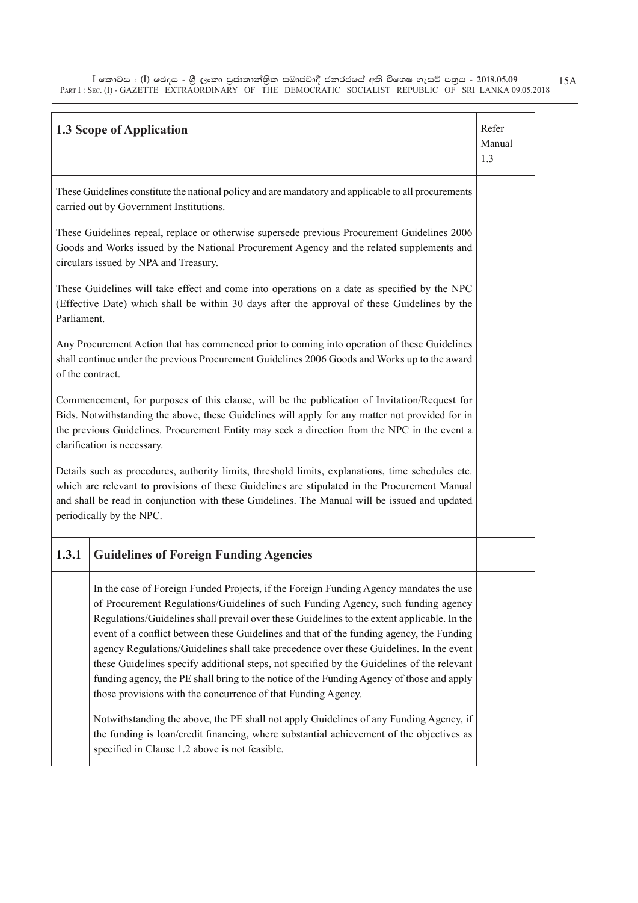$\bar{\rm I}$  කොටස : ( $\rm I$ ) ඡෙදය - ශුී ලංකා පුජාතාන්තිුක සමාජවාදී ජනරජයේ අති විශෙෂ ගැසට් පතුය - 2018.05.09 PART I : SEC. (I) - GAZETTE EXTRAORDINARY OF THE DEMOCRATIC SOCIALIST REPUBLIC OF SRI LANKA 09.05.2018 15A

| <b>1.3 Scope of Application</b>                                                                                                                                                                                                                                                                                                                                                                                                                                                                                                                                                                                                                                                                                               | Refer<br>Manual<br>1.3 |  |
|-------------------------------------------------------------------------------------------------------------------------------------------------------------------------------------------------------------------------------------------------------------------------------------------------------------------------------------------------------------------------------------------------------------------------------------------------------------------------------------------------------------------------------------------------------------------------------------------------------------------------------------------------------------------------------------------------------------------------------|------------------------|--|
| These Guidelines constitute the national policy and are mandatory and applicable to all procurements<br>carried out by Government Institutions.                                                                                                                                                                                                                                                                                                                                                                                                                                                                                                                                                                               |                        |  |
| These Guidelines repeal, replace or otherwise supersede previous Procurement Guidelines 2006<br>Goods and Works issued by the National Procurement Agency and the related supplements and<br>circulars issued by NPA and Treasury.                                                                                                                                                                                                                                                                                                                                                                                                                                                                                            |                        |  |
| These Guidelines will take effect and come into operations on a date as specified by the NPC<br>(Effective Date) which shall be within 30 days after the approval of these Guidelines by the<br>Parliament.                                                                                                                                                                                                                                                                                                                                                                                                                                                                                                                   |                        |  |
| Any Procurement Action that has commenced prior to coming into operation of these Guidelines<br>shall continue under the previous Procurement Guidelines 2006 Goods and Works up to the award<br>of the contract.                                                                                                                                                                                                                                                                                                                                                                                                                                                                                                             |                        |  |
| Commencement, for purposes of this clause, will be the publication of Invitation/Request for<br>Bids. Notwithstanding the above, these Guidelines will apply for any matter not provided for in<br>the previous Guidelines. Procurement Entity may seek a direction from the NPC in the event a<br>clarification is necessary.                                                                                                                                                                                                                                                                                                                                                                                                |                        |  |
| Details such as procedures, authority limits, threshold limits, explanations, time schedules etc.<br>which are relevant to provisions of these Guidelines are stipulated in the Procurement Manual<br>and shall be read in conjunction with these Guidelines. The Manual will be issued and updated<br>periodically by the NPC.                                                                                                                                                                                                                                                                                                                                                                                               |                        |  |
| 1.3.1<br><b>Guidelines of Foreign Funding Agencies</b>                                                                                                                                                                                                                                                                                                                                                                                                                                                                                                                                                                                                                                                                        |                        |  |
| In the case of Foreign Funded Projects, if the Foreign Funding Agency mandates the use<br>of Procurement Regulations/Guidelines of such Funding Agency, such funding agency<br>Regulations/Guidelines shall prevail over these Guidelines to the extent applicable. In the<br>event of a conflict between these Guidelines and that of the funding agency, the Funding<br>agency Regulations/Guidelines shall take precedence over these Guidelines. In the event<br>these Guidelines specify additional steps, not specified by the Guidelines of the relevant<br>funding agency, the PE shall bring to the notice of the Funding Agency of those and apply<br>those provisions with the concurrence of that Funding Agency. |                        |  |
| Notwithstanding the above, the PE shall not apply Guidelines of any Funding Agency, if<br>the funding is loan/credit financing, where substantial achievement of the objectives as<br>specified in Clause 1.2 above is not feasible.                                                                                                                                                                                                                                                                                                                                                                                                                                                                                          |                        |  |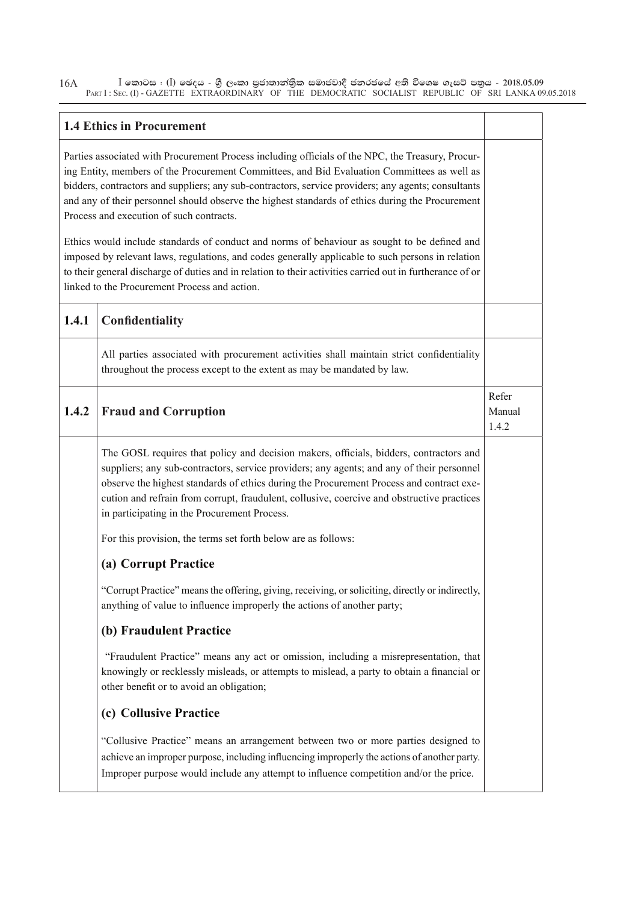$\bar{\rm I}$  කොටස : ( $\rm I$ ) ඡෙදය - ශුී ලංකා පුජාතාන්තිුක සමාජවාදී ජනරජයේ අති විශෙෂ ගැසට් පතුය - 2018.05.09 PART I : SEC. (I) - GAZETTE EXTRAORDINARY OF THE DEMOCRATIC SOCIALIST REPUBLIC OF SRI LANKA 09.05.2018 16A

#### **1.4 Ethics in Procurement**

Parties associated with Procurement Process including officials of the NPC, the Treasury, Procuring Entity, members of the Procurement Committees, and Bid Evaluation Committees as well as bidders, contractors and suppliers; any sub-contractors, service providers; any agents; consultants and any of their personnel should observe the highest standards of ethics during the Procurement Process and execution of such contracts.

Ethics would include standards of conduct and norms of behaviour as sought to be defined and imposed by relevant laws, regulations, and codes generally applicable to such persons in relation to their general discharge of duties and in relation to their activities carried out in furtherance of or linked to the Procurement Process and action.

| 1.4.1 | Confidentiality                                                                                                                                                                                                                                                                                                                                                                                                               |                          |
|-------|-------------------------------------------------------------------------------------------------------------------------------------------------------------------------------------------------------------------------------------------------------------------------------------------------------------------------------------------------------------------------------------------------------------------------------|--------------------------|
|       | All parties associated with procurement activities shall maintain strict confidentiality<br>throughout the process except to the extent as may be mandated by law.                                                                                                                                                                                                                                                            |                          |
| 1.4.2 | <b>Fraud and Corruption</b>                                                                                                                                                                                                                                                                                                                                                                                                   | Refer<br>Manual<br>1.4.2 |
|       | The GOSL requires that policy and decision makers, officials, bidders, contractors and<br>suppliers; any sub-contractors, service providers; any agents; and any of their personnel<br>observe the highest standards of ethics during the Procurement Process and contract exe-<br>cution and refrain from corrupt, fraudulent, collusive, coercive and obstructive practices<br>in participating in the Procurement Process. |                          |
|       | For this provision, the terms set forth below are as follows:                                                                                                                                                                                                                                                                                                                                                                 |                          |
|       | (a) Corrupt Practice                                                                                                                                                                                                                                                                                                                                                                                                          |                          |
|       | "Corrupt Practice" means the offering, giving, receiving, or soliciting, directly or indirectly,<br>anything of value to influence improperly the actions of another party;                                                                                                                                                                                                                                                   |                          |
|       | (b) Fraudulent Practice                                                                                                                                                                                                                                                                                                                                                                                                       |                          |
|       | "Fraudulent Practice" means any act or omission, including a misrepresentation, that<br>knowingly or recklessly misleads, or attempts to mislead, a party to obtain a financial or<br>other benefit or to avoid an obligation;                                                                                                                                                                                                |                          |
|       | (c) Collusive Practice                                                                                                                                                                                                                                                                                                                                                                                                        |                          |
|       | "Collusive Practice" means an arrangement between two or more parties designed to<br>achieve an improper purpose, including influencing improperly the actions of another party.<br>Improper purpose would include any attempt to influence competition and/or the price.                                                                                                                                                     |                          |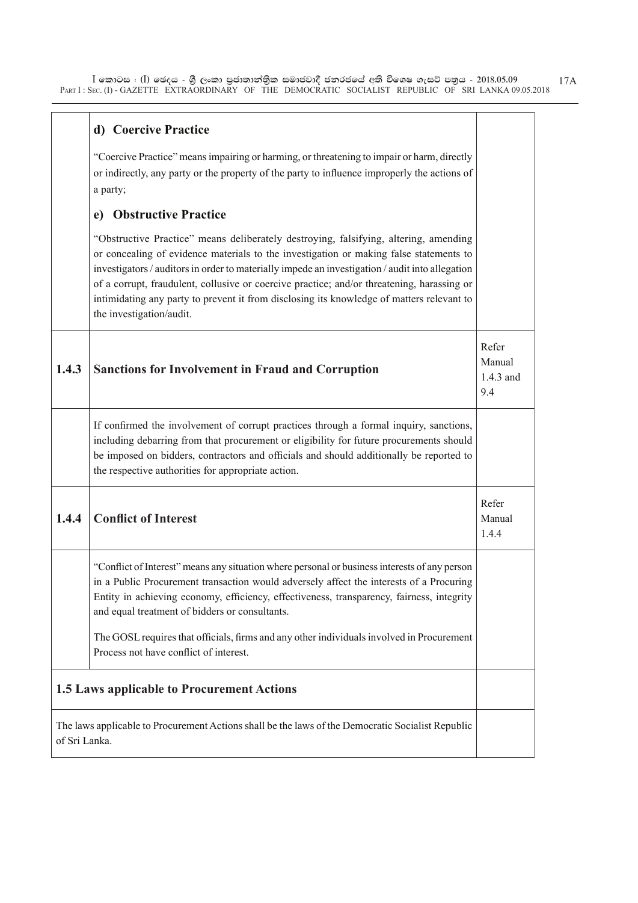$\bar{\rm I}$  කොටස : ( $\rm I$ ) ඡෙදය - ශුී ලංකා පුජාතාන්තිුක සමාජවාදී ජනරජයේ අති විශෙෂ ගැසට් පතුය - 2018.05.09 PART I : SEC. (I) - GAZETTE EXTRAORDINARY OF THE DEMOCRATIC SOCIALIST REPUBLIC OF SRI LANKA 09.05.2018

|                                                                                                                    | d) Coercive Practice                                                                                                                                                                                                                                                                                                                                                                                                                                                                                     |                                     |  |
|--------------------------------------------------------------------------------------------------------------------|----------------------------------------------------------------------------------------------------------------------------------------------------------------------------------------------------------------------------------------------------------------------------------------------------------------------------------------------------------------------------------------------------------------------------------------------------------------------------------------------------------|-------------------------------------|--|
|                                                                                                                    | "Coercive Practice" means impairing or harming, or threatening to impair or harm, directly<br>or indirectly, any party or the property of the party to influence improperly the actions of<br>a party;                                                                                                                                                                                                                                                                                                   |                                     |  |
|                                                                                                                    | <b>Obstructive Practice</b><br>e)                                                                                                                                                                                                                                                                                                                                                                                                                                                                        |                                     |  |
|                                                                                                                    | "Obstructive Practice" means deliberately destroying, falsifying, altering, amending<br>or concealing of evidence materials to the investigation or making false statements to<br>investigators / auditors in order to materially impede an investigation / audit into allegation<br>of a corrupt, fraudulent, collusive or coercive practice; and/or threatening, harassing or<br>intimidating any party to prevent it from disclosing its knowledge of matters relevant to<br>the investigation/audit. |                                     |  |
| 1.4.3                                                                                                              | <b>Sanctions for Involvement in Fraud and Corruption</b>                                                                                                                                                                                                                                                                                                                                                                                                                                                 | Refer<br>Manual<br>1.4.3 and<br>9.4 |  |
|                                                                                                                    | If confirmed the involvement of corrupt practices through a formal inquiry, sanctions,<br>including debarring from that procurement or eligibility for future procurements should<br>be imposed on bidders, contractors and officials and should additionally be reported to<br>the respective authorities for appropriate action.                                                                                                                                                                       |                                     |  |
| 1.4.4                                                                                                              | <b>Conflict of Interest</b>                                                                                                                                                                                                                                                                                                                                                                                                                                                                              | Refer<br>Manual<br>1.4.4            |  |
|                                                                                                                    | "Conflict of Interest" means any situation where personal or business interests of any person<br>in a Public Procurement transaction would adversely affect the interests of a Procuring<br>Entity in achieving economy, efficiency, effectiveness, transparency, fairness, integrity<br>and equal treatment of bidders or consultants.                                                                                                                                                                  |                                     |  |
|                                                                                                                    | The GOSL requires that officials, firms and any other individuals involved in Procurement<br>Process not have conflict of interest.                                                                                                                                                                                                                                                                                                                                                                      |                                     |  |
|                                                                                                                    | 1.5 Laws applicable to Procurement Actions                                                                                                                                                                                                                                                                                                                                                                                                                                                               |                                     |  |
| The laws applicable to Procurement Actions shall be the laws of the Democratic Socialist Republic<br>of Sri Lanka. |                                                                                                                                                                                                                                                                                                                                                                                                                                                                                                          |                                     |  |

17A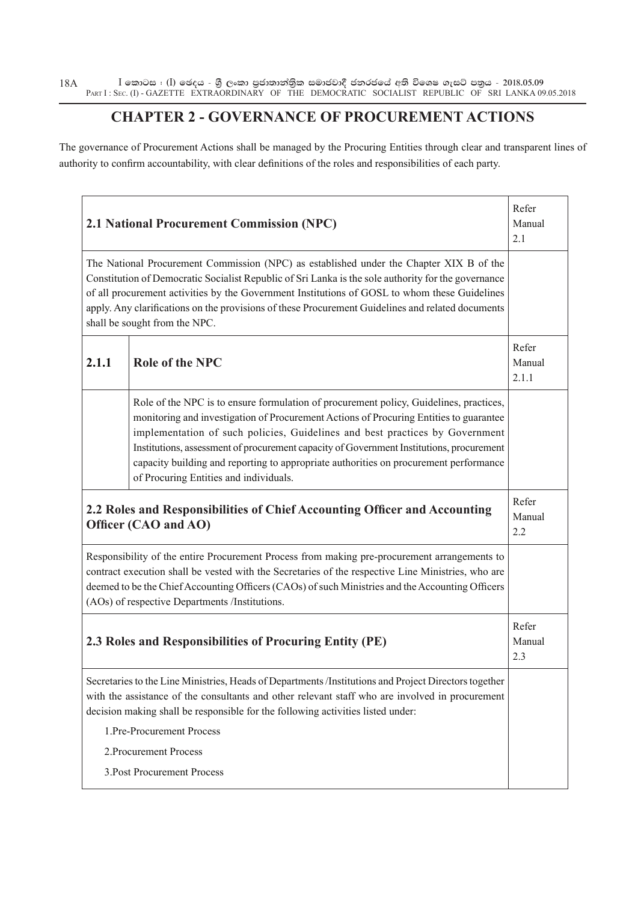$\bar{\rm I}$  කොටස : ( $\rm I$ ) ඡෙදය - ශුී ලංකා පුජාතාන්තිුක සමාජවාදී ජනරජයේ අති විශෙෂ ගැසට් පතුය - 2018.05.09 PART I : SEC. (I) - GAZETTE EXTRAORDINARY OF THE DEMOCRATIC SOCIALIST REPUBLIC OF SRI LANKA 09.05.2018 18A

#### **CHAPTER 2 - GOVERNANCE OF PROCUREMENT ACTIONS**

The governance of Procurement Actions shall be managed by the Procuring Entities through clear and transparent lines of authority to confirm accountability, with clear definitions of the roles and responsibilities of each party.

|       | 2.1 National Procurement Commission (NPC)                                                                                                                                                                                                                                                                                                                                                                                                                                                       | Refer<br>Manual<br>2.1   |
|-------|-------------------------------------------------------------------------------------------------------------------------------------------------------------------------------------------------------------------------------------------------------------------------------------------------------------------------------------------------------------------------------------------------------------------------------------------------------------------------------------------------|--------------------------|
|       | The National Procurement Commission (NPC) as established under the Chapter XIX B of the<br>Constitution of Democratic Socialist Republic of Sri Lanka is the sole authority for the governance<br>of all procurement activities by the Government Institutions of GOSL to whom these Guidelines<br>apply. Any clarifications on the provisions of these Procurement Guidelines and related documents<br>shall be sought from the NPC.                                                           |                          |
| 2.1.1 | <b>Role of the NPC</b>                                                                                                                                                                                                                                                                                                                                                                                                                                                                          | Refer<br>Manual<br>2.1.1 |
|       | Role of the NPC is to ensure formulation of procurement policy, Guidelines, practices,<br>monitoring and investigation of Procurement Actions of Procuring Entities to guarantee<br>implementation of such policies, Guidelines and best practices by Government<br>Institutions, assessment of procurement capacity of Government Institutions, procurement<br>capacity building and reporting to appropriate authorities on procurement performance<br>of Procuring Entities and individuals. |                          |
|       | 2.2 Roles and Responsibilities of Chief Accounting Officer and Accounting<br>Officer (CAO and AO)                                                                                                                                                                                                                                                                                                                                                                                               | Refer<br>Manual<br>2.2   |
|       | Responsibility of the entire Procurement Process from making pre-procurement arrangements to<br>contract execution shall be vested with the Secretaries of the respective Line Ministries, who are<br>deemed to be the Chief Accounting Officers (CAOs) of such Ministries and the Accounting Officers<br>(AOs) of respective Departments /Institutions.                                                                                                                                        |                          |
|       | 2.3 Roles and Responsibilities of Procuring Entity (PE)                                                                                                                                                                                                                                                                                                                                                                                                                                         | Refer<br>Manual<br>2.3   |
|       | Secretaries to the Line Ministries, Heads of Departments /Institutions and Project Directors together<br>with the assistance of the consultants and other relevant staff who are involved in procurement<br>decision making shall be responsible for the following activities listed under:                                                                                                                                                                                                     |                          |
|       | 1.Pre-Procurement Process                                                                                                                                                                                                                                                                                                                                                                                                                                                                       |                          |
|       | 2. Procurement Process                                                                                                                                                                                                                                                                                                                                                                                                                                                                          |                          |
|       | 3. Post Procurement Process                                                                                                                                                                                                                                                                                                                                                                                                                                                                     |                          |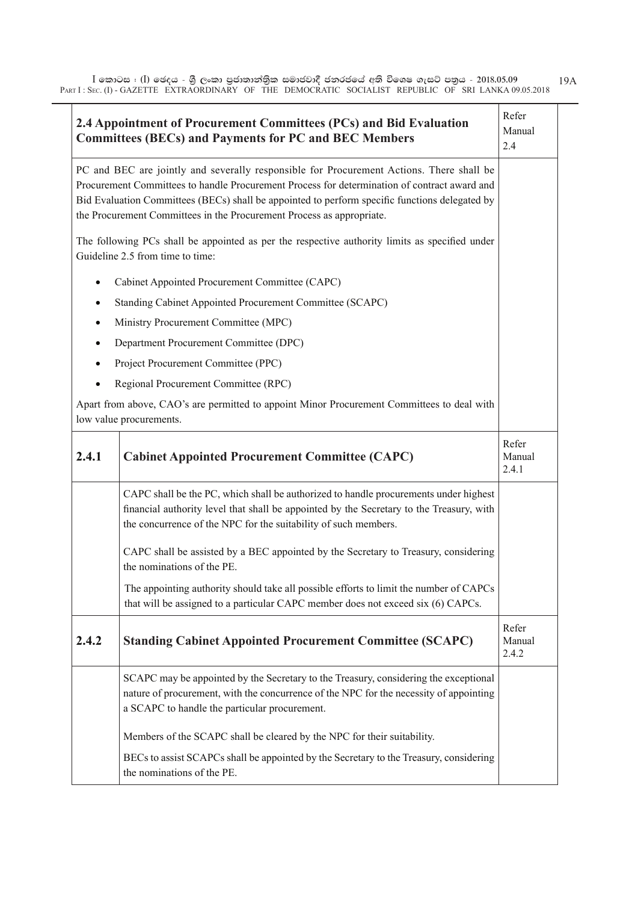$\bar{\rm I}$  කොටස : ( $\rm I$ ) ඡෙදය - ශුී ලංකා පුජාතාන්තිුක සමාජවාදී ජනරජයේ අති විශෙෂ ගැසට් පතුය - 2018.05.09 PART I : SEC. (I) - GAZETTE EXTRAORDINARY OF THE DEMOCRATIC SOCIALIST REPUBLIC OF SRI LANKA 09.05.2018 19A

|           | 2.4 Appointment of Procurement Committees (PCs) and Bid Evaluation<br><b>Committees (BECs) and Payments for PC and BEC Members</b>                                                                                                                                                                                                                                  | Refer<br>Manual<br>2.4   |
|-----------|---------------------------------------------------------------------------------------------------------------------------------------------------------------------------------------------------------------------------------------------------------------------------------------------------------------------------------------------------------------------|--------------------------|
|           | PC and BEC are jointly and severally responsible for Procurement Actions. There shall be<br>Procurement Committees to handle Procurement Process for determination of contract award and<br>Bid Evaluation Committees (BECs) shall be appointed to perform specific functions delegated by<br>the Procurement Committees in the Procurement Process as appropriate. |                          |
|           | The following PCs shall be appointed as per the respective authority limits as specified under<br>Guideline 2.5 from time to time:                                                                                                                                                                                                                                  |                          |
| $\bullet$ | Cabinet Appointed Procurement Committee (CAPC)                                                                                                                                                                                                                                                                                                                      |                          |
| $\bullet$ | Standing Cabinet Appointed Procurement Committee (SCAPC)                                                                                                                                                                                                                                                                                                            |                          |
| $\bullet$ | Ministry Procurement Committee (MPC)                                                                                                                                                                                                                                                                                                                                |                          |
| ٠         | Department Procurement Committee (DPC)                                                                                                                                                                                                                                                                                                                              |                          |
| $\bullet$ | Project Procurement Committee (PPC)                                                                                                                                                                                                                                                                                                                                 |                          |
| $\bullet$ | Regional Procurement Committee (RPC)                                                                                                                                                                                                                                                                                                                                |                          |
|           | Apart from above, CAO's are permitted to appoint Minor Procurement Committees to deal with<br>low value procurements.                                                                                                                                                                                                                                               |                          |
| 2.4.1     | <b>Cabinet Appointed Procurement Committee (CAPC)</b>                                                                                                                                                                                                                                                                                                               | Refer<br>Manual<br>2.4.1 |
|           | CAPC shall be the PC, which shall be authorized to handle procurements under highest<br>financial authority level that shall be appointed by the Secretary to the Treasury, with<br>the concurrence of the NPC for the suitability of such members.                                                                                                                 |                          |
|           | CAPC shall be assisted by a BEC appointed by the Secretary to Treasury, considering<br>the nominations of the PE.                                                                                                                                                                                                                                                   |                          |
|           | The appointing authority should take all possible efforts to limit the number of CAPCs<br>that will be assigned to a particular CAPC member does not exceed six (6) CAPCs.                                                                                                                                                                                          |                          |
| 2.4.2     | <b>Standing Cabinet Appointed Procurement Committee (SCAPC)</b>                                                                                                                                                                                                                                                                                                     | Refer<br>Manual<br>2.4.2 |
|           | SCAPC may be appointed by the Secretary to the Treasury, considering the exceptional<br>nature of procurement, with the concurrence of the NPC for the necessity of appointing<br>a SCAPC to handle the particular procurement.                                                                                                                                     |                          |
|           | Members of the SCAPC shall be cleared by the NPC for their suitability.                                                                                                                                                                                                                                                                                             |                          |
|           | BECs to assist SCAPCs shall be appointed by the Secretary to the Treasury, considering<br>the nominations of the PE.                                                                                                                                                                                                                                                |                          |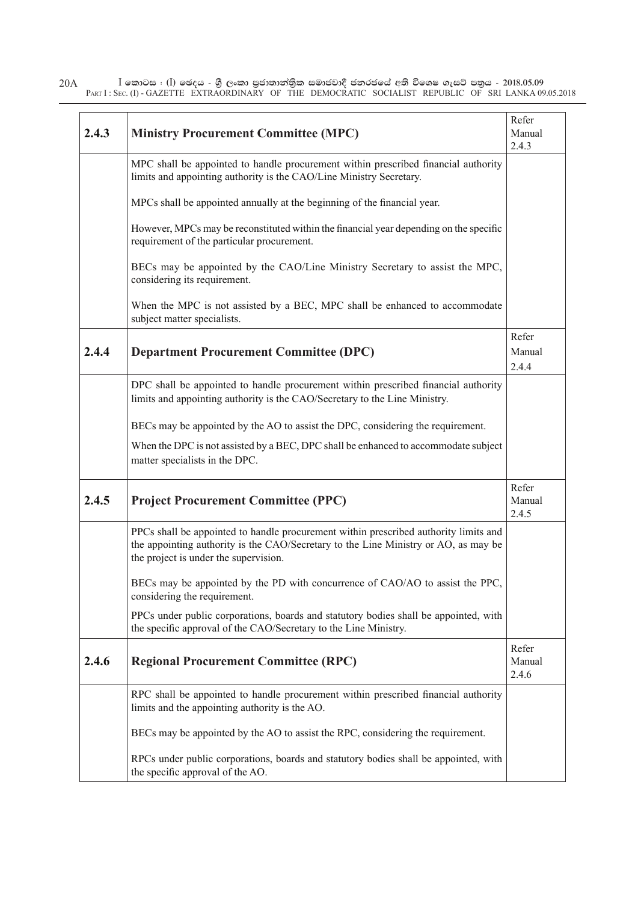| 20A |                                                                                                       | I කොටස : (I) ඡෙදය - ශුී ලංකා පුජාතාන්තිුක සමාජවාදී ජනරජයේ අති විශෙෂ ගැසට් පතුය - 2018.05.09 |  |  |  |
|-----|-------------------------------------------------------------------------------------------------------|---------------------------------------------------------------------------------------------|--|--|--|
|     | PART I: SEC. (I) - GAZETTE EXTRAORDINARY OF THE DEMOCRATIC SOCIALIST REPUBLIC OF SRI LANKA 09.05.2018 |                                                                                             |  |  |  |

| 2.4.3 | <b>Ministry Procurement Committee (MPC)</b>                                                                                                                                                                          | Refer<br>Manual<br>2.4.3 |
|-------|----------------------------------------------------------------------------------------------------------------------------------------------------------------------------------------------------------------------|--------------------------|
|       | MPC shall be appointed to handle procurement within prescribed financial authority<br>limits and appointing authority is the CAO/Line Ministry Secretary.                                                            |                          |
|       | MPCs shall be appointed annually at the beginning of the financial year.                                                                                                                                             |                          |
|       | However, MPCs may be reconstituted within the financial year depending on the specific<br>requirement of the particular procurement.                                                                                 |                          |
|       | BECs may be appointed by the CAO/Line Ministry Secretary to assist the MPC,<br>considering its requirement.                                                                                                          |                          |
|       | When the MPC is not assisted by a BEC, MPC shall be enhanced to accommodate<br>subject matter specialists.                                                                                                           |                          |
| 2.4.4 | <b>Department Procurement Committee (DPC)</b>                                                                                                                                                                        | Refer<br>Manual<br>2.4.4 |
|       | DPC shall be appointed to handle procurement within prescribed financial authority<br>limits and appointing authority is the CAO/Secretary to the Line Ministry.                                                     |                          |
|       | BECs may be appointed by the AO to assist the DPC, considering the requirement.                                                                                                                                      |                          |
|       | When the DPC is not assisted by a BEC, DPC shall be enhanced to accommodate subject<br>matter specialists in the DPC.                                                                                                |                          |
| 2.4.5 | <b>Project Procurement Committee (PPC)</b>                                                                                                                                                                           | Refer<br>Manual<br>2.4.5 |
|       | PPCs shall be appointed to handle procurement within prescribed authority limits and<br>the appointing authority is the CAO/Secretary to the Line Ministry or AO, as may be<br>the project is under the supervision. |                          |
|       | BECs may be appointed by the PD with concurrence of CAO/AO to assist the PPC,<br>considering the requirement.                                                                                                        |                          |
|       | PPCs under public corporations, boards and statutory bodies shall be appointed, with<br>the specific approval of the CAO/Secretary to the Line Ministry.                                                             |                          |
| 2.4.6 | <b>Regional Procurement Committee (RPC)</b>                                                                                                                                                                          | Refer<br>Manual<br>2.4.6 |
|       | RPC shall be appointed to handle procurement within prescribed financial authority<br>limits and the appointing authority is the AO.                                                                                 |                          |
|       | BECs may be appointed by the AO to assist the RPC, considering the requirement.                                                                                                                                      |                          |
|       | RPCs under public corporations, boards and statutory bodies shall be appointed, with<br>the specific approval of the AO.                                                                                             |                          |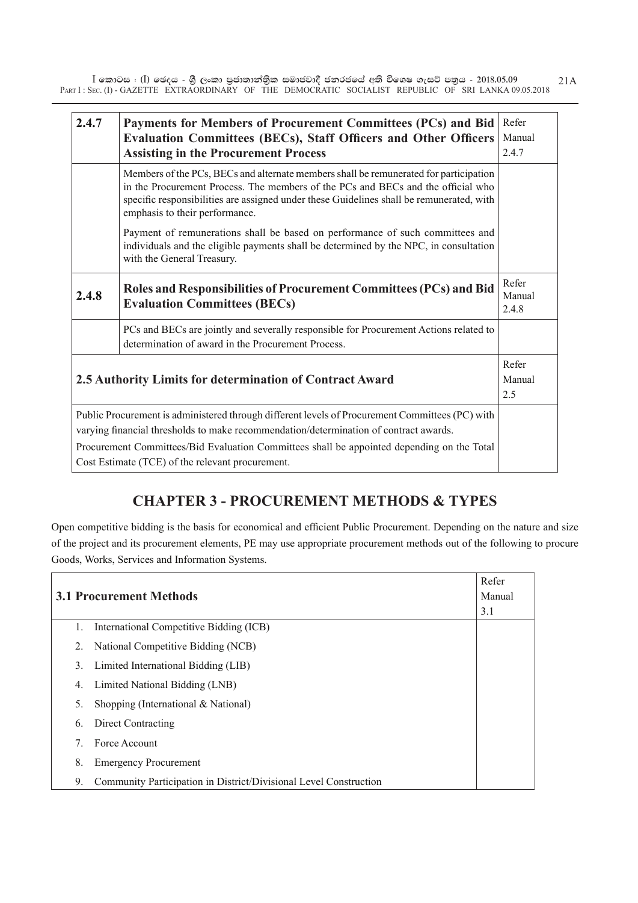$\bar{\rm I}$  කොටස : ( $\rm I$ ) ඡෙදය - ශුී ලංකා පුජාතාන්තිුක සමාජවාදී ජනරජයේ අති විශෙෂ ගැසට් පතුය - 2018.05.09 PART I : SEC. (I) - GAZETTE EXTRAORDINARY OF THE DEMOCRATIC SOCIALIST REPUBLIC OF SRI LANKA 09.05.2018 21A

| 2.4.7                                                    | Payments for Members of Procurement Committees (PCs) and Bid<br><b>Evaluation Committees (BECs), Staff Officers and Other Officers</b><br><b>Assisting in the Procurement Process</b>                                                                                                                   | Refer<br>Manual<br>2.4.7 |
|----------------------------------------------------------|---------------------------------------------------------------------------------------------------------------------------------------------------------------------------------------------------------------------------------------------------------------------------------------------------------|--------------------------|
|                                                          | Members of the PCs, BECs and alternate members shall be remunerated for participation<br>in the Procurement Process. The members of the PCs and BECs and the official who<br>specific responsibilities are assigned under these Guidelines shall be remunerated, with<br>emphasis to their performance. |                          |
|                                                          | Payment of remunerations shall be based on performance of such committees and<br>individuals and the eligible payments shall be determined by the NPC, in consultation<br>with the General Treasury.                                                                                                    |                          |
| 2.4.8                                                    | Roles and Responsibilities of Procurement Committees (PCs) and Bid<br><b>Evaluation Committees (BECs)</b>                                                                                                                                                                                               | Refer<br>Manual<br>2.4.8 |
|                                                          | PCs and BECs are jointly and severally responsible for Procurement Actions related to<br>determination of award in the Procurement Process.                                                                                                                                                             |                          |
| 2.5 Authority Limits for determination of Contract Award |                                                                                                                                                                                                                                                                                                         | Refer<br>Manual<br>2.5   |
|                                                          | Public Procurement is administered through different levels of Procurement Committees (PC) with<br>varying financial thresholds to make recommendation/determination of contract awards.                                                                                                                |                          |
|                                                          | Procurement Committees/Bid Evaluation Committees shall be appointed depending on the Total<br>Cost Estimate (TCE) of the relevant procurement.                                                                                                                                                          |                          |

#### **CHAPTER 3 - PROCUREMENT METHODS & TYPES**

Open competitive bidding is the basis for economical and efficient Public Procurement. Depending on the nature and size of the project and its procurement elements, PE may use appropriate procurement methods out of the following to procure Goods, Works, Services and Information Systems.

|    |                                                                   | Refer  |
|----|-------------------------------------------------------------------|--------|
|    | <b>3.1 Procurement Methods</b>                                    | Manual |
|    |                                                                   | 3.1    |
| 1. | International Competitive Bidding (ICB)                           |        |
| 2. | National Competitive Bidding (NCB)                                |        |
| 3. | Limited International Bidding (LIB)                               |        |
| 4. | Limited National Bidding (LNB)                                    |        |
| 5. | Shopping (International $& National$ )                            |        |
| 6. | Direct Contracting                                                |        |
|    | Force Account                                                     |        |
| 8. | <b>Emergency Procurement</b>                                      |        |
| 9. | Community Participation in District/Divisional Level Construction |        |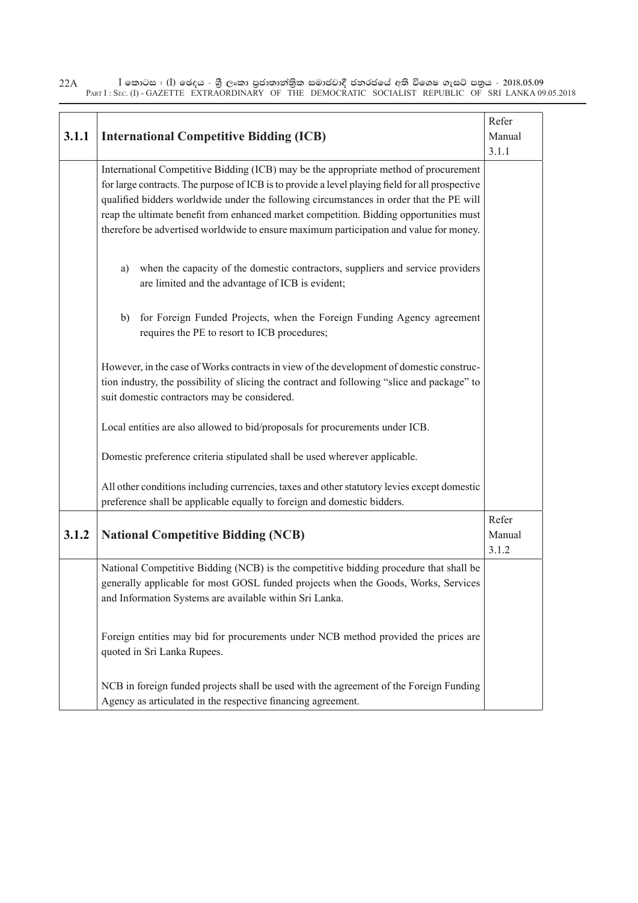$\bar{\rm I}$  කොටස : ( $\rm I$ ) ඡෙදය - ශුී ලංකා පුජාතාන්තිුක සමාජවාදී ජනරජයේ අති විශෙෂ ගැසට් පතුය - 2018.05.09 PART I : SEC. (I) - GAZETTE EXTRAORDINARY OF THE DEMOCRATIC SOCIALIST REPUBLIC OF SRI LANKA 09.05.2018 22A

| 3.1.1 | <b>International Competitive Bidding (ICB)</b>                                                                                                                                                                                                                                                                                                                                                                                                                         | Refer<br>Manual<br>3.1.1 |
|-------|------------------------------------------------------------------------------------------------------------------------------------------------------------------------------------------------------------------------------------------------------------------------------------------------------------------------------------------------------------------------------------------------------------------------------------------------------------------------|--------------------------|
|       | International Competitive Bidding (ICB) may be the appropriate method of procurement<br>for large contracts. The purpose of ICB is to provide a level playing field for all prospective<br>qualified bidders worldwide under the following circumstances in order that the PE will<br>reap the ultimate benefit from enhanced market competition. Bidding opportunities must<br>therefore be advertised worldwide to ensure maximum participation and value for money. |                          |
|       | when the capacity of the domestic contractors, suppliers and service providers<br>a)<br>are limited and the advantage of ICB is evident;                                                                                                                                                                                                                                                                                                                               |                          |
|       | for Foreign Funded Projects, when the Foreign Funding Agency agreement<br>b)<br>requires the PE to resort to ICB procedures;                                                                                                                                                                                                                                                                                                                                           |                          |
|       | However, in the case of Works contracts in view of the development of domestic construc-<br>tion industry, the possibility of slicing the contract and following "slice and package" to<br>suit domestic contractors may be considered.                                                                                                                                                                                                                                |                          |
|       | Local entities are also allowed to bid/proposals for procurements under ICB.                                                                                                                                                                                                                                                                                                                                                                                           |                          |
|       | Domestic preference criteria stipulated shall be used wherever applicable.                                                                                                                                                                                                                                                                                                                                                                                             |                          |
|       | All other conditions including currencies, taxes and other statutory levies except domestic<br>preference shall be applicable equally to foreign and domestic bidders.                                                                                                                                                                                                                                                                                                 |                          |
| 3.1.2 | <b>National Competitive Bidding (NCB)</b>                                                                                                                                                                                                                                                                                                                                                                                                                              | Refer<br>Manual<br>3.1.2 |
|       | National Competitive Bidding (NCB) is the competitive bidding procedure that shall be<br>generally applicable for most GOSL funded projects when the Goods, Works, Services<br>and Information Systems are available within Sri Lanka.                                                                                                                                                                                                                                 |                          |
|       | Foreign entities may bid for procurements under NCB method provided the prices are<br>quoted in Sri Lanka Rupees.                                                                                                                                                                                                                                                                                                                                                      |                          |
|       | NCB in foreign funded projects shall be used with the agreement of the Foreign Funding<br>Agency as articulated in the respective financing agreement.                                                                                                                                                                                                                                                                                                                 |                          |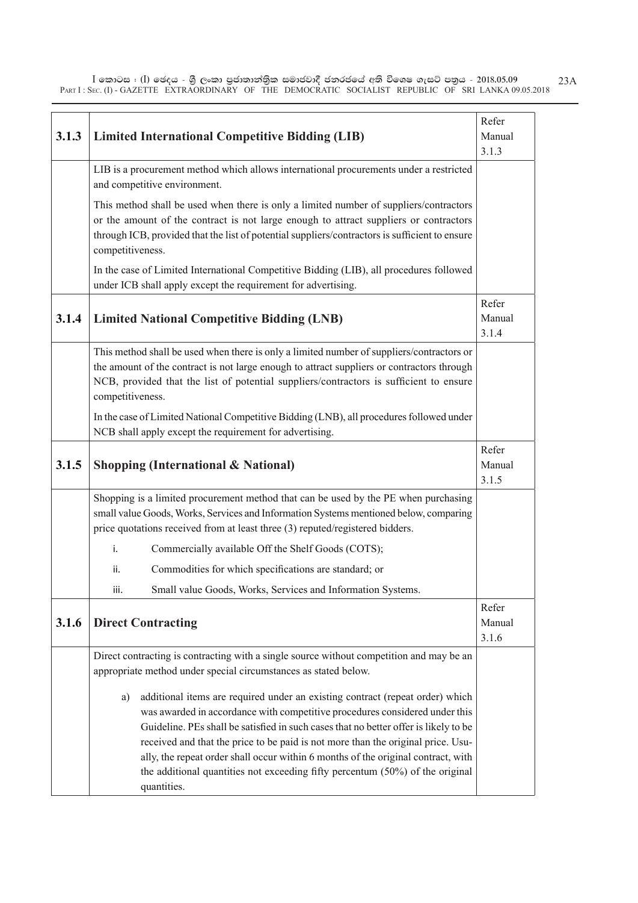$\bar{\rm I}$  කොටස : ( $\rm I$ ) ඡෙදය - ශුී ලංකා පුජාතාන්තිුක සමාජවාදී ජනරජයේ අති විශෙෂ ගැසට් පතුය - 2018.05.09 PART I : SEC. (I) - GAZETTE EXTRAORDINARY OF THE DEMOCRATIC SOCIALIST REPUBLIC OF SRI LANKA 09.05.2018 23A

|       | Refer<br>Manual                                                                                                                                                                                                                                                                                                                                                                                                                                                                                                                     |                          |  |  |
|-------|-------------------------------------------------------------------------------------------------------------------------------------------------------------------------------------------------------------------------------------------------------------------------------------------------------------------------------------------------------------------------------------------------------------------------------------------------------------------------------------------------------------------------------------|--------------------------|--|--|
| 3.1.3 | <b>Limited International Competitive Bidding (LIB)</b>                                                                                                                                                                                                                                                                                                                                                                                                                                                                              |                          |  |  |
|       | 3.1.3<br>LIB is a procurement method which allows international procurements under a restricted<br>and competitive environment.                                                                                                                                                                                                                                                                                                                                                                                                     |                          |  |  |
|       | This method shall be used when there is only a limited number of suppliers/contractors                                                                                                                                                                                                                                                                                                                                                                                                                                              |                          |  |  |
|       | or the amount of the contract is not large enough to attract suppliers or contractors<br>through ICB, provided that the list of potential suppliers/contractors is sufficient to ensure<br>competitiveness.                                                                                                                                                                                                                                                                                                                         |                          |  |  |
|       | In the case of Limited International Competitive Bidding (LIB), all procedures followed<br>under ICB shall apply except the requirement for advertising.                                                                                                                                                                                                                                                                                                                                                                            |                          |  |  |
| 3.1.4 | <b>Limited National Competitive Bidding (LNB)</b>                                                                                                                                                                                                                                                                                                                                                                                                                                                                                   | Refer<br>Manual<br>3.1.4 |  |  |
|       | This method shall be used when there is only a limited number of suppliers/contractors or<br>the amount of the contract is not large enough to attract suppliers or contractors through<br>NCB, provided that the list of potential suppliers/contractors is sufficient to ensure<br>competitiveness.                                                                                                                                                                                                                               |                          |  |  |
|       | In the case of Limited National Competitive Bidding (LNB), all procedures followed under<br>NCB shall apply except the requirement for advertising.                                                                                                                                                                                                                                                                                                                                                                                 |                          |  |  |
| 3.1.5 | <b>Shopping (International &amp; National)</b>                                                                                                                                                                                                                                                                                                                                                                                                                                                                                      | Refer<br>Manual<br>3.1.5 |  |  |
|       | Shopping is a limited procurement method that can be used by the PE when purchasing<br>small value Goods, Works, Services and Information Systems mentioned below, comparing<br>price quotations received from at least three (3) reputed/registered bidders.                                                                                                                                                                                                                                                                       |                          |  |  |
|       | Commercially available Off the Shelf Goods (COTS);<br>i.                                                                                                                                                                                                                                                                                                                                                                                                                                                                            |                          |  |  |
|       | Commodities for which specifications are standard; or<br>ii.                                                                                                                                                                                                                                                                                                                                                                                                                                                                        |                          |  |  |
|       | Small value Goods, Works, Services and Information Systems.<br>iii.                                                                                                                                                                                                                                                                                                                                                                                                                                                                 |                          |  |  |
| 3.1.6 | <b>Direct Contracting</b>                                                                                                                                                                                                                                                                                                                                                                                                                                                                                                           | Refer<br>Manual<br>3.1.6 |  |  |
|       | Direct contracting is contracting with a single source without competition and may be an<br>appropriate method under special circumstances as stated below.                                                                                                                                                                                                                                                                                                                                                                         |                          |  |  |
|       | additional items are required under an existing contract (repeat order) which<br>a)<br>was awarded in accordance with competitive procedures considered under this<br>Guideline. PEs shall be satisfied in such cases that no better offer is likely to be<br>received and that the price to be paid is not more than the original price. Usu-<br>ally, the repeat order shall occur within 6 months of the original contract, with<br>the additional quantities not exceeding fifty percentum (50%) of the original<br>quantities. |                          |  |  |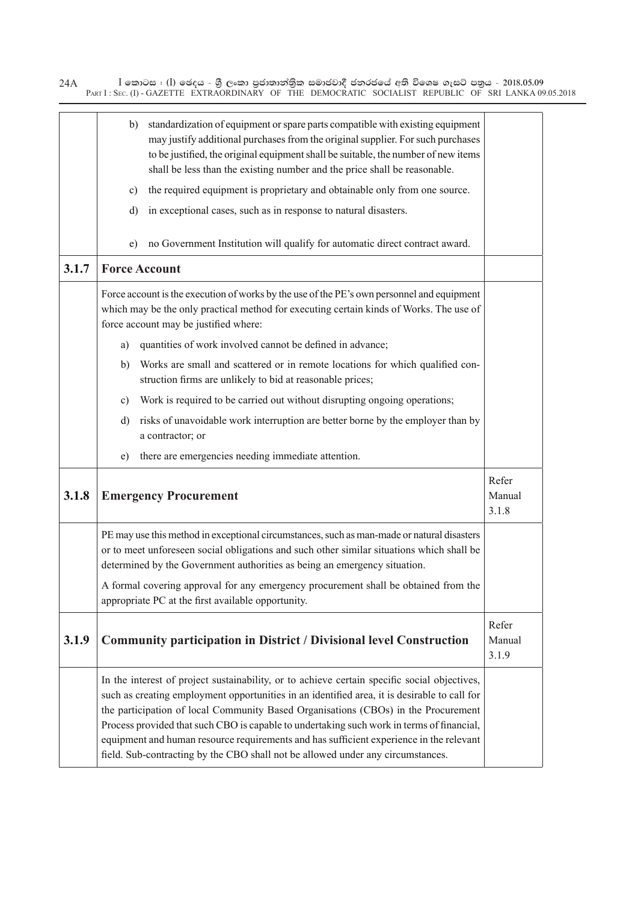$\bar{\rm I}$  කොටස : ( $\rm I$ ) ඡෙදය - ශුී ලංකා පුජාතාන්තිුක සමාජවාදී ජනරජයේ අති විශෙෂ ගැසට් පතුය - 2018.05.09 PART I : SEC. (I) - GAZETTE EXTRAORDINARY OF THE DEMOCRATIC SOCIALIST REPUBLIC OF SRI LANKA 09.05.2018 24A

|       | standardization of equipment or spare parts compatible with existing equipment<br>b)<br>may justify additional purchases from the original supplier. For such purchases<br>to be justified, the original equipment shall be suitable, the number of new items<br>shall be less than the existing number and the price shall be reasonable.<br>the required equipment is proprietary and obtainable only from one source.<br>c)<br>in exceptional cases, such as in response to natural disasters.<br>d)                                                       |                          |
|-------|---------------------------------------------------------------------------------------------------------------------------------------------------------------------------------------------------------------------------------------------------------------------------------------------------------------------------------------------------------------------------------------------------------------------------------------------------------------------------------------------------------------------------------------------------------------|--------------------------|
|       | no Government Institution will qualify for automatic direct contract award.<br>e)                                                                                                                                                                                                                                                                                                                                                                                                                                                                             |                          |
| 3.1.7 | <b>Force Account</b>                                                                                                                                                                                                                                                                                                                                                                                                                                                                                                                                          |                          |
|       | Force account is the execution of works by the use of the PE's own personnel and equipment<br>which may be the only practical method for executing certain kinds of Works. The use of<br>force account may be justified where:                                                                                                                                                                                                                                                                                                                                |                          |
|       | quantities of work involved cannot be defined in advance;<br>a)                                                                                                                                                                                                                                                                                                                                                                                                                                                                                               |                          |
|       | Works are small and scattered or in remote locations for which qualified con-<br>b)<br>struction firms are unlikely to bid at reasonable prices;                                                                                                                                                                                                                                                                                                                                                                                                              |                          |
|       | Work is required to be carried out without disrupting ongoing operations;<br>c)                                                                                                                                                                                                                                                                                                                                                                                                                                                                               |                          |
|       | risks of unavoidable work interruption are better borne by the employer than by<br>d)<br>a contractor; or                                                                                                                                                                                                                                                                                                                                                                                                                                                     |                          |
|       | there are emergencies needing immediate attention.<br>e)                                                                                                                                                                                                                                                                                                                                                                                                                                                                                                      |                          |
| 3.1.8 | <b>Emergency Procurement</b>                                                                                                                                                                                                                                                                                                                                                                                                                                                                                                                                  | Refer<br>Manual<br>3.1.8 |
|       | PE may use this method in exceptional circumstances, such as man-made or natural disasters<br>or to meet unforeseen social obligations and such other similar situations which shall be<br>determined by the Government authorities as being an emergency situation.                                                                                                                                                                                                                                                                                          |                          |
|       | A formal covering approval for any emergency procurement shall be obtained from the<br>appropriate PC at the first available opportunity.                                                                                                                                                                                                                                                                                                                                                                                                                     |                          |
| 3.1.9 | <b>Community participation in District / Divisional level Construction</b>                                                                                                                                                                                                                                                                                                                                                                                                                                                                                    | Refer<br>Manual<br>3.1.9 |
|       | In the interest of project sustainability, or to achieve certain specific social objectives,<br>such as creating employment opportunities in an identified area, it is desirable to call for<br>the participation of local Community Based Organisations (CBOs) in the Procurement<br>Process provided that such CBO is capable to undertaking such work in terms of financial,<br>equipment and human resource requirements and has sufficient experience in the relevant<br>field. Sub-contracting by the CBO shall not be allowed under any circumstances. |                          |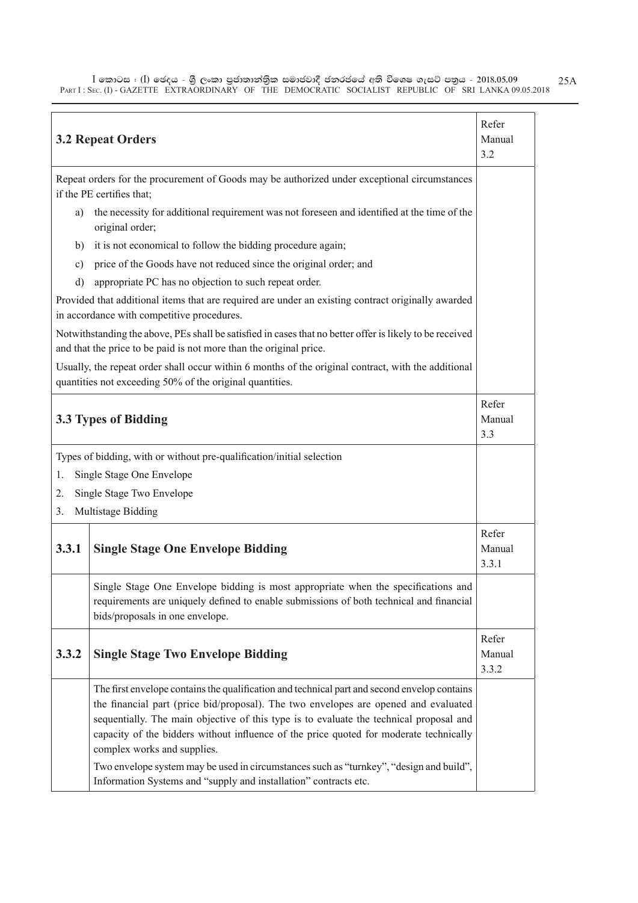$\bar{\rm I}$  කොටස : ( $\rm I$ ) ඡෙදය - ශුී ලංකා පුජාතාන්තිුක සමාජවාදී ජනරජයේ අති විශෙෂ ගැසට් පතුය - 2018.05.09 PART I : SEC. (I) - GAZETTE EXTRAORDINARY OF THE DEMOCRATIC SOCIALIST REPUBLIC OF SRI LANKA 09.05.2018 25A

|       | <b>3.2 Repeat Orders</b>                                                                                                                                                                                                                                                                                                                                                                                                                                                                                                                                               | Refer<br>Manual<br>3.2   |
|-------|------------------------------------------------------------------------------------------------------------------------------------------------------------------------------------------------------------------------------------------------------------------------------------------------------------------------------------------------------------------------------------------------------------------------------------------------------------------------------------------------------------------------------------------------------------------------|--------------------------|
|       | Repeat orders for the procurement of Goods may be authorized under exceptional circumstances<br>if the PE certifies that;                                                                                                                                                                                                                                                                                                                                                                                                                                              |                          |
| a)    | the necessity for additional requirement was not foreseen and identified at the time of the<br>original order;                                                                                                                                                                                                                                                                                                                                                                                                                                                         |                          |
| b)    | it is not economical to follow the bidding procedure again;                                                                                                                                                                                                                                                                                                                                                                                                                                                                                                            |                          |
| c)    | price of the Goods have not reduced since the original order; and                                                                                                                                                                                                                                                                                                                                                                                                                                                                                                      |                          |
| d)    | appropriate PC has no objection to such repeat order.                                                                                                                                                                                                                                                                                                                                                                                                                                                                                                                  |                          |
|       | Provided that additional items that are required are under an existing contract originally awarded<br>in accordance with competitive procedures.                                                                                                                                                                                                                                                                                                                                                                                                                       |                          |
|       | Notwithstanding the above, PEs shall be satisfied in cases that no better offer is likely to be received<br>and that the price to be paid is not more than the original price.                                                                                                                                                                                                                                                                                                                                                                                         |                          |
|       | Usually, the repeat order shall occur within 6 months of the original contract, with the additional<br>quantities not exceeding 50% of the original quantities.                                                                                                                                                                                                                                                                                                                                                                                                        |                          |
|       | 3.3 Types of Bidding                                                                                                                                                                                                                                                                                                                                                                                                                                                                                                                                                   | Refer<br>Manual<br>3.3   |
|       | Types of bidding, with or without pre-qualification/initial selection                                                                                                                                                                                                                                                                                                                                                                                                                                                                                                  |                          |
| 1.    | Single Stage One Envelope                                                                                                                                                                                                                                                                                                                                                                                                                                                                                                                                              |                          |
| 2.    | Single Stage Two Envelope                                                                                                                                                                                                                                                                                                                                                                                                                                                                                                                                              |                          |
| 3.    | Multistage Bidding                                                                                                                                                                                                                                                                                                                                                                                                                                                                                                                                                     |                          |
| 3.3.1 | <b>Single Stage One Envelope Bidding</b>                                                                                                                                                                                                                                                                                                                                                                                                                                                                                                                               | Refer<br>Manual<br>3.3.1 |
|       | Single Stage One Envelope bidding is most appropriate when the specifications and<br>requirements are uniquely defined to enable submissions of both technical and financial<br>bids/proposals in one envelope.                                                                                                                                                                                                                                                                                                                                                        |                          |
| 3.3.2 | <b>Single Stage Two Envelope Bidding</b>                                                                                                                                                                                                                                                                                                                                                                                                                                                                                                                               | Refer<br>Manual<br>3.3.2 |
|       | The first envelope contains the qualification and technical part and second envelop contains<br>the financial part (price bid/proposal). The two envelopes are opened and evaluated<br>sequentially. The main objective of this type is to evaluate the technical proposal and<br>capacity of the bidders without influence of the price quoted for moderate technically<br>complex works and supplies.<br>Two envelope system may be used in circumstances such as "turnkey", "design and build",<br>Information Systems and "supply and installation" contracts etc. |                          |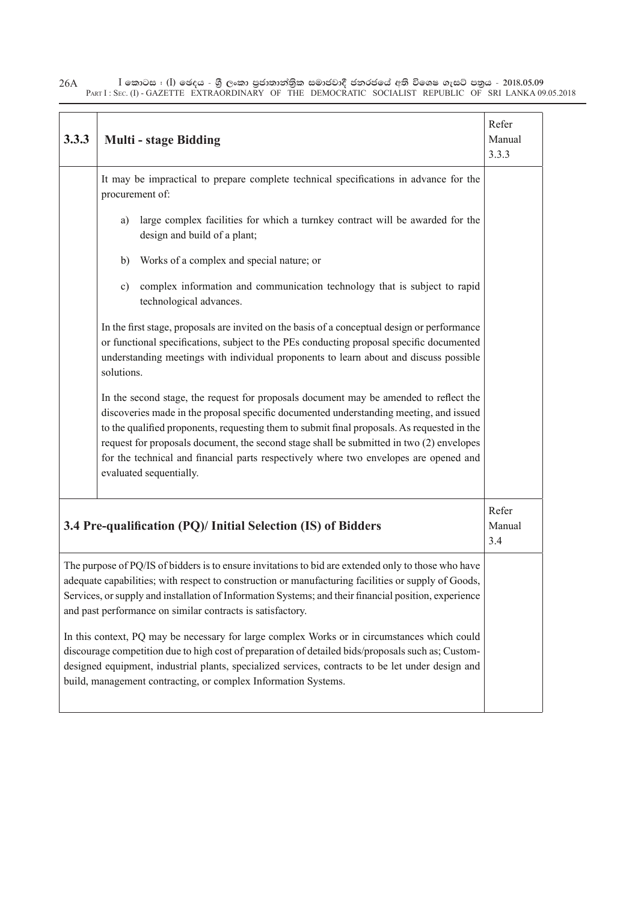| 3.3.3 | <b>Multi - stage Bidding</b>                                                                                                                                                                                                                                                                                                                                                                                                                                                                   | Refer<br>Manual<br>3.3.3 |
|-------|------------------------------------------------------------------------------------------------------------------------------------------------------------------------------------------------------------------------------------------------------------------------------------------------------------------------------------------------------------------------------------------------------------------------------------------------------------------------------------------------|--------------------------|
|       | It may be impractical to prepare complete technical specifications in advance for the<br>procurement of:                                                                                                                                                                                                                                                                                                                                                                                       |                          |
|       | large complex facilities for which a turnkey contract will be awarded for the<br>a)<br>design and build of a plant;                                                                                                                                                                                                                                                                                                                                                                            |                          |
|       | Works of a complex and special nature; or<br>b)                                                                                                                                                                                                                                                                                                                                                                                                                                                |                          |
|       | complex information and communication technology that is subject to rapid<br>$\mathbf{c})$<br>technological advances.                                                                                                                                                                                                                                                                                                                                                                          |                          |
|       | In the first stage, proposals are invited on the basis of a conceptual design or performance<br>or functional specifications, subject to the PEs conducting proposal specific documented<br>understanding meetings with individual proponents to learn about and discuss possible<br>solutions.                                                                                                                                                                                                |                          |
|       | In the second stage, the request for proposals document may be amended to reflect the<br>discoveries made in the proposal specific documented understanding meeting, and issued<br>to the qualified proponents, requesting them to submit final proposals. As requested in the<br>request for proposals document, the second stage shall be submitted in two (2) envelopes<br>for the technical and financial parts respectively where two envelopes are opened and<br>evaluated sequentially. |                          |
|       | 3.4 Pre-qualification (PQ)/ Initial Selection (IS) of Bidders                                                                                                                                                                                                                                                                                                                                                                                                                                  | Refer<br>Manual<br>3.4   |
|       | The purpose of PQ/IS of bidders is to ensure invitations to bid are extended only to those who have<br>adequate capabilities; with respect to construction or manufacturing facilities or supply of Goods,<br>Services, or supply and installation of Information Systems; and their financial position, experience<br>and past performance on similar contracts is satisfactory.                                                                                                              |                          |
|       | In this context, PQ may be necessary for large complex Works or in circumstances which could<br>discourage competition due to high cost of preparation of detailed bids/proposals such as; Custom-<br>designed equipment, industrial plants, specialized services, contracts to be let under design and<br>build, management contracting, or complex Information Systems.                                                                                                                      |                          |

 $\bar{\rm I}$  කොටස : ( $\rm I$ ) ඡෙදය - ශුී ලංකා පුජාතාන්තිුක සමාජවාදී ජනරජයේ අති විශෙෂ ගැසට් පතුය - 2018.05.09 PART I : SEC. (I) - GAZETTE EXTRAORDINARY OF THE DEMOCRATIC SOCIALIST REPUBLIC OF SRI LANKA 09.05.2018 26A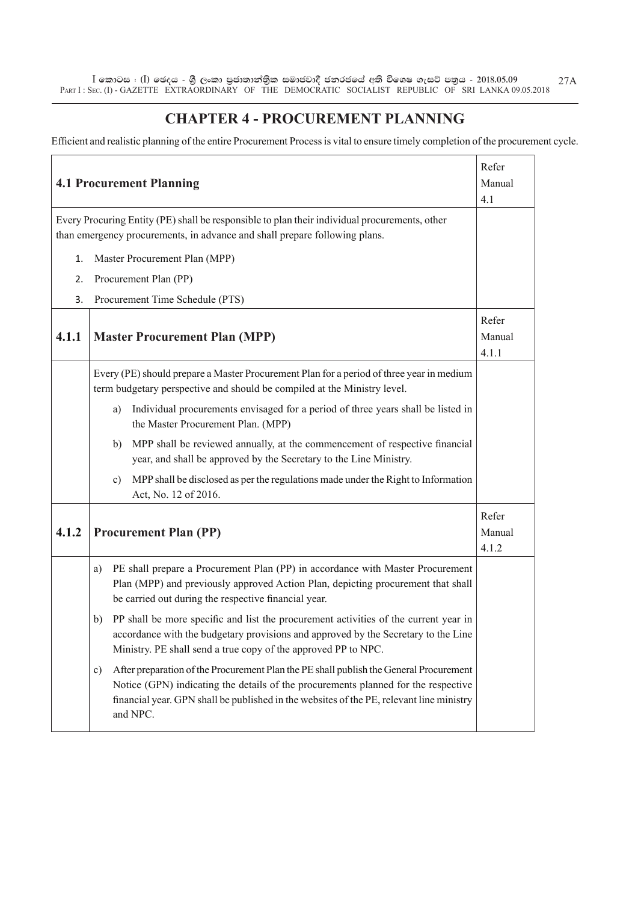$\bar{\rm I}$  කොටස : ( $\rm I$ ) ඡෙදය - ශුී ලංකා පුජාතාන්තිුක සමාජවාදී ජනරජයේ අති විශෙෂ ගැසට් පතුය - 2018.05.09 PART I : SEC. (I) - GAZETTE EXTRAORDINARY OF THE DEMOCRATIC SOCIALIST REPUBLIC OF SRI LANKA 09.05.2018 27A

#### **CHAPTER 4 - PROCUREMENT PLANNING**

Efficient and realistic planning of the entire Procurement Process is vital to ensure timely completion of the procurement cycle.

|       | <b>4.1 Procurement Planning</b>                                                                                                                                                                                                                                                            | Refer<br>Manual<br>4.1   |
|-------|--------------------------------------------------------------------------------------------------------------------------------------------------------------------------------------------------------------------------------------------------------------------------------------------|--------------------------|
|       | Every Procuring Entity (PE) shall be responsible to plan their individual procurements, other<br>than emergency procurements, in advance and shall prepare following plans.                                                                                                                |                          |
| 1.    | Master Procurement Plan (MPP)                                                                                                                                                                                                                                                              |                          |
| 2.    | Procurement Plan (PP)                                                                                                                                                                                                                                                                      |                          |
| 3.    | Procurement Time Schedule (PTS)                                                                                                                                                                                                                                                            |                          |
| 4.1.1 | <b>Master Procurement Plan (MPP)</b>                                                                                                                                                                                                                                                       | Refer<br>Manual<br>4.1.1 |
|       | Every (PE) should prepare a Master Procurement Plan for a period of three year in medium<br>term budgetary perspective and should be compiled at the Ministry level.                                                                                                                       |                          |
|       | Individual procurements envisaged for a period of three years shall be listed in<br>a)<br>the Master Procurement Plan. (MPP)                                                                                                                                                               |                          |
|       | MPP shall be reviewed annually, at the commencement of respective financial<br>b)<br>year, and shall be approved by the Secretary to the Line Ministry.                                                                                                                                    |                          |
|       | MPP shall be disclosed as per the regulations made under the Right to Information<br>c)<br>Act, No. 12 of 2016.                                                                                                                                                                            |                          |
| 4.1.2 | <b>Procurement Plan (PP)</b>                                                                                                                                                                                                                                                               | Refer<br>Manual<br>4.1.2 |
|       | PE shall prepare a Procurement Plan (PP) in accordance with Master Procurement<br>a)<br>Plan (MPP) and previously approved Action Plan, depicting procurement that shall<br>be carried out during the respective financial year.                                                           |                          |
|       | PP shall be more specific and list the procurement activities of the current year in<br>b)<br>accordance with the budgetary provisions and approved by the Secretary to the Line<br>Ministry. PE shall send a true copy of the approved PP to NPC.                                         |                          |
|       | After preparation of the Procurement Plan the PE shall publish the General Procurement<br>c)<br>Notice (GPN) indicating the details of the procurements planned for the respective<br>financial year. GPN shall be published in the websites of the PE, relevant line ministry<br>and NPC. |                          |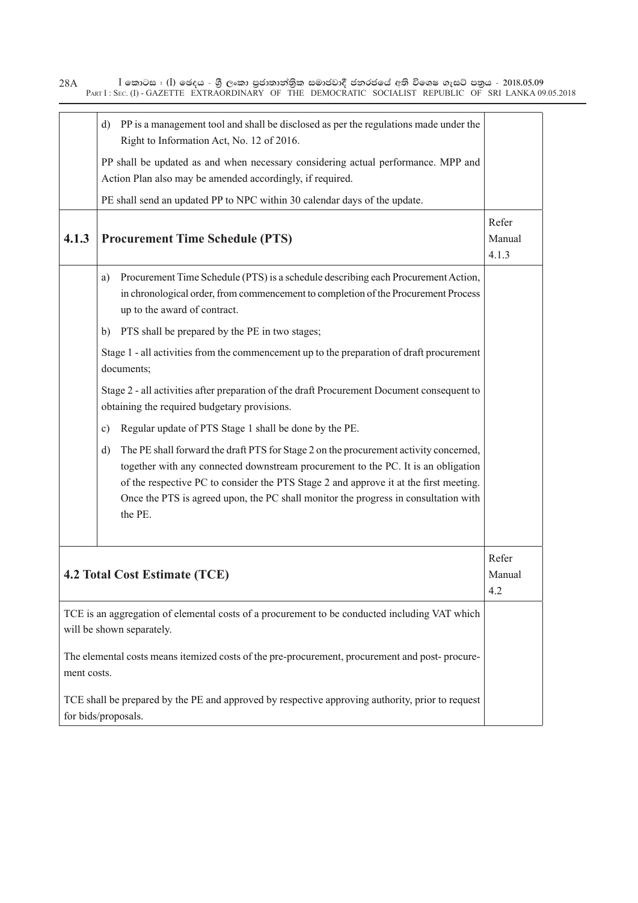$\bar{\rm I}$  කොටස : ( $\rm I$ ) ඡෙදය - ශුී ලංකා පුජාතාන්තිුක සමාජවාදී ජනරජයේ අති විශෙෂ ගැසට් පතුය - 2018.05.09 PART I : SEC. (I) - GAZETTE EXTRAORDINARY OF THE DEMOCRATIC SOCIALIST REPUBLIC OF SRI LANKA 09.05.2018 28A

|             | d) PP is a management tool and shall be disclosed as per the regulations made under the<br>Right to Information Act, No. 12 of 2016.                                                                                                                                                                                                                                        |                          |
|-------------|-----------------------------------------------------------------------------------------------------------------------------------------------------------------------------------------------------------------------------------------------------------------------------------------------------------------------------------------------------------------------------|--------------------------|
|             | PP shall be updated as and when necessary considering actual performance. MPP and<br>Action Plan also may be amended accordingly, if required.                                                                                                                                                                                                                              |                          |
|             | PE shall send an updated PP to NPC within 30 calendar days of the update.                                                                                                                                                                                                                                                                                                   |                          |
| 4.1.3       | <b>Procurement Time Schedule (PTS)</b>                                                                                                                                                                                                                                                                                                                                      | Refer<br>Manual<br>4.1.3 |
|             | Procurement Time Schedule (PTS) is a schedule describing each Procurement Action,<br>a)<br>in chronological order, from commencement to completion of the Procurement Process<br>up to the award of contract.                                                                                                                                                               |                          |
|             | PTS shall be prepared by the PE in two stages;<br>b)                                                                                                                                                                                                                                                                                                                        |                          |
|             | Stage 1 - all activities from the commencement up to the preparation of draft procurement<br>documents;                                                                                                                                                                                                                                                                     |                          |
|             | Stage 2 - all activities after preparation of the draft Procurement Document consequent to<br>obtaining the required budgetary provisions.                                                                                                                                                                                                                                  |                          |
|             | Regular update of PTS Stage 1 shall be done by the PE.<br>$\mathbf{c})$                                                                                                                                                                                                                                                                                                     |                          |
|             | The PE shall forward the draft PTS for Stage 2 on the procurement activity concerned,<br>d)<br>together with any connected downstream procurement to the PC. It is an obligation<br>of the respective PC to consider the PTS Stage 2 and approve it at the first meeting.<br>Once the PTS is agreed upon, the PC shall monitor the progress in consultation with<br>the PE. |                          |
|             | 4.2 Total Cost Estimate (TCE)                                                                                                                                                                                                                                                                                                                                               | Refer<br>Manual<br>4.2   |
|             | TCE is an aggregation of elemental costs of a procurement to be conducted including VAT which<br>will be shown separately.                                                                                                                                                                                                                                                  |                          |
| ment costs. | The elemental costs means itemized costs of the pre-procurement, procurement and post-procure-                                                                                                                                                                                                                                                                              |                          |
|             | TCE shall be prepared by the PE and approved by respective approving authority, prior to request<br>for bids/proposals.                                                                                                                                                                                                                                                     |                          |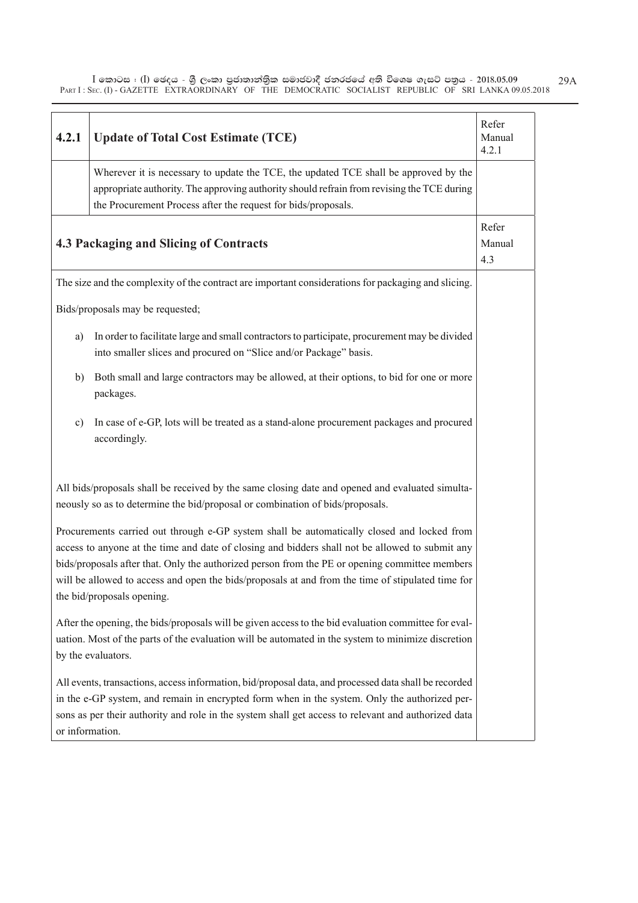$\bar{\rm I}$  කොටස : ( $\rm I$ ) ඡෙදය - ශුී ලංකා පුජාතාන්තිුක සමාජවාදී ජනරජයේ අති විශෙෂ ගැසට් පතුය - 2018.05.09 PART I : SEC. (I) - GAZETTE EXTRAORDINARY OF THE DEMOCRATIC SOCIALIST REPUBLIC OF SRI LANKA 09.05.2018 29A

| 4.2.1           | <b>Update of Total Cost Estimate (TCE)</b>                                                                                                                                                                                                                                                                                                                                                                                         | Refer<br>Manual<br>4.2.1 |
|-----------------|------------------------------------------------------------------------------------------------------------------------------------------------------------------------------------------------------------------------------------------------------------------------------------------------------------------------------------------------------------------------------------------------------------------------------------|--------------------------|
|                 | Wherever it is necessary to update the TCE, the updated TCE shall be approved by the<br>appropriate authority. The approving authority should refrain from revising the TCE during<br>the Procurement Process after the request for bids/proposals.                                                                                                                                                                                |                          |
|                 | 4.3 Packaging and Slicing of Contracts                                                                                                                                                                                                                                                                                                                                                                                             | Refer<br>Manual<br>4.3   |
|                 | The size and the complexity of the contract are important considerations for packaging and slicing.                                                                                                                                                                                                                                                                                                                                |                          |
|                 | Bids/proposals may be requested;                                                                                                                                                                                                                                                                                                                                                                                                   |                          |
| a)              | In order to facilitate large and small contractors to participate, procurement may be divided<br>into smaller slices and procured on "Slice and/or Package" basis.                                                                                                                                                                                                                                                                 |                          |
| b)              | Both small and large contractors may be allowed, at their options, to bid for one or more<br>packages.                                                                                                                                                                                                                                                                                                                             |                          |
| c)              | In case of e-GP, lots will be treated as a stand-alone procurement packages and procured<br>accordingly.                                                                                                                                                                                                                                                                                                                           |                          |
|                 | All bids/proposals shall be received by the same closing date and opened and evaluated simulta-<br>neously so as to determine the bid/proposal or combination of bids/proposals.                                                                                                                                                                                                                                                   |                          |
|                 | Procurements carried out through e-GP system shall be automatically closed and locked from<br>access to anyone at the time and date of closing and bidders shall not be allowed to submit any<br>bids/proposals after that. Only the authorized person from the PE or opening committee members<br>will be allowed to access and open the bids/proposals at and from the time of stipulated time for<br>the bid/proposals opening. |                          |
|                 | After the opening, the bids/proposals will be given access to the bid evaluation committee for eval-<br>uation. Most of the parts of the evaluation will be automated in the system to minimize discretion<br>by the evaluators.                                                                                                                                                                                                   |                          |
| or information. | All events, transactions, access information, bid/proposal data, and processed data shall be recorded<br>in the e-GP system, and remain in encrypted form when in the system. Only the authorized per-<br>sons as per their authority and role in the system shall get access to relevant and authorized data                                                                                                                      |                          |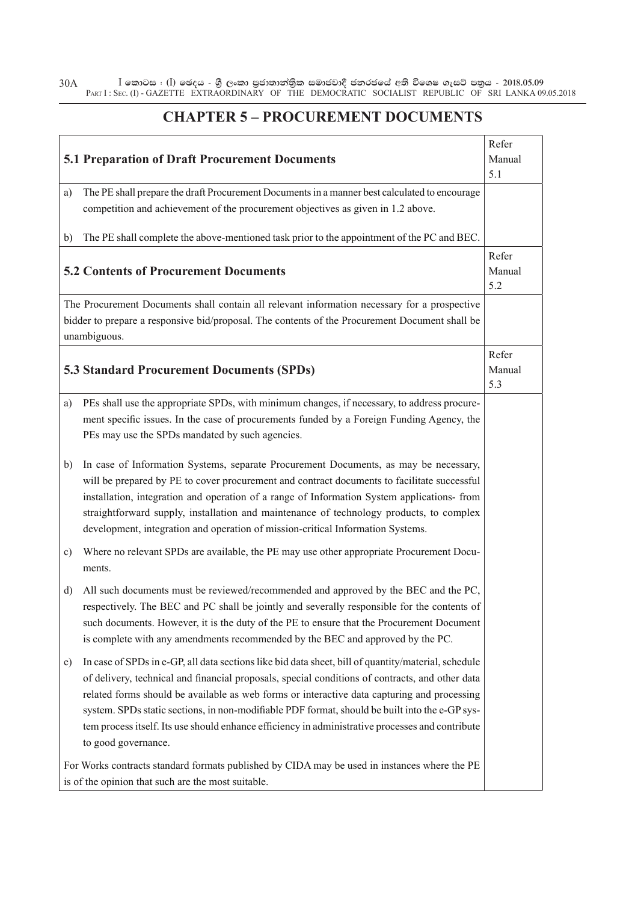$\bar{\rm I}$  කොටස : ( $\rm I$ ) ඡෙදය - ශුී ලංකා පුජාතාන්තිුක සමාජවාදී ජනරජයේ අති විශෙෂ ගැසට් පතුය - 2018.05.09 PART I : SEC. (I) - GAZETTE EXTRAORDINARY OF THE DEMOCRATIC SOCIALIST REPUBLIC OF SRI LANKA 09.05.2018 30A

#### **CHAPTER 5 – PROCUREMENT DOCUMENTS**

|              | <b>5.1 Preparation of Draft Procurement Documents</b>                                                                                                                              | Refer<br>Manual<br>5.1 |
|--------------|------------------------------------------------------------------------------------------------------------------------------------------------------------------------------------|------------------------|
| a)           | The PE shall prepare the draft Procurement Documents in a manner best calculated to encourage                                                                                      |                        |
|              | competition and achievement of the procurement objectives as given in 1.2 above.                                                                                                   |                        |
| b)           | The PE shall complete the above-mentioned task prior to the appointment of the PC and BEC.                                                                                         |                        |
|              | <b>5.2 Contents of Procurement Documents</b>                                                                                                                                       | Refer<br>Manual<br>5.2 |
|              | The Procurement Documents shall contain all relevant information necessary for a prospective                                                                                       |                        |
|              | bidder to prepare a responsive bid/proposal. The contents of the Procurement Document shall be<br>unambiguous.                                                                     |                        |
|              |                                                                                                                                                                                    | Refer                  |
|              | <b>5.3 Standard Procurement Documents (SPDs)</b>                                                                                                                                   | Manual                 |
|              |                                                                                                                                                                                    | 5.3                    |
| a)           | PEs shall use the appropriate SPDs, with minimum changes, if necessary, to address procure-                                                                                        |                        |
|              | ment specific issues. In the case of procurements funded by a Foreign Funding Agency, the                                                                                          |                        |
|              | PEs may use the SPDs mandated by such agencies.                                                                                                                                    |                        |
| b)           | In case of Information Systems, separate Procurement Documents, as may be necessary,                                                                                               |                        |
|              | will be prepared by PE to cover procurement and contract documents to facilitate successful                                                                                        |                        |
|              | installation, integration and operation of a range of Information System applications- from                                                                                        |                        |
|              | straightforward supply, installation and maintenance of technology products, to complex                                                                                            |                        |
|              | development, integration and operation of mission-critical Information Systems.                                                                                                    |                        |
| c)           | Where no relevant SPDs are available, the PE may use other appropriate Procurement Docu-<br>ments.                                                                                 |                        |
|              |                                                                                                                                                                                    |                        |
| $\mathbf{d}$ | All such documents must be reviewed/recommended and approved by the BEC and the PC,<br>respectively. The BEC and PC shall be jointly and severally responsible for the contents of |                        |
|              | such documents. However, it is the duty of the PE to ensure that the Procurement Document                                                                                          |                        |
|              | is complete with any amendments recommended by the BEC and approved by the PC.                                                                                                     |                        |
| e)           | In case of SPDs in e-GP, all data sections like bid data sheet, bill of quantity/material, schedule                                                                                |                        |
|              | of delivery, technical and financial proposals, special conditions of contracts, and other data                                                                                    |                        |
|              | related forms should be available as web forms or interactive data capturing and processing                                                                                        |                        |
|              | system. SPDs static sections, in non-modifiable PDF format, should be built into the e-GP sys-                                                                                     |                        |
|              | tem process itself. Its use should enhance efficiency in administrative processes and contribute                                                                                   |                        |
|              | to good governance.                                                                                                                                                                |                        |
|              | For Works contracts standard formats published by CIDA may be used in instances where the PE                                                                                       |                        |
|              | is of the opinion that such are the most suitable.                                                                                                                                 |                        |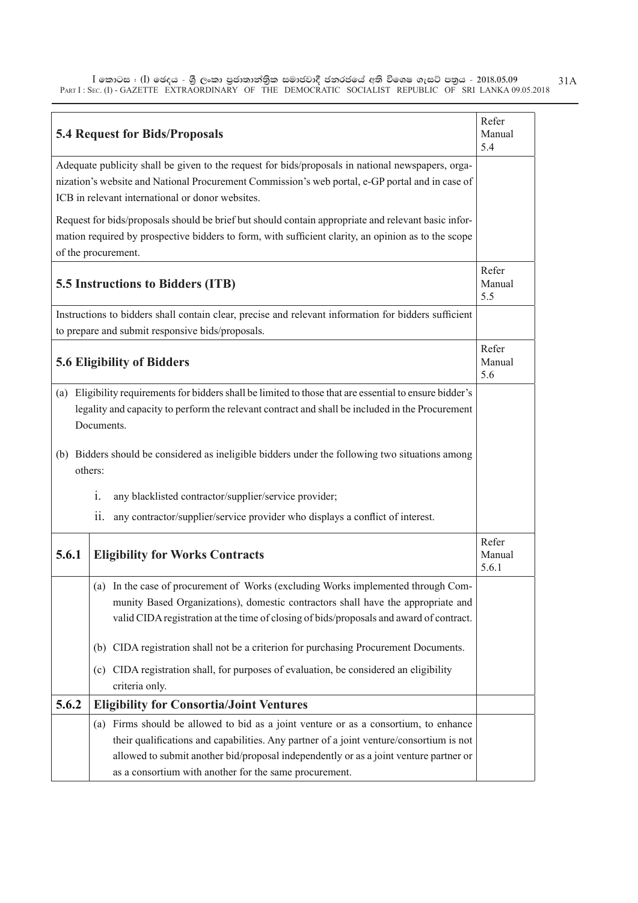$\bar{\rm I}$  කොටස : ( $\rm I$ ) ඡෙදය - ශුී ලංකා පුජාතාන්තිුක සමාජවාදී ජනරජයේ අති විශෙෂ ගැසට් පතුය - 2018.05.09 PART I : SEC. (I) - GAZETTE EXTRAORDINARY OF THE DEMOCRATIC SOCIALIST REPUBLIC OF SRI LANKA 09.05.2018 31A

|       | <b>5.4 Request for Bids/Proposals</b>                                                                                                                                                                                                                                                                                              | Refer<br>Manual<br>5.4   |
|-------|------------------------------------------------------------------------------------------------------------------------------------------------------------------------------------------------------------------------------------------------------------------------------------------------------------------------------------|--------------------------|
|       | Adequate publicity shall be given to the request for bids/proposals in national newspapers, orga-<br>nization's website and National Procurement Commission's web portal, e-GP portal and in case of<br>ICB in relevant international or donor websites.                                                                           |                          |
|       | Request for bids/proposals should be brief but should contain appropriate and relevant basic infor-<br>mation required by prospective bidders to form, with sufficient clarity, an opinion as to the scope<br>of the procurement.                                                                                                  |                          |
|       | 5.5 Instructions to Bidders (ITB)                                                                                                                                                                                                                                                                                                  | Refer<br>Manual<br>5.5   |
|       | Instructions to bidders shall contain clear, precise and relevant information for bidders sufficient<br>to prepare and submit responsive bids/proposals.                                                                                                                                                                           |                          |
|       | <b>5.6 Eligibility of Bidders</b>                                                                                                                                                                                                                                                                                                  | Refer<br>Manual<br>5.6   |
|       | (a) Eligibility requirements for bidders shall be limited to those that are essential to ensure bidder's<br>legality and capacity to perform the relevant contract and shall be included in the Procurement<br>Documents.                                                                                                          |                          |
|       | (b) Bidders should be considered as ineligible bidders under the following two situations among<br>others:                                                                                                                                                                                                                         |                          |
|       | any blacklisted contractor/supplier/service provider;<br>1.                                                                                                                                                                                                                                                                        |                          |
|       | any contractor/supplier/service provider who displays a conflict of interest.<br>11.                                                                                                                                                                                                                                               |                          |
| 5.6.1 | <b>Eligibility for Works Contracts</b>                                                                                                                                                                                                                                                                                             | Refer<br>Manual<br>5.6.1 |
|       | (a) In the case of procurement of Works (excluding Works implemented through Com-<br>munity Based Organizations), domestic contractors shall have the appropriate and<br>valid CIDA registration at the time of closing of bids/proposals and award of contract.                                                                   |                          |
|       | (b) CIDA registration shall not be a criterion for purchasing Procurement Documents.                                                                                                                                                                                                                                               |                          |
|       | (c) CIDA registration shall, for purposes of evaluation, be considered an eligibility<br>criteria only.                                                                                                                                                                                                                            |                          |
| 5.6.2 | <b>Eligibility for Consortia/Joint Ventures</b>                                                                                                                                                                                                                                                                                    |                          |
|       | (a) Firms should be allowed to bid as a joint venture or as a consortium, to enhance<br>their qualifications and capabilities. Any partner of a joint venture/consortium is not<br>allowed to submit another bid/proposal independently or as a joint venture partner or<br>as a consortium with another for the same procurement. |                          |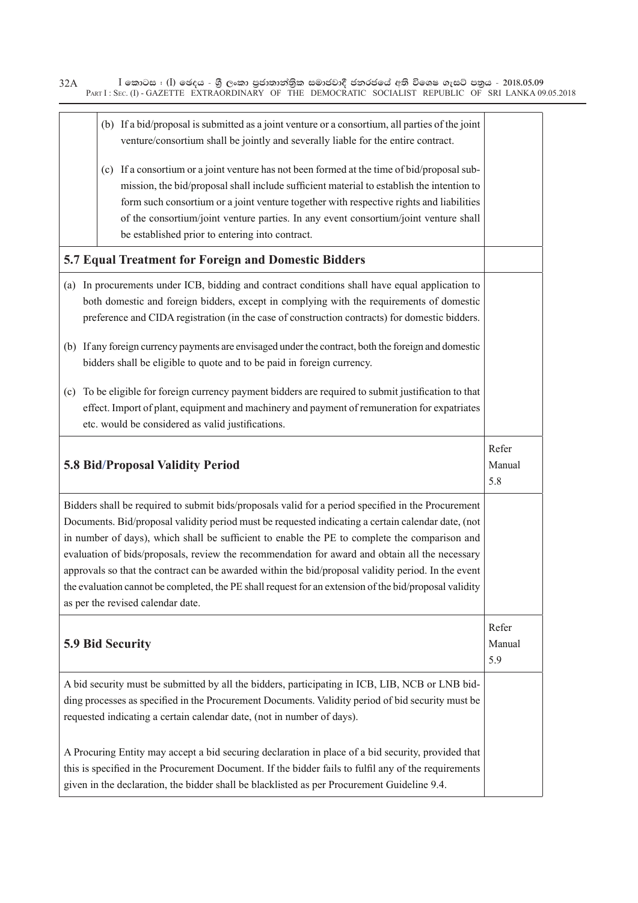$\bar{\rm I}$  කොටස : ( $\rm I$ ) ඡෙදය - ශුී ලංකා පුජාතාන්තිුක සමාජවාදී ජනරජයේ අති විශෙෂ ගැසට් පතුය - 2018.05.09 PART I : SEC. (I) - GAZETTE EXTRAORDINARY OF THE DEMOCRATIC SOCIALIST REPUBLIC OF SRI LANKA 09.05.2018 32A

| (b) If a bid/proposal is submitted as a joint venture or a consortium, all parties of the joint<br>venture/consortium shall be jointly and severally liable for the entire contract.                                                                                                                                                                                                                                                                                                                                                                                                                                                                              |                        |
|-------------------------------------------------------------------------------------------------------------------------------------------------------------------------------------------------------------------------------------------------------------------------------------------------------------------------------------------------------------------------------------------------------------------------------------------------------------------------------------------------------------------------------------------------------------------------------------------------------------------------------------------------------------------|------------------------|
| (c) If a consortium or a joint venture has not been formed at the time of bid/proposal sub-<br>mission, the bid/proposal shall include sufficient material to establish the intention to<br>form such consortium or a joint venture together with respective rights and liabilities<br>of the consortium/joint venture parties. In any event consortium/joint venture shall<br>be established prior to entering into contract.                                                                                                                                                                                                                                    |                        |
| 5.7 Equal Treatment for Foreign and Domestic Bidders                                                                                                                                                                                                                                                                                                                                                                                                                                                                                                                                                                                                              |                        |
| In procurements under ICB, bidding and contract conditions shall have equal application to<br>(a)<br>both domestic and foreign bidders, except in complying with the requirements of domestic<br>preference and CIDA registration (in the case of construction contracts) for domestic bidders.<br>(b) If any foreign currency payments are envisaged under the contract, both the foreign and domestic                                                                                                                                                                                                                                                           |                        |
| bidders shall be eligible to quote and to be paid in foreign currency.                                                                                                                                                                                                                                                                                                                                                                                                                                                                                                                                                                                            |                        |
| To be eligible for foreign currency payment bidders are required to submit justification to that<br>(c)<br>effect. Import of plant, equipment and machinery and payment of remuneration for expatriates<br>etc. would be considered as valid justifications.                                                                                                                                                                                                                                                                                                                                                                                                      |                        |
| 5.8 Bid/Proposal Validity Period                                                                                                                                                                                                                                                                                                                                                                                                                                                                                                                                                                                                                                  | Refer<br>Manual<br>5.8 |
| Bidders shall be required to submit bids/proposals valid for a period specified in the Procurement<br>Documents. Bid/proposal validity period must be requested indicating a certain calendar date, (not<br>in number of days), which shall be sufficient to enable the PE to complete the comparison and<br>evaluation of bids/proposals, review the recommendation for award and obtain all the necessary<br>approvals so that the contract can be awarded within the bid/proposal validity period. In the event<br>the evaluation cannot be completed, the PE shall request for an extension of the bid/proposal validity<br>as per the revised calendar date. |                        |
| <b>5.9 Bid Security</b>                                                                                                                                                                                                                                                                                                                                                                                                                                                                                                                                                                                                                                           | Refer<br>Manual<br>5.9 |
| A bid security must be submitted by all the bidders, participating in ICB, LIB, NCB or LNB bid-<br>ding processes as specified in the Procurement Documents. Validity period of bid security must be<br>requested indicating a certain calendar date, (not in number of days).                                                                                                                                                                                                                                                                                                                                                                                    |                        |
| A Procuring Entity may accept a bid securing declaration in place of a bid security, provided that<br>this is specified in the Procurement Document. If the bidder fails to fulfil any of the requirements<br>given in the declaration, the bidder shall be blacklisted as per Procurement Guideline 9.4.                                                                                                                                                                                                                                                                                                                                                         |                        |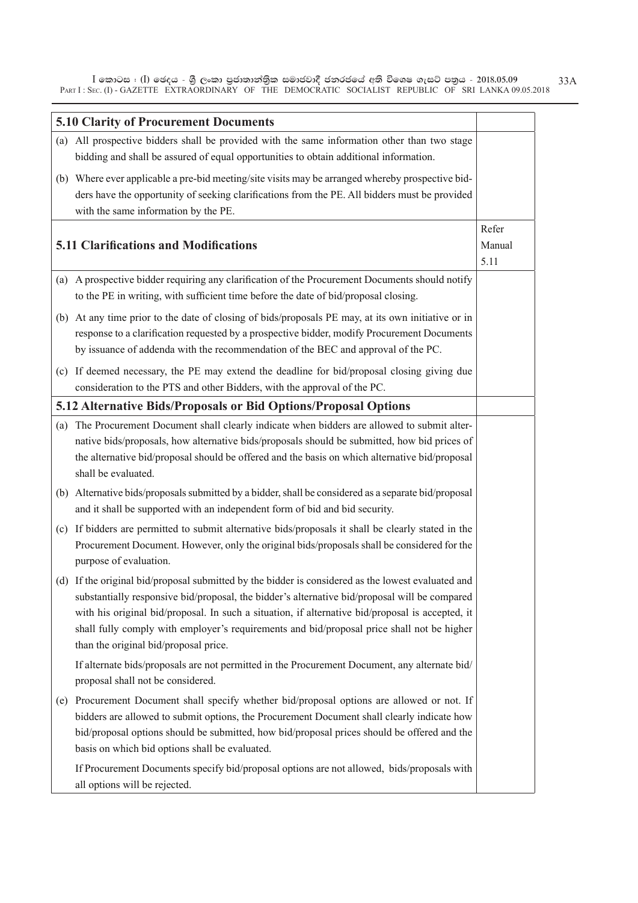$\bar{\rm I}$  කොටස : ( $\rm I$ ) ඡෙදය - ශුී ලංකා පුජාතාන්තිුක සමාජවාදී ජනරජයේ අති විශෙෂ ගැසට් පතුය - 2018.05.09 PART I : SEC. (I) - GAZETTE EXTRAORDINARY OF THE DEMOCRATIC SOCIALIST REPUBLIC OF SRI LANKA 09.05.2018

|     | <b>5.10 Clarity of Procurement Documents</b>                                                                                                                                                                                                                                                                                                                                                                                                   |                         |
|-----|------------------------------------------------------------------------------------------------------------------------------------------------------------------------------------------------------------------------------------------------------------------------------------------------------------------------------------------------------------------------------------------------------------------------------------------------|-------------------------|
|     | (a) All prospective bidders shall be provided with the same information other than two stage<br>bidding and shall be assured of equal opportunities to obtain additional information.                                                                                                                                                                                                                                                          |                         |
|     | (b) Where ever applicable a pre-bid meeting/site visits may be arranged whereby prospective bid-                                                                                                                                                                                                                                                                                                                                               |                         |
|     | ders have the opportunity of seeking clarifications from the PE. All bidders must be provided<br>with the same information by the PE.                                                                                                                                                                                                                                                                                                          |                         |
|     | <b>5.11 Clarifications and Modifications</b>                                                                                                                                                                                                                                                                                                                                                                                                   | Refer<br>Manual<br>5.11 |
|     | (a) A prospective bidder requiring any clarification of the Procurement Documents should notify<br>to the PE in writing, with sufficient time before the date of bid/proposal closing.                                                                                                                                                                                                                                                         |                         |
|     | (b) At any time prior to the date of closing of bids/proposals PE may, at its own initiative or in<br>response to a clarification requested by a prospective bidder, modify Procurement Documents<br>by issuance of addenda with the recommendation of the BEC and approval of the PC.                                                                                                                                                         |                         |
|     | (c) If deemed necessary, the PE may extend the deadline for bid/proposal closing giving due<br>consideration to the PTS and other Bidders, with the approval of the PC.                                                                                                                                                                                                                                                                        |                         |
|     | 5.12 Alternative Bids/Proposals or Bid Options/Proposal Options                                                                                                                                                                                                                                                                                                                                                                                |                         |
| (a) | The Procurement Document shall clearly indicate when bidders are allowed to submit alter-<br>native bids/proposals, how alternative bids/proposals should be submitted, how bid prices of<br>the alternative bid/proposal should be offered and the basis on which alternative bid/proposal<br>shall be evaluated.                                                                                                                             |                         |
|     | (b) Alternative bids/proposals submitted by a bidder, shall be considered as a separate bid/proposal                                                                                                                                                                                                                                                                                                                                           |                         |
|     | and it shall be supported with an independent form of bid and bid security.                                                                                                                                                                                                                                                                                                                                                                    |                         |
|     | (c) If bidders are permitted to submit alternative bids/proposals it shall be clearly stated in the<br>Procurement Document. However, only the original bids/proposals shall be considered for the<br>purpose of evaluation.                                                                                                                                                                                                                   |                         |
|     | (d) If the original bid/proposal submitted by the bidder is considered as the lowest evaluated and<br>substantially responsive bid/proposal, the bidder's alternative bid/proposal will be compared<br>with his original bid/proposal. In such a situation, if alternative bid/proposal is accepted, it<br>shall fully comply with employer's requirements and bid/proposal price shall not be higher<br>than the original bid/proposal price. |                         |
|     | If alternate bids/proposals are not permitted in the Procurement Document, any alternate bid/<br>proposal shall not be considered.                                                                                                                                                                                                                                                                                                             |                         |
|     | (e) Procurement Document shall specify whether bid/proposal options are allowed or not. If<br>bidders are allowed to submit options, the Procurement Document shall clearly indicate how<br>bid/proposal options should be submitted, how bid/proposal prices should be offered and the<br>basis on which bid options shall be evaluated.                                                                                                      |                         |
|     | If Procurement Documents specify bid/proposal options are not allowed, bids/proposals with<br>all options will be rejected.                                                                                                                                                                                                                                                                                                                    |                         |

33A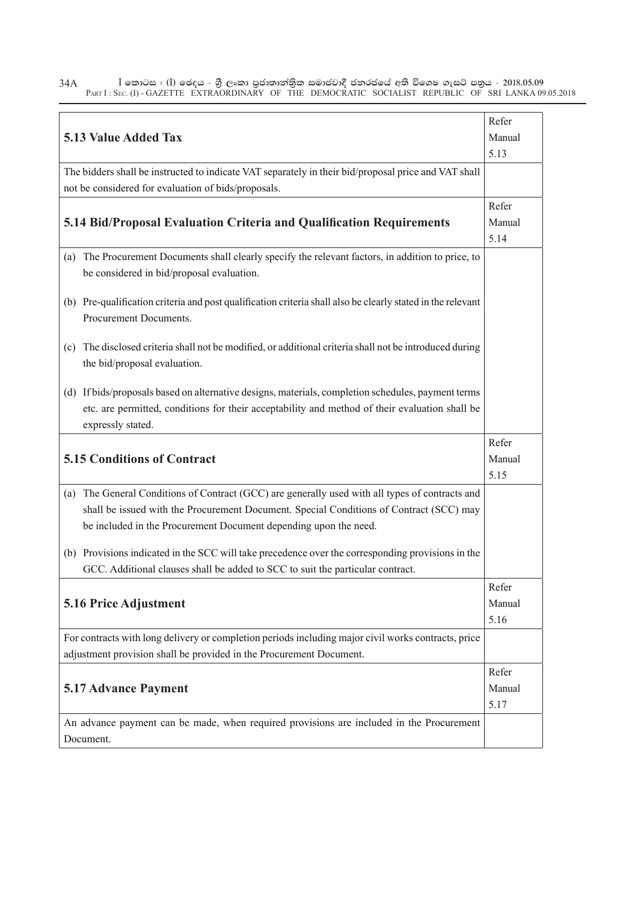$\bar{\rm I}$  කොටස : ( $\rm I$ ) ඡෙදය - ශුී ලංකා පුජාතාන්තිුක සමාජවාදී ජනරජයේ අති විශෙෂ ගැසට් පතුය - 2018.05.09 PART I : SEC. (I) - GAZETTE EXTRAORDINARY OF THE DEMOCRATIC SOCIALIST REPUBLIC OF SRI LANKA 09.05.2018 34A

|                                                                                                             | Refer          |
|-------------------------------------------------------------------------------------------------------------|----------------|
| <b>5.13 Value Added Tax</b>                                                                                 |                |
|                                                                                                             | Manual<br>5.13 |
| The bidders shall be instructed to indicate VAT separately in their bid/proposal price and VAT shall        |                |
| not be considered for evaluation of bids/proposals.                                                         |                |
|                                                                                                             |                |
|                                                                                                             | Refer          |
| 5.14 Bid/Proposal Evaluation Criteria and Qualification Requirements                                        | Manual         |
|                                                                                                             | 5.14           |
| (a) The Procurement Documents shall clearly specify the relevant factors, in addition to price, to          |                |
| be considered in bid/proposal evaluation.                                                                   |                |
|                                                                                                             |                |
| (b) Pre-qualification criteria and post qualification criteria shall also be clearly stated in the relevant |                |
| Procurement Documents.                                                                                      |                |
|                                                                                                             |                |
| (c) The disclosed criteria shall not be modified, or additional criteria shall not be introduced during     |                |
| the bid/proposal evaluation.                                                                                |                |
|                                                                                                             |                |
| (d) If bids/proposals based on alternative designs, materials, completion schedules, payment terms          |                |
| etc. are permitted, conditions for their acceptability and method of their evaluation shall be              |                |
| expressly stated.                                                                                           |                |
|                                                                                                             | Refer          |
| <b>5.15 Conditions of Contract</b>                                                                          | Manual         |
|                                                                                                             | 5.15           |
| (a) The General Conditions of Contract (GCC) are generally used with all types of contracts and             |                |
| shall be issued with the Procurement Document. Special Conditions of Contract (SCC) may                     |                |
| be included in the Procurement Document depending upon the need.                                            |                |
|                                                                                                             |                |
| (b) Provisions indicated in the SCC will take precedence over the corresponding provisions in the           |                |
| GCC. Additional clauses shall be added to SCC to suit the particular contract.                              |                |
|                                                                                                             | Refer          |
| 5.16 Price Adjustment                                                                                       | Manual         |
|                                                                                                             | 5.16           |
| For contracts with long delivery or completion periods including major civil works contracts, price         |                |
| adjustment provision shall be provided in the Procurement Document.                                         |                |
|                                                                                                             | Refer          |
|                                                                                                             |                |
| <b>5.17 Advance Payment</b><br>Manual                                                                       |                |
|                                                                                                             | 5.17           |
|                                                                                                             |                |
| An advance payment can be made, when required provisions are included in the Procurement<br>Document.       |                |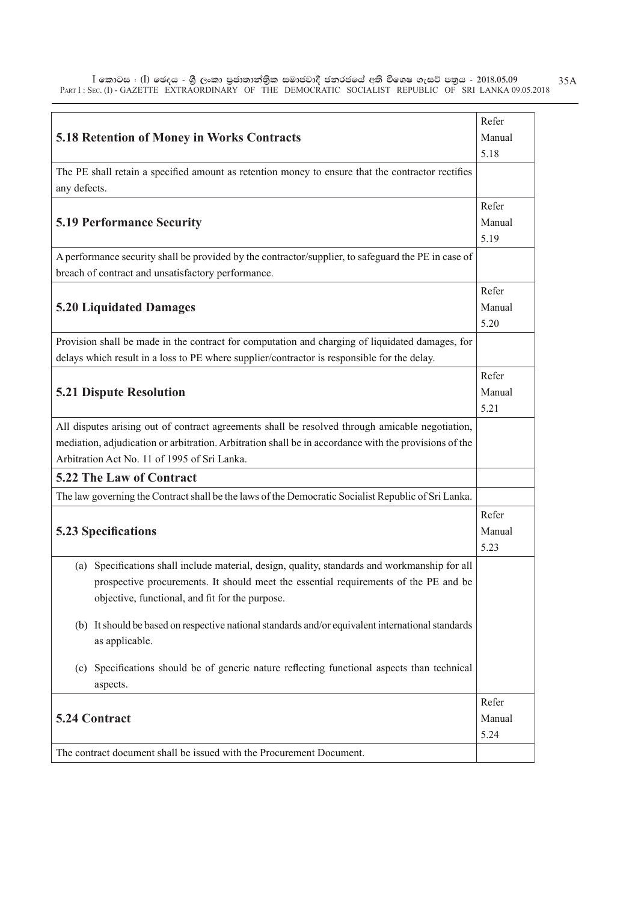$\bar{\rm I}$  කොටස : ( $\rm I$ ) ඡෙදය - ශුී ලංකා පුජාතාන්තිුක සමාජවාදී ජනරජයේ අති විශෙෂ ගැසට් පතුය - 2018.05.09 PART I : SEC. (I) - GAZETTE EXTRAORDINARY OF THE DEMOCRATIC SOCIALIST REPUBLIC OF SRI LANKA 09.05.2018 35A

|                                                                                                       | Refer  |
|-------------------------------------------------------------------------------------------------------|--------|
|                                                                                                       |        |
| <b>5.18 Retention of Money in Works Contracts</b>                                                     | Manual |
|                                                                                                       | 5.18   |
| The PE shall retain a specified amount as retention money to ensure that the contractor rectifies     |        |
| any defects.                                                                                          |        |
|                                                                                                       | Refer  |
| <b>5.19 Performance Security</b>                                                                      | Manual |
|                                                                                                       | 5.19   |
| A performance security shall be provided by the contractor/supplier, to safeguard the PE in case of   |        |
| breach of contract and unsatisfactory performance.                                                    |        |
|                                                                                                       |        |
|                                                                                                       | Refer  |
| <b>5.20 Liquidated Damages</b>                                                                        | Manual |
|                                                                                                       | 5.20   |
| Provision shall be made in the contract for computation and charging of liquidated damages, for       |        |
| delays which result in a loss to PE where supplier/contractor is responsible for the delay.           |        |
|                                                                                                       | Refer  |
| <b>5.21 Dispute Resolution</b>                                                                        | Manual |
|                                                                                                       | 5.21   |
| All disputes arising out of contract agreements shall be resolved through amicable negotiation,       |        |
| mediation, adjudication or arbitration. Arbitration shall be in accordance with the provisions of the |        |
| Arbitration Act No. 11 of 1995 of Sri Lanka.                                                          |        |
| <b>5.22 The Law of Contract</b>                                                                       |        |
|                                                                                                       |        |
| The law governing the Contract shall be the laws of the Democratic Socialist Republic of Sri Lanka.   |        |
|                                                                                                       | Refer  |
| <b>5.23 Specifications</b>                                                                            | Manual |
|                                                                                                       | 5.23   |
| Specifications shall include material, design, quality, standards and workmanship for all<br>(a)      |        |
| prospective procurements. It should meet the essential requirements of the PE and be                  |        |
| objective, functional, and fit for the purpose.                                                       |        |
|                                                                                                       |        |
| (b) It should be based on respective national standards and/or equivalent international standards     |        |
| as applicable.                                                                                        |        |
|                                                                                                       |        |
| Specifications should be of generic nature reflecting functional aspects than technical<br>(c)        |        |
| aspects.                                                                                              |        |
|                                                                                                       | Refer  |
| 5.24 Contract                                                                                         | Manual |
|                                                                                                       | 5.24   |
| The contract document shall be issued with the Procurement Document.                                  |        |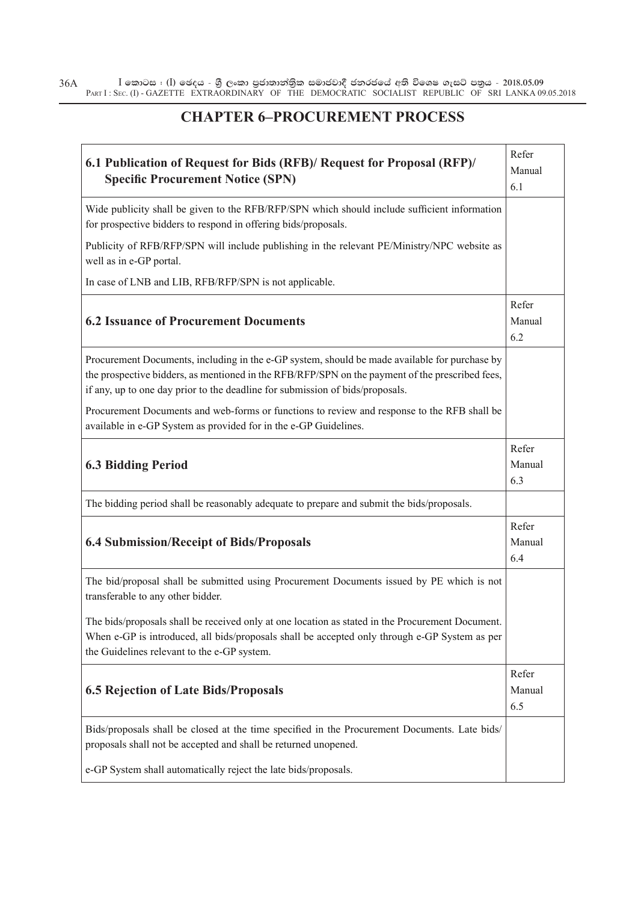$\bar{\rm I}$  කොටස : ( $\rm I$ ) ඡෙදය - ශුී ලංකා පුජාතාන්තිුක සමාජවාදී ජනරජයේ අති විශෙෂ ගැසට් පතුය - 2018.05.09 PART I : SEC. (I) - GAZETTE EXTRAORDINARY OF THE DEMOCRATIC SOCIALIST REPUBLIC OF SRI LANKA 09.05.2018 36A

#### **CHAPTER 6–PROCUREMENT PROCESS**

٦

| 6.1 Publication of Request for Bids (RFB)/ Request for Proposal (RFP)/<br><b>Specific Procurement Notice (SPN)</b>                                                                                                                                                                | Refer<br>Manual<br>6.1 |
|-----------------------------------------------------------------------------------------------------------------------------------------------------------------------------------------------------------------------------------------------------------------------------------|------------------------|
| Wide publicity shall be given to the RFB/RFP/SPN which should include sufficient information<br>for prospective bidders to respond in offering bids/proposals.                                                                                                                    |                        |
| Publicity of RFB/RFP/SPN will include publishing in the relevant PE/Ministry/NPC website as<br>well as in e-GP portal.                                                                                                                                                            |                        |
| In case of LNB and LIB, RFB/RFP/SPN is not applicable.                                                                                                                                                                                                                            |                        |
| <b>6.2 Issuance of Procurement Documents</b>                                                                                                                                                                                                                                      | Refer<br>Manual<br>6.2 |
| Procurement Documents, including in the e-GP system, should be made available for purchase by<br>the prospective bidders, as mentioned in the RFB/RFP/SPN on the payment of the prescribed fees,<br>if any, up to one day prior to the deadline for submission of bids/proposals. |                        |
| Procurement Documents and web-forms or functions to review and response to the RFB shall be<br>available in e-GP System as provided for in the e-GP Guidelines.                                                                                                                   |                        |
| <b>6.3 Bidding Period</b>                                                                                                                                                                                                                                                         | Refer<br>Manual<br>6.3 |
| The bidding period shall be reasonably adequate to prepare and submit the bids/proposals.                                                                                                                                                                                         |                        |
| <b>6.4 Submission/Receipt of Bids/Proposals</b>                                                                                                                                                                                                                                   | Refer<br>Manual<br>6.4 |
| The bid/proposal shall be submitted using Procurement Documents issued by PE which is not<br>transferable to any other bidder.                                                                                                                                                    |                        |
| The bids/proposals shall be received only at one location as stated in the Procurement Document.<br>When e-GP is introduced, all bids/proposals shall be accepted only through e-GP System as per<br>the Guidelines relevant to the e-GP system.                                  |                        |
| <b>6.5 Rejection of Late Bids/Proposals</b>                                                                                                                                                                                                                                       | Refer<br>Manual<br>6.5 |
| Bids/proposals shall be closed at the time specified in the Procurement Documents. Late bids/<br>proposals shall not be accepted and shall be returned unopened.                                                                                                                  |                        |
| e-GP System shall automatically reject the late bids/proposals.                                                                                                                                                                                                                   |                        |

 $\Gamma$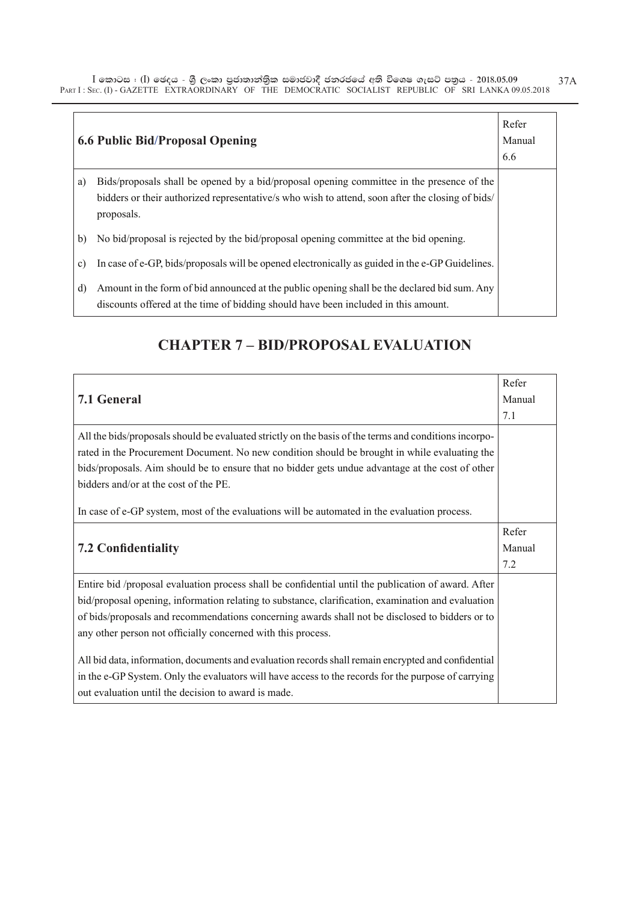$\bar{\rm I}$  කොටස : ( $\rm I$ ) ඡෙදය - ශුී ලංකා පුජාතාන්තිුක සමාජවාදී ජනරජයේ අති විශෙෂ ගැසට් පතුය - 2018.05.09 PART I : SEC. (I) - GAZETTE EXTRAORDINARY OF THE DEMOCRATIC SOCIALIST REPUBLIC OF SRI LANKA 09.05.2018 37A

|               | <b>6.6 Public Bid/Proposal Opening</b>                                                                                                                                                                      | Refer<br>Manual<br>6.6 |
|---------------|-------------------------------------------------------------------------------------------------------------------------------------------------------------------------------------------------------------|------------------------|
| a)            | Bids/proposals shall be opened by a bid/proposal opening committee in the presence of the<br>bidders or their authorized representative/s who wish to attend, soon after the closing of bids/<br>proposals. |                        |
| b)            | No bid/proposal is rejected by the bid/proposal opening committee at the bid opening.                                                                                                                       |                        |
| $\mathbf{c})$ | In case of e-GP, bids/proposals will be opened electronically as guided in the e-GP Guidelines.                                                                                                             |                        |
| d)            | Amount in the form of bid announced at the public opening shall be the declared bid sum. Any<br>discounts offered at the time of bidding should have been included in this amount.                          |                        |

#### **CHAPTER 7 – BID/PROPOSAL EVALUATION**

|                                                                                                       | Refer  |
|-------------------------------------------------------------------------------------------------------|--------|
| <b>7.1 General</b>                                                                                    | Manual |
|                                                                                                       | 7.1    |
| All the bids/proposals should be evaluated strictly on the basis of the terms and conditions incorpo- |        |
| rated in the Procurement Document. No new condition should be brought in while evaluating the         |        |
| bids/proposals. Aim should be to ensure that no bidder gets undue advantage at the cost of other      |        |
| bidders and/or at the cost of the PE.                                                                 |        |
|                                                                                                       |        |
| In case of e-GP system, most of the evaluations will be automated in the evaluation process.          |        |
|                                                                                                       | Refer  |
| <b>7.2 Confidentiality</b>                                                                            | Manual |
|                                                                                                       | 7.2    |
| Entire bid /proposal evaluation process shall be confidential until the publication of award. After   |        |
| bid/proposal opening, information relating to substance, clarification, examination and evaluation    |        |
| of bids/proposals and recommendations concerning awards shall not be disclosed to bidders or to       |        |
| any other person not officially concerned with this process.                                          |        |
|                                                                                                       |        |
| All bid data, information, documents and evaluation records shall remain encrypted and confidential   |        |
| in the e-GP System. Only the evaluators will have access to the records for the purpose of carrying   |        |
| out evaluation until the decision to award is made.                                                   |        |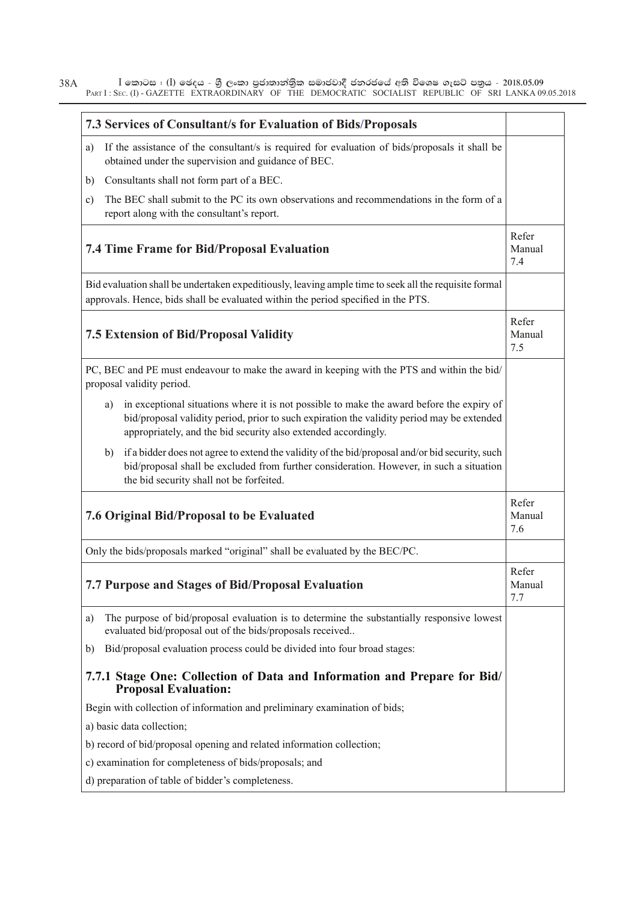$\bar{\rm I}$  කොටස : ( $\rm I$ ) ඡෙදය - ශුී ලංකා පුජාතාන්තිුක සමාජවාදී ජනරජයේ අති විශෙෂ ගැසට් පතුය - 2018.05.09 PART I : SEC. (I) - GAZETTE EXTRAORDINARY OF THE DEMOCRATIC SOCIALIST REPUBLIC OF SRI LANKA 09.05.2018 38A

| 7.3 Services of Consultant/s for Evaluation of Bids/Proposals                                                                                                                                                                                                   |                        |
|-----------------------------------------------------------------------------------------------------------------------------------------------------------------------------------------------------------------------------------------------------------------|------------------------|
| If the assistance of the consultant/s is required for evaluation of bids/proposals it shall be<br>a)<br>obtained under the supervision and guidance of BEC.                                                                                                     |                        |
| Consultants shall not form part of a BEC.<br>b)                                                                                                                                                                                                                 |                        |
| The BEC shall submit to the PC its own observations and recommendations in the form of a<br>$\mathbf{c})$<br>report along with the consultant's report.                                                                                                         |                        |
| <b>7.4 Time Frame for Bid/Proposal Evaluation</b>                                                                                                                                                                                                               | Refer<br>Manual<br>7.4 |
| Bid evaluation shall be undertaken expeditiously, leaving ample time to seek all the requisite formal<br>approvals. Hence, bids shall be evaluated within the period specified in the PTS.                                                                      |                        |
| <b>7.5 Extension of Bid/Proposal Validity</b>                                                                                                                                                                                                                   | Refer<br>Manual<br>7.5 |
| PC, BEC and PE must endeavour to make the award in keeping with the PTS and within the bid/<br>proposal validity period.                                                                                                                                        |                        |
| in exceptional situations where it is not possible to make the award before the expiry of<br>a)<br>bid/proposal validity period, prior to such expiration the validity period may be extended<br>appropriately, and the bid security also extended accordingly. |                        |
| if a bidder does not agree to extend the validity of the bid/proposal and/or bid security, such<br>b)<br>bid/proposal shall be excluded from further consideration. However, in such a situation<br>the bid security shall not be forfeited.                    |                        |
| 7.6 Original Bid/Proposal to be Evaluated                                                                                                                                                                                                                       | Refer<br>Manual<br>7.6 |
| Only the bids/proposals marked "original" shall be evaluated by the BEC/PC.                                                                                                                                                                                     |                        |
| 7.7 Purpose and Stages of Bid/Proposal Evaluation                                                                                                                                                                                                               | Refer<br>Manual<br>7.7 |
| The purpose of bid/proposal evaluation is to determine the substantially responsive lowest<br>a)<br>evaluated bid/proposal out of the bids/proposals received                                                                                                   |                        |
| Bid/proposal evaluation process could be divided into four broad stages:<br>b)                                                                                                                                                                                  |                        |
| 7.7.1 Stage One: Collection of Data and Information and Prepare for Bid/<br><b>Proposal Evaluation:</b>                                                                                                                                                         |                        |
| Begin with collection of information and preliminary examination of bids;                                                                                                                                                                                       |                        |
| a) basic data collection;                                                                                                                                                                                                                                       |                        |
| b) record of bid/proposal opening and related information collection;                                                                                                                                                                                           |                        |
| c) examination for completeness of bids/proposals; and                                                                                                                                                                                                          |                        |
| d) preparation of table of bidder's completeness.                                                                                                                                                                                                               |                        |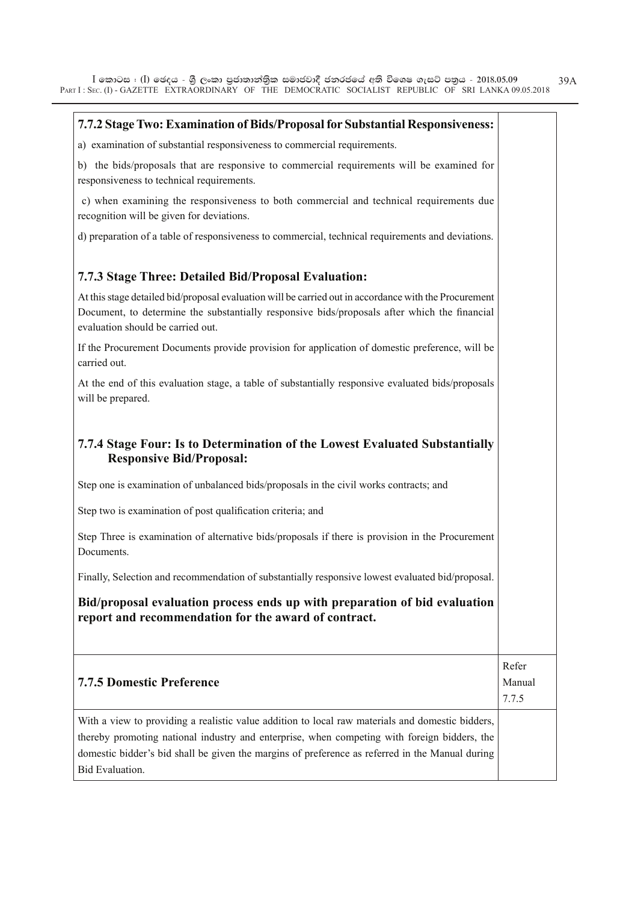$\overline{\phantom{0}}$ 

| 7.7.2 Stage Two: Examination of Bids/Proposal for Substantial Responsiveness:                                                                                                                                                                                                                                                 |                 |
|-------------------------------------------------------------------------------------------------------------------------------------------------------------------------------------------------------------------------------------------------------------------------------------------------------------------------------|-----------------|
| a) examination of substantial responsiveness to commercial requirements.                                                                                                                                                                                                                                                      |                 |
| b) the bids/proposals that are responsive to commercial requirements will be examined for<br>responsiveness to technical requirements.                                                                                                                                                                                        |                 |
| c) when examining the responsiveness to both commercial and technical requirements due<br>recognition will be given for deviations.                                                                                                                                                                                           |                 |
| d) preparation of a table of responsiveness to commercial, technical requirements and deviations.                                                                                                                                                                                                                             |                 |
| 7.7.3 Stage Three: Detailed Bid/Proposal Evaluation:                                                                                                                                                                                                                                                                          |                 |
| At this stage detailed bid/proposal evaluation will be carried out in accordance with the Procurement<br>Document, to determine the substantially responsive bids/proposals after which the financial<br>evaluation should be carried out.                                                                                    |                 |
| If the Procurement Documents provide provision for application of domestic preference, will be<br>carried out.                                                                                                                                                                                                                |                 |
| At the end of this evaluation stage, a table of substantially responsive evaluated bids/proposals<br>will be prepared.                                                                                                                                                                                                        |                 |
| 7.7.4 Stage Four: Is to Determination of the Lowest Evaluated Substantially<br><b>Responsive Bid/Proposal:</b>                                                                                                                                                                                                                |                 |
| Step one is examination of unbalanced bids/proposals in the civil works contracts; and                                                                                                                                                                                                                                        |                 |
| Step two is examination of post qualification criteria; and                                                                                                                                                                                                                                                                   |                 |
| Step Three is examination of alternative bids/proposals if there is provision in the Procurement<br>Documents.                                                                                                                                                                                                                |                 |
| Finally, Selection and recommendation of substantially responsive lowest evaluated bid/proposal.                                                                                                                                                                                                                              |                 |
| Bid/proposal evaluation process ends up with preparation of bid evaluation<br>report and recommendation for the award of contract.                                                                                                                                                                                            |                 |
|                                                                                                                                                                                                                                                                                                                               | Refer           |
| <b>7.7.5 Domestic Preference</b>                                                                                                                                                                                                                                                                                              | Manual<br>7.7.5 |
| With a view to providing a realistic value addition to local raw materials and domestic bidders,<br>thereby promoting national industry and enterprise, when competing with foreign bidders, the<br>domestic bidder's bid shall be given the margins of preference as referred in the Manual during<br><b>Bid Evaluation.</b> |                 |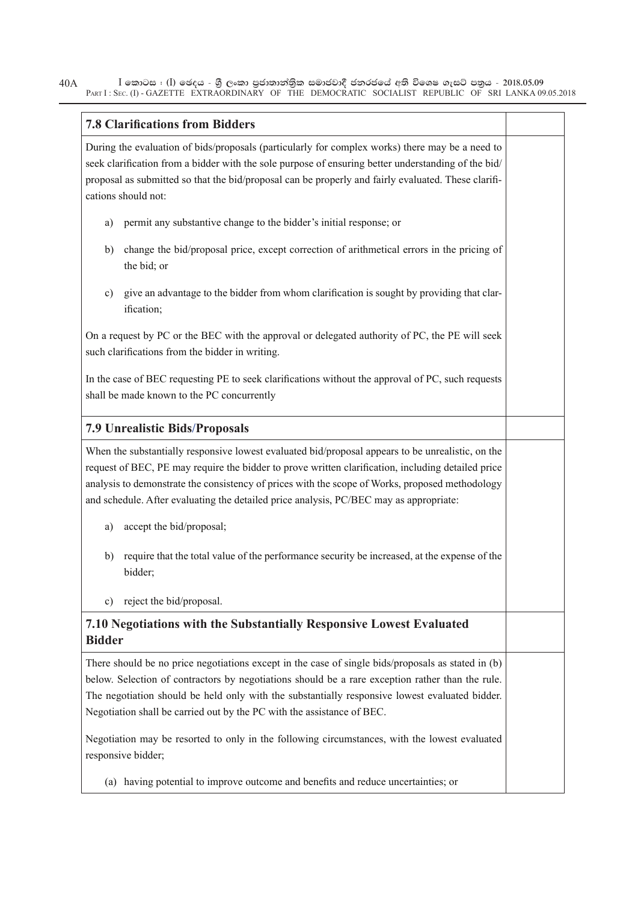$\bar{\rm I}$  කොටස : ( $\rm I$ ) ඡෙදය - ශුී ලංකා පුජාතාන්තිුක සමාජවාදී ජනරජයේ අති විශෙෂ ගැසට් පතුය - 2018.05.09 PART I : SEC. (I) - GAZETTE EXTRAORDINARY OF THE DEMOCRATIC SOCIALIST REPUBLIC OF SRI LANKA 09.05.2018 40A

| <b>7.8 Clarifications from Bidders</b>                                                                                                                                                                                                                                                                                                                                                               |  |
|------------------------------------------------------------------------------------------------------------------------------------------------------------------------------------------------------------------------------------------------------------------------------------------------------------------------------------------------------------------------------------------------------|--|
| During the evaluation of bids/proposals (particularly for complex works) there may be a need to<br>seek clarification from a bidder with the sole purpose of ensuring better understanding of the bid/<br>proposal as submitted so that the bid/proposal can be properly and fairly evaluated. These clarifi-<br>cations should not:                                                                 |  |
| permit any substantive change to the bidder's initial response; or<br>a)                                                                                                                                                                                                                                                                                                                             |  |
| change the bid/proposal price, except correction of arithmetical errors in the pricing of<br>b)<br>the bid; or                                                                                                                                                                                                                                                                                       |  |
| give an advantage to the bidder from whom clarification is sought by providing that clar-<br>c)<br>ification;                                                                                                                                                                                                                                                                                        |  |
| On a request by PC or the BEC with the approval or delegated authority of PC, the PE will seek<br>such clarifications from the bidder in writing.                                                                                                                                                                                                                                                    |  |
| In the case of BEC requesting PE to seek clarifications without the approval of PC, such requests<br>shall be made known to the PC concurrently                                                                                                                                                                                                                                                      |  |
| <b>7.9 Unrealistic Bids/Proposals</b>                                                                                                                                                                                                                                                                                                                                                                |  |
| When the substantially responsive lowest evaluated bid/proposal appears to be unrealistic, on the<br>request of BEC, PE may require the bidder to prove written clarification, including detailed price<br>analysis to demonstrate the consistency of prices with the scope of Works, proposed methodology<br>and schedule. After evaluating the detailed price analysis, PC/BEC may as appropriate: |  |
| accept the bid/proposal;<br>a)                                                                                                                                                                                                                                                                                                                                                                       |  |
| require that the total value of the performance security be increased, at the expense of the<br>b)<br>bidder;                                                                                                                                                                                                                                                                                        |  |
| reject the bid/proposal.<br>c)                                                                                                                                                                                                                                                                                                                                                                       |  |
| 7.10 Negotiations with the Substantially Responsive Lowest Evaluated<br><b>Bidder</b>                                                                                                                                                                                                                                                                                                                |  |
| There should be no price negotiations except in the case of single bids/proposals as stated in (b)<br>below. Selection of contractors by negotiations should be a rare exception rather than the rule.<br>The negotiation should be held only with the substantially responsive lowest evaluated bidder.<br>Negotiation shall be carried out by the PC with the assistance of BEC.                   |  |
| Negotiation may be resorted to only in the following circumstances, with the lowest evaluated<br>responsive bidder;                                                                                                                                                                                                                                                                                  |  |
| (a) having potential to improve outcome and benefits and reduce uncertainties; or                                                                                                                                                                                                                                                                                                                    |  |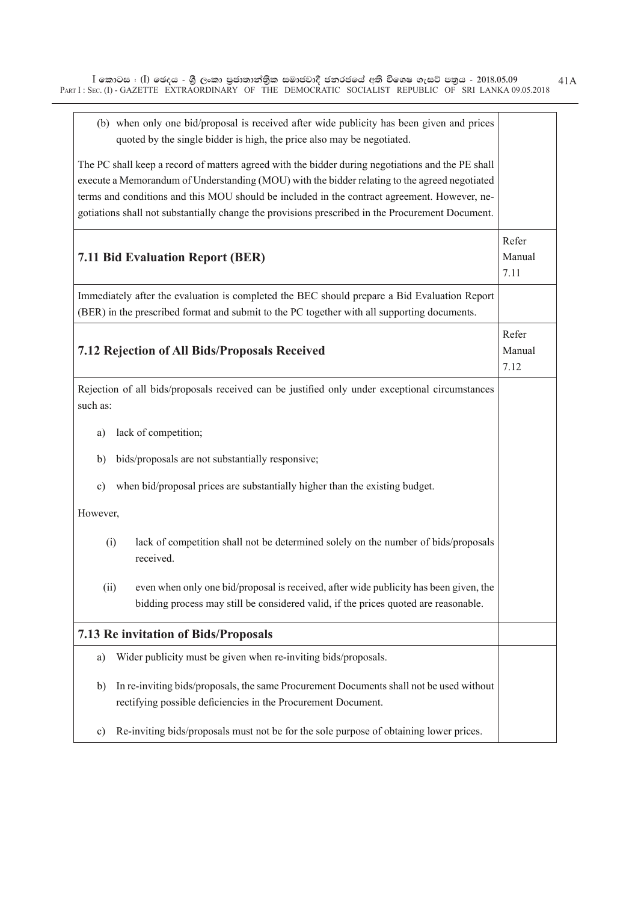| (b) when only one bid/proposal is received after wide publicity has been given and prices<br>quoted by the single bidder is high, the price also may be negotiated.                                |                         |  |
|----------------------------------------------------------------------------------------------------------------------------------------------------------------------------------------------------|-------------------------|--|
| The PC shall keep a record of matters agreed with the bidder during negotiations and the PE shall<br>execute a Memorandum of Understanding (MOU) with the bidder relating to the agreed negotiated |                         |  |
| terms and conditions and this MOU should be included in the contract agreement. However, ne-                                                                                                       |                         |  |
| gotiations shall not substantially change the provisions prescribed in the Procurement Document.                                                                                                   |                         |  |
|                                                                                                                                                                                                    |                         |  |
| <b>7.11 Bid Evaluation Report (BER)</b>                                                                                                                                                            | Refer<br>Manual<br>7.11 |  |
| Immediately after the evaluation is completed the BEC should prepare a Bid Evaluation Report                                                                                                       |                         |  |
|                                                                                                                                                                                                    |                         |  |
| (BER) in the prescribed format and submit to the PC together with all supporting documents.                                                                                                        |                         |  |
|                                                                                                                                                                                                    | Refer                   |  |
| 7.12 Rejection of All Bids/Proposals Received                                                                                                                                                      | Manual                  |  |
|                                                                                                                                                                                                    | 7.12                    |  |
|                                                                                                                                                                                                    |                         |  |
| Rejection of all bids/proposals received can be justified only under exceptional circumstances<br>such as:                                                                                         |                         |  |
|                                                                                                                                                                                                    |                         |  |
| lack of competition;<br>a)                                                                                                                                                                         |                         |  |
| bids/proposals are not substantially responsive;<br>b)                                                                                                                                             |                         |  |
| when bid/proposal prices are substantially higher than the existing budget.<br>$\circ$ )                                                                                                           |                         |  |
| However,                                                                                                                                                                                           |                         |  |
| lack of competition shall not be determined solely on the number of bids/proposals<br>(i)<br>received.                                                                                             |                         |  |
| even when only one bid/proposal is received, after wide publicity has been given, the<br>(ii)<br>bidding process may still be considered valid, if the prices quoted are reasonable.               |                         |  |
| 7.13 Re invitation of Bids/Proposals                                                                                                                                                               |                         |  |
| Wider publicity must be given when re-inviting bids/proposals.<br>a)                                                                                                                               |                         |  |
| In re-inviting bids/proposals, the same Procurement Documents shall not be used without<br>b)                                                                                                      |                         |  |
| rectifying possible deficiencies in the Procurement Document.                                                                                                                                      |                         |  |
| Re-inviting bids/proposals must not be for the sole purpose of obtaining lower prices.<br>c)                                                                                                       |                         |  |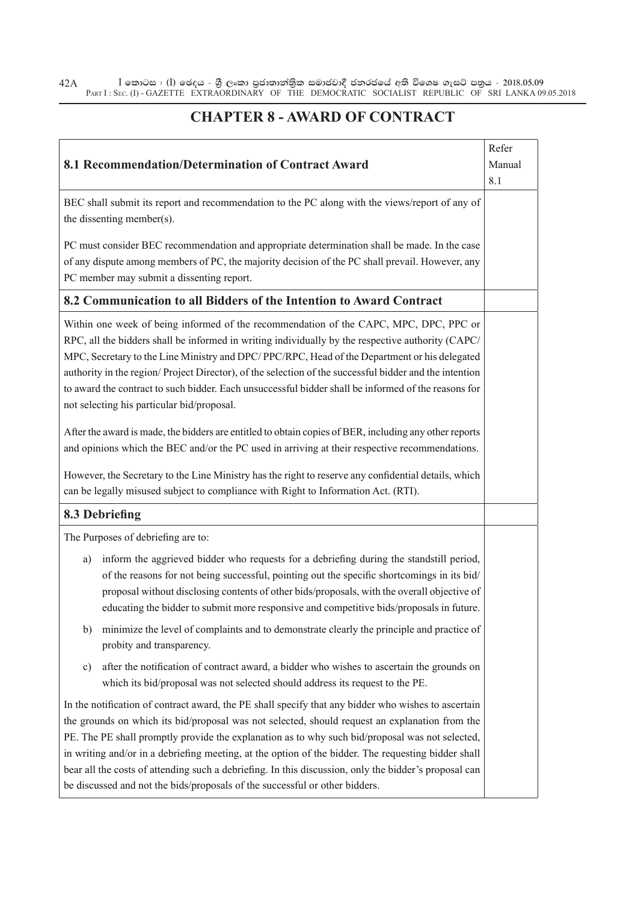$\bar{\rm I}$  කොටස : ( $\rm I$ ) ඡෙදය - ශුී ලංකා පුජාතාන්තිුක සමාජවාදී ජනරජයේ අති විශෙෂ ගැසට් පතුය - 2018.05.09 PART I : SEC. (I) - GAZETTE EXTRAORDINARY OF THE DEMOCRATIC SOCIALIST REPUBLIC OF SRI LANKA 09.05.2018 42A

#### **CHAPTER 8 - AWARD OF CONTRACT**

|                                                                                                                                                                                                                                                                                                                                                                                                                                                                                                                                                                                                         | Refer  |
|---------------------------------------------------------------------------------------------------------------------------------------------------------------------------------------------------------------------------------------------------------------------------------------------------------------------------------------------------------------------------------------------------------------------------------------------------------------------------------------------------------------------------------------------------------------------------------------------------------|--------|
| 8.1 Recommendation/Determination of Contract Award                                                                                                                                                                                                                                                                                                                                                                                                                                                                                                                                                      | Manual |
|                                                                                                                                                                                                                                                                                                                                                                                                                                                                                                                                                                                                         | 8.1    |
| BEC shall submit its report and recommendation to the PC along with the views/report of any of<br>the dissenting member(s).                                                                                                                                                                                                                                                                                                                                                                                                                                                                             |        |
| PC must consider BEC recommendation and appropriate determination shall be made. In the case<br>of any dispute among members of PC, the majority decision of the PC shall prevail. However, any<br>PC member may submit a dissenting report.                                                                                                                                                                                                                                                                                                                                                            |        |
| 8.2 Communication to all Bidders of the Intention to Award Contract                                                                                                                                                                                                                                                                                                                                                                                                                                                                                                                                     |        |
| Within one week of being informed of the recommendation of the CAPC, MPC, DPC, PPC or<br>RPC, all the bidders shall be informed in writing individually by the respective authority (CAPC/<br>MPC, Secretary to the Line Ministry and DPC/PPC/RPC, Head of the Department or his delegated<br>authority in the region/Project Director), of the selection of the successful bidder and the intention<br>to award the contract to such bidder. Each unsuccessful bidder shall be informed of the reasons for<br>not selecting his particular bid/proposal.                                               |        |
| After the award is made, the bidders are entitled to obtain copies of BER, including any other reports<br>and opinions which the BEC and/or the PC used in arriving at their respective recommendations.                                                                                                                                                                                                                                                                                                                                                                                                |        |
| However, the Secretary to the Line Ministry has the right to reserve any confidential details, which<br>can be legally misused subject to compliance with Right to Information Act. (RTI).                                                                                                                                                                                                                                                                                                                                                                                                              |        |
| 8.3 Debriefing                                                                                                                                                                                                                                                                                                                                                                                                                                                                                                                                                                                          |        |
| The Purposes of debriefing are to:                                                                                                                                                                                                                                                                                                                                                                                                                                                                                                                                                                      |        |
| inform the aggrieved bidder who requests for a debriefing during the standstill period,<br>a)<br>of the reasons for not being successful, pointing out the specific shortcomings in its bid/<br>proposal without disclosing contents of other bids/proposals, with the overall objective of<br>educating the bidder to submit more responsive and competitive bids/proposals in future.                                                                                                                                                                                                                 |        |
| minimize the level of complaints and to demonstrate clearly the principle and practice of<br>b)<br>probity and transparency.                                                                                                                                                                                                                                                                                                                                                                                                                                                                            |        |
| after the notification of contract award, a bidder who wishes to ascertain the grounds on<br>c)<br>which its bid/proposal was not selected should address its request to the PE.                                                                                                                                                                                                                                                                                                                                                                                                                        |        |
| In the notification of contract award, the PE shall specify that any bidder who wishes to ascertain<br>the grounds on which its bid/proposal was not selected, should request an explanation from the<br>PE. The PE shall promptly provide the explanation as to why such bid/proposal was not selected,<br>in writing and/or in a debriefing meeting, at the option of the bidder. The requesting bidder shall<br>bear all the costs of attending such a debriefing. In this discussion, only the bidder's proposal can<br>be discussed and not the bids/proposals of the successful or other bidders. |        |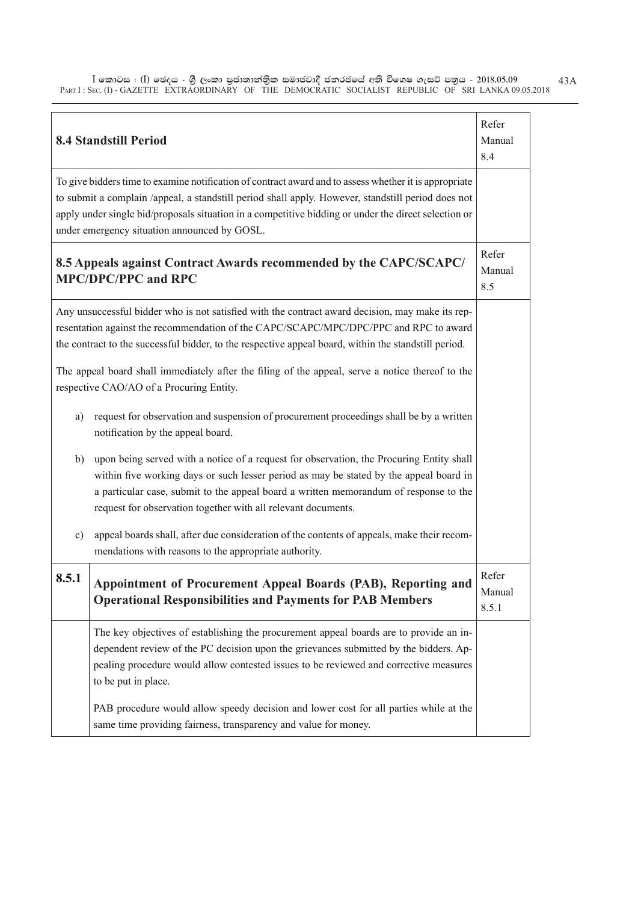$\bar{\rm I}$  කොටස : ( $\rm I$ ) ඡෙදය - ශුී ලංකා පුජාතාන්තිුක සමාජවාදී ජනරජයේ අති විශෙෂ ගැසට් පතුය - 2018.05.09 PART I : SEC. (I) - GAZETTE EXTRAORDINARY OF THE DEMOCRATIC SOCIALIST REPUBLIC OF SRI LANKA 09.05.2018 43A

|                       | <b>8.4 Standstill Period</b>                                                                                                                                                                                                                                                                                                                                                                                                                                                                                                                                                                                                                                                                                                                                                                                                                                                                                                                                                                                                                                                             | Refer<br>Manual<br>8.4   |
|-----------------------|------------------------------------------------------------------------------------------------------------------------------------------------------------------------------------------------------------------------------------------------------------------------------------------------------------------------------------------------------------------------------------------------------------------------------------------------------------------------------------------------------------------------------------------------------------------------------------------------------------------------------------------------------------------------------------------------------------------------------------------------------------------------------------------------------------------------------------------------------------------------------------------------------------------------------------------------------------------------------------------------------------------------------------------------------------------------------------------|--------------------------|
|                       | To give bidders time to examine notification of contract award and to assess whether it is appropriate<br>to submit a complain /appeal, a standstill period shall apply. However, standstill period does not<br>apply under single bid/proposals situation in a competitive bidding or under the direct selection or<br>under emergency situation announced by GOSL.                                                                                                                                                                                                                                                                                                                                                                                                                                                                                                                                                                                                                                                                                                                     |                          |
|                       | 8.5 Appeals against Contract Awards recommended by the CAPC/SCAPC/<br><b>MPC/DPC/PPC and RPC</b>                                                                                                                                                                                                                                                                                                                                                                                                                                                                                                                                                                                                                                                                                                                                                                                                                                                                                                                                                                                         | Refer<br>Manual<br>8.5   |
| a)<br>b)<br>$\circ$ ) | Any unsuccessful bidder who is not satisfied with the contract award decision, may make its rep-<br>resentation against the recommendation of the CAPC/SCAPC/MPC/DPC/PPC and RPC to award<br>the contract to the successful bidder, to the respective appeal board, within the standstill period.<br>The appeal board shall immediately after the filing of the appeal, serve a notice thereof to the<br>respective CAO/AO of a Procuring Entity.<br>request for observation and suspension of procurement proceedings shall be by a written<br>notification by the appeal board.<br>upon being served with a notice of a request for observation, the Procuring Entity shall<br>within five working days or such lesser period as may be stated by the appeal board in<br>a particular case, submit to the appeal board a written memorandum of response to the<br>request for observation together with all relevant documents.<br>appeal boards shall, after due consideration of the contents of appeals, make their recom-<br>mendations with reasons to the appropriate authority. |                          |
| 8.5.1                 | Appointment of Procurement Appeal Boards (PAB), Reporting and<br><b>Operational Responsibilities and Payments for PAB Members</b>                                                                                                                                                                                                                                                                                                                                                                                                                                                                                                                                                                                                                                                                                                                                                                                                                                                                                                                                                        | Refer<br>Manual<br>8.5.1 |
|                       | The key objectives of establishing the procurement appeal boards are to provide an in-<br>dependent review of the PC decision upon the grievances submitted by the bidders. Ap-<br>pealing procedure would allow contested issues to be reviewed and corrective measures<br>to be put in place.                                                                                                                                                                                                                                                                                                                                                                                                                                                                                                                                                                                                                                                                                                                                                                                          |                          |
|                       | PAB procedure would allow speedy decision and lower cost for all parties while at the<br>same time providing fairness, transparency and value for money.                                                                                                                                                                                                                                                                                                                                                                                                                                                                                                                                                                                                                                                                                                                                                                                                                                                                                                                                 |                          |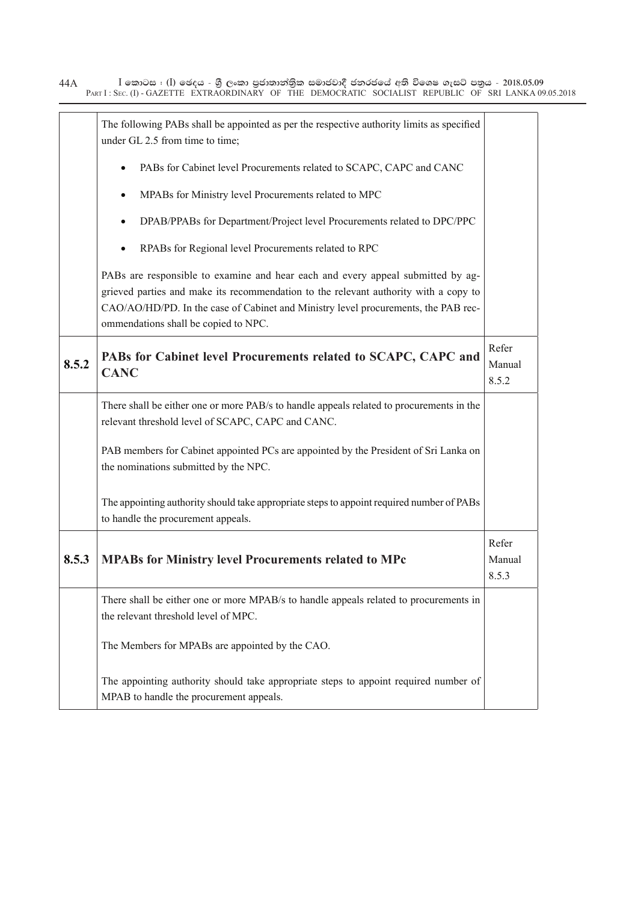$\bar{\rm I}$  කොටස : ( $\rm I$ ) ඡෙදය - ශුී ලංකා පුජාතාන්තිුක සමාජවාදී ජනරජයේ අති විශෙෂ ගැසට් පතුය - 2018.05.09 PART I : SEC. (I) - GAZETTE EXTRAORDINARY OF THE DEMOCRATIC SOCIALIST REPUBLIC OF SRI LANKA 09.05.2018 44A

|       | The following PABs shall be appointed as per the respective authority limits as specified<br>under GL 2.5 from time to time;                                                                                                                                                                          |                          |
|-------|-------------------------------------------------------------------------------------------------------------------------------------------------------------------------------------------------------------------------------------------------------------------------------------------------------|--------------------------|
|       | PABs for Cabinet level Procurements related to SCAPC, CAPC and CANC                                                                                                                                                                                                                                   |                          |
|       | MPABs for Ministry level Procurements related to MPC                                                                                                                                                                                                                                                  |                          |
|       | DPAB/PPABs for Department/Project level Procurements related to DPC/PPC                                                                                                                                                                                                                               |                          |
|       | RPABs for Regional level Procurements related to RPC                                                                                                                                                                                                                                                  |                          |
|       | PABs are responsible to examine and hear each and every appeal submitted by ag-<br>grieved parties and make its recommendation to the relevant authority with a copy to<br>CAO/AO/HD/PD. In the case of Cabinet and Ministry level procurements, the PAB rec-<br>ommendations shall be copied to NPC. |                          |
| 8.5.2 | PABs for Cabinet level Procurements related to SCAPC, CAPC and<br><b>CANC</b>                                                                                                                                                                                                                         | Refer<br>Manual<br>8.5.2 |
|       | There shall be either one or more PAB/s to handle appeals related to procurements in the<br>relevant threshold level of SCAPC, CAPC and CANC.                                                                                                                                                         |                          |
|       | PAB members for Cabinet appointed PCs are appointed by the President of Sri Lanka on<br>the nominations submitted by the NPC.                                                                                                                                                                         |                          |
|       | The appointing authority should take appropriate steps to appoint required number of PABs<br>to handle the procurement appeals.                                                                                                                                                                       |                          |
| 8.5.3 | <b>MPABs for Ministry level Procurements related to MPc</b>                                                                                                                                                                                                                                           | Refer<br>Manual<br>8.5.3 |
|       | There shall be either one or more MPAB/s to handle appeals related to procurements in<br>the relevant threshold level of MPC.                                                                                                                                                                         |                          |
|       | The Members for MPABs are appointed by the CAO.                                                                                                                                                                                                                                                       |                          |
|       | The appointing authority should take appropriate steps to appoint required number of<br>MPAB to handle the procurement appeals.                                                                                                                                                                       |                          |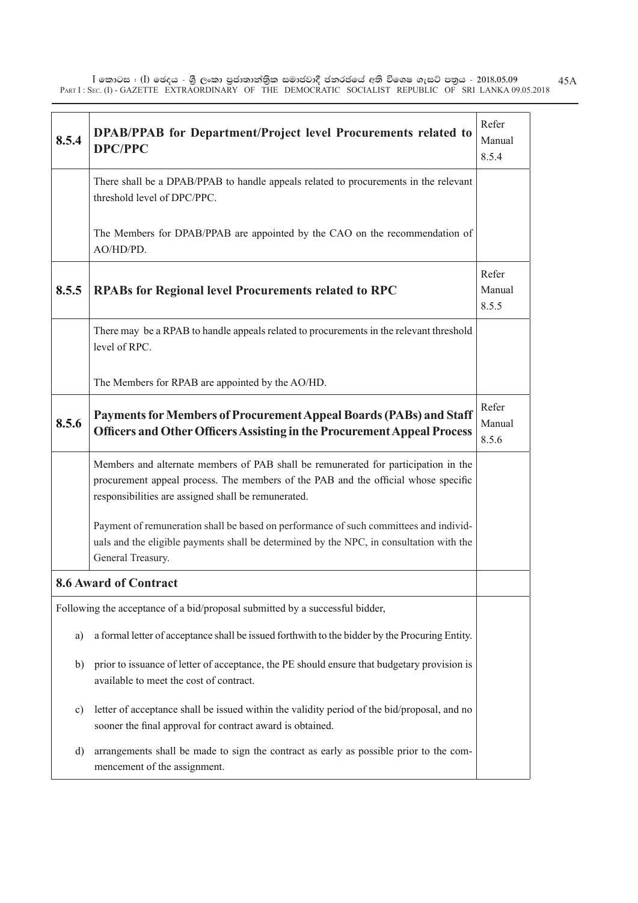$\bar{\rm I}$  කොටස : ( $\rm I$ ) ඡෙදය - ශුී ලංකා පුජාතාන්තිුක සමාජවාදී ජනරජයේ අති විශෙෂ ගැසට් පතුය - 2018.05.09 PART I : SEC. (I) - GAZETTE EXTRAORDINARY OF THE DEMOCRATIC SOCIALIST REPUBLIC OF SRI LANKA 09.05.2018 45A

| 8.5.4 | <b>DPAB/PPAB for Department/Project level Procurements related to</b><br><b>DPC/PPC</b>                                                                                                                                         | Refer<br>Manual<br>8.5.4 |
|-------|---------------------------------------------------------------------------------------------------------------------------------------------------------------------------------------------------------------------------------|--------------------------|
|       | There shall be a DPAB/PPAB to handle appeals related to procurements in the relevant<br>threshold level of DPC/PPC.                                                                                                             |                          |
|       | The Members for DPAB/PPAB are appointed by the CAO on the recommendation of<br>AO/HD/PD.                                                                                                                                        |                          |
| 8.5.5 | <b>RPABs for Regional level Procurements related to RPC</b>                                                                                                                                                                     | Refer<br>Manual<br>8.5.5 |
|       | There may be a RPAB to handle appeals related to procurements in the relevant threshold<br>level of RPC.                                                                                                                        |                          |
|       | The Members for RPAB are appointed by the AO/HD.                                                                                                                                                                                |                          |
| 8.5.6 | Payments for Members of Procurement Appeal Boards (PABs) and Staff<br><b>Officers and Other Officers Assisting in the Procurement Appeal Process</b>                                                                            | Refer<br>Manual<br>8.5.6 |
|       | Members and alternate members of PAB shall be remunerated for participation in the<br>procurement appeal process. The members of the PAB and the official whose specific<br>responsibilities are assigned shall be remunerated. |                          |
|       | Payment of remuneration shall be based on performance of such committees and individ-<br>uals and the eligible payments shall be determined by the NPC, in consultation with the<br>General Treasury.                           |                          |
|       | <b>8.6 Award of Contract</b>                                                                                                                                                                                                    |                          |
|       | Following the acceptance of a bid/proposal submitted by a successful bidder,                                                                                                                                                    |                          |
| a)    | a formal letter of acceptance shall be issued forthwith to the bidder by the Procuring Entity.                                                                                                                                  |                          |
| b)    | prior to issuance of letter of acceptance, the PE should ensure that budgetary provision is<br>available to meet the cost of contract.                                                                                          |                          |
| c)    | letter of acceptance shall be issued within the validity period of the bid/proposal, and no<br>sooner the final approval for contract award is obtained.                                                                        |                          |
| d)    | arrangements shall be made to sign the contract as early as possible prior to the com-<br>mencement of the assignment.                                                                                                          |                          |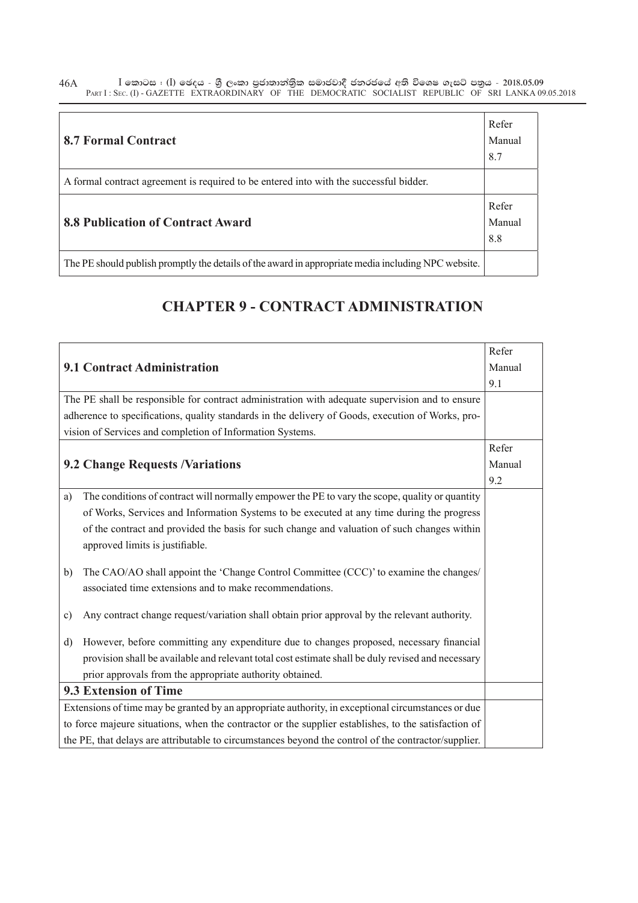$\bar{\rm I}$  කොටස : ( $\rm I$ ) ඡෙදය - ශුී ලංකා පුජාතාන්තිුක සමාජවාදී ජනරජයේ අති විශෙෂ ගැසට් පතුය - 2018.05.09 PART I : SEC. (I) - GAZETTE EXTRAORDINARY OF THE DEMOCRATIC SOCIALIST REPUBLIC OF SRI LANKA 09.05.2018 46A

| <b>8.7 Formal Contract</b>                                                                          | Refer<br>Manual<br>8.7 |
|-----------------------------------------------------------------------------------------------------|------------------------|
| A formal contract agreement is required to be entered into with the successful bidder.              |                        |
| <b>8.8 Publication of Contract Award</b>                                                            | Refer<br>Manual<br>8.8 |
| The PE should publish promptly the details of the award in appropriate media including NPC website. |                        |

#### **CHAPTER 9 - CONTRACT ADMINISTRATION**

| Refer                                                                                                |        |  |
|------------------------------------------------------------------------------------------------------|--------|--|
| 9.1 Contract Administration                                                                          |        |  |
|                                                                                                      | 9.1    |  |
| The PE shall be responsible for contract administration with adequate supervision and to ensure      |        |  |
| adherence to specifications, quality standards in the delivery of Goods, execution of Works, pro-    |        |  |
| vision of Services and completion of Information Systems.                                            |        |  |
|                                                                                                      | Refer  |  |
| <b>9.2 Change Requests /Variations</b>                                                               | Manual |  |
|                                                                                                      | 9.2    |  |
| The conditions of contract will normally empower the PE to vary the scope, quality or quantity<br>a) |        |  |
| of Works, Services and Information Systems to be executed at any time during the progress            |        |  |
| of the contract and provided the basis for such change and valuation of such changes within          |        |  |
| approved limits is justifiable.                                                                      |        |  |
| The CAO/AO shall appoint the 'Change Control Committee (CCC)' to examine the changes/<br>b)          |        |  |
| associated time extensions and to make recommendations.                                              |        |  |
| Any contract change request/variation shall obtain prior approval by the relevant authority.<br>c)   |        |  |
| However, before committing any expenditure due to changes proposed, necessary financial<br>d)        |        |  |
| provision shall be available and relevant total cost estimate shall be duly revised and necessary    |        |  |
| prior approvals from the appropriate authority obtained.                                             |        |  |
| 9.3 Extension of Time                                                                                |        |  |
| Extensions of time may be granted by an appropriate authority, in exceptional circumstances or due   |        |  |
| to force majeure situations, when the contractor or the supplier establishes, to the satisfaction of |        |  |
| the PE, that delays are attributable to circumstances beyond the control of the contractor/supplier. |        |  |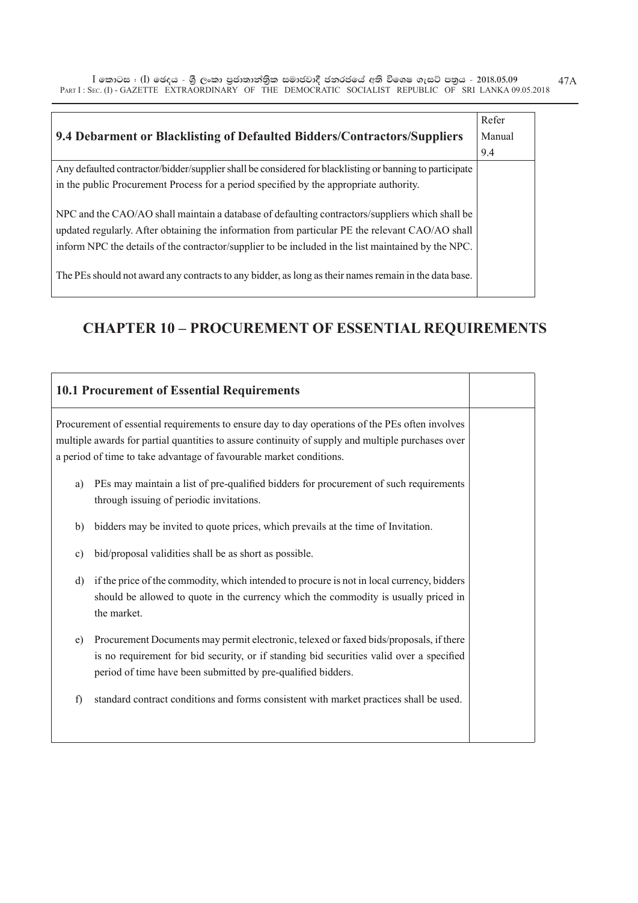$\bar{\rm I}$  කොටස : ( $\rm I$ ) ඡෙදය - ශුී ලංකා පුජාතාන්තිුක සමාජවාදී ජනරජයේ අති විශෙෂ ගැසට් පතුය - 2018.05.09 PART I : SEC. (I) - GAZETTE EXTRAORDINARY OF THE DEMOCRATIC SOCIALIST REPUBLIC OF SRI LANKA 09.05.2018 47A

| 9.4 Debarment or Blacklisting of Defaulted Bidders/Contractors/Suppliers                                | Refer<br>Manual<br>9.4 |
|---------------------------------------------------------------------------------------------------------|------------------------|
| Any defaulted contractor/bidder/supplier shall be considered for blacklisting or banning to participate |                        |
| in the public Procurement Process for a period specified by the appropriate authority.                  |                        |
| NPC and the CAO/AO shall maintain a database of defaulting contractors/suppliers which shall be         |                        |
| updated regularly. After obtaining the information from particular PE the relevant CAO/AO shall         |                        |
| inform NPC the details of the contractor/supplier to be included in the list maintained by the NPC.     |                        |
| The PEs should not award any contracts to any bidder, as long as their names remain in the data base.   |                        |

## **CHAPTER 10 – PROCUREMENT OF ESSENTIAL REQUIREMENTS**

|                                                                                                                                                                                                                                                                             | <b>10.1 Procurement of Essential Requirements</b>                                                                                                                                                                                                  |  |
|-----------------------------------------------------------------------------------------------------------------------------------------------------------------------------------------------------------------------------------------------------------------------------|----------------------------------------------------------------------------------------------------------------------------------------------------------------------------------------------------------------------------------------------------|--|
| Procurement of essential requirements to ensure day to day operations of the PEs often involves<br>multiple awards for partial quantities to assure continuity of supply and multiple purchases over<br>a period of time to take advantage of favourable market conditions. |                                                                                                                                                                                                                                                    |  |
| a)                                                                                                                                                                                                                                                                          | PEs may maintain a list of pre-qualified bidders for procurement of such requirements<br>through issuing of periodic invitations.                                                                                                                  |  |
| $\mathbf{b}$                                                                                                                                                                                                                                                                | bidders may be invited to quote prices, which prevails at the time of Invitation.                                                                                                                                                                  |  |
| c)                                                                                                                                                                                                                                                                          | bid/proposal validities shall be as short as possible.                                                                                                                                                                                             |  |
| d)                                                                                                                                                                                                                                                                          | if the price of the commodity, which intended to procure is not in local currency, bidders<br>should be allowed to quote in the currency which the commodity is usually priced in<br>the market.                                                   |  |
| e)                                                                                                                                                                                                                                                                          | Procurement Documents may permit electronic, telexed or faxed bids/proposals, if there<br>is no requirement for bid security, or if standing bid securities valid over a specified<br>period of time have been submitted by pre-qualified bidders. |  |
| f)                                                                                                                                                                                                                                                                          | standard contract conditions and forms consistent with market practices shall be used.                                                                                                                                                             |  |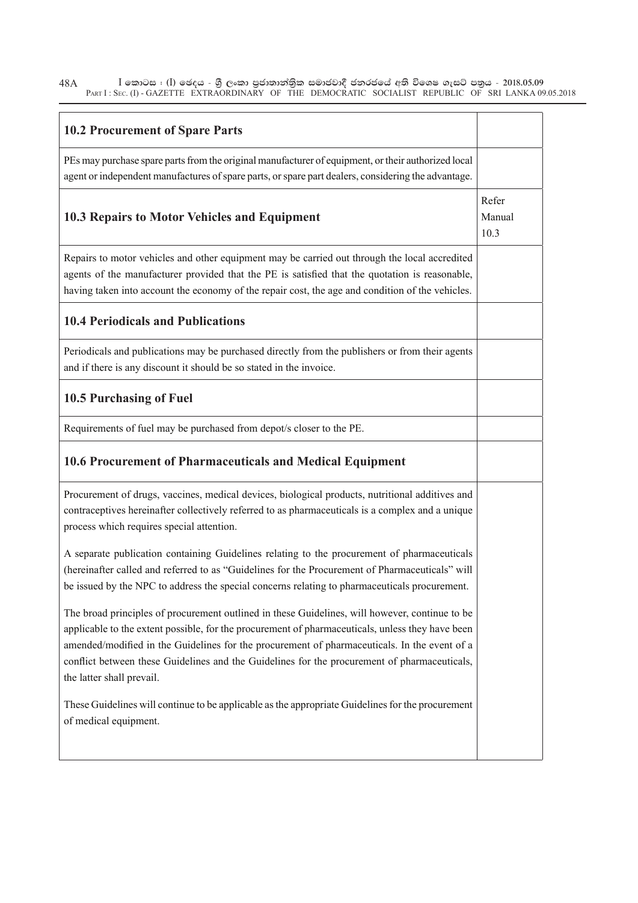$\bar{\rm I}$  කොටස : ( $\rm I$ ) ඡෙදය - ශුී ලංකා පුජාතාන්තිුක සමාජවාදී ජනරජයේ අති විශෙෂ ගැසට් පතුය - 2018.05.09 PART I : SEC. (I) - GAZETTE EXTRAORDINARY OF THE DEMOCRATIC SOCIALIST REPUBLIC OF SRI LANKA 09.05.2018 48A

| <b>10.2 Procurement of Spare Parts</b>                                                                                                                                                                                                                                                                                                                                                                                          |                         |
|---------------------------------------------------------------------------------------------------------------------------------------------------------------------------------------------------------------------------------------------------------------------------------------------------------------------------------------------------------------------------------------------------------------------------------|-------------------------|
| PEs may purchase spare parts from the original manufacturer of equipment, or their authorized local<br>agent or independent manufactures of spare parts, or spare part dealers, considering the advantage.                                                                                                                                                                                                                      |                         |
| 10.3 Repairs to Motor Vehicles and Equipment                                                                                                                                                                                                                                                                                                                                                                                    | Refer<br>Manual<br>10.3 |
| Repairs to motor vehicles and other equipment may be carried out through the local accredited<br>agents of the manufacturer provided that the PE is satisfied that the quotation is reasonable,<br>having taken into account the economy of the repair cost, the age and condition of the vehicles.                                                                                                                             |                         |
| <b>10.4 Periodicals and Publications</b>                                                                                                                                                                                                                                                                                                                                                                                        |                         |
| Periodicals and publications may be purchased directly from the publishers or from their agents<br>and if there is any discount it should be so stated in the invoice.                                                                                                                                                                                                                                                          |                         |
| <b>10.5 Purchasing of Fuel</b>                                                                                                                                                                                                                                                                                                                                                                                                  |                         |
| Requirements of fuel may be purchased from depot/s closer to the PE.                                                                                                                                                                                                                                                                                                                                                            |                         |
| 10.6 Procurement of Pharmaceuticals and Medical Equipment                                                                                                                                                                                                                                                                                                                                                                       |                         |
| Procurement of drugs, vaccines, medical devices, biological products, nutritional additives and<br>contraceptives hereinafter collectively referred to as pharmaceuticals is a complex and a unique<br>process which requires special attention.                                                                                                                                                                                |                         |
| A separate publication containing Guidelines relating to the procurement of pharmaceuticals<br>(hereinafter called and referred to as "Guidelines for the Procurement of Pharmaceuticals" will<br>be issued by the NPC to address the special concerns relating to pharmaceuticals procurement.                                                                                                                                 |                         |
| The broad principles of procurement outlined in these Guidelines, will however, continue to be<br>applicable to the extent possible, for the procurement of pharmaceuticals, unless they have been<br>amended/modified in the Guidelines for the procurement of pharmaceuticals. In the event of a<br>conflict between these Guidelines and the Guidelines for the procurement of pharmaceuticals,<br>the latter shall prevail. |                         |
| These Guidelines will continue to be applicable as the appropriate Guidelines for the procurement<br>of medical equipment.                                                                                                                                                                                                                                                                                                      |                         |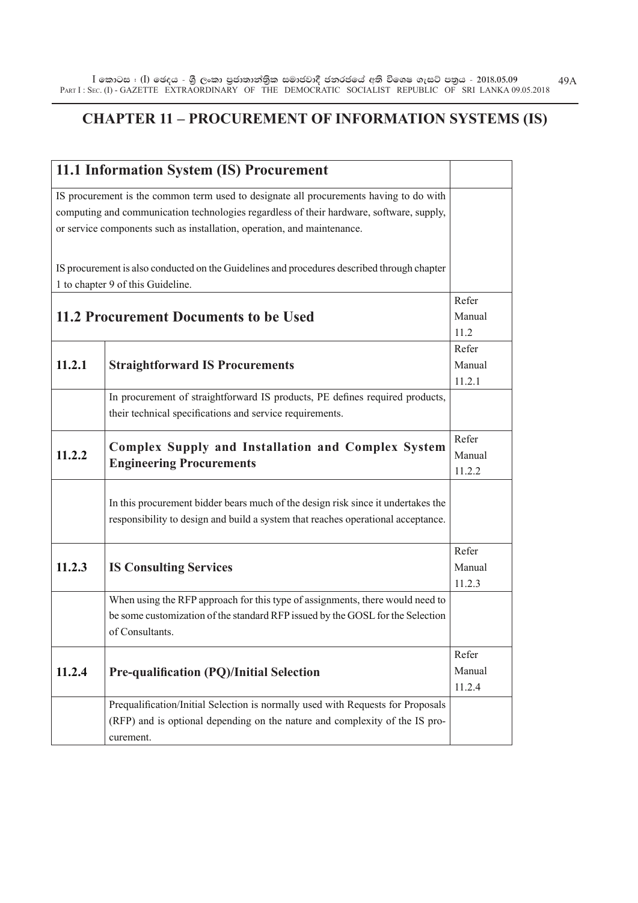#### **CHAPTER 11 – PROCUREMENT OF INFORMATION SYSTEMS (IS)**

|        | 11.1 Information System (IS) Procurement                                                                                                                                                                                                                      |                           |
|--------|---------------------------------------------------------------------------------------------------------------------------------------------------------------------------------------------------------------------------------------------------------------|---------------------------|
|        | IS procurement is the common term used to designate all procurements having to do with<br>computing and communication technologies regardless of their hardware, software, supply,<br>or service components such as installation, operation, and maintenance. |                           |
|        | IS procurement is also conducted on the Guidelines and procedures described through chapter<br>1 to chapter 9 of this Guideline.                                                                                                                              |                           |
|        | 11.2 Procurement Documents to be Used                                                                                                                                                                                                                         | Refer<br>Manual<br>11.2   |
| 11.2.1 | <b>Straightforward IS Procurements</b>                                                                                                                                                                                                                        | Refer<br>Manual<br>11.2.1 |
|        | In procurement of straightforward IS products, PE defines required products,<br>their technical specifications and service requirements.                                                                                                                      |                           |
| 11.2.2 | <b>Complex Supply and Installation and Complex System</b><br><b>Engineering Procurements</b>                                                                                                                                                                  | Refer<br>Manual<br>11.2.2 |
|        | In this procurement bidder bears much of the design risk since it undertakes the<br>responsibility to design and build a system that reaches operational acceptance.                                                                                          |                           |
| 11.2.3 | <b>IS Consulting Services</b>                                                                                                                                                                                                                                 | Refer<br>Manual<br>11.2.3 |
|        | When using the RFP approach for this type of assignments, there would need to<br>be some customization of the standard RFP issued by the GOSL for the Selection<br>of Consultants.                                                                            |                           |
| 11.2.4 | <b>Pre-qualification (PQ)/Initial Selection</b>                                                                                                                                                                                                               | Refer<br>Manual<br>11.2.4 |
|        | Prequalification/Initial Selection is normally used with Requests for Proposals<br>(RFP) and is optional depending on the nature and complexity of the IS pro-<br>curement.                                                                                   |                           |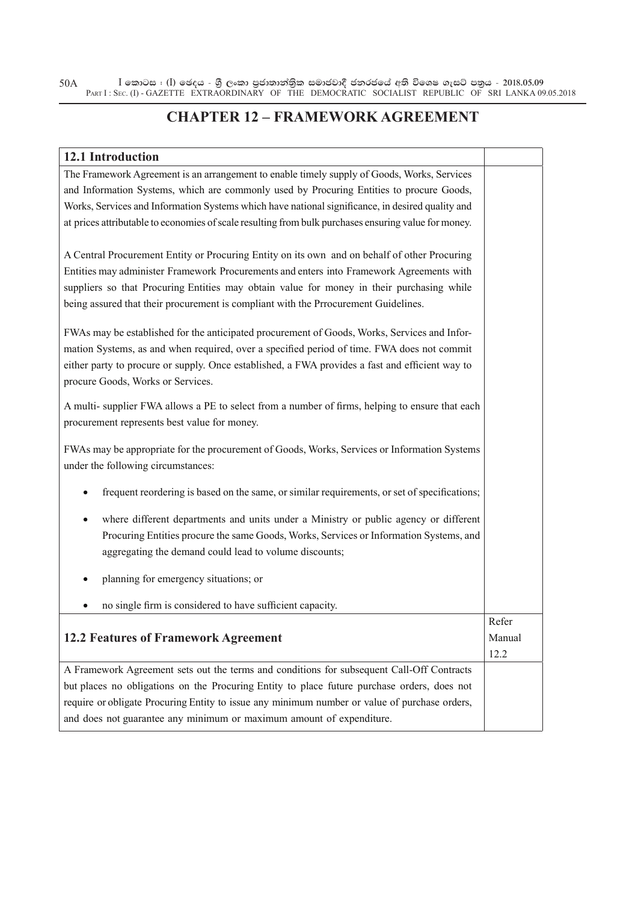$\bar{\rm I}$  කොටස : ( $\rm I$ ) ඡෙදය - ශුී ලංකා පුජාතාන්තිුක සමාජවාදී ජනරජයේ අති විශෙෂ ගැසට් පතුය - 2018.05.09 PART I : SEC. (I) - GAZETTE EXTRAORDINARY OF THE DEMOCRATIC SOCIALIST REPUBLIC OF SRI LANKA 09.05.2018 50A

#### **CHAPTER 12 – FRAMEWORK AGREEMENT**

| 12.1 Introduction                                                                                    |        |
|------------------------------------------------------------------------------------------------------|--------|
| The Framework Agreement is an arrangement to enable timely supply of Goods, Works, Services          |        |
| and Information Systems, which are commonly used by Procuring Entities to procure Goods,             |        |
| Works, Services and Information Systems which have national significance, in desired quality and     |        |
| at prices attributable to economies of scale resulting from bulk purchases ensuring value for money. |        |
|                                                                                                      |        |
| A Central Procurement Entity or Procuring Entity on its own and on behalf of other Procuring         |        |
| Entities may administer Framework Procurements and enters into Framework Agreements with             |        |
| suppliers so that Procuring Entities may obtain value for money in their purchasing while            |        |
| being assured that their procurement is compliant with the Prrocurement Guidelines.                  |        |
| FWAs may be established for the anticipated procurement of Goods, Works, Services and Infor-         |        |
| mation Systems, as and when required, over a specified period of time. FWA does not commit           |        |
| either party to procure or supply. Once established, a FWA provides a fast and efficient way to      |        |
| procure Goods, Works or Services.                                                                    |        |
| A multi- supplier FWA allows a PE to select from a number of firms, helping to ensure that each      |        |
| procurement represents best value for money.                                                         |        |
|                                                                                                      |        |
| FWAs may be appropriate for the procurement of Goods, Works, Services or Information Systems         |        |
| under the following circumstances:                                                                   |        |
| frequent reordering is based on the same, or similar requirements, or set of specifications;<br>٠    |        |
| where different departments and units under a Ministry or public agency or different<br>٠            |        |
| Procuring Entities procure the same Goods, Works, Services or Information Systems, and               |        |
| aggregating the demand could lead to volume discounts;                                               |        |
|                                                                                                      |        |
| planning for emergency situations; or<br>٠                                                           |        |
| no single firm is considered to have sufficient capacity.<br>٠                                       |        |
|                                                                                                      | Refer  |
| <b>12.2 Features of Framework Agreement</b>                                                          | Manual |
|                                                                                                      | 12.2   |
| A Framework Agreement sets out the terms and conditions for subsequent Call-Off Contracts            |        |
| but places no obligations on the Procuring Entity to place future purchase orders, does not          |        |
| require or obligate Procuring Entity to issue any minimum number or value of purchase orders,        |        |
| and does not guarantee any minimum or maximum amount of expenditure.                                 |        |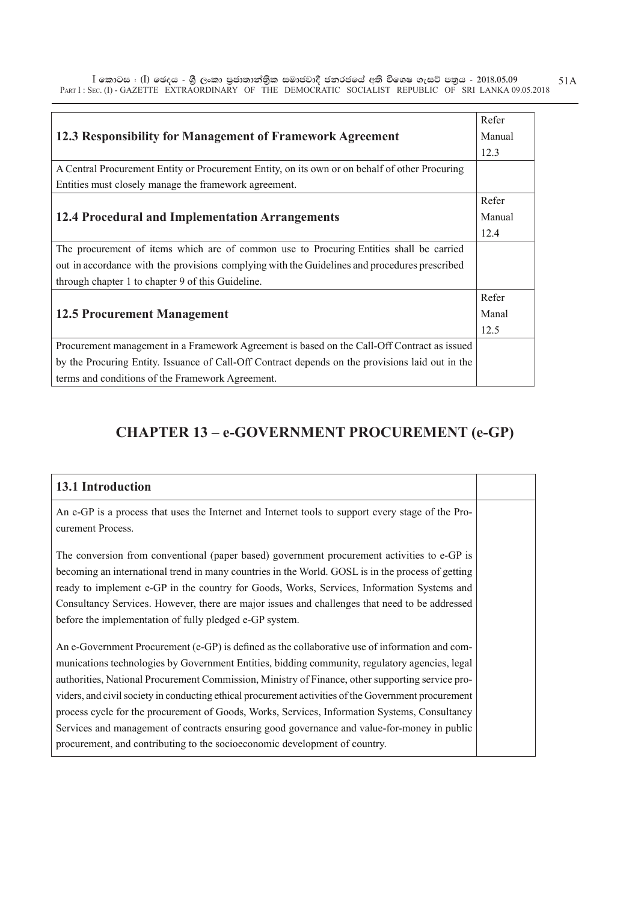$\bar{\rm I}$  කොටස : ( $\rm I$ ) ඡෙදය - ශුී ලංකා පුජාතාන්තිුක සමාජවාදී ජනරජයේ අති විශෙෂ ගැසට් පතුය - 2018.05.09 PART I : SEC. (I) - GAZETTE EXTRAORDINARY OF THE DEMOCRATIC SOCIALIST REPUBLIC OF SRI LANKA 09.05.2018 51A

|                                                                                                  | Refer  |
|--------------------------------------------------------------------------------------------------|--------|
| 12.3 Responsibility for Management of Framework Agreement                                        | Manual |
|                                                                                                  | 12.3   |
| A Central Procurement Entity or Procurement Entity, on its own or on behalf of other Procuring   |        |
| Entities must closely manage the framework agreement.                                            |        |
|                                                                                                  | Refer  |
| <b>12.4 Procedural and Implementation Arrangements</b>                                           | Manual |
|                                                                                                  | 12.4   |
| The procurement of items which are of common use to Procuring Entities shall be carried          |        |
| out in accordance with the provisions complying with the Guidelines and procedures prescribed    |        |
| through chapter 1 to chapter 9 of this Guideline.                                                |        |
|                                                                                                  | Refer  |
| <b>12.5 Procurement Management</b>                                                               | Manal  |
|                                                                                                  | 12.5   |
| Procurement management in a Framework Agreement is based on the Call-Off Contract as issued      |        |
| by the Procuring Entity. Issuance of Call-Off Contract depends on the provisions laid out in the |        |
| terms and conditions of the Framework Agreement.                                                 |        |

#### **CHAPTER 13 – e-GOVERNMENT PROCUREMENT (e-GP)**

| <b>13.1 Introduction</b>                                                                                                                                                                                                                                                                                                                                                                                                                                                                                                                                                                                                                                                                   |  |
|--------------------------------------------------------------------------------------------------------------------------------------------------------------------------------------------------------------------------------------------------------------------------------------------------------------------------------------------------------------------------------------------------------------------------------------------------------------------------------------------------------------------------------------------------------------------------------------------------------------------------------------------------------------------------------------------|--|
| An e-GP is a process that uses the Internet and Internet tools to support every stage of the Pro-<br>curement Process.                                                                                                                                                                                                                                                                                                                                                                                                                                                                                                                                                                     |  |
| The conversion from conventional (paper based) government procurement activities to e-GP is<br>becoming an international trend in many countries in the World. GOSL is in the process of getting<br>ready to implement e-GP in the country for Goods, Works, Services, Information Systems and<br>Consultancy Services. However, there are major issues and challenges that need to be addressed<br>before the implementation of fully pledged e-GP system.                                                                                                                                                                                                                                |  |
| An e-Government Procurement (e-GP) is defined as the collaborative use of information and com-<br>munications technologies by Government Entities, bidding community, regulatory agencies, legal<br>authorities, National Procurement Commission, Ministry of Finance, other supporting service pro-<br>viders, and civil society in conducting ethical procurement activities of the Government procurement<br>process cycle for the procurement of Goods, Works, Services, Information Systems, Consultancy<br>Services and management of contracts ensuring good governance and value-for-money in public<br>procurement, and contributing to the socioeconomic development of country. |  |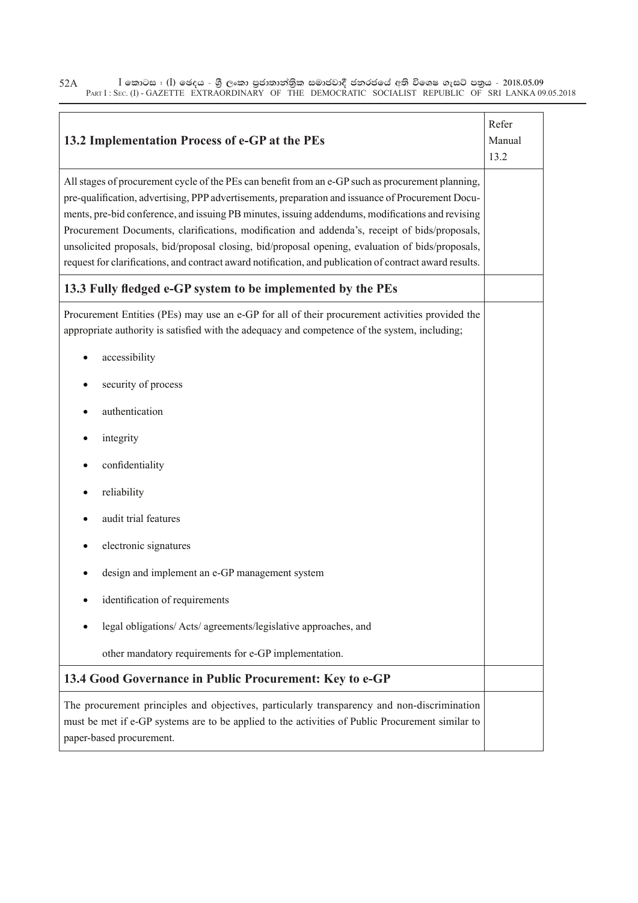$\bar{\rm I}$  කොටස : ( $\rm I$ ) ඡෙදය - ශුී ලංකා පුජාතාන්තිුක සමාජවාදී ජනරජයේ අති විශෙෂ ගැසට් පතුය - 2018.05.09 PART I : SEC. (I) - GAZETTE EXTRAORDINARY OF THE DEMOCRATIC SOCIALIST REPUBLIC OF SRI LANKA 09.05.2018 52A

| 13.2 Implementation Process of e-GP at the PEs                                                                                                                                                                                                                                                                                                                                                                                                                                                                                                                                                                             | Refer<br>Manual<br>13.2 |
|----------------------------------------------------------------------------------------------------------------------------------------------------------------------------------------------------------------------------------------------------------------------------------------------------------------------------------------------------------------------------------------------------------------------------------------------------------------------------------------------------------------------------------------------------------------------------------------------------------------------------|-------------------------|
| All stages of procurement cycle of the PEs can benefit from an e-GP such as procurement planning,<br>pre-qualification, advertising, PPP advertisements, preparation and issuance of Procurement Docu-<br>ments, pre-bid conference, and issuing PB minutes, issuing addendums, modifications and revising<br>Procurement Documents, clarifications, modification and addenda's, receipt of bids/proposals,<br>unsolicited proposals, bid/proposal closing, bid/proposal opening, evaluation of bids/proposals,<br>request for clarifications, and contract award notification, and publication of contract award results. |                         |
| 13.3 Fully fledged e-GP system to be implemented by the PEs                                                                                                                                                                                                                                                                                                                                                                                                                                                                                                                                                                |                         |
| Procurement Entities (PEs) may use an e-GP for all of their procurement activities provided the<br>appropriate authority is satisfied with the adequacy and competence of the system, including;                                                                                                                                                                                                                                                                                                                                                                                                                           |                         |
| accessibility                                                                                                                                                                                                                                                                                                                                                                                                                                                                                                                                                                                                              |                         |
| security of process                                                                                                                                                                                                                                                                                                                                                                                                                                                                                                                                                                                                        |                         |
| authentication                                                                                                                                                                                                                                                                                                                                                                                                                                                                                                                                                                                                             |                         |
| integrity                                                                                                                                                                                                                                                                                                                                                                                                                                                                                                                                                                                                                  |                         |
| confidentiality                                                                                                                                                                                                                                                                                                                                                                                                                                                                                                                                                                                                            |                         |
| reliability                                                                                                                                                                                                                                                                                                                                                                                                                                                                                                                                                                                                                |                         |
| audit trial features                                                                                                                                                                                                                                                                                                                                                                                                                                                                                                                                                                                                       |                         |
| electronic signatures                                                                                                                                                                                                                                                                                                                                                                                                                                                                                                                                                                                                      |                         |
| design and implement an e-GP management system                                                                                                                                                                                                                                                                                                                                                                                                                                                                                                                                                                             |                         |
| identification of requirements                                                                                                                                                                                                                                                                                                                                                                                                                                                                                                                                                                                             |                         |
| legal obligations/ Acts/ agreements/legislative approaches, and                                                                                                                                                                                                                                                                                                                                                                                                                                                                                                                                                            |                         |
| other mandatory requirements for e-GP implementation.                                                                                                                                                                                                                                                                                                                                                                                                                                                                                                                                                                      |                         |
| 13.4 Good Governance in Public Procurement: Key to e-GP                                                                                                                                                                                                                                                                                                                                                                                                                                                                                                                                                                    |                         |
| The procurement principles and objectives, particularly transparency and non-discrimination<br>must be met if e-GP systems are to be applied to the activities of Public Procurement similar to<br>paper-based procurement.                                                                                                                                                                                                                                                                                                                                                                                                |                         |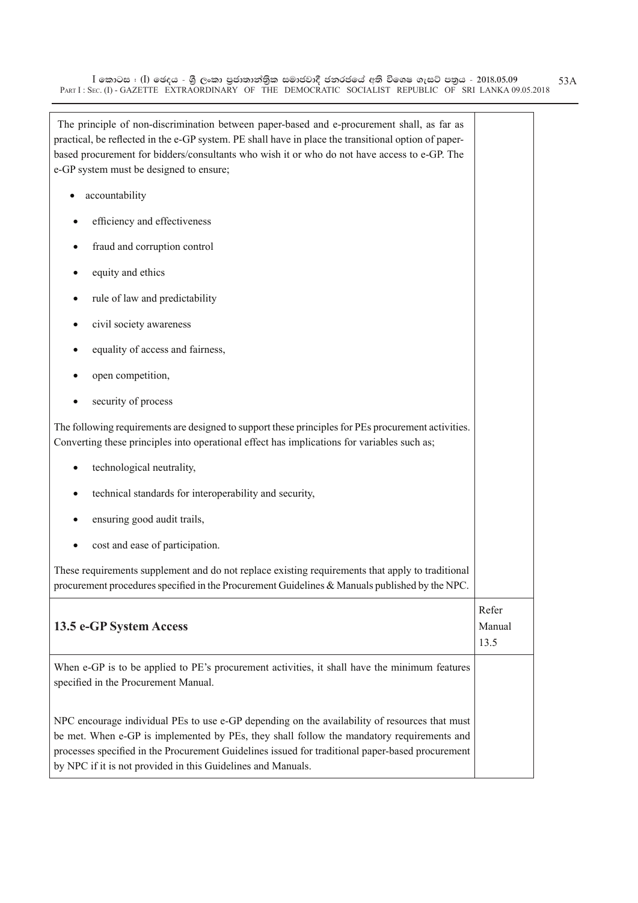$\bar{\rm I}$  කොටස : ( $\rm I$ ) ඡෙදය - ශුී ලංකා පුජාතාන්තිුක සමාජවාදී ජනරජයේ අති විශෙෂ ගැසට් පතුය - 2018.05.09 PART I : SEC. (I) - GAZETTE EXTRAORDINARY OF THE DEMOCRATIC SOCIALIST REPUBLIC OF SRI LANKA 09.05.2018 53A

| The principle of non-discrimination between paper-based and e-procurement shall, as far as<br>practical, be reflected in the e-GP system. PE shall have in place the transitional option of paper-<br>based procurement for bidders/consultants who wish it or who do not have access to e-GP. The<br>e-GP system must be designed to ensure;                  |                         |
|----------------------------------------------------------------------------------------------------------------------------------------------------------------------------------------------------------------------------------------------------------------------------------------------------------------------------------------------------------------|-------------------------|
| accountability                                                                                                                                                                                                                                                                                                                                                 |                         |
| efficiency and effectiveness                                                                                                                                                                                                                                                                                                                                   |                         |
| fraud and corruption control                                                                                                                                                                                                                                                                                                                                   |                         |
| equity and ethics                                                                                                                                                                                                                                                                                                                                              |                         |
| rule of law and predictability                                                                                                                                                                                                                                                                                                                                 |                         |
| civil society awareness                                                                                                                                                                                                                                                                                                                                        |                         |
| equality of access and fairness,                                                                                                                                                                                                                                                                                                                               |                         |
| open competition,                                                                                                                                                                                                                                                                                                                                              |                         |
| security of process                                                                                                                                                                                                                                                                                                                                            |                         |
| The following requirements are designed to support these principles for PEs procurement activities.<br>Converting these principles into operational effect has implications for variables such as;                                                                                                                                                             |                         |
| technological neutrality,                                                                                                                                                                                                                                                                                                                                      |                         |
| technical standards for interoperability and security,                                                                                                                                                                                                                                                                                                         |                         |
| ensuring good audit trails,                                                                                                                                                                                                                                                                                                                                    |                         |
| cost and ease of participation.                                                                                                                                                                                                                                                                                                                                |                         |
| These requirements supplement and do not replace existing requirements that apply to traditional<br>procurement procedures specified in the Procurement Guidelines & Manuals published by the NPC.                                                                                                                                                             |                         |
| 13.5 e-GP System Access                                                                                                                                                                                                                                                                                                                                        | Refer<br>Manual<br>13.5 |
| When e-GP is to be applied to PE's procurement activities, it shall have the minimum features<br>specified in the Procurement Manual.                                                                                                                                                                                                                          |                         |
| NPC encourage individual PEs to use e-GP depending on the availability of resources that must<br>be met. When e-GP is implemented by PEs, they shall follow the mandatory requirements and<br>processes specified in the Procurement Guidelines issued for traditional paper-based procurement<br>by NPC if it is not provided in this Guidelines and Manuals. |                         |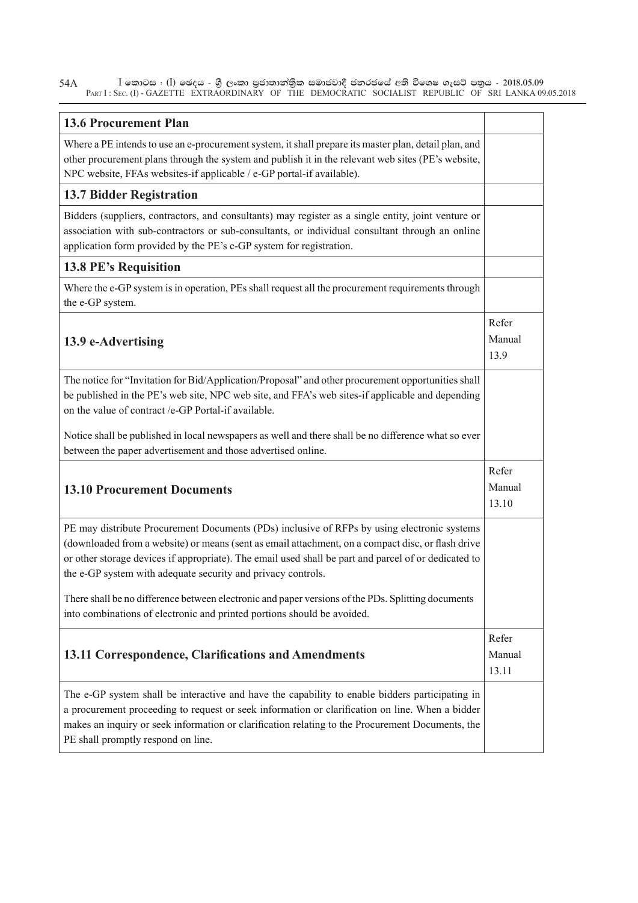$\bar{\rm I}$  කොටස : ( $\rm I$ ) ඡෙදය - ශුී ලංකා පුජාතාන්තිුක සමාජවාදී ජනරජයේ අති විශෙෂ ගැසට් පතුය - 2018.05.09 PART I : SEC. (I) - GAZETTE EXTRAORDINARY OF THE DEMOCRATIC SOCIALIST REPUBLIC OF SRI LANKA 09.05.2018 54A

| <b>13.6 Procurement Plan</b>                                                                                                                                                                                                                                                                                                                                             |                          |
|--------------------------------------------------------------------------------------------------------------------------------------------------------------------------------------------------------------------------------------------------------------------------------------------------------------------------------------------------------------------------|--------------------------|
| Where a PE intends to use an e-procurement system, it shall prepare its master plan, detail plan, and<br>other procurement plans through the system and publish it in the relevant web sites (PE's website,<br>NPC website, FFAs websites-if applicable / e-GP portal-if available).                                                                                     |                          |
| <b>13.7 Bidder Registration</b>                                                                                                                                                                                                                                                                                                                                          |                          |
| Bidders (suppliers, contractors, and consultants) may register as a single entity, joint venture or<br>association with sub-contractors or sub-consultants, or individual consultant through an online<br>application form provided by the PE's e-GP system for registration.                                                                                            |                          |
| <b>13.8 PE's Requisition</b>                                                                                                                                                                                                                                                                                                                                             |                          |
| Where the e-GP system is in operation, PEs shall request all the procurement requirements through<br>the e-GP system.                                                                                                                                                                                                                                                    |                          |
| 13.9 e-Advertising                                                                                                                                                                                                                                                                                                                                                       | Refer<br>Manual<br>13.9  |
| The notice for "Invitation for Bid/Application/Proposal" and other procurement opportunities shall<br>be published in the PE's web site, NPC web site, and FFA's web sites-if applicable and depending<br>on the value of contract /e-GP Portal-if available.                                                                                                            |                          |
| Notice shall be published in local newspapers as well and there shall be no difference what so ever<br>between the paper advertisement and those advertised online.                                                                                                                                                                                                      |                          |
| <b>13.10 Procurement Documents</b>                                                                                                                                                                                                                                                                                                                                       | Refer<br>Manual<br>13.10 |
| PE may distribute Procurement Documents (PDs) inclusive of RFPs by using electronic systems<br>(downloaded from a website) or means (sent as email attachment, on a compact disc, or flash drive<br>or other storage devices if appropriate). The email used shall be part and parcel of or dedicated to<br>the e-GP system with adequate security and privacy controls. |                          |
| There shall be no difference between electronic and paper versions of the PDs. Splitting documents<br>into combinations of electronic and printed portions should be avoided.                                                                                                                                                                                            |                          |
| 13.11 Correspondence, Clarifications and Amendments                                                                                                                                                                                                                                                                                                                      | Refer<br>Manual<br>13.11 |
| The e-GP system shall be interactive and have the capability to enable bidders participating in<br>a procurement proceeding to request or seek information or clarification on line. When a bidder<br>makes an inquiry or seek information or clarification relating to the Procurement Documents, the<br>PE shall promptly respond on line.                             |                          |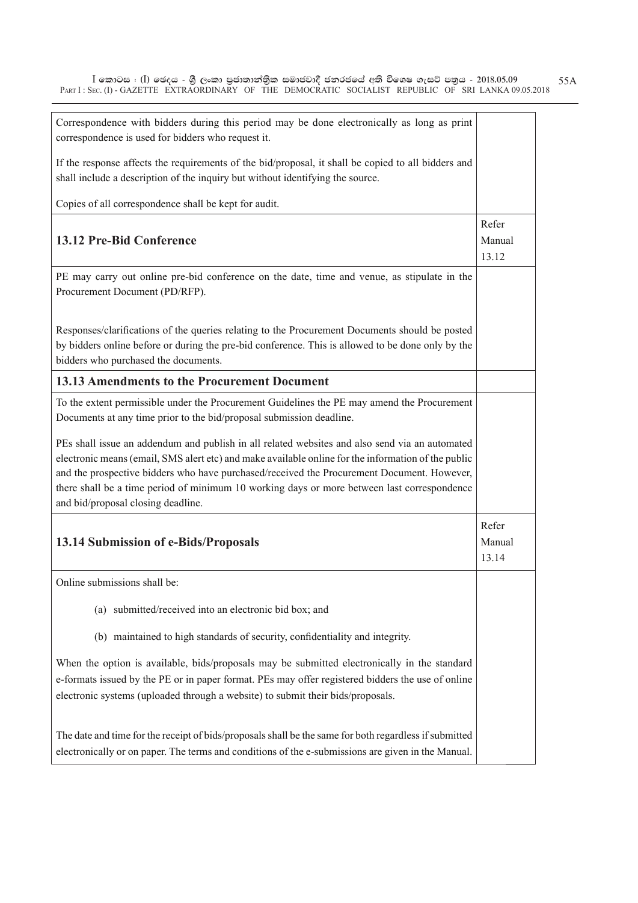| Correspondence with bidders during this period may be done electronically as long as print<br>correspondence is used for bidders who request it.                                                                                                                                                                                                                                                                                         |                          |
|------------------------------------------------------------------------------------------------------------------------------------------------------------------------------------------------------------------------------------------------------------------------------------------------------------------------------------------------------------------------------------------------------------------------------------------|--------------------------|
| If the response affects the requirements of the bid/proposal, it shall be copied to all bidders and<br>shall include a description of the inquiry but without identifying the source.                                                                                                                                                                                                                                                    |                          |
| Copies of all correspondence shall be kept for audit.                                                                                                                                                                                                                                                                                                                                                                                    |                          |
|                                                                                                                                                                                                                                                                                                                                                                                                                                          | Refer                    |
| 13.12 Pre-Bid Conference                                                                                                                                                                                                                                                                                                                                                                                                                 | Manual<br>13.12          |
| PE may carry out online pre-bid conference on the date, time and venue, as stipulate in the<br>Procurement Document (PD/RFP).                                                                                                                                                                                                                                                                                                            |                          |
| Responses/clarifications of the queries relating to the Procurement Documents should be posted<br>by bidders online before or during the pre-bid conference. This is allowed to be done only by the<br>bidders who purchased the documents.                                                                                                                                                                                              |                          |
| 13.13 Amendments to the Procurement Document                                                                                                                                                                                                                                                                                                                                                                                             |                          |
| To the extent permissible under the Procurement Guidelines the PE may amend the Procurement<br>Documents at any time prior to the bid/proposal submission deadline.                                                                                                                                                                                                                                                                      |                          |
| PEs shall issue an addendum and publish in all related websites and also send via an automated<br>electronic means (email, SMS alert etc) and make available online for the information of the public<br>and the prospective bidders who have purchased/received the Procurement Document. However,<br>there shall be a time period of minimum 10 working days or more between last correspondence<br>and bid/proposal closing deadline. |                          |
| 13.14 Submission of e-Bids/Proposals                                                                                                                                                                                                                                                                                                                                                                                                     | Refer<br>Manual<br>13.14 |
| Online submissions shall be:                                                                                                                                                                                                                                                                                                                                                                                                             |                          |
| (a) submitted/received into an electronic bid box; and                                                                                                                                                                                                                                                                                                                                                                                   |                          |
| (b) maintained to high standards of security, confidentiality and integrity.                                                                                                                                                                                                                                                                                                                                                             |                          |
| When the option is available, bids/proposals may be submitted electronically in the standard<br>e-formats issued by the PE or in paper format. PEs may offer registered bidders the use of online<br>electronic systems (uploaded through a website) to submit their bids/proposals.                                                                                                                                                     |                          |
| The date and time for the receipt of bids/proposals shall be the same for both regardless if submitted<br>electronically or on paper. The terms and conditions of the e-submissions are given in the Manual.                                                                                                                                                                                                                             |                          |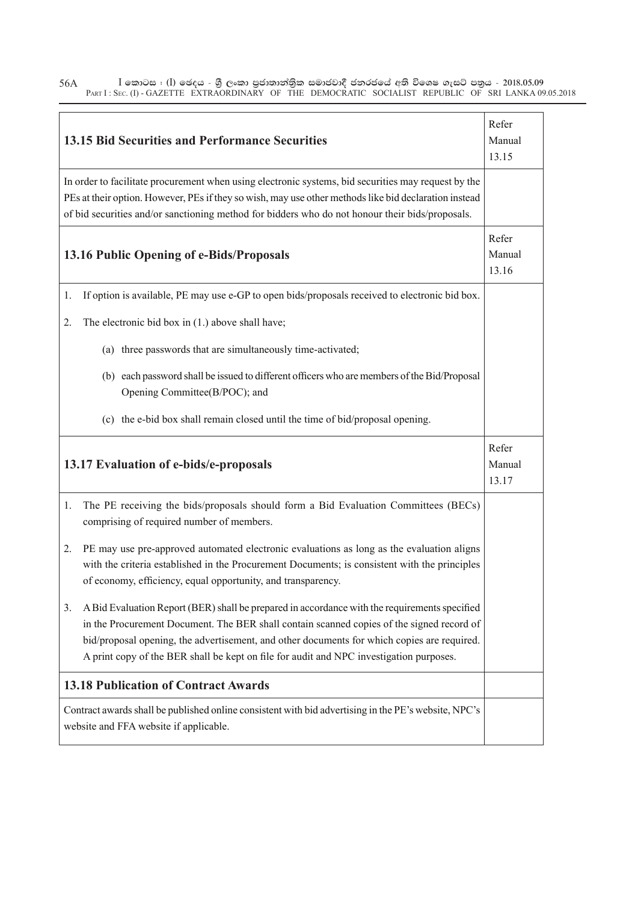$\bar{\rm I}$  කොටස : ( $\rm I$ ) ඡෙදය - ශුී ලංකා පුජාතාන්තිුක සමාජවාදී ජනරජයේ අති විශෙෂ ගැසට් පතුය - 2018.05.09 PART I : SEC. (I) - GAZETTE EXTRAORDINARY OF THE DEMOCRATIC SOCIALIST REPUBLIC OF SRI LANKA 09.05.2018 56A

|                                             | <b>13.15 Bid Securities and Performance Securities</b>                                                                                                                                                                                                                                                                                                                               | Refer<br>Manual<br>13.15 |
|---------------------------------------------|--------------------------------------------------------------------------------------------------------------------------------------------------------------------------------------------------------------------------------------------------------------------------------------------------------------------------------------------------------------------------------------|--------------------------|
|                                             | In order to facilitate procurement when using electronic systems, bid securities may request by the<br>PEs at their option. However, PEs if they so wish, may use other methods like bid declaration instead<br>of bid securities and/or sanctioning method for bidders who do not honour their bids/proposals.                                                                      |                          |
|                                             | 13.16 Public Opening of e-Bids/Proposals                                                                                                                                                                                                                                                                                                                                             | Refer<br>Manual<br>13.16 |
| 1.                                          | If option is available, PE may use e-GP to open bids/proposals received to electronic bid box.                                                                                                                                                                                                                                                                                       |                          |
| 2.                                          | The electronic bid box in $(1.)$ above shall have;                                                                                                                                                                                                                                                                                                                                   |                          |
|                                             | (a) three passwords that are simultaneously time-activated;                                                                                                                                                                                                                                                                                                                          |                          |
|                                             | (b) each password shall be issued to different officers who are members of the Bid/Proposal<br>Opening Committee(B/POC); and                                                                                                                                                                                                                                                         |                          |
|                                             | (c) the e-bid box shall remain closed until the time of bid/proposal opening.                                                                                                                                                                                                                                                                                                        |                          |
|                                             | 13.17 Evaluation of e-bids/e-proposals                                                                                                                                                                                                                                                                                                                                               | Refer<br>Manual<br>13.17 |
| 1.                                          | The PE receiving the bids/proposals should form a Bid Evaluation Committees (BECs)<br>comprising of required number of members.                                                                                                                                                                                                                                                      |                          |
| 2.                                          | PE may use pre-approved automated electronic evaluations as long as the evaluation aligns<br>with the criteria established in the Procurement Documents; is consistent with the principles<br>of economy, efficiency, equal opportunity, and transparency.                                                                                                                           |                          |
| 3.                                          | A Bid Evaluation Report (BER) shall be prepared in accordance with the requirements specified<br>in the Procurement Document. The BER shall contain scanned copies of the signed record of<br>bid/proposal opening, the advertisement, and other documents for which copies are required.<br>A print copy of the BER shall be kept on file for audit and NPC investigation purposes. |                          |
| <b>13.18 Publication of Contract Awards</b> |                                                                                                                                                                                                                                                                                                                                                                                      |                          |
|                                             | Contract awards shall be published online consistent with bid advertising in the PE's website, NPC's<br>website and FFA website if applicable.                                                                                                                                                                                                                                       |                          |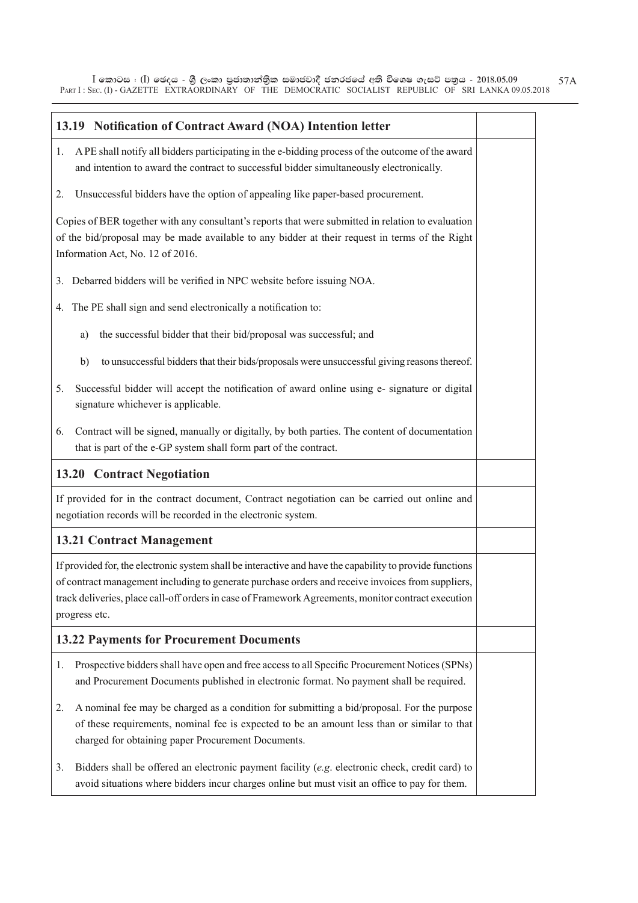$\bar{\rm I}$  කොටස : ( $\rm I$ ) ඡෙදය - ශුී ලංකා පුජාතාන්තිුක සමාජවාදී ජනරජයේ අති විශෙෂ ගැසට් පතුය - 2018.05.09 PART I : SEC. (I) - GAZETTE EXTRAORDINARY OF THE DEMOCRATIC SOCIALIST REPUBLIC OF SRI LANKA 09.05.2018 57A

| 13.19 Notification of Contract Award (NOA) Intention letter                                                                                                                                                                                                                                                                           |  |  |
|---------------------------------------------------------------------------------------------------------------------------------------------------------------------------------------------------------------------------------------------------------------------------------------------------------------------------------------|--|--|
| A PE shall notify all bidders participating in the e-bidding process of the outcome of the award<br>1.<br>and intention to award the contract to successful bidder simultaneously electronically.                                                                                                                                     |  |  |
| Unsuccessful bidders have the option of appealing like paper-based procurement.<br>2.                                                                                                                                                                                                                                                 |  |  |
| Copies of BER together with any consultant's reports that were submitted in relation to evaluation<br>of the bid/proposal may be made available to any bidder at their request in terms of the Right<br>Information Act, No. 12 of 2016.                                                                                              |  |  |
| Debarred bidders will be verified in NPC website before issuing NOA.<br>3.                                                                                                                                                                                                                                                            |  |  |
| The PE shall sign and send electronically a notification to:<br>4.                                                                                                                                                                                                                                                                    |  |  |
| the successful bidder that their bid/proposal was successful; and<br>a)                                                                                                                                                                                                                                                               |  |  |
| to unsuccessful bidders that their bids/proposals were unsuccessful giving reasons thereof.<br>b)                                                                                                                                                                                                                                     |  |  |
| Successful bidder will accept the notification of award online using e- signature or digital<br>5.<br>signature whichever is applicable.                                                                                                                                                                                              |  |  |
| Contract will be signed, manually or digitally, by both parties. The content of documentation<br>6.<br>that is part of the e-GP system shall form part of the contract.                                                                                                                                                               |  |  |
| <b>13.20 Contract Negotiation</b>                                                                                                                                                                                                                                                                                                     |  |  |
| If provided for in the contract document, Contract negotiation can be carried out online and<br>negotiation records will be recorded in the electronic system.                                                                                                                                                                        |  |  |
| <b>13.21 Contract Management</b>                                                                                                                                                                                                                                                                                                      |  |  |
| If provided for, the electronic system shall be interactive and have the capability to provide functions<br>of contract management including to generate purchase orders and receive invoices from suppliers,<br>track deliveries, place call-off orders in case of Framework Agreements, monitor contract execution<br>progress etc. |  |  |
| <b>13.22 Payments for Procurement Documents</b>                                                                                                                                                                                                                                                                                       |  |  |
| Prospective bidders shall have open and free access to all Specific Procurement Notices (SPNs)<br>1.<br>and Procurement Documents published in electronic format. No payment shall be required.                                                                                                                                       |  |  |
| A nominal fee may be charged as a condition for submitting a bid/proposal. For the purpose<br>2.<br>of these requirements, nominal fee is expected to be an amount less than or similar to that<br>charged for obtaining paper Procurement Documents.                                                                                 |  |  |
| Bidders shall be offered an electronic payment facility ( $e.g.$ electronic check, credit card) to<br>3.<br>avoid situations where bidders incur charges online but must visit an office to pay for them.                                                                                                                             |  |  |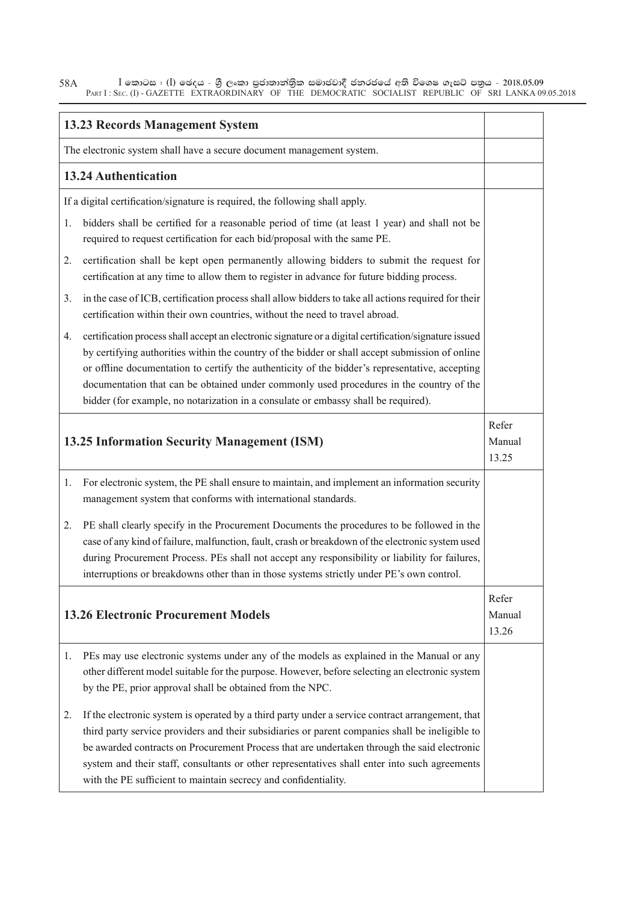$\bar{\rm I}$  කොටස : ( $\rm I$ ) ඡෙදය - ශුී ලංකා පුජාතාන්තිුක සමාජවාදී ජනරජයේ අති විශෙෂ ගැසට් පතුය - 2018.05.09 PART I : SEC. (I) - GAZETTE EXTRAORDINARY OF THE DEMOCRATIC SOCIALIST REPUBLIC OF SRI LANKA 09.05.2018 58A

|                                             | <b>13.23 Records Management System</b>                                                                                                                                                                                                                                                                                                                                                                                                                                                       |  |  |
|---------------------------------------------|----------------------------------------------------------------------------------------------------------------------------------------------------------------------------------------------------------------------------------------------------------------------------------------------------------------------------------------------------------------------------------------------------------------------------------------------------------------------------------------------|--|--|
|                                             | The electronic system shall have a secure document management system.                                                                                                                                                                                                                                                                                                                                                                                                                        |  |  |
|                                             | <b>13.24 Authentication</b>                                                                                                                                                                                                                                                                                                                                                                                                                                                                  |  |  |
|                                             | If a digital certification/signature is required, the following shall apply.                                                                                                                                                                                                                                                                                                                                                                                                                 |  |  |
| 1.                                          | bidders shall be certified for a reasonable period of time (at least 1 year) and shall not be<br>required to request certification for each bid/proposal with the same PE.                                                                                                                                                                                                                                                                                                                   |  |  |
| 2.                                          | certification shall be kept open permanently allowing bidders to submit the request for<br>certification at any time to allow them to register in advance for future bidding process.                                                                                                                                                                                                                                                                                                        |  |  |
| 3.                                          | in the case of ICB, certification process shall allow bidders to take all actions required for their<br>certification within their own countries, without the need to travel abroad.                                                                                                                                                                                                                                                                                                         |  |  |
| 4.                                          | certification process shall accept an electronic signature or a digital certification/signature issued<br>by certifying authorities within the country of the bidder or shall accept submission of online<br>or offline documentation to certify the authenticity of the bidder's representative, accepting<br>documentation that can be obtained under commonly used procedures in the country of the<br>bidder (for example, no notarization in a consulate or embassy shall be required). |  |  |
| 13.25 Information Security Management (ISM) |                                                                                                                                                                                                                                                                                                                                                                                                                                                                                              |  |  |
| 1.                                          | For electronic system, the PE shall ensure to maintain, and implement an information security<br>management system that conforms with international standards.                                                                                                                                                                                                                                                                                                                               |  |  |
| 2.                                          | PE shall clearly specify in the Procurement Documents the procedures to be followed in the<br>case of any kind of failure, malfunction, fault, crash or breakdown of the electronic system used<br>during Procurement Process. PEs shall not accept any responsibility or liability for failures,<br>interruptions or breakdowns other than in those systems strictly under PE's own control.                                                                                                |  |  |
|                                             | <b>13.26 Electronic Procurement Models</b>                                                                                                                                                                                                                                                                                                                                                                                                                                                   |  |  |
| 1.                                          | PEs may use electronic systems under any of the models as explained in the Manual or any<br>other different model suitable for the purpose. However, before selecting an electronic system<br>by the PE, prior approval shall be obtained from the NPC.                                                                                                                                                                                                                                      |  |  |
| 2.                                          | If the electronic system is operated by a third party under a service contract arrangement, that<br>third party service providers and their subsidiaries or parent companies shall be ineligible to<br>be awarded contracts on Procurement Process that are undertaken through the said electronic<br>system and their staff, consultants or other representatives shall enter into such agreements<br>with the PE sufficient to maintain secrecy and confidentiality.                       |  |  |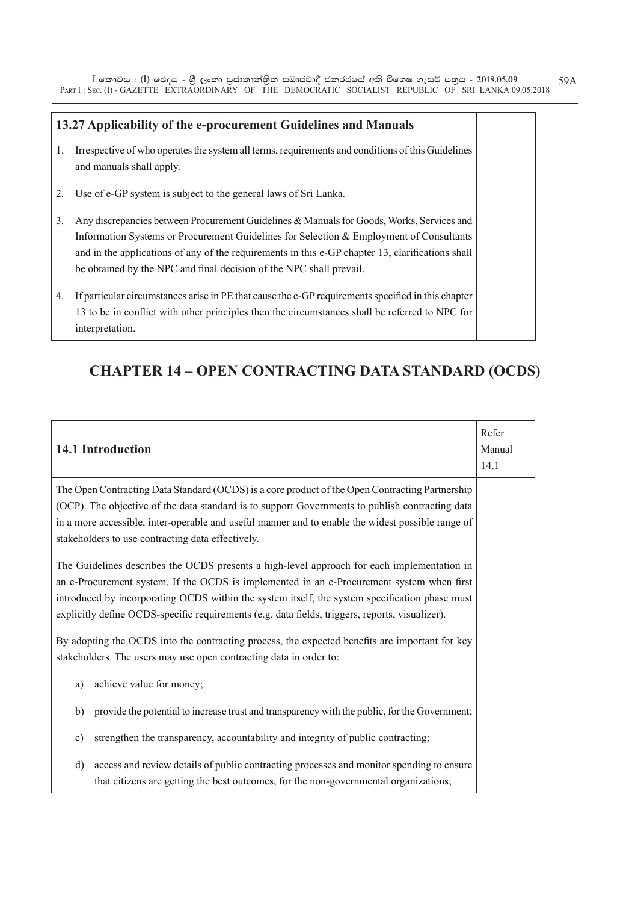$\bar{\rm I}$  කොටස : ( $\rm I$ ) ඡෙදය - ශුී ලංකා පුජාතාන්තිුක සමාජවාදී ජනරජයේ අති විශෙෂ ගැසට් පතුය - 2018.05.09 PART I : SEC. (I) - GAZETTE EXTRAORDINARY OF THE DEMOCRATIC SOCIALIST REPUBLIC OF SRI LANKA 09.05.2018 59A

| 13.27 Applicability of the e-procurement Guidelines and Manuals |                                                                                                                                                                                                                                                                                                                                                                    |  |
|-----------------------------------------------------------------|--------------------------------------------------------------------------------------------------------------------------------------------------------------------------------------------------------------------------------------------------------------------------------------------------------------------------------------------------------------------|--|
| 1.                                                              | Irrespective of who operates the system all terms, requirements and conditions of this Guidelines<br>and manuals shall apply.                                                                                                                                                                                                                                      |  |
| 2.                                                              | Use of e-GP system is subject to the general laws of Sri Lanka.                                                                                                                                                                                                                                                                                                    |  |
| 3.                                                              | Any discrepancies between Procurement Guidelines & Manuals for Goods, Works, Services and<br>Information Systems or Procurement Guidelines for Selection $\&$ Employment of Consultants<br>and in the applications of any of the requirements in this e-GP chapter 13, clarifications shall<br>be obtained by the NPC and final decision of the NPC shall prevail. |  |
| 4.                                                              | If particular circumstances arise in PE that cause the e-GP requirements specified in this chapter<br>13 to be in conflict with other principles then the circumstances shall be referred to NPC for<br>interpretation.                                                                                                                                            |  |

#### **CHAPTER 14 – OPEN CONTRACTING DATA STANDARD (OCDS)**

| Refer<br>14.1 Introduction<br>Manual                                                                                                                                                                                                                                                                                                                                                          |  |  |
|-----------------------------------------------------------------------------------------------------------------------------------------------------------------------------------------------------------------------------------------------------------------------------------------------------------------------------------------------------------------------------------------------|--|--|
| The Open Contracting Data Standard (OCDS) is a core product of the Open Contracting Partnership<br>(OCP). The objective of the data standard is to support Governments to publish contracting data<br>in a more accessible, inter-operable and useful manner and to enable the widest possible range of<br>stakeholders to use contracting data effectively.                                  |  |  |
| The Guidelines describes the OCDS presents a high-level approach for each implementation in<br>an e-Procurement system. If the OCDS is implemented in an e-Procurement system when first<br>introduced by incorporating OCDS within the system itself, the system specification phase must<br>explicitly define OCDS-specific requirements (e.g. data fields, triggers, reports, visualizer). |  |  |
| By adopting the OCDS into the contracting process, the expected benefits are important for key<br>stakeholders. The users may use open contracting data in order to:                                                                                                                                                                                                                          |  |  |
| achieve value for money;<br>a)                                                                                                                                                                                                                                                                                                                                                                |  |  |
| provide the potential to increase trust and transparency with the public, for the Government;<br>b)                                                                                                                                                                                                                                                                                           |  |  |
| strengthen the transparency, accountability and integrity of public contracting;<br>$\mathbf{c})$                                                                                                                                                                                                                                                                                             |  |  |
| access and review details of public contracting processes and monitor spending to ensure<br>d)<br>that citizens are getting the best outcomes, for the non-governmental organizations;                                                                                                                                                                                                        |  |  |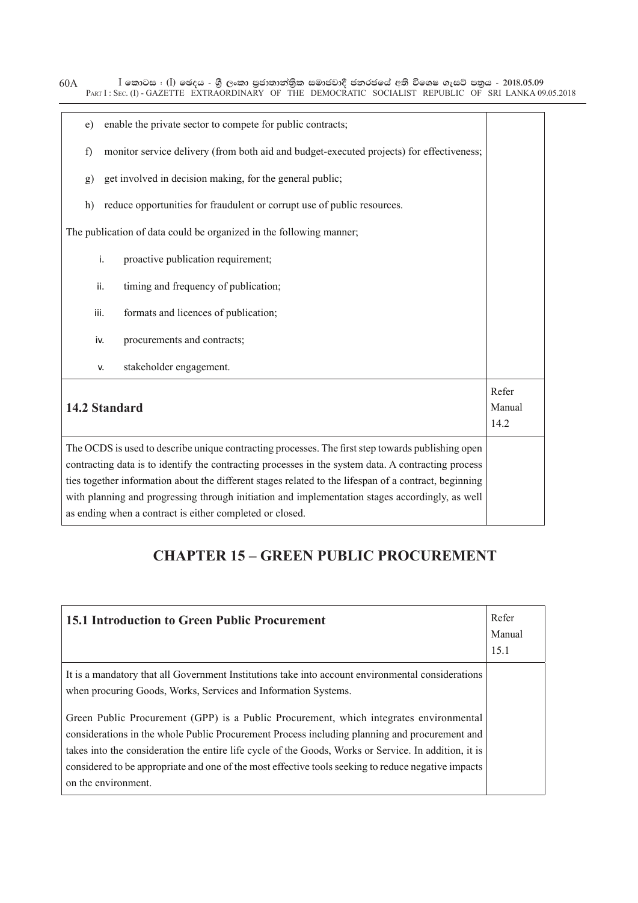$\bar{\rm I}$  කොටස : ( $\rm I$ ) ඡෙදය - ශුී ලංකා පුජාතාන්තිුක සමාජවාදී ජනරජයේ අති විශෙෂ ගැසට් පතුය - 2018.05.09 PART I : SEC. (I) - GAZETTE EXTRAORDINARY OF THE DEMOCRATIC SOCIALIST REPUBLIC OF SRI LANKA 09.05.2018

| enable the private sector to compete for public contracts;<br>e)                                                                                                                                                                                                                                                                                                                                                                                                                 |                                                                                          |  |  |  |  |
|----------------------------------------------------------------------------------------------------------------------------------------------------------------------------------------------------------------------------------------------------------------------------------------------------------------------------------------------------------------------------------------------------------------------------------------------------------------------------------|------------------------------------------------------------------------------------------|--|--|--|--|
| f)                                                                                                                                                                                                                                                                                                                                                                                                                                                                               | monitor service delivery (from both aid and budget-executed projects) for effectiveness; |  |  |  |  |
| g)                                                                                                                                                                                                                                                                                                                                                                                                                                                                               | get involved in decision making, for the general public;                                 |  |  |  |  |
| h)                                                                                                                                                                                                                                                                                                                                                                                                                                                                               | reduce opportunities for fraudulent or corrupt use of public resources.                  |  |  |  |  |
|                                                                                                                                                                                                                                                                                                                                                                                                                                                                                  | The publication of data could be organized in the following manner;                      |  |  |  |  |
| i.                                                                                                                                                                                                                                                                                                                                                                                                                                                                               | proactive publication requirement;                                                       |  |  |  |  |
| ii.                                                                                                                                                                                                                                                                                                                                                                                                                                                                              | timing and frequency of publication;                                                     |  |  |  |  |
| iii.                                                                                                                                                                                                                                                                                                                                                                                                                                                                             | formats and licences of publication;                                                     |  |  |  |  |
| iv.                                                                                                                                                                                                                                                                                                                                                                                                                                                                              | procurements and contracts;                                                              |  |  |  |  |
| v.                                                                                                                                                                                                                                                                                                                                                                                                                                                                               | stakeholder engagement.                                                                  |  |  |  |  |
| 14.2 Standard                                                                                                                                                                                                                                                                                                                                                                                                                                                                    |                                                                                          |  |  |  |  |
| The OCDS is used to describe unique contracting processes. The first step towards publishing open<br>contracting data is to identify the contracting processes in the system data. A contracting process<br>ties together information about the different stages related to the lifespan of a contract, beginning<br>with planning and progressing through initiation and implementation stages accordingly, as well<br>as ending when a contract is either completed or closed. |                                                                                          |  |  |  |  |

#### **CHAPTER 15 – GREEN PUBLIC PROCUREMENT**

| <b>15.1 Introduction to Green Public Procurement</b>                                                                                                                                                                                                                                                                                                                                                                           | Refer<br>Manual<br>15.1 |
|--------------------------------------------------------------------------------------------------------------------------------------------------------------------------------------------------------------------------------------------------------------------------------------------------------------------------------------------------------------------------------------------------------------------------------|-------------------------|
| It is a mandatory that all Government Institutions take into account environmental considerations<br>when procuring Goods, Works, Services and Information Systems.                                                                                                                                                                                                                                                            |                         |
| Green Public Procurement (GPP) is a Public Procurement, which integrates environmental<br>considerations in the whole Public Procurement Process including planning and procurement and<br>takes into the consideration the entire life cycle of the Goods, Works or Service. In addition, it is<br>considered to be appropriate and one of the most effective tools seeking to reduce negative impacts<br>on the environment. |                         |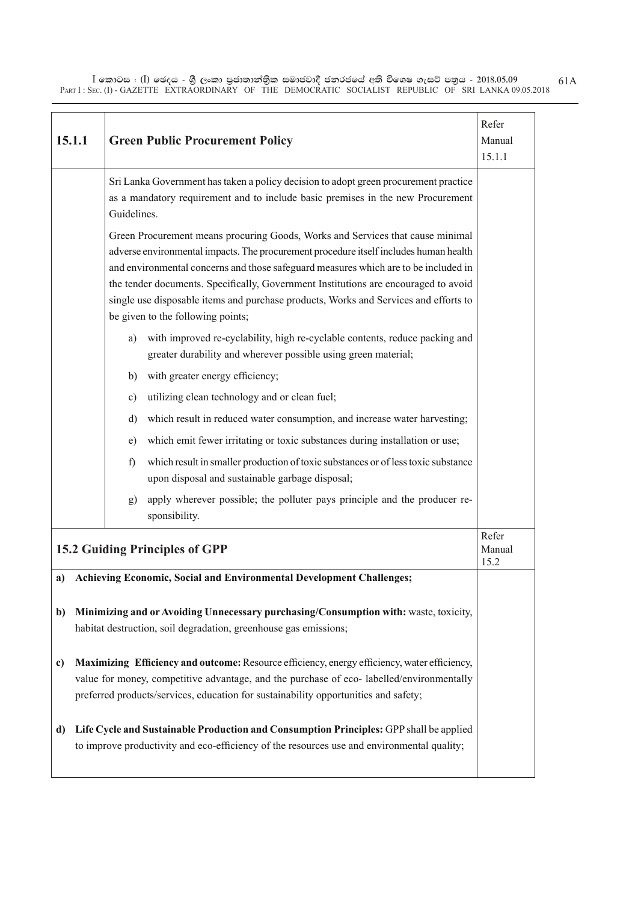$\bar{\rm I}$  කොටස : ( $\rm I$ ) ඡෙදය - ශුී ලංකා පුජාතාන්තිුක සමාජවාදී ජනරජයේ අති විශෙෂ ගැසට් පතුය - 2018.05.09 PART I : SEC. (I) - GAZETTE EXTRAORDINARY OF THE DEMOCRATIC SOCIALIST REPUBLIC OF SRI LANKA 09.05.2018

|                                                                                                                                                                | 15.1.1<br><b>Green Public Procurement Policy</b>                                                                                                                                                                                                                                                                                                                                                                                                                                   |    | Refer<br>Manual<br>15.1.1                                                                                                                     |                         |
|----------------------------------------------------------------------------------------------------------------------------------------------------------------|------------------------------------------------------------------------------------------------------------------------------------------------------------------------------------------------------------------------------------------------------------------------------------------------------------------------------------------------------------------------------------------------------------------------------------------------------------------------------------|----|-----------------------------------------------------------------------------------------------------------------------------------------------|-------------------------|
|                                                                                                                                                                | Sri Lanka Government has taken a policy decision to adopt green procurement practice<br>as a mandatory requirement and to include basic premises in the new Procurement<br>Guidelines.                                                                                                                                                                                                                                                                                             |    |                                                                                                                                               |                         |
|                                                                                                                                                                | Green Procurement means procuring Goods, Works and Services that cause minimal<br>adverse environmental impacts. The procurement procedure itself includes human health<br>and environmental concerns and those safeguard measures which are to be included in<br>the tender documents. Specifically, Government Institutions are encouraged to avoid<br>single use disposable items and purchase products, Works and Services and efforts to<br>be given to the following points; |    |                                                                                                                                               |                         |
|                                                                                                                                                                |                                                                                                                                                                                                                                                                                                                                                                                                                                                                                    | a) | with improved re-cyclability, high re-cyclable contents, reduce packing and<br>greater durability and wherever possible using green material; |                         |
|                                                                                                                                                                |                                                                                                                                                                                                                                                                                                                                                                                                                                                                                    | b) | with greater energy efficiency;                                                                                                               |                         |
|                                                                                                                                                                |                                                                                                                                                                                                                                                                                                                                                                                                                                                                                    | c) | utilizing clean technology and or clean fuel;                                                                                                 |                         |
|                                                                                                                                                                |                                                                                                                                                                                                                                                                                                                                                                                                                                                                                    | d) | which result in reduced water consumption, and increase water harvesting;                                                                     |                         |
|                                                                                                                                                                |                                                                                                                                                                                                                                                                                                                                                                                                                                                                                    | e) | which emit fewer irritating or toxic substances during installation or use;                                                                   |                         |
|                                                                                                                                                                |                                                                                                                                                                                                                                                                                                                                                                                                                                                                                    | f) | which result in smaller production of toxic substances or of less toxic substance<br>upon disposal and sustainable garbage disposal;          |                         |
|                                                                                                                                                                |                                                                                                                                                                                                                                                                                                                                                                                                                                                                                    | g) | apply wherever possible; the polluter pays principle and the producer re-<br>sponsibility.                                                    |                         |
|                                                                                                                                                                |                                                                                                                                                                                                                                                                                                                                                                                                                                                                                    |    | <b>15.2 Guiding Principles of GPP</b>                                                                                                         | Refer<br>Manual<br>15.2 |
| a)                                                                                                                                                             |                                                                                                                                                                                                                                                                                                                                                                                                                                                                                    |    | Achieving Economic, Social and Environmental Development Challenges;                                                                          |                         |
| Minimizing and or Avoiding Unnecessary purchasing/Consumption with: waste, toxicity,<br>b)<br>habitat destruction, soil degradation, greenhouse gas emissions; |                                                                                                                                                                                                                                                                                                                                                                                                                                                                                    |    |                                                                                                                                               |                         |
| c)                                                                                                                                                             | Maximizing Efficiency and outcome: Resource efficiency, energy efficiency, water efficiency,<br>value for money, competitive advantage, and the purchase of eco- labelled/environmentally<br>preferred products/services, education for sustainability opportunities and safety;                                                                                                                                                                                                   |    |                                                                                                                                               |                         |
| d)                                                                                                                                                             | Life Cycle and Sustainable Production and Consumption Principles: GPP shall be applied<br>to improve productivity and eco-efficiency of the resources use and environmental quality;                                                                                                                                                                                                                                                                                               |    |                                                                                                                                               |                         |

61A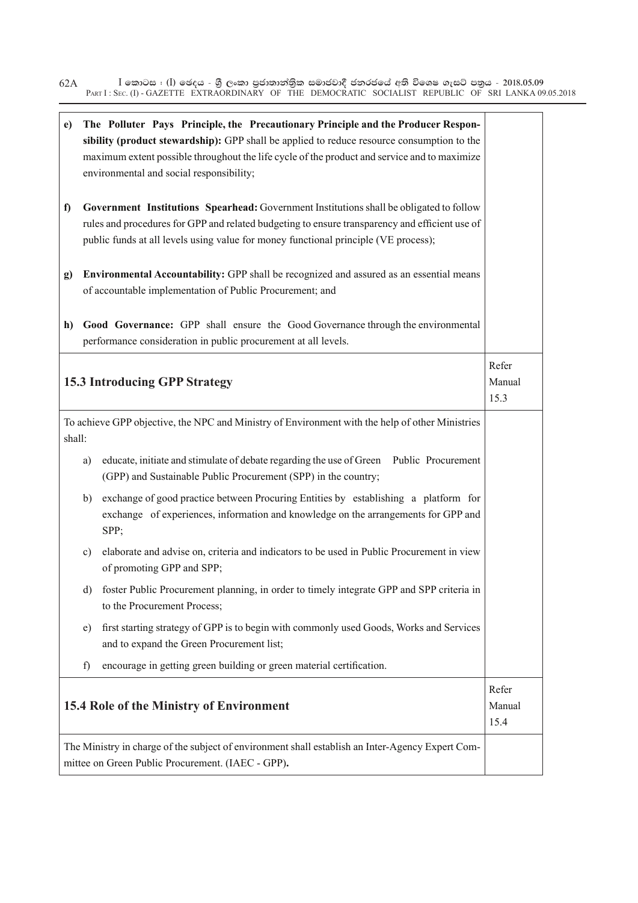$\bar{\rm I}$  කොටස : ( $\rm I$ ) ඡෙදය - ශුී ලංකා පුජාතාන්තිුක සමාජවාදී ජනරජයේ අති විශෙෂ ගැසට් පතුය - 2018.05.09 PART I : SEC. (I) - GAZETTE EXTRAORDINARY OF THE DEMOCRATIC SOCIALIST REPUBLIC OF SRI LANKA 09.05.2018 62A

| $\mathbf{e})$ |                                                                                                                                                                                                                                                                                  | The Polluter Pays Principle, the Precautionary Principle and the Producer Respon-<br>sibility (product stewardship): GPP shall be applied to reduce resource consumption to the<br>maximum extent possible throughout the life cycle of the product and service and to maximize<br>environmental and social responsibility; |                         |  |  |  |
|---------------|----------------------------------------------------------------------------------------------------------------------------------------------------------------------------------------------------------------------------------------------------------------------------------|-----------------------------------------------------------------------------------------------------------------------------------------------------------------------------------------------------------------------------------------------------------------------------------------------------------------------------|-------------------------|--|--|--|
| f)            | Government Institutions Spearhead: Government Institutions shall be obligated to follow<br>rules and procedures for GPP and related budgeting to ensure transparency and efficient use of<br>public funds at all levels using value for money functional principle (VE process); |                                                                                                                                                                                                                                                                                                                             |                         |  |  |  |
| g)            |                                                                                                                                                                                                                                                                                  | Environmental Accountability: GPP shall be recognized and assured as an essential means<br>of accountable implementation of Public Procurement; and                                                                                                                                                                         |                         |  |  |  |
| h)            |                                                                                                                                                                                                                                                                                  | Good Governance: GPP shall ensure the Good Governance through the environmental<br>performance consideration in public procurement at all levels.                                                                                                                                                                           |                         |  |  |  |
|               |                                                                                                                                                                                                                                                                                  | <b>15.3 Introducing GPP Strategy</b>                                                                                                                                                                                                                                                                                        | Refer<br>Manual<br>15.3 |  |  |  |
| shall:        |                                                                                                                                                                                                                                                                                  | To achieve GPP objective, the NPC and Ministry of Environment with the help of other Ministries                                                                                                                                                                                                                             |                         |  |  |  |
|               | a)                                                                                                                                                                                                                                                                               | educate, initiate and stimulate of debate regarding the use of Green Public Procurement<br>(GPP) and Sustainable Public Procurement (SPP) in the country;                                                                                                                                                                   |                         |  |  |  |
|               | b)                                                                                                                                                                                                                                                                               | exchange of good practice between Procuring Entities by establishing a platform for<br>exchange of experiences, information and knowledge on the arrangements for GPP and<br>SPP;                                                                                                                                           |                         |  |  |  |
|               | c)                                                                                                                                                                                                                                                                               | elaborate and advise on, criteria and indicators to be used in Public Procurement in view<br>of promoting GPP and SPP;                                                                                                                                                                                                      |                         |  |  |  |
|               | d)                                                                                                                                                                                                                                                                               | foster Public Procurement planning, in order to timely integrate GPP and SPP criteria in<br>to the Procurement Process;                                                                                                                                                                                                     |                         |  |  |  |
|               | e)                                                                                                                                                                                                                                                                               | first starting strategy of GPP is to begin with commonly used Goods, Works and Services<br>and to expand the Green Procurement list;                                                                                                                                                                                        |                         |  |  |  |
|               | f)                                                                                                                                                                                                                                                                               | encourage in getting green building or green material certification.                                                                                                                                                                                                                                                        |                         |  |  |  |
|               |                                                                                                                                                                                                                                                                                  | 15.4 Role of the Ministry of Environment                                                                                                                                                                                                                                                                                    | Refer<br>Manual<br>15.4 |  |  |  |
|               |                                                                                                                                                                                                                                                                                  | The Ministry in charge of the subject of environment shall establish an Inter-Agency Expert Com-<br>mittee on Green Public Procurement. (IAEC - GPP).                                                                                                                                                                       |                         |  |  |  |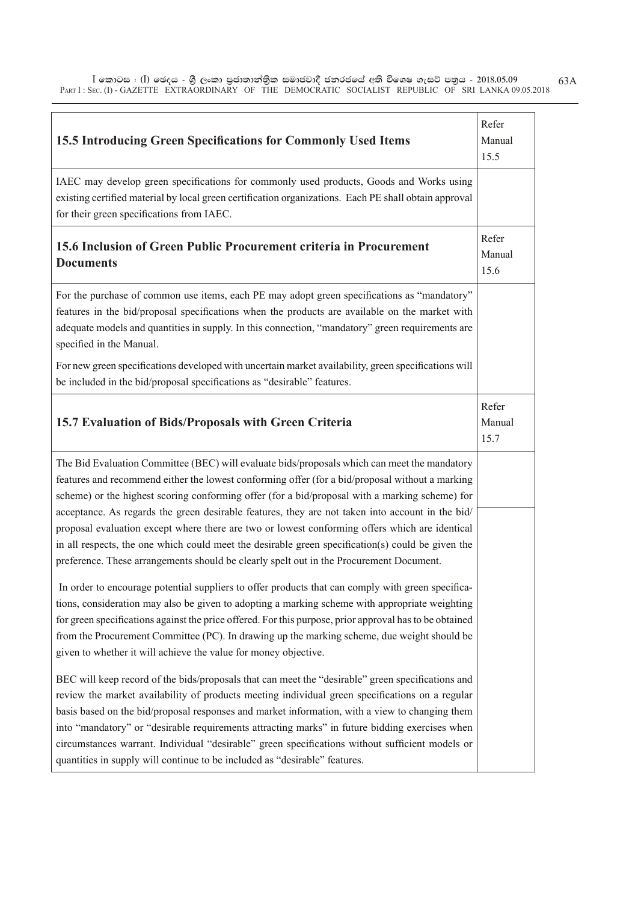| 15.5 Introducing Green Specifications for Commonly Used Items                                                                                                                                                                                                                                                                                                                                                                                                                                                                                                                                                                                                                                           | Refer<br>Manual<br>15.5 |
|---------------------------------------------------------------------------------------------------------------------------------------------------------------------------------------------------------------------------------------------------------------------------------------------------------------------------------------------------------------------------------------------------------------------------------------------------------------------------------------------------------------------------------------------------------------------------------------------------------------------------------------------------------------------------------------------------------|-------------------------|
| IAEC may develop green specifications for commonly used products, Goods and Works using<br>existing certified material by local green certification organizations. Each PE shall obtain approval<br>for their green specifications from IAEC.                                                                                                                                                                                                                                                                                                                                                                                                                                                           |                         |
| 15.6 Inclusion of Green Public Procurement criteria in Procurement<br><b>Documents</b>                                                                                                                                                                                                                                                                                                                                                                                                                                                                                                                                                                                                                  | Refer<br>Manual<br>15.6 |
| For the purchase of common use items, each PE may adopt green specifications as "mandatory"<br>features in the bid/proposal specifications when the products are available on the market with<br>adequate models and quantities in supply. In this connection, "mandatory" green requirements are<br>specified in the Manual.                                                                                                                                                                                                                                                                                                                                                                           |                         |
| For new green specifications developed with uncertain market availability, green specifications will<br>be included in the bid/proposal specifications as "desirable" features.                                                                                                                                                                                                                                                                                                                                                                                                                                                                                                                         |                         |
| 15.7 Evaluation of Bids/Proposals with Green Criteria                                                                                                                                                                                                                                                                                                                                                                                                                                                                                                                                                                                                                                                   | Refer<br>Manual<br>15.7 |
| The Bid Evaluation Committee (BEC) will evaluate bids/proposals which can meet the mandatory<br>features and recommend either the lowest conforming offer (for a bid/proposal without a marking<br>scheme) or the highest scoring conforming offer (for a bid/proposal with a marking scheme) for<br>acceptance. As regards the green desirable features, they are not taken into account in the bid/<br>proposal evaluation except where there are two or lowest conforming offers which are identical<br>in all respects, the one which could meet the desirable green specification(s) could be given the<br>preference. These arrangements should be clearly spelt out in the Procurement Document. |                         |
| In order to encourage potential suppliers to offer products that can comply with green specifica-<br>tions, consideration may also be given to adopting a marking scheme with appropriate weighting<br>for green specifications against the price offered. For this purpose, prior approval has to be obtained<br>from the Procurement Committee (PC). In drawing up the marking scheme, due weight should be<br>given to whether it will achieve the value for money objective.                                                                                                                                                                                                                        |                         |
| BEC will keep record of the bids/proposals that can meet the "desirable" green specifications and<br>review the market availability of products meeting individual green specifications on a regular<br>basis based on the bid/proposal responses and market information, with a view to changing them<br>into "mandatory" or "desirable requirements attracting marks" in future bidding exercises when<br>circumstances warrant. Individual "desirable" green specifications without sufficient models or<br>quantities in supply will continue to be included as "desirable" features.                                                                                                               |                         |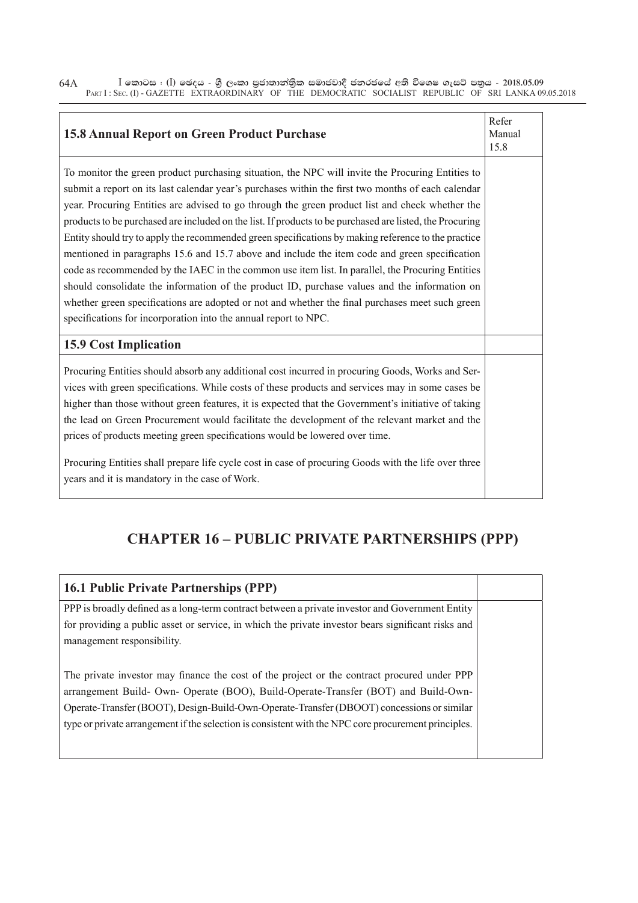$\bar{\rm I}$  කොටස : ( $\rm I$ ) ඡෙදය - ශුී ලංකා පුජාතාන්තිුක සමාජවාදී ජනරජයේ අති විශෙෂ ගැසට් පතුය - 2018.05.09 PART I : SEC. (I) - GAZETTE EXTRAORDINARY OF THE DEMOCRATIC SOCIALIST REPUBLIC OF SRI LANKA 09.05.2018 64A

| <b>15.8 Annual Report on Green Product Purchase</b>                                                                                                                                                                                                                                                                                                                                                                                                                                                                                                                                                                                                                                                                                                                                                                                                                                                                                                                                                     |  |  |
|---------------------------------------------------------------------------------------------------------------------------------------------------------------------------------------------------------------------------------------------------------------------------------------------------------------------------------------------------------------------------------------------------------------------------------------------------------------------------------------------------------------------------------------------------------------------------------------------------------------------------------------------------------------------------------------------------------------------------------------------------------------------------------------------------------------------------------------------------------------------------------------------------------------------------------------------------------------------------------------------------------|--|--|
| To monitor the green product purchasing situation, the NPC will invite the Procuring Entities to<br>submit a report on its last calendar year's purchases within the first two months of each calendar<br>year. Procuring Entities are advised to go through the green product list and check whether the<br>products to be purchased are included on the list. If products to be purchased are listed, the Procuring<br>Entity should try to apply the recommended green specifications by making reference to the practice<br>mentioned in paragraphs 15.6 and 15.7 above and include the item code and green specification<br>code as recommended by the IAEC in the common use item list. In parallel, the Procuring Entities<br>should consolidate the information of the product ID, purchase values and the information on<br>whether green specifications are adopted or not and whether the final purchases meet such green<br>specifications for incorporation into the annual report to NPC. |  |  |
| <b>15.9 Cost Implication</b>                                                                                                                                                                                                                                                                                                                                                                                                                                                                                                                                                                                                                                                                                                                                                                                                                                                                                                                                                                            |  |  |
| Procuring Entities should absorb any additional cost incurred in procuring Goods, Works and Ser-<br>vices with green specifications. While costs of these products and services may in some cases be<br>higher than those without green features, it is expected that the Government's initiative of taking<br>the lead on Green Procurement would facilitate the development of the relevant market and the<br>prices of products meeting green specifications would be lowered over time.<br>Procuring Entities shall prepare life cycle cost in case of procuring Goods with the life over three<br>years and it is mandatory in the case of Work.                                                                                                                                                                                                                                                                                                                                                   |  |  |

## **CHAPTER 16 – PUBLIC PRIVATE PARTNERSHIPS (PPP)**

| <b>16.1 Public Private Partnerships (PPP)</b>                                                                                                                                                                                                                                                                                                                                          |  |
|----------------------------------------------------------------------------------------------------------------------------------------------------------------------------------------------------------------------------------------------------------------------------------------------------------------------------------------------------------------------------------------|--|
| PPP is broadly defined as a long-term contract between a private investor and Government Entity<br>for providing a public asset or service, in which the private investor bears significant risks and<br>management responsibility.                                                                                                                                                    |  |
| The private investor may finance the cost of the project or the contract procured under PPP<br>arrangement Build- Own- Operate (BOO), Build-Operate-Transfer (BOT) and Build-Own-<br>Operate-Transfer (BOOT), Design-Build-Own-Operate-Transfer (DBOOT) concessions or similar<br>type or private arrangement if the selection is consistent with the NPC core procurement principles. |  |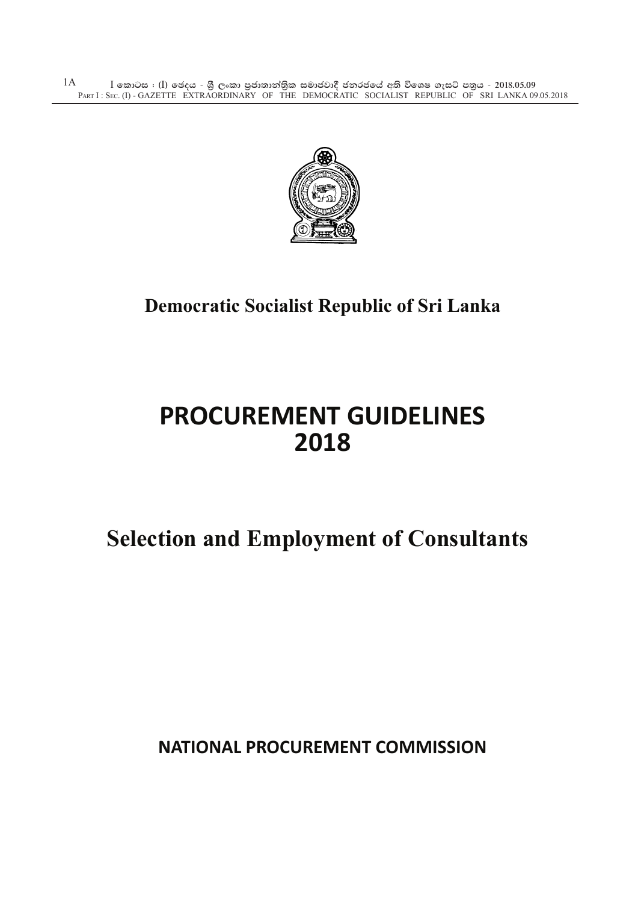$\bar{\rm I}$  කොටස : ( $\rm I$ ) ඡෙදය - ශුී ලංකා පුජාතාන්තිුක සමාජවාදී ජනරජයේ අති විශෙෂ ගැසට් පතුය - 2018.05.09 PART I : SEC. (I) - GAZETTE EXTRAORDINARY OF THE DEMOCRATIC SOCIALIST REPUBLIC OF SRI LANKA 09.05.2018 1A



## **Democratic Socialist Republic of Sri Lanka**

## **PROCUREMENT GUIDELINES 2018**

# **Selection and Employment of Consultants**

**NATIONAL PROCUREMENT COMMISSION**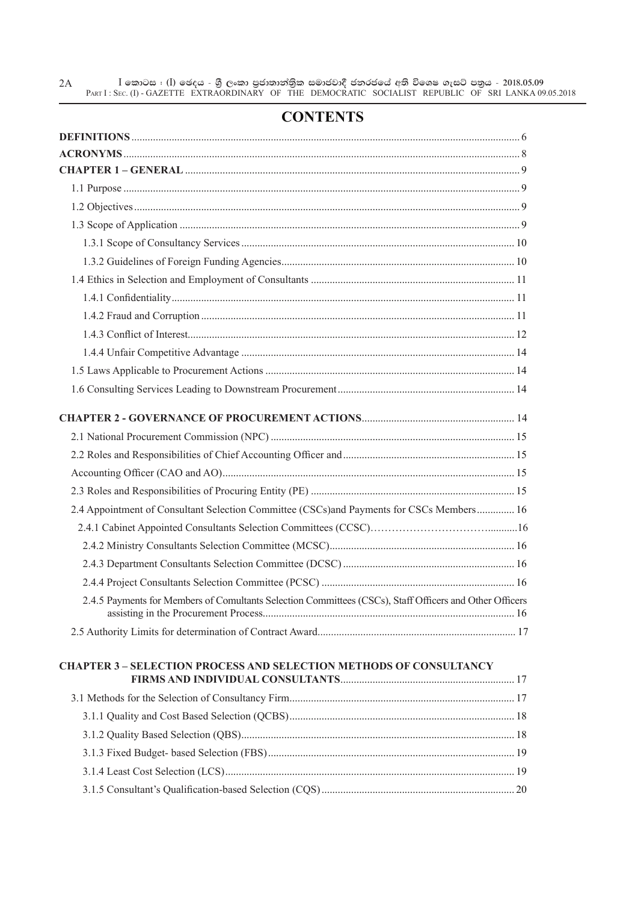$\bar{\rm I}$  කොටස : ( $\rm I$ ) ඡෙදය - ශුී ලංකා පුජාතාන්තිුක සමාජවාදී ජනරජයේ අති විශෙෂ ගැසට් පතුය - 2018.05.09 PART I : SEC. (I) - GAZETTE EXTRAORDINARY OF THE DEMOCRATIC SOCIALIST REPUBLIC OF SRI LANKA 09.05.2018 2A

#### **CONTENTS**

| 2.4 Appointment of Consultant Selection Committee (CSCs)and Payments for CSCs Members 16                |  |
|---------------------------------------------------------------------------------------------------------|--|
|                                                                                                         |  |
|                                                                                                         |  |
|                                                                                                         |  |
|                                                                                                         |  |
| 2.4.5 Payments for Members of Comultants Selection Committees (CSCs), Staff Officers and Other Officers |  |
|                                                                                                         |  |
| <b>CHAPTER 3 - SELECTION PROCESS AND SELECTION METHODS OF CONSULTANCY</b>                               |  |
|                                                                                                         |  |
|                                                                                                         |  |
|                                                                                                         |  |
|                                                                                                         |  |
|                                                                                                         |  |
|                                                                                                         |  |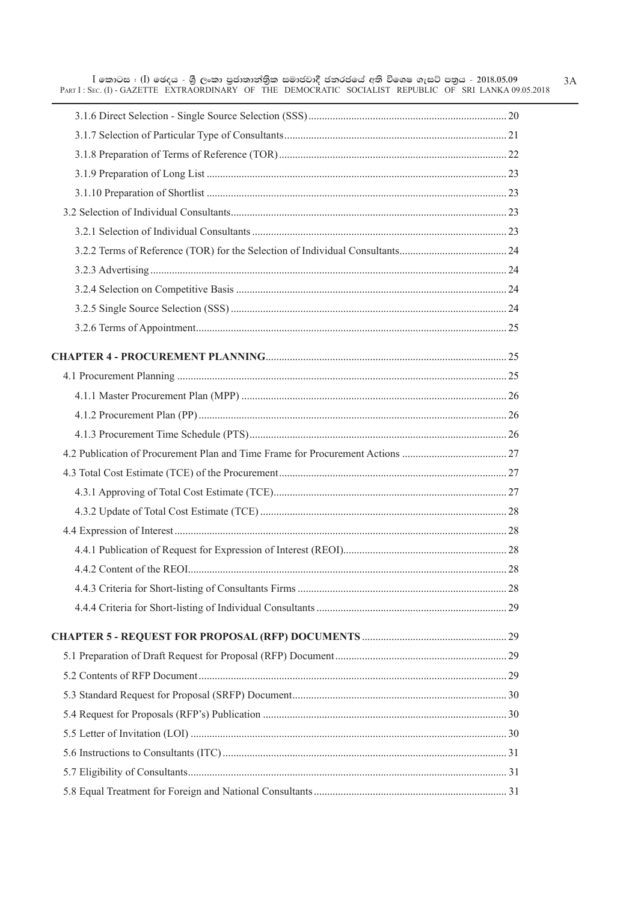$3A$ 

L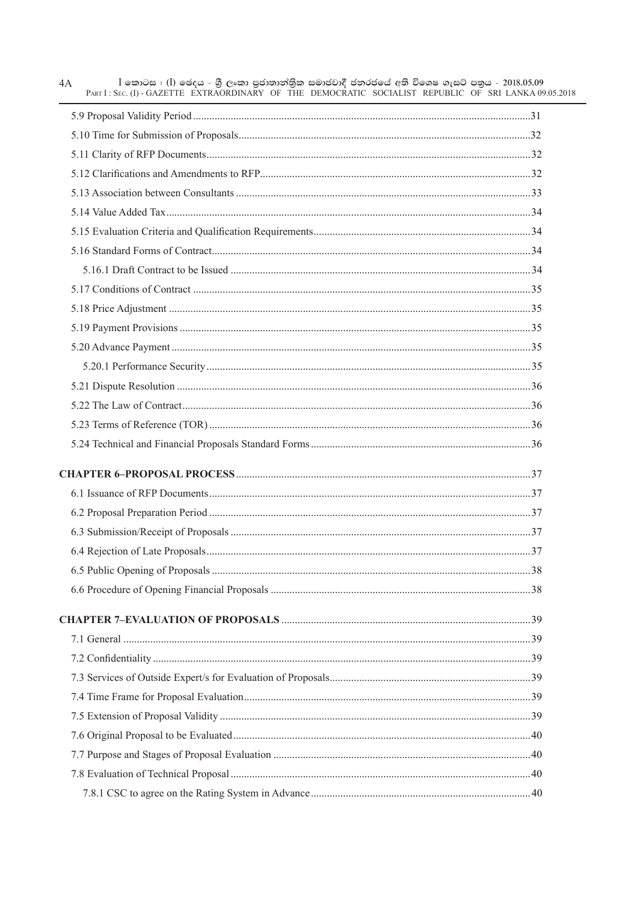| $I$ කොටස : (I) ඡෙදය - ශුී ලංකා පුජාතාන්තිුක සමාජවාදී ජනරජයේ අති විශෙෂ ගැසට් පතුය - 2018.05.09<br>4A<br>PART I: SEC. (I) - GAZETTE EXTRAORDINARY OF THE DEMOCRATIC SOCIALIST REPUBLIC OF SRI LANKA 09.05.2018 |  |
|--------------------------------------------------------------------------------------------------------------------------------------------------------------------------------------------------------------|--|
|                                                                                                                                                                                                              |  |
|                                                                                                                                                                                                              |  |
|                                                                                                                                                                                                              |  |
|                                                                                                                                                                                                              |  |
|                                                                                                                                                                                                              |  |
|                                                                                                                                                                                                              |  |
|                                                                                                                                                                                                              |  |
|                                                                                                                                                                                                              |  |
|                                                                                                                                                                                                              |  |
|                                                                                                                                                                                                              |  |
|                                                                                                                                                                                                              |  |
|                                                                                                                                                                                                              |  |
|                                                                                                                                                                                                              |  |
|                                                                                                                                                                                                              |  |
|                                                                                                                                                                                                              |  |
|                                                                                                                                                                                                              |  |
|                                                                                                                                                                                                              |  |
|                                                                                                                                                                                                              |  |
|                                                                                                                                                                                                              |  |
|                                                                                                                                                                                                              |  |
|                                                                                                                                                                                                              |  |
|                                                                                                                                                                                                              |  |
|                                                                                                                                                                                                              |  |
|                                                                                                                                                                                                              |  |
|                                                                                                                                                                                                              |  |
|                                                                                                                                                                                                              |  |
|                                                                                                                                                                                                              |  |
|                                                                                                                                                                                                              |  |
|                                                                                                                                                                                                              |  |
|                                                                                                                                                                                                              |  |
|                                                                                                                                                                                                              |  |
|                                                                                                                                                                                                              |  |
|                                                                                                                                                                                                              |  |
|                                                                                                                                                                                                              |  |
|                                                                                                                                                                                                              |  |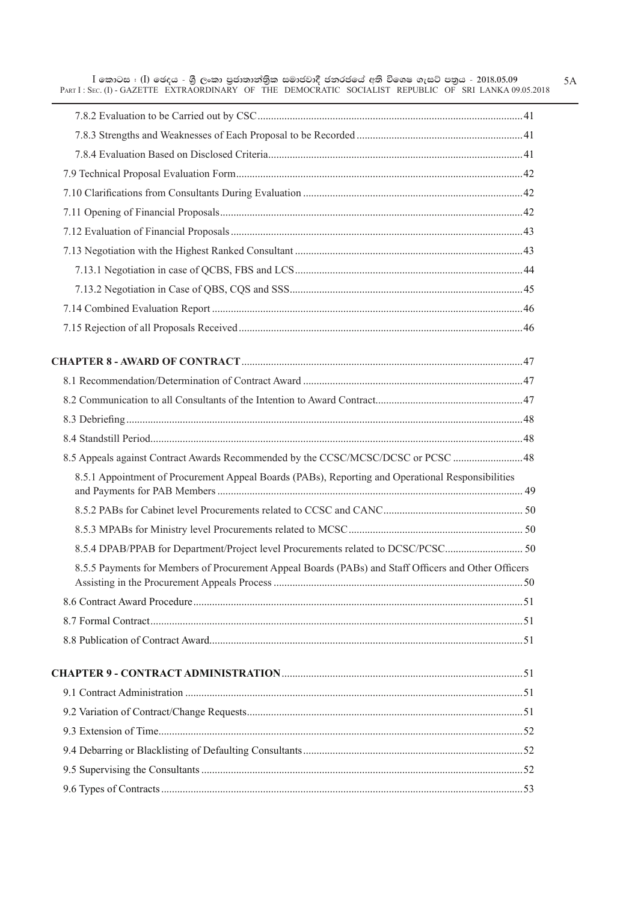| $I$ කොටස $I$ (I) ඡෙදය - ශුී ලංකා පුජාතාන්තික සමාජවාදී ජනරජයේ අති විශෙෂ ගැසට් පතුය - 2018.05.09<br>PART I: SEC. (I) - GAZETTE EXTRAORDINARY OF THE DEMOCRATIC SOCIALIST REPUBLIC OF SRI LANKA 09.05.2018 |  |
|---------------------------------------------------------------------------------------------------------------------------------------------------------------------------------------------------------|--|
|                                                                                                                                                                                                         |  |
|                                                                                                                                                                                                         |  |
|                                                                                                                                                                                                         |  |
|                                                                                                                                                                                                         |  |
|                                                                                                                                                                                                         |  |
|                                                                                                                                                                                                         |  |
|                                                                                                                                                                                                         |  |
|                                                                                                                                                                                                         |  |
|                                                                                                                                                                                                         |  |
|                                                                                                                                                                                                         |  |
|                                                                                                                                                                                                         |  |
|                                                                                                                                                                                                         |  |
|                                                                                                                                                                                                         |  |
|                                                                                                                                                                                                         |  |
|                                                                                                                                                                                                         |  |
|                                                                                                                                                                                                         |  |
|                                                                                                                                                                                                         |  |
| 8.5 Appeals against Contract Awards Recommended by the CCSC/MCSC/DCSC or PCSC 48                                                                                                                        |  |
| 8.5.1 Appointment of Procurement Appeal Boards (PABs), Reporting and Operational Responsibilities                                                                                                       |  |
|                                                                                                                                                                                                         |  |
|                                                                                                                                                                                                         |  |
|                                                                                                                                                                                                         |  |
| 8.5.5 Payments for Members of Procurement Appeal Boards (PABs) and Staff Officers and Other Officers                                                                                                    |  |
|                                                                                                                                                                                                         |  |
|                                                                                                                                                                                                         |  |
|                                                                                                                                                                                                         |  |
|                                                                                                                                                                                                         |  |
|                                                                                                                                                                                                         |  |
|                                                                                                                                                                                                         |  |
|                                                                                                                                                                                                         |  |
|                                                                                                                                                                                                         |  |
|                                                                                                                                                                                                         |  |
|                                                                                                                                                                                                         |  |

5A

L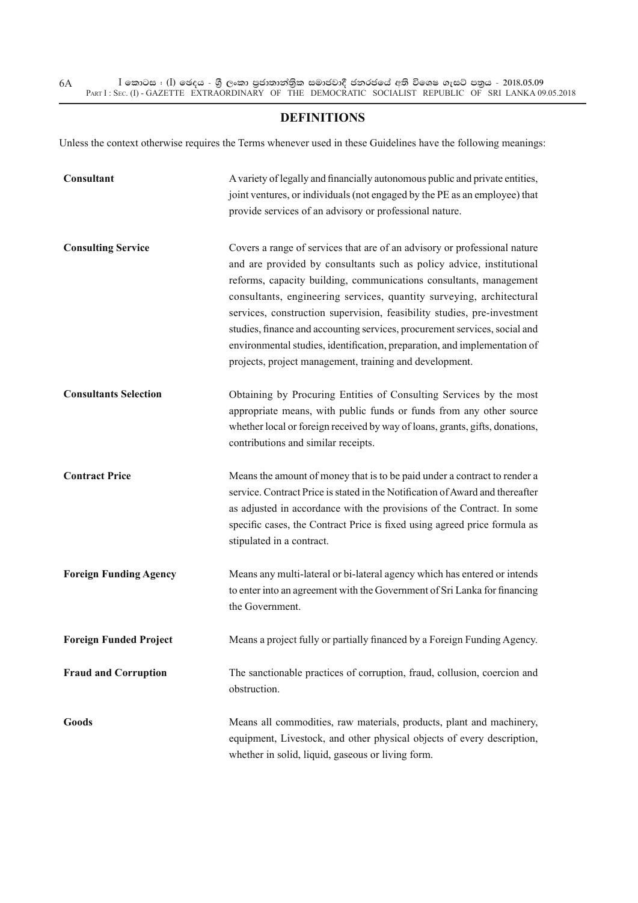#### **DEFINITIONS**

Unless the context otherwise requires the Terms whenever used in these Guidelines have the following meanings:

| Consultant                    | A variety of legally and financially autonomous public and private entities,<br>joint ventures, or individuals (not engaged by the PE as an employee) that<br>provide services of an advisory or professional nature.                                                                                                                                                                                                                                                                                                                                                                            |
|-------------------------------|--------------------------------------------------------------------------------------------------------------------------------------------------------------------------------------------------------------------------------------------------------------------------------------------------------------------------------------------------------------------------------------------------------------------------------------------------------------------------------------------------------------------------------------------------------------------------------------------------|
| <b>Consulting Service</b>     | Covers a range of services that are of an advisory or professional nature<br>and are provided by consultants such as policy advice, institutional<br>reforms, capacity building, communications consultants, management<br>consultants, engineering services, quantity surveying, architectural<br>services, construction supervision, feasibility studies, pre-investment<br>studies, finance and accounting services, procurement services, social and<br>environmental studies, identification, preparation, and implementation of<br>projects, project management, training and development. |
| <b>Consultants Selection</b>  | Obtaining by Procuring Entities of Consulting Services by the most<br>appropriate means, with public funds or funds from any other source<br>whether local or foreign received by way of loans, grants, gifts, donations,<br>contributions and similar receipts.                                                                                                                                                                                                                                                                                                                                 |
| <b>Contract Price</b>         | Means the amount of money that is to be paid under a contract to render a<br>service. Contract Price is stated in the Notification of Award and thereafter<br>as adjusted in accordance with the provisions of the Contract. In some<br>specific cases, the Contract Price is fixed using agreed price formula as<br>stipulated in a contract.                                                                                                                                                                                                                                                   |
| <b>Foreign Funding Agency</b> | Means any multi-lateral or bi-lateral agency which has entered or intends<br>to enter into an agreement with the Government of Sri Lanka for financing<br>the Government.                                                                                                                                                                                                                                                                                                                                                                                                                        |
| <b>Foreign Funded Project</b> | Means a project fully or partially financed by a Foreign Funding Agency.                                                                                                                                                                                                                                                                                                                                                                                                                                                                                                                         |
| <b>Fraud and Corruption</b>   | The sanctionable practices of corruption, fraud, collusion, coercion and<br>obstruction.                                                                                                                                                                                                                                                                                                                                                                                                                                                                                                         |
| <b>Goods</b>                  | Means all commodities, raw materials, products, plant and machinery,<br>equipment, Livestock, and other physical objects of every description,<br>whether in solid, liquid, gaseous or living form.                                                                                                                                                                                                                                                                                                                                                                                              |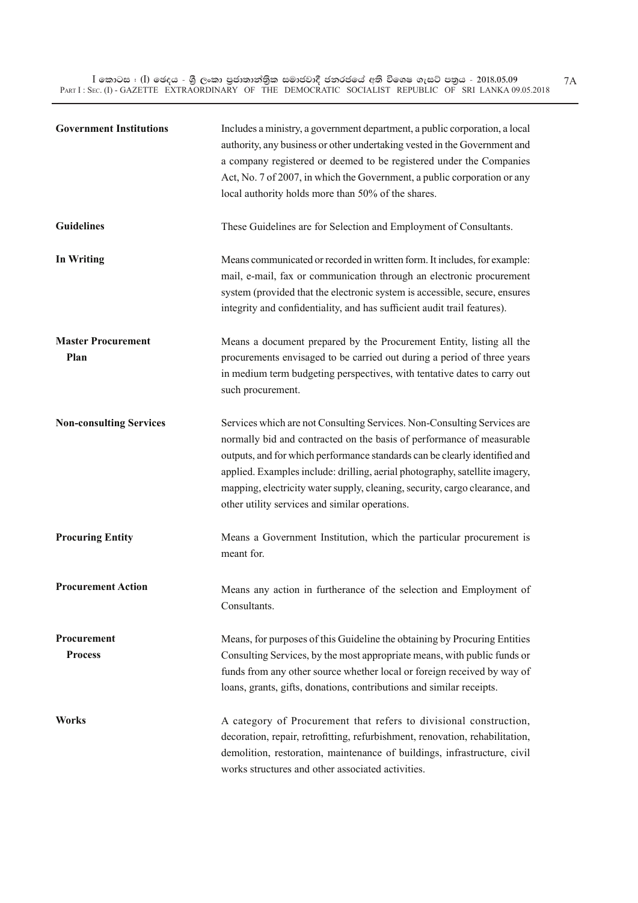$\bar{\rm I}$  කොටස : ( $\rm I$ ) ඡෙදය - ශුී ලංකා පුජාතාන්තිුක සමාජවාදී ජනරජයේ අති විශෙෂ ගැසට් පතුය - 2018.05.09 PART I : SEC. (I) - GAZETTE EXTRAORDINARY OF THE DEMOCRATIC SOCIALIST REPUBLIC OF SRI LANKA 09.05.2018

| <b>Government Institutions</b>    | Includes a ministry, a government department, a public corporation, a local<br>authority, any business or other undertaking vested in the Government and<br>a company registered or deemed to be registered under the Companies<br>Act, No. 7 of 2007, in which the Government, a public corporation or any<br>local authority holds more than 50% of the shares.                                                                              |
|-----------------------------------|------------------------------------------------------------------------------------------------------------------------------------------------------------------------------------------------------------------------------------------------------------------------------------------------------------------------------------------------------------------------------------------------------------------------------------------------|
| <b>Guidelines</b>                 | These Guidelines are for Selection and Employment of Consultants.                                                                                                                                                                                                                                                                                                                                                                              |
| <b>In Writing</b>                 | Means communicated or recorded in written form. It includes, for example:<br>mail, e-mail, fax or communication through an electronic procurement<br>system (provided that the electronic system is accessible, secure, ensures<br>integrity and confidentiality, and has sufficient audit trail features).                                                                                                                                    |
| <b>Master Procurement</b><br>Plan | Means a document prepared by the Procurement Entity, listing all the<br>procurements envisaged to be carried out during a period of three years<br>in medium term budgeting perspectives, with tentative dates to carry out<br>such procurement.                                                                                                                                                                                               |
| <b>Non-consulting Services</b>    | Services which are not Consulting Services. Non-Consulting Services are<br>normally bid and contracted on the basis of performance of measurable<br>outputs, and for which performance standards can be clearly identified and<br>applied. Examples include: drilling, aerial photography, satellite imagery,<br>mapping, electricity water supply, cleaning, security, cargo clearance, and<br>other utility services and similar operations. |
| <b>Procuring Entity</b>           | Means a Government Institution, which the particular procurement is<br>meant for.                                                                                                                                                                                                                                                                                                                                                              |
| <b>Procurement Action</b>         | Means any action in furtherance of the selection and Employment of<br>Consultants.                                                                                                                                                                                                                                                                                                                                                             |
| Procurement<br><b>Process</b>     | Means, for purposes of this Guideline the obtaining by Procuring Entities<br>Consulting Services, by the most appropriate means, with public funds or<br>funds from any other source whether local or foreign received by way of<br>loans, grants, gifts, donations, contributions and similar receipts.                                                                                                                                       |
| Works                             | A category of Procurement that refers to divisional construction,<br>decoration, repair, retrofitting, refurbishment, renovation, rehabilitation,<br>demolition, restoration, maintenance of buildings, infrastructure, civil<br>works structures and other associated activities.                                                                                                                                                             |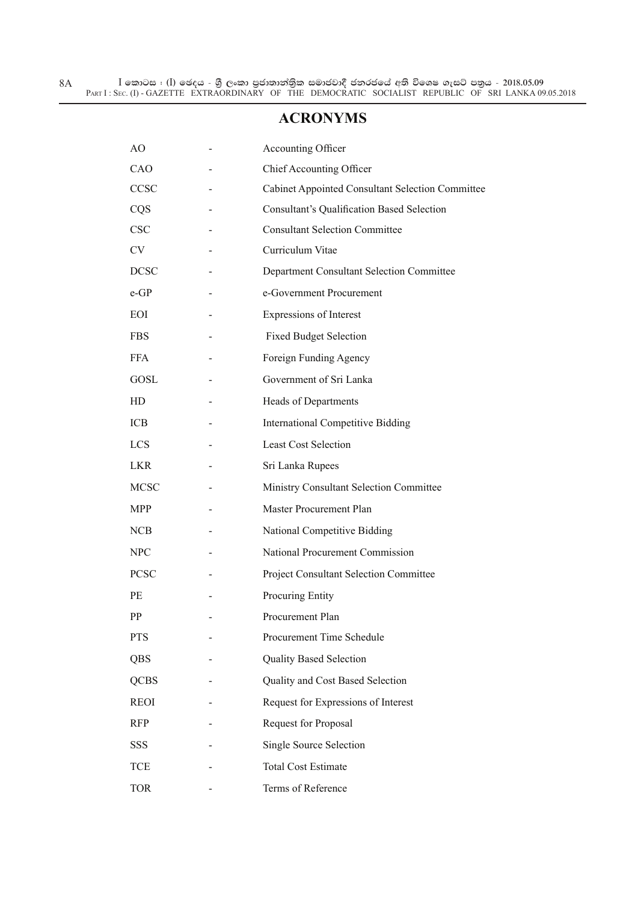#### **ACRONYMS**

| AO          | <b>Accounting Officer</b>                               |
|-------------|---------------------------------------------------------|
| CAO         | <b>Chief Accounting Officer</b>                         |
| CCSC        | <b>Cabinet Appointed Consultant Selection Committee</b> |
| CQS         | <b>Consultant's Qualification Based Selection</b>       |
| <b>CSC</b>  | <b>Consultant Selection Committee</b>                   |
| CV          | Curriculum Vitae                                        |
| <b>DCSC</b> | Department Consultant Selection Committee               |
| $e$ -GP     | e-Government Procurement                                |
| EOI         | Expressions of Interest                                 |
| <b>FBS</b>  | <b>Fixed Budget Selection</b>                           |
| <b>FFA</b>  | Foreign Funding Agency                                  |
| GOSL        | Government of Sri Lanka                                 |
| HD          | Heads of Departments                                    |
| ICB         | <b>International Competitive Bidding</b>                |
| <b>LCS</b>  | <b>Least Cost Selection</b>                             |
| <b>LKR</b>  | Sri Lanka Rupees                                        |
| <b>MCSC</b> | Ministry Consultant Selection Committee                 |
| MPP         | Master Procurement Plan                                 |
| <b>NCB</b>  | National Competitive Bidding                            |
| <b>NPC</b>  | National Procurement Commission                         |
| <b>PCSC</b> | <b>Project Consultant Selection Committee</b>           |
| PE          | Procuring Entity                                        |
| PP          | Procurement Plan                                        |
| <b>PTS</b>  | Procurement Time Schedule                               |
| QBS         | <b>Quality Based Selection</b>                          |
| <b>QCBS</b> | Quality and Cost Based Selection                        |
| <b>REOI</b> | Request for Expressions of Interest                     |
| <b>RFP</b>  | Request for Proposal                                    |
| <b>SSS</b>  | Single Source Selection                                 |
| <b>TCE</b>  | <b>Total Cost Estimate</b>                              |
| <b>TOR</b>  | Terms of Reference                                      |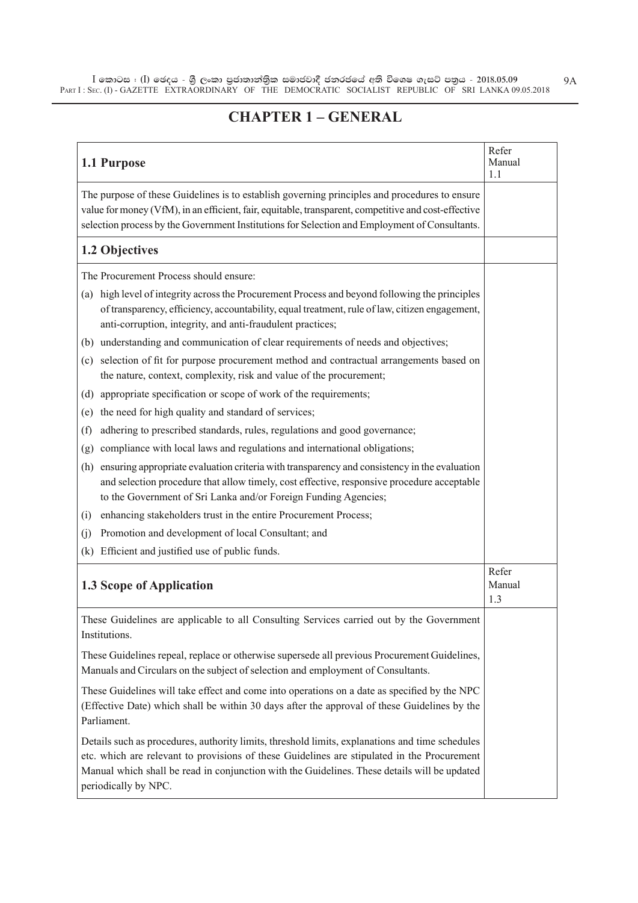# **CHAPTER 1 – GENERAL**

| 1.1 Purpose                                                                                                                                                                                                                                                                                                            | Refer<br>Manual<br>1.1 |
|------------------------------------------------------------------------------------------------------------------------------------------------------------------------------------------------------------------------------------------------------------------------------------------------------------------------|------------------------|
| The purpose of these Guidelines is to establish governing principles and procedures to ensure<br>value for money (VfM), in an efficient, fair, equitable, transparent, competitive and cost-effective<br>selection process by the Government Institutions for Selection and Employment of Consultants.                 |                        |
| 1.2 Objectives                                                                                                                                                                                                                                                                                                         |                        |
| The Procurement Process should ensure:                                                                                                                                                                                                                                                                                 |                        |
| high level of integrity across the Procurement Process and beyond following the principles<br>(a)<br>of transparency, efficiency, accountability, equal treatment, rule of law, citizen engagement,<br>anti-corruption, integrity, and anti-fraudulent practices;                                                      |                        |
| understanding and communication of clear requirements of needs and objectives;<br>(b)                                                                                                                                                                                                                                  |                        |
| selection of fit for purpose procurement method and contractual arrangements based on<br>(c)<br>the nature, context, complexity, risk and value of the procurement;                                                                                                                                                    |                        |
| appropriate specification or scope of work of the requirements;<br>(d)                                                                                                                                                                                                                                                 |                        |
| the need for high quality and standard of services;<br>(e)                                                                                                                                                                                                                                                             |                        |
| adhering to prescribed standards, rules, regulations and good governance;<br>(f)                                                                                                                                                                                                                                       |                        |
| compliance with local laws and regulations and international obligations;<br>(g)                                                                                                                                                                                                                                       |                        |
| ensuring appropriate evaluation criteria with transparency and consistency in the evaluation<br>(h)<br>and selection procedure that allow timely, cost effective, responsive procedure acceptable<br>to the Government of Sri Lanka and/or Foreign Funding Agencies;                                                   |                        |
| enhancing stakeholders trust in the entire Procurement Process;<br>(i)                                                                                                                                                                                                                                                 |                        |
| Promotion and development of local Consultant; and<br>(i)                                                                                                                                                                                                                                                              |                        |
| Efficient and justified use of public funds.<br>(k)                                                                                                                                                                                                                                                                    |                        |
| 1.3 Scope of Application                                                                                                                                                                                                                                                                                               | Refer<br>Manual<br>1.3 |
| These Guidelines are applicable to all Consulting Services carried out by the Government<br>Institutions.                                                                                                                                                                                                              |                        |
| These Guidelines repeal, replace or otherwise supersede all previous Procurement Guidelines,<br>Manuals and Circulars on the subject of selection and employment of Consultants.                                                                                                                                       |                        |
| These Guidelines will take effect and come into operations on a date as specified by the NPC<br>(Effective Date) which shall be within 30 days after the approval of these Guidelines by the<br>Parliament.                                                                                                            |                        |
| Details such as procedures, authority limits, threshold limits, explanations and time schedules<br>etc. which are relevant to provisions of these Guidelines are stipulated in the Procurement<br>Manual which shall be read in conjunction with the Guidelines. These details will be updated<br>periodically by NPC. |                        |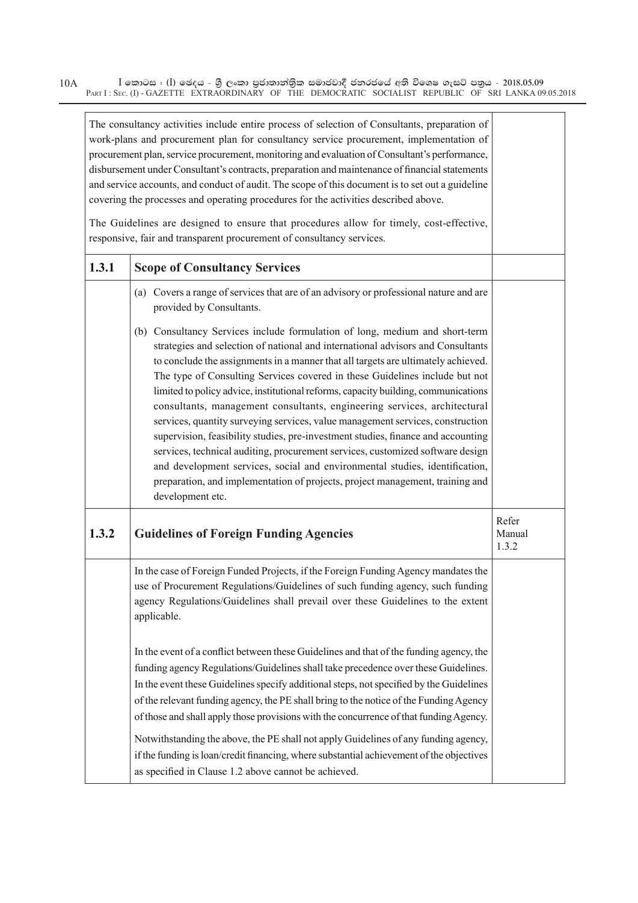|       | The consultancy activities include entire process of selection of Consultants, preparation of<br>work-plans and procurement plan for consultancy service procurement, implementation of<br>procurement plan, service procurement, monitoring and evaluation of Consultant's performance,<br>disbursement under Consultant's contracts, preparation and maintenance of financial statements<br>and service accounts, and conduct of audit. The scope of this document is to set out a guideline<br>covering the processes and operating procedures for the activities described above.                                                                                                                                                                                                                                                                                                                                                            |                          |
|-------|--------------------------------------------------------------------------------------------------------------------------------------------------------------------------------------------------------------------------------------------------------------------------------------------------------------------------------------------------------------------------------------------------------------------------------------------------------------------------------------------------------------------------------------------------------------------------------------------------------------------------------------------------------------------------------------------------------------------------------------------------------------------------------------------------------------------------------------------------------------------------------------------------------------------------------------------------|--------------------------|
|       | The Guidelines are designed to ensure that procedures allow for timely, cost-effective,<br>responsive, fair and transparent procurement of consultancy services.                                                                                                                                                                                                                                                                                                                                                                                                                                                                                                                                                                                                                                                                                                                                                                                 |                          |
| 1.3.1 | <b>Scope of Consultancy Services</b>                                                                                                                                                                                                                                                                                                                                                                                                                                                                                                                                                                                                                                                                                                                                                                                                                                                                                                             |                          |
|       | (a) Covers a range of services that are of an advisory or professional nature and are<br>provided by Consultants.                                                                                                                                                                                                                                                                                                                                                                                                                                                                                                                                                                                                                                                                                                                                                                                                                                |                          |
|       | (b) Consultancy Services include formulation of long, medium and short-term<br>strategies and selection of national and international advisors and Consultants<br>to conclude the assignments in a manner that all targets are ultimately achieved.<br>The type of Consulting Services covered in these Guidelines include but not<br>limited to policy advice, institutional reforms, capacity building, communications<br>consultants, management consultants, engineering services, architectural<br>services, quantity surveying services, value management services, construction<br>supervision, feasibility studies, pre-investment studies, finance and accounting<br>services, technical auditing, procurement services, customized software design<br>and development services, social and environmental studies, identification,<br>preparation, and implementation of projects, project management, training and<br>development etc. |                          |
| 1.3.2 | <b>Guidelines of Foreign Funding Agencies</b>                                                                                                                                                                                                                                                                                                                                                                                                                                                                                                                                                                                                                                                                                                                                                                                                                                                                                                    | Refer<br>Manual<br>1.3.2 |
|       | In the case of Foreign Funded Projects, if the Foreign Funding Agency mandates the<br>use of Procurement Regulations/Guidelines of such funding agency, such funding<br>agency Regulations/Guidelines shall prevail over these Guidelines to the extent<br>applicable.                                                                                                                                                                                                                                                                                                                                                                                                                                                                                                                                                                                                                                                                           |                          |
|       | In the event of a conflict between these Guidelines and that of the funding agency, the<br>funding agency Regulations/Guidelines shall take precedence over these Guidelines.<br>In the event these Guidelines specify additional steps, not specified by the Guidelines<br>of the relevant funding agency, the PE shall bring to the notice of the Funding Agency<br>of those and shall apply those provisions with the concurrence of that funding Agency.<br>Notwithstanding the above, the PE shall not apply Guidelines of any funding agency,<br>if the funding is loan/credit financing, where substantial achievement of the objectives<br>as specified in Clause 1.2 above cannot be achieved.                                                                                                                                                                                                                                          |                          |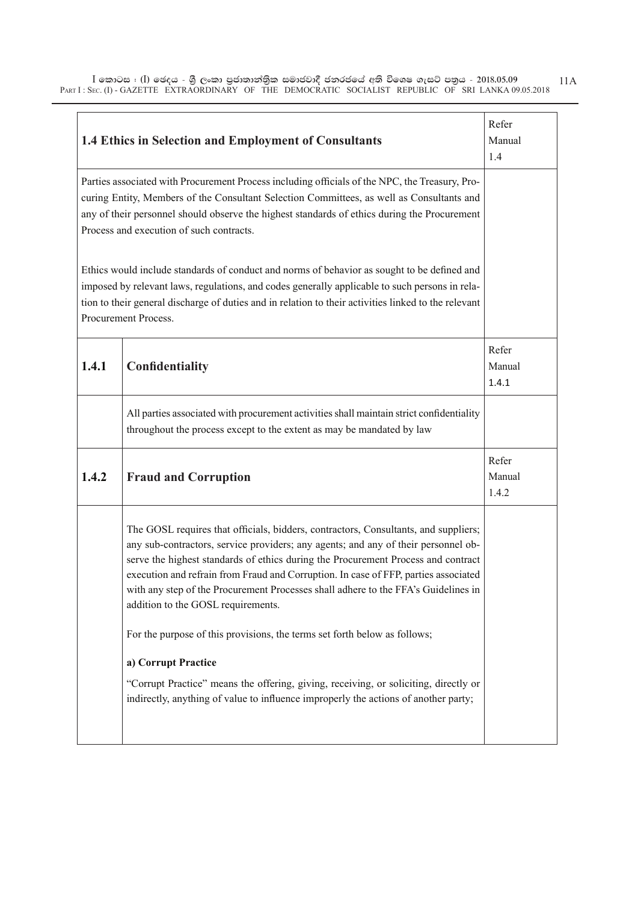|       | 1.4 Ethics in Selection and Employment of Consultants                                                                                                                                                                                                                                                                                                                                                                                                                             | Refer<br>Manual<br>1.4   |
|-------|-----------------------------------------------------------------------------------------------------------------------------------------------------------------------------------------------------------------------------------------------------------------------------------------------------------------------------------------------------------------------------------------------------------------------------------------------------------------------------------|--------------------------|
|       | Parties associated with Procurement Process including officials of the NPC, the Treasury, Pro-<br>curing Entity, Members of the Consultant Selection Committees, as well as Consultants and<br>any of their personnel should observe the highest standards of ethics during the Procurement<br>Process and execution of such contracts.                                                                                                                                           |                          |
|       | Ethics would include standards of conduct and norms of behavior as sought to be defined and<br>imposed by relevant laws, regulations, and codes generally applicable to such persons in rela-<br>tion to their general discharge of duties and in relation to their activities linked to the relevant<br>Procurement Process.                                                                                                                                                     |                          |
| 1.4.1 | Confidentiality                                                                                                                                                                                                                                                                                                                                                                                                                                                                   | Refer<br>Manual<br>1.4.1 |
|       | All parties associated with procurement activities shall maintain strict confidentiality<br>throughout the process except to the extent as may be mandated by law                                                                                                                                                                                                                                                                                                                 |                          |
| 1.4.2 | <b>Fraud and Corruption</b>                                                                                                                                                                                                                                                                                                                                                                                                                                                       | Refer<br>Manual<br>1.4.2 |
|       | The GOSL requires that officials, bidders, contractors, Consultants, and suppliers;<br>any sub-contractors, service providers; any agents; and any of their personnel ob-<br>serve the highest standards of ethics during the Procurement Process and contract<br>execution and refrain from Fraud and Corruption. In case of FFP, parties associated<br>with any step of the Procurement Processes shall adhere to the FFA's Guidelines in<br>addition to the GOSL requirements. |                          |
|       | For the purpose of this provisions, the terms set forth below as follows;                                                                                                                                                                                                                                                                                                                                                                                                         |                          |
|       | a) Corrupt Practice                                                                                                                                                                                                                                                                                                                                                                                                                                                               |                          |
|       | "Corrupt Practice" means the offering, giving, receiving, or soliciting, directly or<br>indirectly, anything of value to influence improperly the actions of another party;                                                                                                                                                                                                                                                                                                       |                          |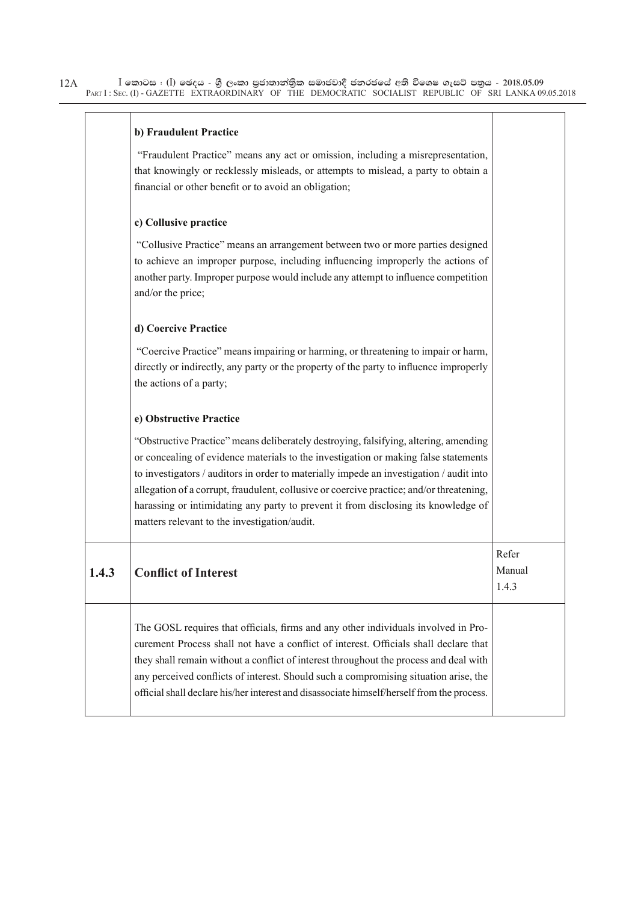| b) Fraudulent Practice |  |
|------------------------|--|
|------------------------|--|

 "Fraudulent Practice" means any act or omission, including a misrepresentation, that knowingly or recklessly misleads, or attempts to mislead, a party to obtain a financial or other benefit or to avoid an obligation;

#### **c) Collusive practice**

"Collusive Practice" means an arrangement between two or more parties designed to achieve an improper purpose, including influencing improperly the actions of another party. Improper purpose would include any attempt to influence competition and/or the price;

#### **d) Coercive Practice**

 "Coercive Practice" means impairing or harming, or threatening to impair or harm, directly or indirectly, any party or the property of the party to influence improperly the actions of a party;

#### **e) Obstructive Practice**

"Obstructive Practice" means deliberately destroying, falsifying, altering, amending or concealing of evidence materials to the investigation or making false statements to investigators / auditors in order to materially impede an investigation / audit into allegation of a corrupt, fraudulent, collusive or coercive practice; and/or threatening, harassing or intimidating any party to prevent it from disclosing its knowledge of matters relevant to the investigation/audit.

| 1.4.3 | <b>Conflict of Interest</b>                                                                                                                                                                                                                                                                                                                                                                                                                               | Refer<br>Manual<br>1.4.3 |
|-------|-----------------------------------------------------------------------------------------------------------------------------------------------------------------------------------------------------------------------------------------------------------------------------------------------------------------------------------------------------------------------------------------------------------------------------------------------------------|--------------------------|
|       | The GOSL requires that officials, firms and any other individuals involved in Pro-<br>curement Process shall not have a conflict of interest. Officials shall declare that<br>they shall remain without a conflict of interest throughout the process and deal with<br>any perceived conflicts of interest. Should such a compromising situation arise, the<br>official shall declare his/her interest and disassociate himself/herself from the process. |                          |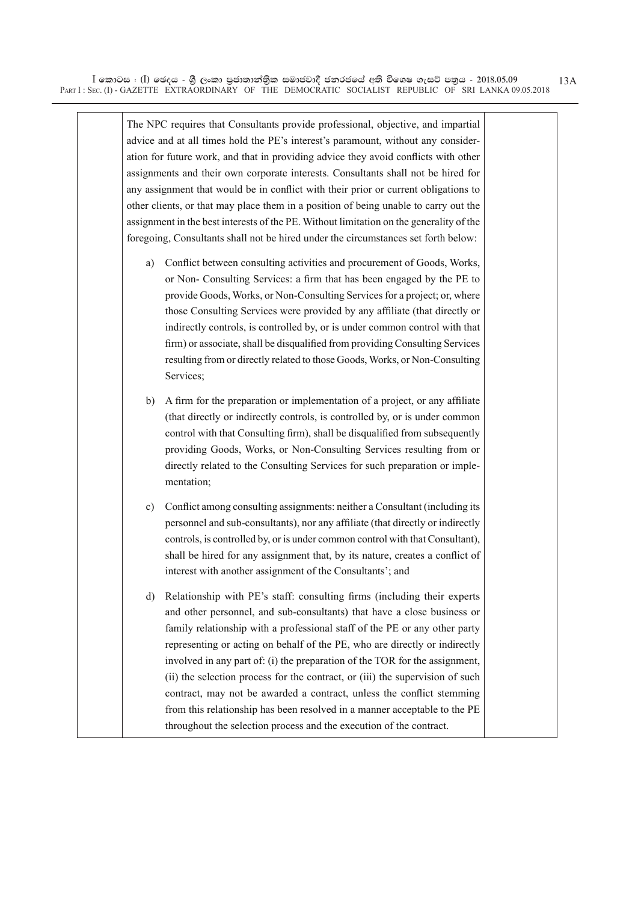The NPC requires that Consultants provide professional, objective, and impartial advice and at all times hold the PE's interest's paramount, without any consideration for future work, and that in providing advice they avoid conflicts with other assignments and their own corporate interests. Consultants shall not be hired for any assignment that would be in conflict with their prior or current obligations to other clients, or that may place them in a position of being unable to carry out the assignment in the best interests of the PE. Without limitation on the generality of the foregoing, Consultants shall not be hired under the circumstances set forth below:

- a) Conflict between consulting activities and procurement of Goods, Works, or Non- Consulting Services: a firm that has been engaged by the PE to provide Goods, Works, or Non-Consulting Services for a project; or, where those Consulting Services were provided by any affiliate (that directly or indirectly controls, is controlled by, or is under common control with that firm) or associate, shall be disqualified from providing Consulting Services resulting from or directly related to those Goods, Works, or Non-Consulting Services;
- b) A firm for the preparation or implementation of a project, or any affiliate (that directly or indirectly controls, is controlled by, or is under common control with that Consulting firm), shall be disqualified from subsequently providing Goods, Works, or Non-Consulting Services resulting from or directly related to the Consulting Services for such preparation or implementation;
- c) Conflict among consulting assignments: neither a Consultant (including its personnel and sub-consultants), nor any affiliate (that directly or indirectly controls, is controlled by, or is under common control with that Consultant), shall be hired for any assignment that, by its nature, creates a conflict of interest with another assignment of the Consultants'; and
- d) Relationship with PE's staff: consulting firms (including their experts and other personnel, and sub-consultants) that have a close business or family relationship with a professional staff of the PE or any other party representing or acting on behalf of the PE, who are directly or indirectly involved in any part of: (i) the preparation of the TOR for the assignment, (ii) the selection process for the contract, or (iii) the supervision of such contract, may not be awarded a contract, unless the conflict stemming from this relationship has been resolved in a manner acceptable to the PE throughout the selection process and the execution of the contract.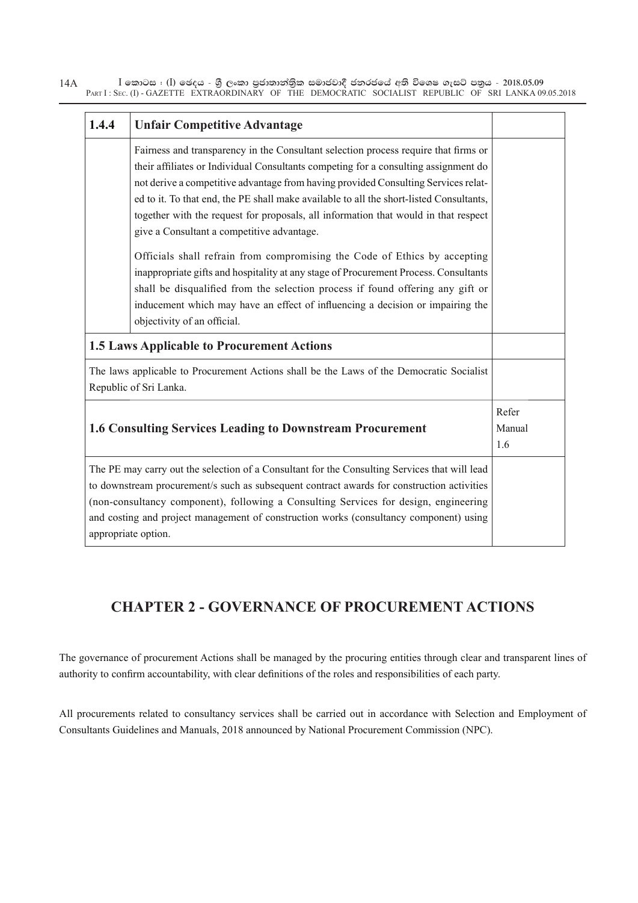| 1.4.4 | <b>Unfair Competitive Advantage</b>                                                                                                                                                                                                                                                                                                                                                                                                                                                              |                        |
|-------|--------------------------------------------------------------------------------------------------------------------------------------------------------------------------------------------------------------------------------------------------------------------------------------------------------------------------------------------------------------------------------------------------------------------------------------------------------------------------------------------------|------------------------|
|       | Fairness and transparency in the Consultant selection process require that firms or<br>their affiliates or Individual Consultants competing for a consulting assignment do<br>not derive a competitive advantage from having provided Consulting Services relat-<br>ed to it. To that end, the PE shall make available to all the short-listed Consultants,<br>together with the request for proposals, all information that would in that respect<br>give a Consultant a competitive advantage. |                        |
|       | Officials shall refrain from compromising the Code of Ethics by accepting<br>inappropriate gifts and hospitality at any stage of Procurement Process. Consultants<br>shall be disqualified from the selection process if found offering any gift or<br>inducement which may have an effect of influencing a decision or impairing the<br>objectivity of an official.                                                                                                                             |                        |
|       | <b>1.5 Laws Applicable to Procurement Actions</b>                                                                                                                                                                                                                                                                                                                                                                                                                                                |                        |
|       | The laws applicable to Procurement Actions shall be the Laws of the Democratic Socialist<br>Republic of Sri Lanka.                                                                                                                                                                                                                                                                                                                                                                               |                        |
|       | <b>1.6 Consulting Services Leading to Downstream Procurement</b>                                                                                                                                                                                                                                                                                                                                                                                                                                 | Refer<br>Manual<br>1.6 |
|       | The PE may carry out the selection of a Consultant for the Consulting Services that will lead<br>to downstream procurement/s such as subsequent contract awards for construction activities<br>(non-consultancy component), following a Consulting Services for design, engineering<br>and costing and project management of construction works (consultancy component) using<br>appropriate option.                                                                                             |                        |

# **CHAPTER 2 - GOVERNANCE OF PROCUREMENT ACTIONS**

The governance of procurement Actions shall be managed by the procuring entities through clear and transparent lines of authority to confirm accountability, with clear definitions of the roles and responsibilities of each party.

All procurements related to consultancy services shall be carried out in accordance with Selection and Employment of Consultants Guidelines and Manuals, 2018 announced by National Procurement Commission (NPC).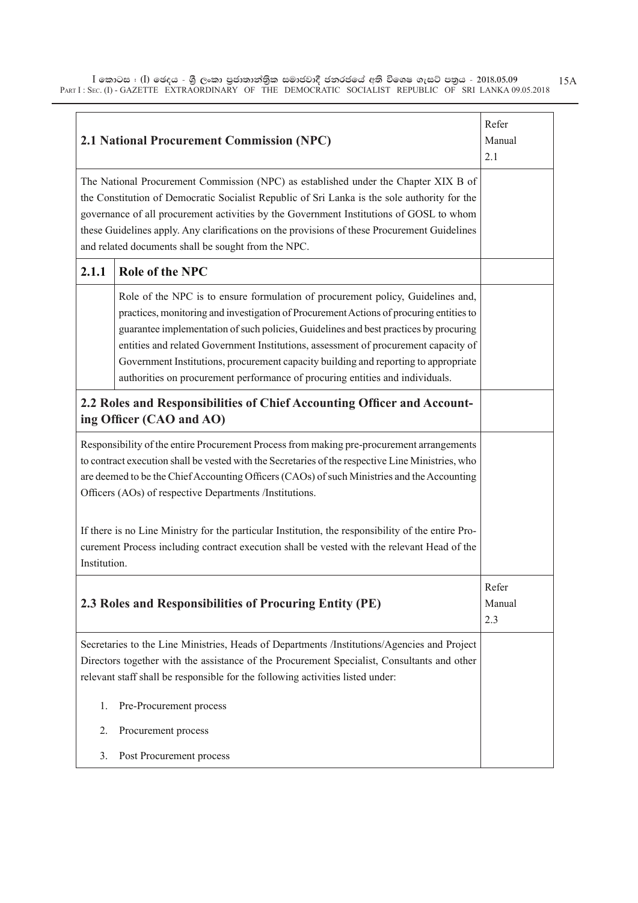|              | <b>2.1 National Procurement Commission (NPC)</b>                                                                                                                                                                                                                                                                                                                                                                                                                                                                                   | Refer<br>Manual<br>2.1 |
|--------------|------------------------------------------------------------------------------------------------------------------------------------------------------------------------------------------------------------------------------------------------------------------------------------------------------------------------------------------------------------------------------------------------------------------------------------------------------------------------------------------------------------------------------------|------------------------|
|              | The National Procurement Commission (NPC) as established under the Chapter XIX B of<br>the Constitution of Democratic Socialist Republic of Sri Lanka is the sole authority for the<br>governance of all procurement activities by the Government Institutions of GOSL to whom<br>these Guidelines apply. Any clarifications on the provisions of these Procurement Guidelines<br>and related documents shall be sought from the NPC.                                                                                              |                        |
| 2.1.1        | <b>Role of the NPC</b>                                                                                                                                                                                                                                                                                                                                                                                                                                                                                                             |                        |
|              | Role of the NPC is to ensure formulation of procurement policy, Guidelines and,<br>practices, monitoring and investigation of Procurement Actions of procuring entities to<br>guarantee implementation of such policies, Guidelines and best practices by procuring<br>entities and related Government Institutions, assessment of procurement capacity of<br>Government Institutions, procurement capacity building and reporting to appropriate<br>authorities on procurement performance of procuring entities and individuals. |                        |
|              | 2.2 Roles and Responsibilities of Chief Accounting Officer and Account-<br>ing Officer (CAO and AO)                                                                                                                                                                                                                                                                                                                                                                                                                                |                        |
|              | Responsibility of the entire Procurement Process from making pre-procurement arrangements<br>to contract execution shall be vested with the Secretaries of the respective Line Ministries, who<br>are deemed to be the Chief Accounting Officers (CAOs) of such Ministries and the Accounting<br>Officers (AOs) of respective Departments /Institutions.                                                                                                                                                                           |                        |
| Institution. | If there is no Line Ministry for the particular Institution, the responsibility of the entire Pro-<br>curement Process including contract execution shall be vested with the relevant Head of the                                                                                                                                                                                                                                                                                                                                  |                        |
|              | 2.3 Roles and Responsibilities of Procuring Entity (PE)                                                                                                                                                                                                                                                                                                                                                                                                                                                                            | Refer<br>Manual<br>2.3 |
|              | Secretaries to the Line Ministries, Heads of Departments /Institutions/Agencies and Project<br>Directors together with the assistance of the Procurement Specialist, Consultants and other<br>relevant staff shall be responsible for the following activities listed under:                                                                                                                                                                                                                                                       |                        |
| 1.           | Pre-Procurement process                                                                                                                                                                                                                                                                                                                                                                                                                                                                                                            |                        |
| 2.           | Procurement process                                                                                                                                                                                                                                                                                                                                                                                                                                                                                                                |                        |
| 3.           | Post Procurement process                                                                                                                                                                                                                                                                                                                                                                                                                                                                                                           |                        |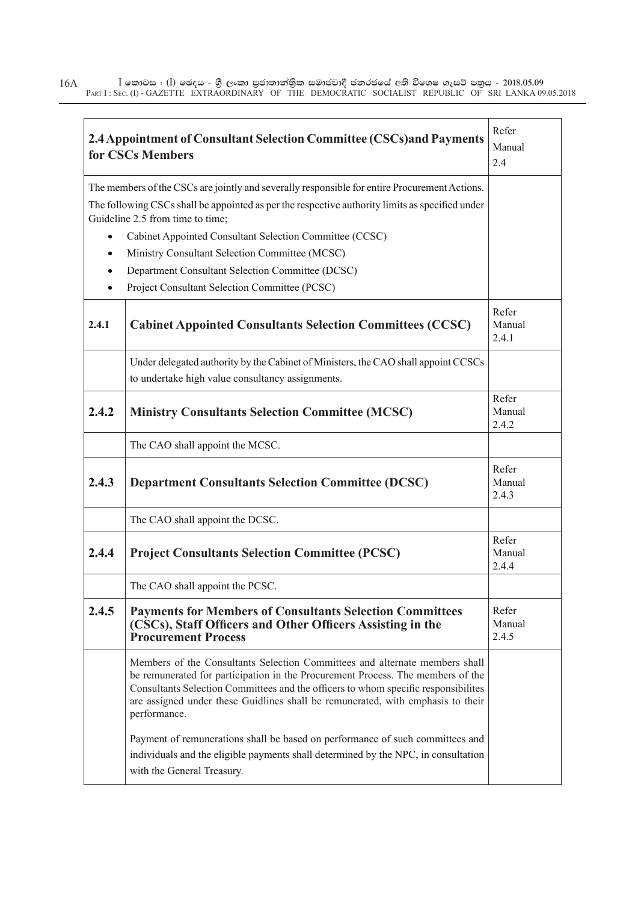|           | 2.4 Appointment of Consultant Selection Committee (CSCs) and Payments<br>for CSCs Members                                                                                                                                                                                                                                                               | Refer<br>Manual<br>2.4   |
|-----------|---------------------------------------------------------------------------------------------------------------------------------------------------------------------------------------------------------------------------------------------------------------------------------------------------------------------------------------------------------|--------------------------|
|           | The members of the CSCs are jointly and severally responsible for entire Procurement Actions.<br>The following CSCs shall be appointed as per the respective authority limits as specified under<br>Guideline 2.5 from time to time;                                                                                                                    |                          |
| $\bullet$ | Cabinet Appointed Consultant Selection Committee (CCSC)                                                                                                                                                                                                                                                                                                 |                          |
| $\bullet$ | Ministry Consultant Selection Committee (MCSC)                                                                                                                                                                                                                                                                                                          |                          |
| $\bullet$ | Department Consultant Selection Committee (DCSC)                                                                                                                                                                                                                                                                                                        |                          |
| $\bullet$ | Project Consultant Selection Committee (PCSC)                                                                                                                                                                                                                                                                                                           |                          |
| 2.4.1     | <b>Cabinet Appointed Consultants Selection Committees (CCSC)</b>                                                                                                                                                                                                                                                                                        | Refer<br>Manual<br>2.4.1 |
|           | Under delegated authority by the Cabinet of Ministers, the CAO shall appoint CCSCs<br>to undertake high value consultancy assignments.                                                                                                                                                                                                                  |                          |
| 2.4.2     | <b>Ministry Consultants Selection Committee (MCSC)</b>                                                                                                                                                                                                                                                                                                  | Refer<br>Manual<br>2.4.2 |
|           | The CAO shall appoint the MCSC.                                                                                                                                                                                                                                                                                                                         |                          |
| 2.4.3     | <b>Department Consultants Selection Committee (DCSC)</b>                                                                                                                                                                                                                                                                                                | Refer<br>Manual<br>2.4.3 |
|           | The CAO shall appoint the DCSC.                                                                                                                                                                                                                                                                                                                         |                          |
| 2.4.4     | <b>Project Consultants Selection Committee (PCSC)</b>                                                                                                                                                                                                                                                                                                   | Refer<br>Manual<br>2.4.4 |
|           | The CAO shall appoint the PCSC.                                                                                                                                                                                                                                                                                                                         |                          |
| 2.4.5     | <b>Payments for Members of Consultants Selection Committees</b><br>(CSCs), Staff Officers and Other Officers Assisting in the<br><b>Procurement Process</b>                                                                                                                                                                                             | Refer<br>Manual<br>2.4.5 |
|           | Members of the Consultants Selection Committees and alternate members shall<br>be remunerated for participation in the Procurement Process. The members of the<br>Consultants Selection Committees and the officers to whom specific responsibilites<br>are assigned under these Guidlines shall be remunerated, with emphasis to their<br>performance. |                          |
|           | Payment of remunerations shall be based on performance of such committees and<br>individuals and the eligible payments shall determined by the NPC, in consultation<br>with the General Treasury.                                                                                                                                                       |                          |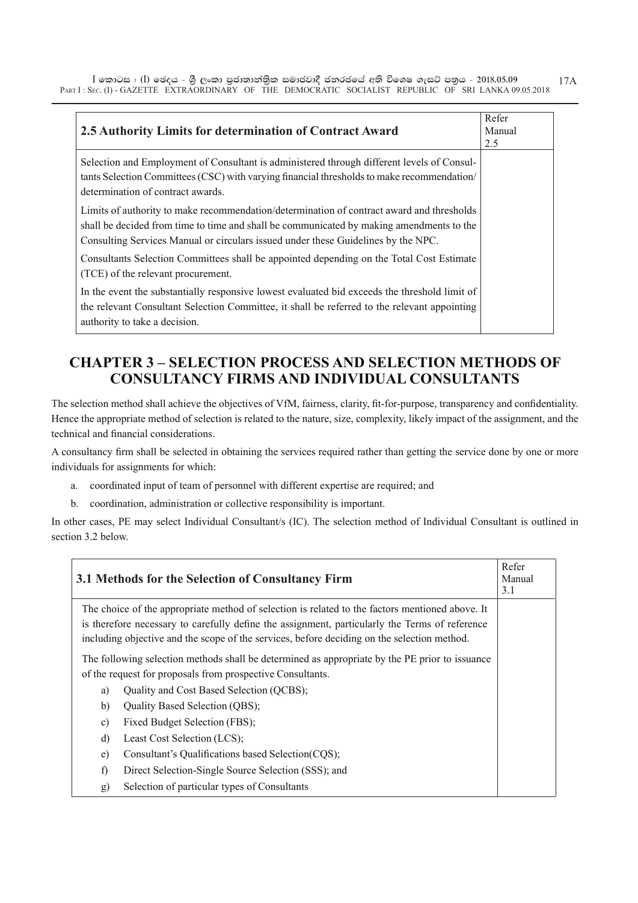| 2.5 Authority Limits for determination of Contract Award                                                                                                                                                                                                                   | Refer<br>Manual |
|----------------------------------------------------------------------------------------------------------------------------------------------------------------------------------------------------------------------------------------------------------------------------|-----------------|
|                                                                                                                                                                                                                                                                            | 2.5             |
| Selection and Employment of Consultant is administered through different levels of Consul-<br>tants Selection Committees (CSC) with varying financial thresholds to make recommendation/<br>determination of contract awards.                                              |                 |
| Limits of authority to make recommendation/determination of contract award and thresholds<br>shall be decided from time to time and shall be communicated by making amendments to the<br>Consulting Services Manual or circulars issued under these Guidelines by the NPC. |                 |
| Consultants Selection Committees shall be appointed depending on the Total Cost Estimate<br>(TCE) of the relevant procurement.                                                                                                                                             |                 |
| In the event the substantially responsive lowest evaluated bid exceeds the threshold limit of<br>the relevant Consultant Selection Committee, it shall be referred to the relevant appointing<br>authority to take a decision.                                             |                 |

### **CHAPTER 3 – SELECTION PROCESS AND SELECTION METHODS OF CONSULTANCY FIRMS AND INDIVIDUAL CONSULTANTS**

The selection method shall achieve the objectives of VfM, fairness, clarity, fit-for-purpose, transparency and confidentiality. Hence the appropriate method of selection is related to the nature, size, complexity, likely impact of the assignment, and the technical and financial considerations.

A consultancy firm shall be selected in obtaining the services required rather than getting the service done by one or more individuals for assignments for which:

- a. coordinated input of team of personnel with different expertise are required; and
- b. coordination, administration or collective responsibility is important.

In other cases, PE may select Individual Consultant/s (IC). The selection method of Individual Consultant is outlined in section 3.2 below.

|              | 3.1 Methods for the Selection of Consultancy Firm                                               | Refer<br>Manual<br>3.1 |
|--------------|-------------------------------------------------------------------------------------------------|------------------------|
|              | The choice of the appropriate method of selection is related to the factors mentioned above. It |                        |
|              | is therefore necessary to carefully define the assignment, particularly the Terms of reference  |                        |
|              | including objective and the scope of the services, before deciding on the selection method.     |                        |
|              | The following selection methods shall be determined as appropriate by the PE prior to issuance  |                        |
|              | of the request for proposals from prospective Consultants.                                      |                        |
| a)           | Quality and Cost Based Selection (QCBS);                                                        |                        |
| b)           | Quality Based Selection (QBS);                                                                  |                        |
| $\mathbf{c}$ | Fixed Budget Selection (FBS);                                                                   |                        |
| d)           | Least Cost Selection (LCS);                                                                     |                        |
| e)           | Consultant's Qualifications based Selection(CQS);                                               |                        |
| f)           | Direct Selection-Single Source Selection (SSS); and                                             |                        |
| g)           | Selection of particular types of Consultants                                                    |                        |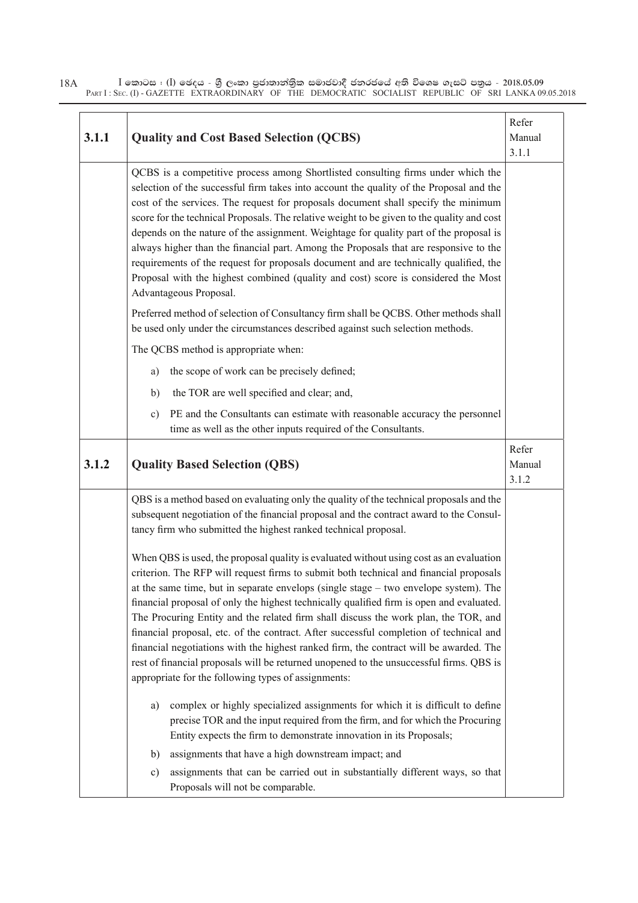| 3.1.1 | <b>Quality and Cost Based Selection (QCBS)</b>                                                                                                                                                                                                                                                                                                                                                                                                                                                                                                                                                                                                                                                                                                                                                     | Refer<br>Manual<br>3.1.1 |
|-------|----------------------------------------------------------------------------------------------------------------------------------------------------------------------------------------------------------------------------------------------------------------------------------------------------------------------------------------------------------------------------------------------------------------------------------------------------------------------------------------------------------------------------------------------------------------------------------------------------------------------------------------------------------------------------------------------------------------------------------------------------------------------------------------------------|--------------------------|
|       | QCBS is a competitive process among Shortlisted consulting firms under which the<br>selection of the successful firm takes into account the quality of the Proposal and the<br>cost of the services. The request for proposals document shall specify the minimum<br>score for the technical Proposals. The relative weight to be given to the quality and cost<br>depends on the nature of the assignment. Weightage for quality part of the proposal is<br>always higher than the financial part. Among the Proposals that are responsive to the<br>requirements of the request for proposals document and are technically qualified, the<br>Proposal with the highest combined (quality and cost) score is considered the Most<br>Advantageous Proposal.                                        |                          |
|       | Preferred method of selection of Consultancy firm shall be QCBS. Other methods shall<br>be used only under the circumstances described against such selection methods.                                                                                                                                                                                                                                                                                                                                                                                                                                                                                                                                                                                                                             |                          |
|       | The QCBS method is appropriate when:                                                                                                                                                                                                                                                                                                                                                                                                                                                                                                                                                                                                                                                                                                                                                               |                          |
|       | the scope of work can be precisely defined;<br>a)                                                                                                                                                                                                                                                                                                                                                                                                                                                                                                                                                                                                                                                                                                                                                  |                          |
|       | the TOR are well specified and clear; and,<br>b)                                                                                                                                                                                                                                                                                                                                                                                                                                                                                                                                                                                                                                                                                                                                                   |                          |
|       | PE and the Consultants can estimate with reasonable accuracy the personnel<br>c)<br>time as well as the other inputs required of the Consultants.                                                                                                                                                                                                                                                                                                                                                                                                                                                                                                                                                                                                                                                  |                          |
| 3.1.2 | <b>Quality Based Selection (QBS)</b>                                                                                                                                                                                                                                                                                                                                                                                                                                                                                                                                                                                                                                                                                                                                                               | Refer<br>Manual<br>3.1.2 |
|       | QBS is a method based on evaluating only the quality of the technical proposals and the<br>subsequent negotiation of the financial proposal and the contract award to the Consul-<br>tancy firm who submitted the highest ranked technical proposal.                                                                                                                                                                                                                                                                                                                                                                                                                                                                                                                                               |                          |
|       | When QBS is used, the proposal quality is evaluated without using cost as an evaluation<br>criterion. The RFP will request firms to submit both technical and financial proposals<br>at the same time, but in separate envelops (single stage – two envelope system). The<br>financial proposal of only the highest technically qualified firm is open and evaluated.<br>The Procuring Entity and the related firm shall discuss the work plan, the TOR, and<br>financial proposal, etc. of the contract. After successful completion of technical and<br>financial negotiations with the highest ranked firm, the contract will be awarded. The<br>rest of financial proposals will be returned unopened to the unsuccessful firms. QBS is<br>appropriate for the following types of assignments: |                          |
|       | complex or highly specialized assignments for which it is difficult to define<br>a)<br>precise TOR and the input required from the firm, and for which the Procuring<br>Entity expects the firm to demonstrate innovation in its Proposals;                                                                                                                                                                                                                                                                                                                                                                                                                                                                                                                                                        |                          |
|       | assignments that have a high downstream impact; and<br>b)                                                                                                                                                                                                                                                                                                                                                                                                                                                                                                                                                                                                                                                                                                                                          |                          |
|       | assignments that can be carried out in substantially different ways, so that<br>c)<br>Proposals will not be comparable.                                                                                                                                                                                                                                                                                                                                                                                                                                                                                                                                                                                                                                                                            |                          |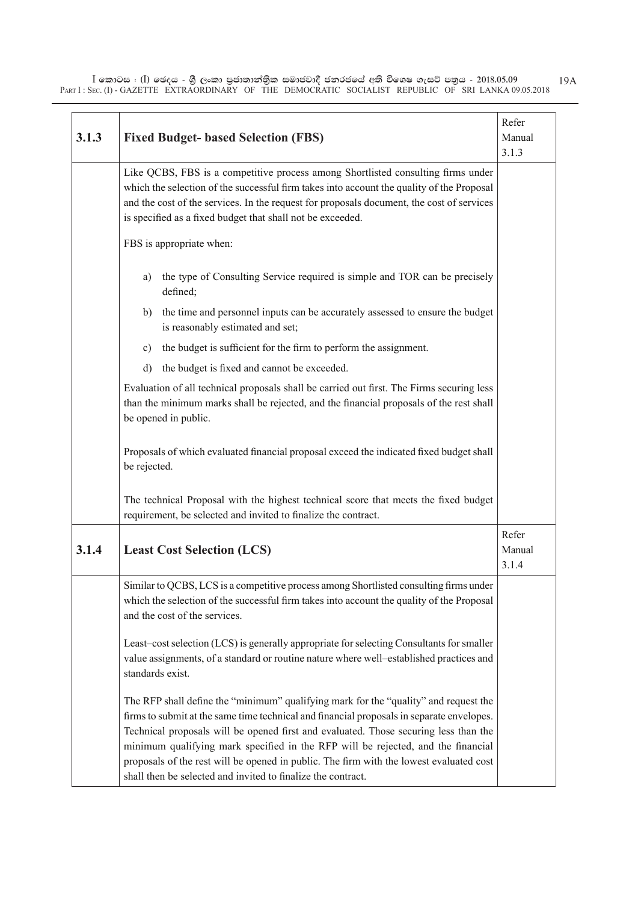| 3.1.3 | <b>Fixed Budget- based Selection (FBS)</b>                                                                                                                                                                                                                                                                                                                                                                                                                                                                               | Refer<br>Manual<br>3.1.3 |
|-------|--------------------------------------------------------------------------------------------------------------------------------------------------------------------------------------------------------------------------------------------------------------------------------------------------------------------------------------------------------------------------------------------------------------------------------------------------------------------------------------------------------------------------|--------------------------|
|       | Like QCBS, FBS is a competitive process among Shortlisted consulting firms under<br>which the selection of the successful firm takes into account the quality of the Proposal<br>and the cost of the services. In the request for proposals document, the cost of services<br>is specified as a fixed budget that shall not be exceeded.                                                                                                                                                                                 |                          |
|       | FBS is appropriate when:                                                                                                                                                                                                                                                                                                                                                                                                                                                                                                 |                          |
|       | the type of Consulting Service required is simple and TOR can be precisely<br>a)<br>defined;                                                                                                                                                                                                                                                                                                                                                                                                                             |                          |
|       | the time and personnel inputs can be accurately assessed to ensure the budget<br>b)<br>is reasonably estimated and set;                                                                                                                                                                                                                                                                                                                                                                                                  |                          |
|       | the budget is sufficient for the firm to perform the assignment.<br>$\mathbf{c})$                                                                                                                                                                                                                                                                                                                                                                                                                                        |                          |
|       | the budget is fixed and cannot be exceeded.<br>d)                                                                                                                                                                                                                                                                                                                                                                                                                                                                        |                          |
|       | Evaluation of all technical proposals shall be carried out first. The Firms securing less<br>than the minimum marks shall be rejected, and the financial proposals of the rest shall<br>be opened in public.                                                                                                                                                                                                                                                                                                             |                          |
|       | Proposals of which evaluated financial proposal exceed the indicated fixed budget shall<br>be rejected.                                                                                                                                                                                                                                                                                                                                                                                                                  |                          |
|       | The technical Proposal with the highest technical score that meets the fixed budget<br>requirement, be selected and invited to finalize the contract.                                                                                                                                                                                                                                                                                                                                                                    |                          |
| 3.1.4 | <b>Least Cost Selection (LCS)</b>                                                                                                                                                                                                                                                                                                                                                                                                                                                                                        | Refer<br>Manual<br>3.1.4 |
|       | Similar to QCBS, LCS is a competitive process among Shortlisted consulting firms under<br>which the selection of the successful firm takes into account the quality of the Proposal<br>and the cost of the services.                                                                                                                                                                                                                                                                                                     |                          |
|       | Least-cost selection (LCS) is generally appropriate for selecting Consultants for smaller<br>value assignments, of a standard or routine nature where well-established practices and<br>standards exist.                                                                                                                                                                                                                                                                                                                 |                          |
|       | The RFP shall define the "minimum" qualifying mark for the "quality" and request the<br>firms to submit at the same time technical and financial proposals in separate envelopes.<br>Technical proposals will be opened first and evaluated. Those securing less than the<br>minimum qualifying mark specified in the RFP will be rejected, and the financial<br>proposals of the rest will be opened in public. The firm with the lowest evaluated cost<br>shall then be selected and invited to finalize the contract. |                          |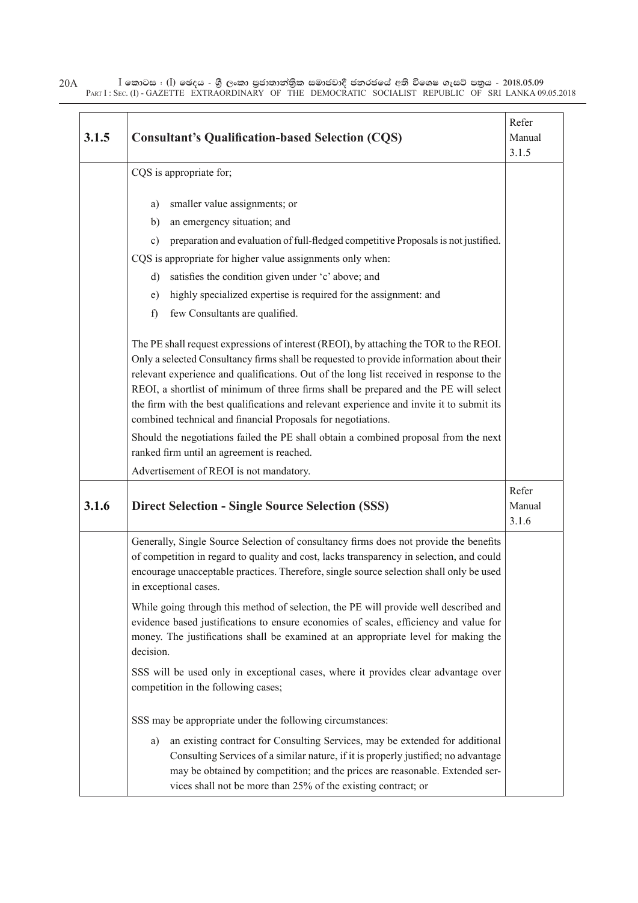| 3.1.5 | <b>Consultant's Qualification-based Selection (CQS)</b>                                                                                                                                                                                                                                                                                                                                                                                                                                                                            | Refer<br>Manual<br>3.1.5 |
|-------|------------------------------------------------------------------------------------------------------------------------------------------------------------------------------------------------------------------------------------------------------------------------------------------------------------------------------------------------------------------------------------------------------------------------------------------------------------------------------------------------------------------------------------|--------------------------|
|       | CQS is appropriate for;                                                                                                                                                                                                                                                                                                                                                                                                                                                                                                            |                          |
|       | smaller value assignments; or<br>a)                                                                                                                                                                                                                                                                                                                                                                                                                                                                                                |                          |
|       | an emergency situation; and<br>b)                                                                                                                                                                                                                                                                                                                                                                                                                                                                                                  |                          |
|       | preparation and evaluation of full-fledged competitive Proposals is not justified.<br>c)                                                                                                                                                                                                                                                                                                                                                                                                                                           |                          |
|       | CQS is appropriate for higher value assignments only when:                                                                                                                                                                                                                                                                                                                                                                                                                                                                         |                          |
|       | satisfies the condition given under 'c' above; and<br>d)                                                                                                                                                                                                                                                                                                                                                                                                                                                                           |                          |
|       | highly specialized expertise is required for the assignment: and<br>e)                                                                                                                                                                                                                                                                                                                                                                                                                                                             |                          |
|       | few Consultants are qualified.<br>f)                                                                                                                                                                                                                                                                                                                                                                                                                                                                                               |                          |
|       | The PE shall request expressions of interest (REOI), by attaching the TOR to the REOI.<br>Only a selected Consultancy firms shall be requested to provide information about their<br>relevant experience and qualifications. Out of the long list received in response to the<br>REOI, a shortlist of minimum of three firms shall be prepared and the PE will select<br>the firm with the best qualifications and relevant experience and invite it to submit its<br>combined technical and financial Proposals for negotiations. |                          |
|       | Should the negotiations failed the PE shall obtain a combined proposal from the next                                                                                                                                                                                                                                                                                                                                                                                                                                               |                          |
|       | ranked firm until an agreement is reached.                                                                                                                                                                                                                                                                                                                                                                                                                                                                                         |                          |
|       | Advertisement of REOI is not mandatory.                                                                                                                                                                                                                                                                                                                                                                                                                                                                                            |                          |
| 3.1.6 | <b>Direct Selection - Single Source Selection (SSS)</b>                                                                                                                                                                                                                                                                                                                                                                                                                                                                            | Refer<br>Manual<br>3.1.6 |
|       | Generally, Single Source Selection of consultancy firms does not provide the benefits<br>of competition in regard to quality and cost, lacks transparency in selection, and could<br>encourage unacceptable practices. Therefore, single source selection shall only be used<br>in exceptional cases.                                                                                                                                                                                                                              |                          |
|       | While going through this method of selection, the PE will provide well described and<br>evidence based justifications to ensure economies of scales, efficiency and value for<br>money. The justifications shall be examined at an appropriate level for making the<br>decision.                                                                                                                                                                                                                                                   |                          |
|       | SSS will be used only in exceptional cases, where it provides clear advantage over<br>competition in the following cases;                                                                                                                                                                                                                                                                                                                                                                                                          |                          |
|       | SSS may be appropriate under the following circumstances:                                                                                                                                                                                                                                                                                                                                                                                                                                                                          |                          |
|       | an existing contract for Consulting Services, may be extended for additional<br>a)<br>Consulting Services of a similar nature, if it is properly justified; no advantage<br>may be obtained by competition; and the prices are reasonable. Extended ser-<br>vices shall not be more than 25% of the existing contract; or                                                                                                                                                                                                          |                          |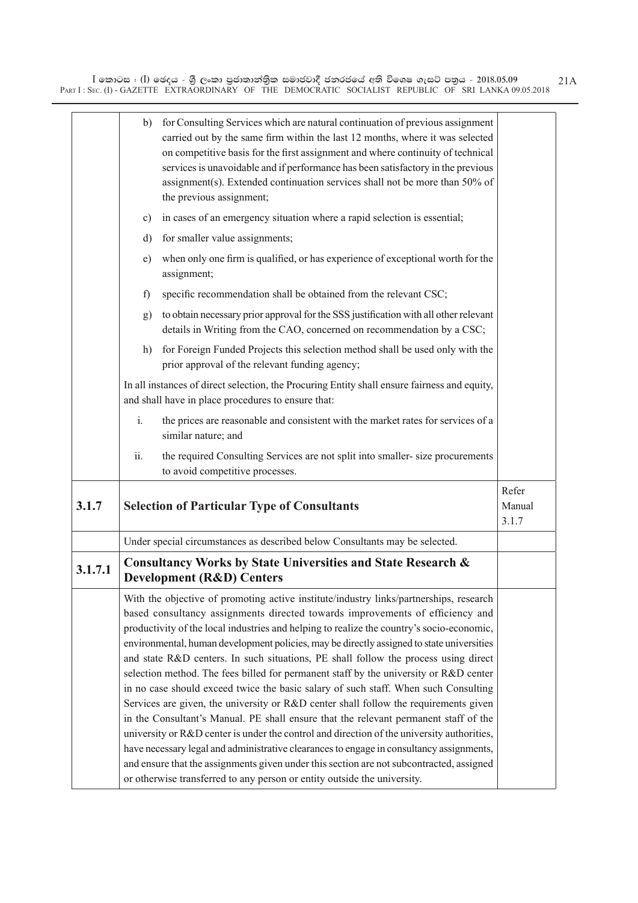|         | b)  | for Consulting Services which are natural continuation of previous assignment<br>carried out by the same firm within the last 12 months, where it was selected<br>on competitive basis for the first assignment and where continuity of technical<br>services is unavoidable and if performance has been satisfactory in the previous<br>assignment(s). Extended continuation services shall not be more than 50% of<br>the previous assignment;                                                                                                                                                                                                                                                                                                                                                                                                                                                                                                                                                                   |                          |
|---------|-----|--------------------------------------------------------------------------------------------------------------------------------------------------------------------------------------------------------------------------------------------------------------------------------------------------------------------------------------------------------------------------------------------------------------------------------------------------------------------------------------------------------------------------------------------------------------------------------------------------------------------------------------------------------------------------------------------------------------------------------------------------------------------------------------------------------------------------------------------------------------------------------------------------------------------------------------------------------------------------------------------------------------------|--------------------------|
|         | c)  | in cases of an emergency situation where a rapid selection is essential;                                                                                                                                                                                                                                                                                                                                                                                                                                                                                                                                                                                                                                                                                                                                                                                                                                                                                                                                           |                          |
|         | d)  | for smaller value assignments;                                                                                                                                                                                                                                                                                                                                                                                                                                                                                                                                                                                                                                                                                                                                                                                                                                                                                                                                                                                     |                          |
|         | e)  | when only one firm is qualified, or has experience of exceptional worth for the<br>assignment;                                                                                                                                                                                                                                                                                                                                                                                                                                                                                                                                                                                                                                                                                                                                                                                                                                                                                                                     |                          |
|         | f)  | specific recommendation shall be obtained from the relevant CSC;                                                                                                                                                                                                                                                                                                                                                                                                                                                                                                                                                                                                                                                                                                                                                                                                                                                                                                                                                   |                          |
|         | g)  | to obtain necessary prior approval for the SSS justification with all other relevant<br>details in Writing from the CAO, concerned on recommendation by a CSC;                                                                                                                                                                                                                                                                                                                                                                                                                                                                                                                                                                                                                                                                                                                                                                                                                                                     |                          |
|         | h)  | for Foreign Funded Projects this selection method shall be used only with the<br>prior approval of the relevant funding agency;                                                                                                                                                                                                                                                                                                                                                                                                                                                                                                                                                                                                                                                                                                                                                                                                                                                                                    |                          |
|         |     | In all instances of direct selection, the Procuring Entity shall ensure fairness and equity,<br>and shall have in place procedures to ensure that:                                                                                                                                                                                                                                                                                                                                                                                                                                                                                                                                                                                                                                                                                                                                                                                                                                                                 |                          |
|         | i.  | the prices are reasonable and consistent with the market rates for services of a<br>similar nature; and                                                                                                                                                                                                                                                                                                                                                                                                                                                                                                                                                                                                                                                                                                                                                                                                                                                                                                            |                          |
|         | ii. | the required Consulting Services are not split into smaller-size procurements<br>to avoid competitive processes.                                                                                                                                                                                                                                                                                                                                                                                                                                                                                                                                                                                                                                                                                                                                                                                                                                                                                                   |                          |
| 3.1.7   |     | <b>Selection of Particular Type of Consultants</b>                                                                                                                                                                                                                                                                                                                                                                                                                                                                                                                                                                                                                                                                                                                                                                                                                                                                                                                                                                 | Refer<br>Manual<br>3.1.7 |
|         |     | Under special circumstances as described below Consultants may be selected.                                                                                                                                                                                                                                                                                                                                                                                                                                                                                                                                                                                                                                                                                                                                                                                                                                                                                                                                        |                          |
| 3.1.7.1 |     | <b>Consultancy Works by State Universities and State Research &amp;</b><br><b>Development (R&amp;D) Centers</b>                                                                                                                                                                                                                                                                                                                                                                                                                                                                                                                                                                                                                                                                                                                                                                                                                                                                                                    |                          |
|         |     | With the objective of promoting active institute/industry links/partnerships, research<br>based consultancy assignments directed towards improvements of efficiency and<br>productivity of the local industries and helping to realize the country's socio-economic,<br>environmental, human development policies, may be directly assigned to state universities<br>and state R&D centers. In such situations, PE shall follow the process using direct<br>selection method. The fees billed for permanent staff by the university or R&D center<br>in no case should exceed twice the basic salary of such staff. When such Consulting<br>Services are given, the university or R&D center shall follow the requirements given<br>in the Consultant's Manual. PE shall ensure that the relevant permanent staff of the<br>university or R&D center is under the control and direction of the university authorities,<br>have necessary legal and administrative clearances to engage in consultancy assignments, |                          |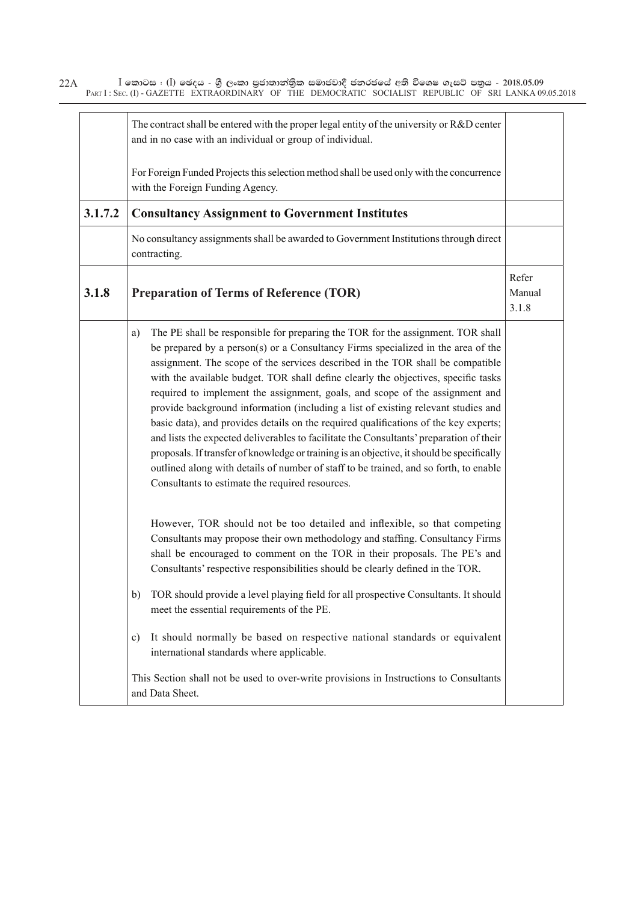|         | The contract shall be entered with the proper legal entity of the university or $R&D$ center<br>and in no case with an individual or group of individual.                                                                                                                                                                                                                                                                                                                                                                                                                                                                                                                                                                                                                                                                                                                                                                                           |                          |
|---------|-----------------------------------------------------------------------------------------------------------------------------------------------------------------------------------------------------------------------------------------------------------------------------------------------------------------------------------------------------------------------------------------------------------------------------------------------------------------------------------------------------------------------------------------------------------------------------------------------------------------------------------------------------------------------------------------------------------------------------------------------------------------------------------------------------------------------------------------------------------------------------------------------------------------------------------------------------|--------------------------|
|         | For Foreign Funded Projects this selection method shall be used only with the concurrence<br>with the Foreign Funding Agency.                                                                                                                                                                                                                                                                                                                                                                                                                                                                                                                                                                                                                                                                                                                                                                                                                       |                          |
| 3.1.7.2 | <b>Consultancy Assignment to Government Institutes</b>                                                                                                                                                                                                                                                                                                                                                                                                                                                                                                                                                                                                                                                                                                                                                                                                                                                                                              |                          |
|         | No consultancy assignments shall be awarded to Government Institutions through direct<br>contracting.                                                                                                                                                                                                                                                                                                                                                                                                                                                                                                                                                                                                                                                                                                                                                                                                                                               |                          |
| 3.1.8   | <b>Preparation of Terms of Reference (TOR)</b>                                                                                                                                                                                                                                                                                                                                                                                                                                                                                                                                                                                                                                                                                                                                                                                                                                                                                                      | Refer<br>Manual<br>3.1.8 |
|         | The PE shall be responsible for preparing the TOR for the assignment. TOR shall<br>a)<br>be prepared by a person(s) or a Consultancy Firms specialized in the area of the<br>assignment. The scope of the services described in the TOR shall be compatible<br>with the available budget. TOR shall define clearly the objectives, specific tasks<br>required to implement the assignment, goals, and scope of the assignment and<br>provide background information (including a list of existing relevant studies and<br>basic data), and provides details on the required qualifications of the key experts;<br>and lists the expected deliverables to facilitate the Consultants' preparation of their<br>proposals. If transfer of knowledge or training is an objective, it should be specifically<br>outlined along with details of number of staff to be trained, and so forth, to enable<br>Consultants to estimate the required resources. |                          |
|         | However, TOR should not be too detailed and inflexible, so that competing<br>Consultants may propose their own methodology and staffing. Consultancy Firms<br>shall be encouraged to comment on the TOR in their proposals. The PE's and<br>Consultants' respective responsibilities should be clearly defined in the TOR.                                                                                                                                                                                                                                                                                                                                                                                                                                                                                                                                                                                                                          |                          |
|         | TOR should provide a level playing field for all prospective Consultants. It should<br>b)<br>meet the essential requirements of the PE.                                                                                                                                                                                                                                                                                                                                                                                                                                                                                                                                                                                                                                                                                                                                                                                                             |                          |
|         | It should normally be based on respective national standards or equivalent<br>c)<br>international standards where applicable.                                                                                                                                                                                                                                                                                                                                                                                                                                                                                                                                                                                                                                                                                                                                                                                                                       |                          |
|         | This Section shall not be used to over-write provisions in Instructions to Consultants<br>and Data Sheet.                                                                                                                                                                                                                                                                                                                                                                                                                                                                                                                                                                                                                                                                                                                                                                                                                                           |                          |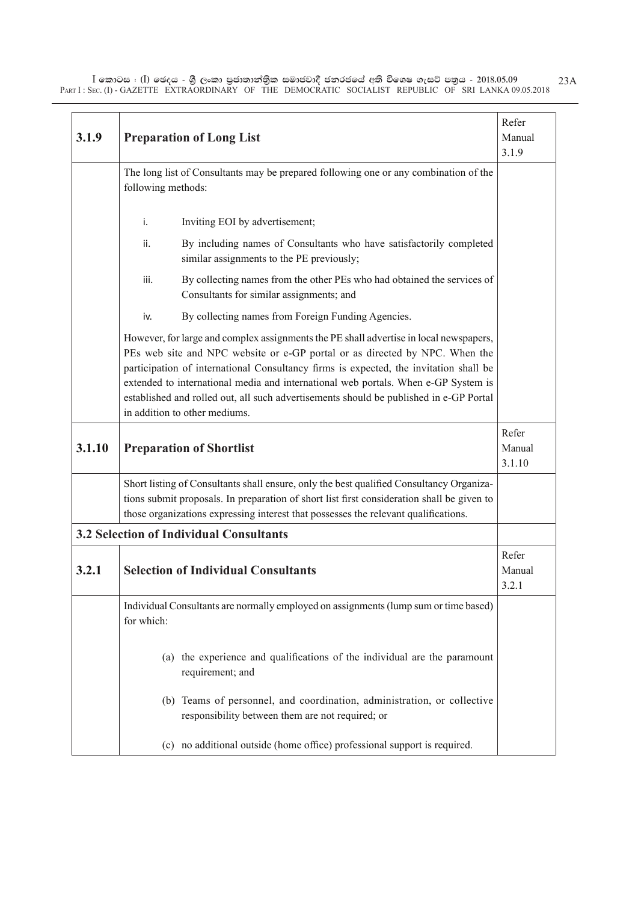| 3.1.9  | <b>Preparation of Long List</b>                                                                                                                                                                                                                                                                                                                                                                                                                                                 |                           |  |  |  |
|--------|---------------------------------------------------------------------------------------------------------------------------------------------------------------------------------------------------------------------------------------------------------------------------------------------------------------------------------------------------------------------------------------------------------------------------------------------------------------------------------|---------------------------|--|--|--|
|        | The long list of Consultants may be prepared following one or any combination of the<br>following methods:                                                                                                                                                                                                                                                                                                                                                                      |                           |  |  |  |
|        | Inviting EOI by advertisement;<br>i.                                                                                                                                                                                                                                                                                                                                                                                                                                            |                           |  |  |  |
|        | By including names of Consultants who have satisfactorily completed<br>ii.<br>similar assignments to the PE previously;                                                                                                                                                                                                                                                                                                                                                         |                           |  |  |  |
|        | iii.<br>By collecting names from the other PEs who had obtained the services of<br>Consultants for similar assignments; and                                                                                                                                                                                                                                                                                                                                                     |                           |  |  |  |
|        | By collecting names from Foreign Funding Agencies.<br>iv.                                                                                                                                                                                                                                                                                                                                                                                                                       |                           |  |  |  |
|        | However, for large and complex assignments the PE shall advertise in local newspapers,<br>PEs web site and NPC website or e-GP portal or as directed by NPC. When the<br>participation of international Consultancy firms is expected, the invitation shall be<br>extended to international media and international web portals. When e-GP System is<br>established and rolled out, all such advertisements should be published in e-GP Portal<br>in addition to other mediums. |                           |  |  |  |
| 3.1.10 | <b>Preparation of Shortlist</b>                                                                                                                                                                                                                                                                                                                                                                                                                                                 | Refer<br>Manual<br>3.1.10 |  |  |  |
|        | Short listing of Consultants shall ensure, only the best qualified Consultancy Organiza-<br>tions submit proposals. In preparation of short list first consideration shall be given to<br>those organizations expressing interest that possesses the relevant qualifications.                                                                                                                                                                                                   |                           |  |  |  |
|        | <b>3.2 Selection of Individual Consultants</b>                                                                                                                                                                                                                                                                                                                                                                                                                                  |                           |  |  |  |
| 3.2.1  | <b>Selection of Individual Consultants</b>                                                                                                                                                                                                                                                                                                                                                                                                                                      | Refer<br>Manual<br>3.2.1  |  |  |  |
|        | Individual Consultants are normally employed on assignments (lump sum or time based)<br>for which:                                                                                                                                                                                                                                                                                                                                                                              |                           |  |  |  |
|        | (a) the experience and qualifications of the individual are the paramount<br>requirement; and                                                                                                                                                                                                                                                                                                                                                                                   |                           |  |  |  |
|        | Teams of personnel, and coordination, administration, or collective<br>(b)<br>responsibility between them are not required; or                                                                                                                                                                                                                                                                                                                                                  |                           |  |  |  |
|        | (c) no additional outside (home office) professional support is required.                                                                                                                                                                                                                                                                                                                                                                                                       |                           |  |  |  |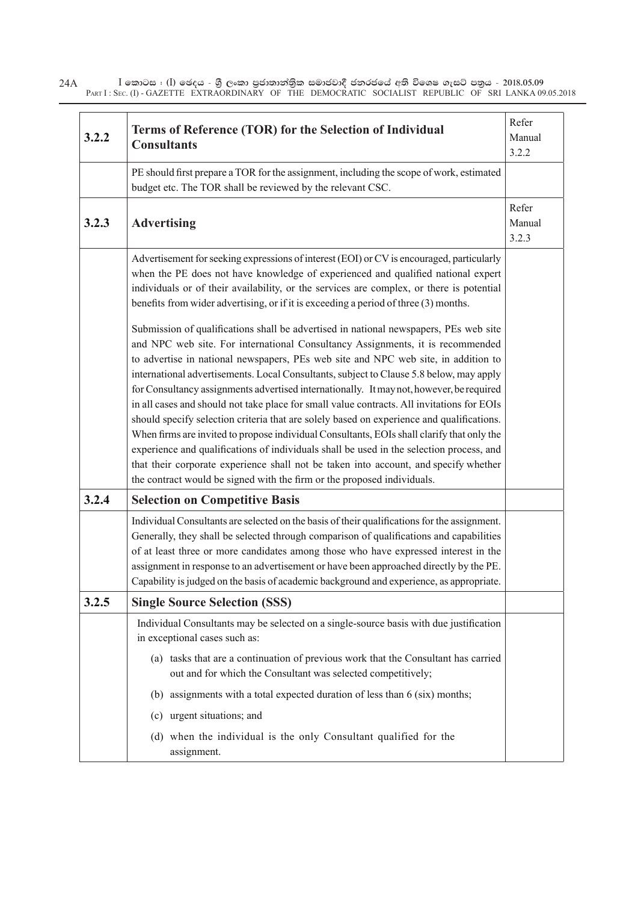| 3.2.2 | Terms of Reference (TOR) for the Selection of Individual<br><b>Consultants</b>                                                                                                                                                                                                                                                                                                                                                                                                                                                                                                                                                                                                                                                                                                                                                                                                                                      |                          |  |  |  |
|-------|---------------------------------------------------------------------------------------------------------------------------------------------------------------------------------------------------------------------------------------------------------------------------------------------------------------------------------------------------------------------------------------------------------------------------------------------------------------------------------------------------------------------------------------------------------------------------------------------------------------------------------------------------------------------------------------------------------------------------------------------------------------------------------------------------------------------------------------------------------------------------------------------------------------------|--------------------------|--|--|--|
|       | PE should first prepare a TOR for the assignment, including the scope of work, estimated<br>budget etc. The TOR shall be reviewed by the relevant CSC.                                                                                                                                                                                                                                                                                                                                                                                                                                                                                                                                                                                                                                                                                                                                                              |                          |  |  |  |
| 3.2.3 | <b>Advertising</b>                                                                                                                                                                                                                                                                                                                                                                                                                                                                                                                                                                                                                                                                                                                                                                                                                                                                                                  | Refer<br>Manual<br>3.2.3 |  |  |  |
|       | Advertisement for seeking expressions of interest (EOI) or CV is encouraged, particularly<br>when the PE does not have knowledge of experienced and qualified national expert<br>individuals or of their availability, or the services are complex, or there is potential<br>benefits from wider advertising, or if it is exceeding a period of three (3) months.<br>Submission of qualifications shall be advertised in national newspapers, PEs web site                                                                                                                                                                                                                                                                                                                                                                                                                                                          |                          |  |  |  |
|       | and NPC web site. For international Consultancy Assignments, it is recommended<br>to advertise in national newspapers, PEs web site and NPC web site, in addition to<br>international advertisements. Local Consultants, subject to Clause 5.8 below, may apply<br>for Consultancy assignments advertised internationally. It may not, however, be required<br>in all cases and should not take place for small value contracts. All invitations for EOIs<br>should specify selection criteria that are solely based on experience and qualifications.<br>When firms are invited to propose individual Consultants, EOIs shall clarify that only the<br>experience and qualifications of individuals shall be used in the selection process, and<br>that their corporate experience shall not be taken into account, and specify whether<br>the contract would be signed with the firm or the proposed individuals. |                          |  |  |  |
| 3.2.4 | <b>Selection on Competitive Basis</b>                                                                                                                                                                                                                                                                                                                                                                                                                                                                                                                                                                                                                                                                                                                                                                                                                                                                               |                          |  |  |  |
|       | Individual Consultants are selected on the basis of their qualifications for the assignment.<br>Generally, they shall be selected through comparison of qualifications and capabilities<br>of at least three or more candidates among those who have expressed interest in the<br>assignment in response to an advertisement or have been approached directly by the PE.<br>Capability is judged on the basis of academic background and experience, as appropriate.                                                                                                                                                                                                                                                                                                                                                                                                                                                |                          |  |  |  |
| 3.2.5 | <b>Single Source Selection (SSS)</b>                                                                                                                                                                                                                                                                                                                                                                                                                                                                                                                                                                                                                                                                                                                                                                                                                                                                                |                          |  |  |  |
|       | Individual Consultants may be selected on a single-source basis with due justification<br>in exceptional cases such as:                                                                                                                                                                                                                                                                                                                                                                                                                                                                                                                                                                                                                                                                                                                                                                                             |                          |  |  |  |
|       | (a) tasks that are a continuation of previous work that the Consultant has carried<br>out and for which the Consultant was selected competitively;                                                                                                                                                                                                                                                                                                                                                                                                                                                                                                                                                                                                                                                                                                                                                                  |                          |  |  |  |
|       | (b) assignments with a total expected duration of less than 6 (six) months;                                                                                                                                                                                                                                                                                                                                                                                                                                                                                                                                                                                                                                                                                                                                                                                                                                         |                          |  |  |  |
|       | urgent situations; and<br>(c)                                                                                                                                                                                                                                                                                                                                                                                                                                                                                                                                                                                                                                                                                                                                                                                                                                                                                       |                          |  |  |  |
|       | (d) when the individual is the only Consultant qualified for the<br>assignment.                                                                                                                                                                                                                                                                                                                                                                                                                                                                                                                                                                                                                                                                                                                                                                                                                                     |                          |  |  |  |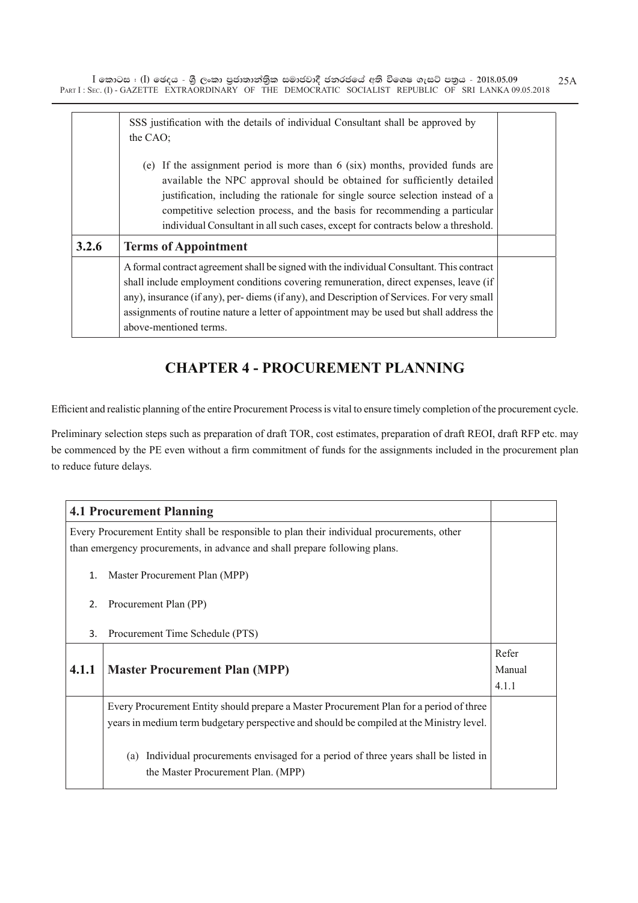|       | SSS justification with the details of individual Consultant shall be approved by<br>the CAO;<br>If the assignment period is more than $6$ (six) months, provided funds are<br>(e)<br>available the NPC approval should be obtained for sufficiently detailed                                                                                                                                         |  |  |  |  |  |
|-------|------------------------------------------------------------------------------------------------------------------------------------------------------------------------------------------------------------------------------------------------------------------------------------------------------------------------------------------------------------------------------------------------------|--|--|--|--|--|
|       | justification, including the rationale for single source selection instead of a<br>competitive selection process, and the basis for recommending a particular<br>individual Consultant in all such cases, except for contracts below a threshold.                                                                                                                                                    |  |  |  |  |  |
| 3.2.6 | <b>Terms of Appointment</b>                                                                                                                                                                                                                                                                                                                                                                          |  |  |  |  |  |
|       | A formal contract agreement shall be signed with the individual Consultant. This contract<br>shall include employment conditions covering remuneration, direct expenses, leave (if<br>any), insurance (if any), per-diems (if any), and Description of Services. For very small<br>assignments of routine nature a letter of appointment may be used but shall address the<br>above-mentioned terms. |  |  |  |  |  |

# **CHAPTER 4 - PROCUREMENT PLANNING**

Efficient and realistic planning of the entire Procurement Process is vital to ensure timely completion of the procurement cycle.

Preliminary selection steps such as preparation of draft TOR, cost estimates, preparation of draft REOI, draft RFP etc. may be commenced by the PE even without a firm commitment of funds for the assignments included in the procurement plan to reduce future delays.

| <b>4.1 Procurement Planning</b>                                                            |                                                                                          |       |  |  |  |  |
|--------------------------------------------------------------------------------------------|------------------------------------------------------------------------------------------|-------|--|--|--|--|
| Every Procurement Entity shall be responsible to plan their individual procurements, other |                                                                                          |       |  |  |  |  |
|                                                                                            | than emergency procurements, in advance and shall prepare following plans.               |       |  |  |  |  |
| 1.                                                                                         | Master Procurement Plan (MPP)                                                            |       |  |  |  |  |
| 2.                                                                                         | Procurement Plan (PP)                                                                    |       |  |  |  |  |
| 3.                                                                                         | Procurement Time Schedule (PTS)                                                          |       |  |  |  |  |
|                                                                                            |                                                                                          | Refer |  |  |  |  |
| 4.1.1                                                                                      | <b>Master Procurement Plan (MPP)</b>                                                     |       |  |  |  |  |
|                                                                                            |                                                                                          | 4.1.1 |  |  |  |  |
|                                                                                            | Every Procurement Entity should prepare a Master Procurement Plan for a period of three  |       |  |  |  |  |
|                                                                                            | years in medium term budgetary perspective and should be compiled at the Ministry level. |       |  |  |  |  |
|                                                                                            |                                                                                          |       |  |  |  |  |
|                                                                                            | Individual procurements envisaged for a period of three years shall be listed in<br>(a)  |       |  |  |  |  |
|                                                                                            | the Master Procurement Plan. (MPP)                                                       |       |  |  |  |  |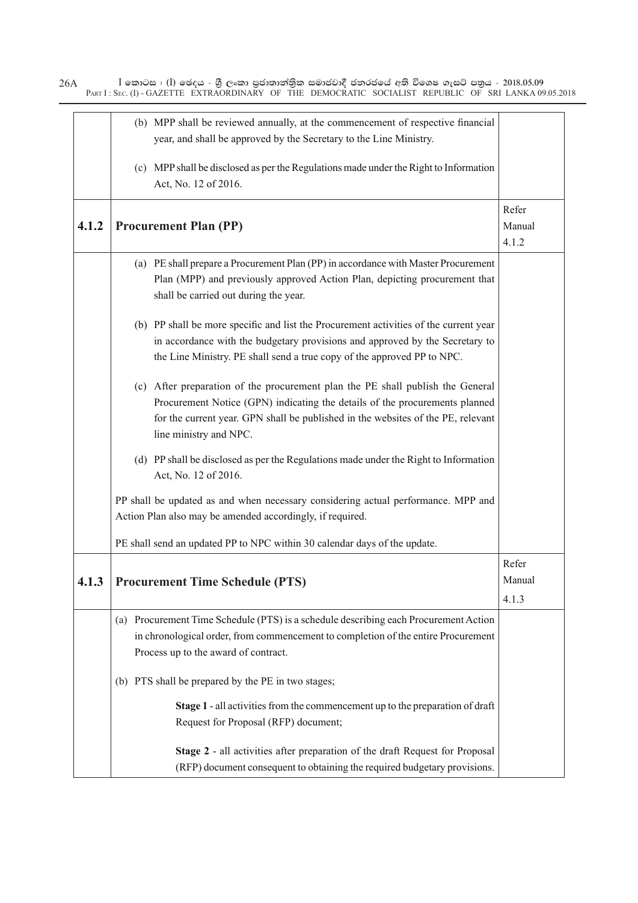$I$  කොටස : (I) ඡෙදය - ශුී ලංකා පුජාතාන්තිුක සමාජවාදී ජනරජයේ අති විශෙෂ ගැසට් පතුය - 2018.05.09 PART I: SEC. (I) - GAZETTE EXTRAORDINARY OF THE DEMOCRATIC SOCIALIST REPUBLIC OF SRI LANKA 09.05.2018 26A (b) MPP shall be reviewed annually, at the commencement of respective financial year, and shall be approved by the Secretary to the Line Ministry. (c) MPP shall be disclosed as per the Regulations made under the Right to Information Act, No. 12 of 2016. **4.1.2 Procurement Plan (PP)** Refer Manual 4.1.2 (a) PE shall prepare a Procurement Plan (PP) in accordance with Master Procurement Plan (MPP) and previously approved Action Plan, depicting procurement that shall be carried out during the year. (b) PP shall be more specific and list the Procurement activities of the current year in accordance with the budgetary provisions and approved by the Secretary to the Line Ministry. PE shall send a true copy of the approved PP to NPC. (c) After preparation of the procurement plan the PE shall publish the General Procurement Notice (GPN) indicating the details of the procurements planned for the current year. GPN shall be published in the websites of the PE, relevant line ministry and NPC. (d) PP shall be disclosed as per the Regulations made under the Right to Information Act, No. 12 of 2016. PP shall be updated as and when necessary considering actual performance. MPP and Action Plan also may be amended accordingly, if required. PE shall send an updated PP to NPC within 30 calendar days of the update. **4.1.3 Procurement Time Schedule (PTS)** Refer Manual 4.1.3 (a) Procurement Time Schedule (PTS) is a schedule describing each Procurement Action in chronological order, from commencement to completion of the entire Procurement Process up to the award of contract. (b) PTS shall be prepared by the PE in two stages; **Stage 1** - all activities from the commencement up to the preparation of draft Request for Proposal (RFP) document; **Stage 2** - all activities after preparation of the draft Request for Proposal (RFP) document consequent to obtaining the required budgetary provisions.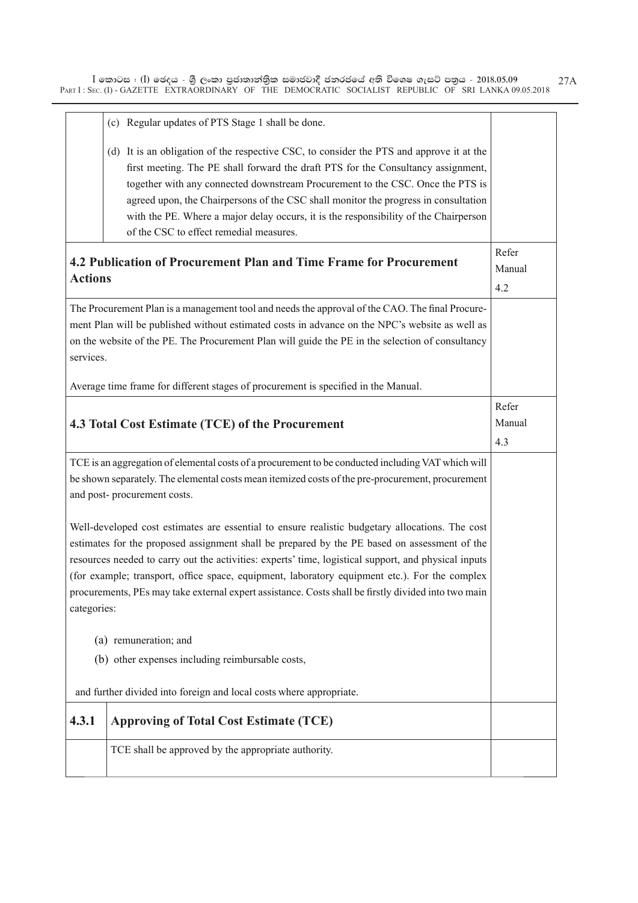|                                                                                                                                                                                                                                                                                                                                                                                                                                                                                                                                | (c) Regular updates of PTS Stage 1 shall be done.                                                                                                                                                                                                                                                                                                                                                                                                                                         |                        |  |  |
|--------------------------------------------------------------------------------------------------------------------------------------------------------------------------------------------------------------------------------------------------------------------------------------------------------------------------------------------------------------------------------------------------------------------------------------------------------------------------------------------------------------------------------|-------------------------------------------------------------------------------------------------------------------------------------------------------------------------------------------------------------------------------------------------------------------------------------------------------------------------------------------------------------------------------------------------------------------------------------------------------------------------------------------|------------------------|--|--|
|                                                                                                                                                                                                                                                                                                                                                                                                                                                                                                                                | (d) It is an obligation of the respective CSC, to consider the PTS and approve it at the<br>first meeting. The PE shall forward the draft PTS for the Consultancy assignment,<br>together with any connected downstream Procurement to the CSC. Once the PTS is<br>agreed upon, the Chairpersons of the CSC shall monitor the progress in consultation<br>with the PE. Where a major delay occurs, it is the responsibility of the Chairperson<br>of the CSC to effect remedial measures. |                        |  |  |
| <b>Actions</b>                                                                                                                                                                                                                                                                                                                                                                                                                                                                                                                 | 4.2 Publication of Procurement Plan and Time Frame for Procurement                                                                                                                                                                                                                                                                                                                                                                                                                        | Refer<br>Manual<br>4.2 |  |  |
|                                                                                                                                                                                                                                                                                                                                                                                                                                                                                                                                | The Procurement Plan is a management tool and needs the approval of the CAO. The final Procure-<br>ment Plan will be published without estimated costs in advance on the NPC's website as well as<br>on the website of the PE. The Procurement Plan will guide the PE in the selection of consultancy<br>services.                                                                                                                                                                        |                        |  |  |
|                                                                                                                                                                                                                                                                                                                                                                                                                                                                                                                                | Average time frame for different stages of procurement is specified in the Manual.                                                                                                                                                                                                                                                                                                                                                                                                        | Refer                  |  |  |
|                                                                                                                                                                                                                                                                                                                                                                                                                                                                                                                                | 4.3 Total Cost Estimate (TCE) of the Procurement                                                                                                                                                                                                                                                                                                                                                                                                                                          | Manual<br>4.3          |  |  |
| TCE is an aggregation of elemental costs of a procurement to be conducted including VAT which will<br>be shown separately. The elemental costs mean itemized costs of the pre-procurement, procurement<br>and post-procurement costs.                                                                                                                                                                                                                                                                                          |                                                                                                                                                                                                                                                                                                                                                                                                                                                                                           |                        |  |  |
| Well-developed cost estimates are essential to ensure realistic budgetary allocations. The cost<br>estimates for the proposed assignment shall be prepared by the PE based on assessment of the<br>resources needed to carry out the activities: experts' time, logistical support, and physical inputs<br>(for example; transport, office space, equipment, laboratory equipment etc.). For the complex<br>procurements, PEs may take external expert assistance. Costs shall be firstly divided into two main<br>categories: |                                                                                                                                                                                                                                                                                                                                                                                                                                                                                           |                        |  |  |
|                                                                                                                                                                                                                                                                                                                                                                                                                                                                                                                                | (a) remuneration; and                                                                                                                                                                                                                                                                                                                                                                                                                                                                     |                        |  |  |
|                                                                                                                                                                                                                                                                                                                                                                                                                                                                                                                                | (b) other expenses including reimbursable costs,                                                                                                                                                                                                                                                                                                                                                                                                                                          |                        |  |  |
|                                                                                                                                                                                                                                                                                                                                                                                                                                                                                                                                | and further divided into foreign and local costs where appropriate.                                                                                                                                                                                                                                                                                                                                                                                                                       |                        |  |  |
| 4.3.1                                                                                                                                                                                                                                                                                                                                                                                                                                                                                                                          | <b>Approving of Total Cost Estimate (TCE)</b>                                                                                                                                                                                                                                                                                                                                                                                                                                             |                        |  |  |
|                                                                                                                                                                                                                                                                                                                                                                                                                                                                                                                                | TCE shall be approved by the appropriate authority.                                                                                                                                                                                                                                                                                                                                                                                                                                       |                        |  |  |
|                                                                                                                                                                                                                                                                                                                                                                                                                                                                                                                                |                                                                                                                                                                                                                                                                                                                                                                                                                                                                                           |                        |  |  |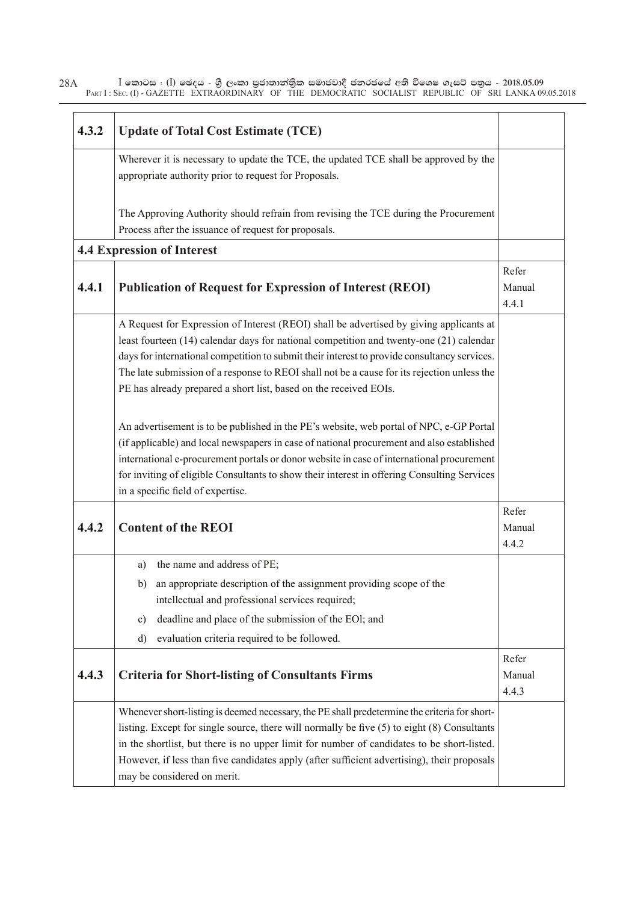| 28A | l කොටස : (l) ඡෙදය - ශුී ලංකා පුජාතාන්තිුක සමාජවාදී ජනරජයේ අති විශෙෂ ගැසට් පතුය - 2018.05.09           |  |  |  |
|-----|-------------------------------------------------------------------------------------------------------|--|--|--|
|     | PART I: SEC. (I) - GAZETTE EXTRAORDINARY OF THE DEMOCRATIC SOCIALIST REPUBLIC OF SRI LANKA 09.05.2018 |  |  |  |

| 4.3.2 | <b>Update of Total Cost Estimate (TCE)</b>                                                                                                                                                                                                                                                                                                                                                                                                             |                          |
|-------|--------------------------------------------------------------------------------------------------------------------------------------------------------------------------------------------------------------------------------------------------------------------------------------------------------------------------------------------------------------------------------------------------------------------------------------------------------|--------------------------|
|       | Wherever it is necessary to update the TCE, the updated TCE shall be approved by the<br>appropriate authority prior to request for Proposals.                                                                                                                                                                                                                                                                                                          |                          |
|       | The Approving Authority should refrain from revising the TCE during the Procurement<br>Process after the issuance of request for proposals.                                                                                                                                                                                                                                                                                                            |                          |
|       | <b>4.4 Expression of Interest</b>                                                                                                                                                                                                                                                                                                                                                                                                                      |                          |
| 4.4.1 | <b>Publication of Request for Expression of Interest (REOI)</b>                                                                                                                                                                                                                                                                                                                                                                                        | Refer<br>Manual<br>4.4.1 |
|       | A Request for Expression of Interest (REOI) shall be advertised by giving applicants at<br>least fourteen (14) calendar days for national competition and twenty-one (21) calendar<br>days for international competition to submit their interest to provide consultancy services.<br>The late submission of a response to REOI shall not be a cause for its rejection unless the<br>PE has already prepared a short list, based on the received EOIs. |                          |
|       | An advertisement is to be published in the PE's website, web portal of NPC, e-GP Portal<br>(if applicable) and local newspapers in case of national procurement and also established<br>international e-procurement portals or donor website in case of international procurement<br>for inviting of eligible Consultants to show their interest in offering Consulting Services<br>in a specific field of expertise.                                  |                          |
| 4.4.2 | <b>Content of the REOI</b>                                                                                                                                                                                                                                                                                                                                                                                                                             | Refer<br>Manual<br>4.4.2 |
|       | the name and address of PE;<br>a)<br>an appropriate description of the assignment providing scope of the<br>b)<br>intellectual and professional services required;<br>deadline and place of the submission of the EOI; and<br>$\mathbf{c})$<br>evaluation criteria required to be followed.<br>d)                                                                                                                                                      |                          |
| 4.4.3 | <b>Criteria for Short-listing of Consultants Firms</b>                                                                                                                                                                                                                                                                                                                                                                                                 | Refer<br>Manual<br>4.4.3 |
|       | Whenever short-listing is deemed necessary, the PE shall predetermine the criteria for short-<br>listing. Except for single source, there will normally be five (5) to eight (8) Consultants<br>in the shortlist, but there is no upper limit for number of candidates to be short-listed.<br>However, if less than five candidates apply (after sufficient advertising), their proposals<br>may be considered on merit.                               |                          |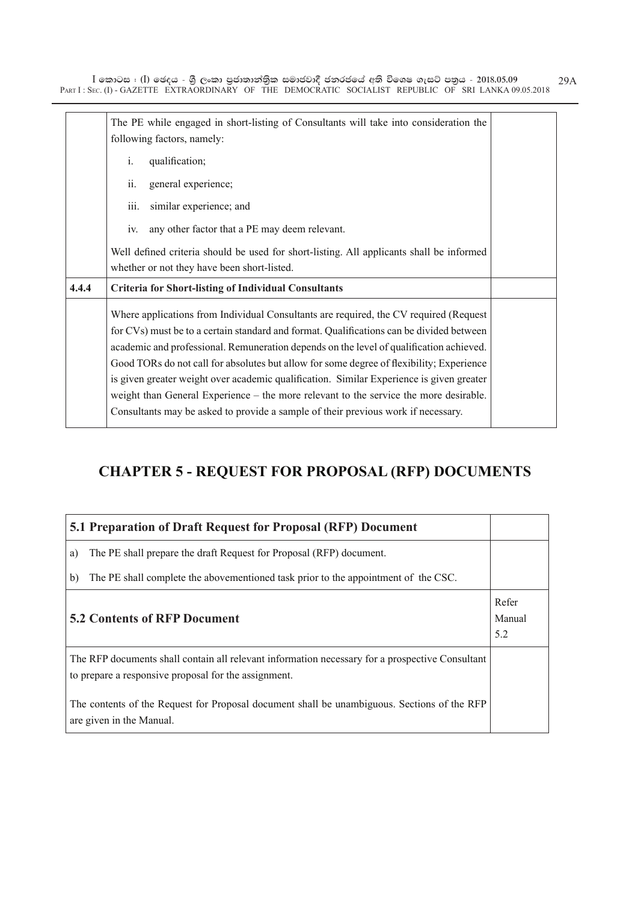|       | The PE while engaged in short-listing of Consultants will take into consideration the<br>following factors, namely:                                                                                                                                                                                                                                                                                                                                                                                                                                                                                                                                |  |  |  |
|-------|----------------------------------------------------------------------------------------------------------------------------------------------------------------------------------------------------------------------------------------------------------------------------------------------------------------------------------------------------------------------------------------------------------------------------------------------------------------------------------------------------------------------------------------------------------------------------------------------------------------------------------------------------|--|--|--|
|       | $\mathbf{i}$ .<br>qualification;                                                                                                                                                                                                                                                                                                                                                                                                                                                                                                                                                                                                                   |  |  |  |
|       | ii.<br>general experience;                                                                                                                                                                                                                                                                                                                                                                                                                                                                                                                                                                                                                         |  |  |  |
|       | iii.<br>similar experience; and                                                                                                                                                                                                                                                                                                                                                                                                                                                                                                                                                                                                                    |  |  |  |
|       | any other factor that a PE may deem relevant.<br>iv.                                                                                                                                                                                                                                                                                                                                                                                                                                                                                                                                                                                               |  |  |  |
|       | Well defined criteria should be used for short-listing. All applicants shall be informed<br>whether or not they have been short-listed.                                                                                                                                                                                                                                                                                                                                                                                                                                                                                                            |  |  |  |
| 4.4.4 | <b>Criteria for Short-listing of Individual Consultants</b>                                                                                                                                                                                                                                                                                                                                                                                                                                                                                                                                                                                        |  |  |  |
|       | Where applications from Individual Consultants are required, the CV required (Request<br>for CVs) must be to a certain standard and format. Qualifications can be divided between<br>academic and professional. Remuneration depends on the level of qualification achieved.<br>Good TORs do not call for absolutes but allow for some degree of flexibility; Experience<br>is given greater weight over academic qualification. Similar Experience is given greater<br>weight than General Experience – the more relevant to the service the more desirable.<br>Consultants may be asked to provide a sample of their previous work if necessary. |  |  |  |

# **CHAPTER 5 - REQUEST FOR PROPOSAL (RFP) DOCUMENTS**

| 5.1 Preparation of Draft Request for Proposal (RFP) Document                                                                                            |  |  |  |
|---------------------------------------------------------------------------------------------------------------------------------------------------------|--|--|--|
| The PE shall prepare the draft Request for Proposal (RFP) document.<br>a)                                                                               |  |  |  |
| The PE shall complete the abovementioned task prior to the appointment of the CSC.<br>b)                                                                |  |  |  |
| Refer<br><b>5.2 Contents of RFP Document</b><br>Manual<br>5.2                                                                                           |  |  |  |
| The RFP documents shall contain all relevant information necessary for a prospective Consultant<br>to prepare a responsive proposal for the assignment. |  |  |  |
| The contents of the Request for Proposal document shall be unambiguous. Sections of the RFP<br>are given in the Manual.                                 |  |  |  |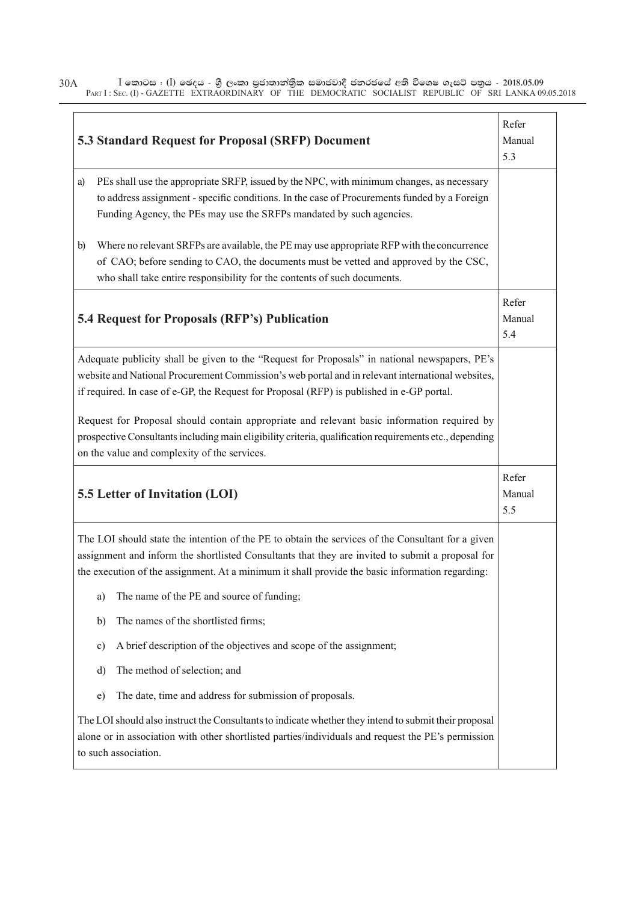|              | <b>5.3 Standard Request for Proposal (SRFP) Document</b>                                                                                                                                                                                                                                                 | Refer<br>Manual<br>5.3 |
|--------------|----------------------------------------------------------------------------------------------------------------------------------------------------------------------------------------------------------------------------------------------------------------------------------------------------------|------------------------|
| a)           | PEs shall use the appropriate SRFP, issued by the NPC, with minimum changes, as necessary<br>to address assignment - specific conditions. In the case of Procurements funded by a Foreign<br>Funding Agency, the PEs may use the SRFPs mandated by such agencies.                                        |                        |
| $\mathbf{b}$ | Where no relevant SRFPs are available, the PE may use appropriate RFP with the concurrence<br>of CAO; before sending to CAO, the documents must be vetted and approved by the CSC,<br>who shall take entire responsibility for the contents of such documents.                                           |                        |
|              | <b>5.4 Request for Proposals (RFP's) Publication</b>                                                                                                                                                                                                                                                     | Refer<br>Manual<br>5.4 |
|              | Adequate publicity shall be given to the "Request for Proposals" in national newspapers, PE's<br>website and National Procurement Commission's web portal and in relevant international websites,<br>if required. In case of e-GP, the Request for Proposal (RFP) is published in e-GP portal.           |                        |
|              | Request for Proposal should contain appropriate and relevant basic information required by<br>prospective Consultants including main eligibility criteria, qualification requirements etc., depending<br>on the value and complexity of the services.                                                    |                        |
|              | 5.5 Letter of Invitation (LOI)                                                                                                                                                                                                                                                                           | Refer<br>Manual<br>5.5 |
|              | The LOI should state the intention of the PE to obtain the services of the Consultant for a given<br>assignment and inform the shortlisted Consultants that they are invited to submit a proposal for<br>the execution of the assignment. At a minimum it shall provide the basic information regarding: |                        |
|              | The name of the PE and source of funding;<br>a)                                                                                                                                                                                                                                                          |                        |
|              | The names of the shortlisted firms;<br>b)                                                                                                                                                                                                                                                                |                        |
|              | A brief description of the objectives and scope of the assignment;<br>c)                                                                                                                                                                                                                                 |                        |
|              | The method of selection; and<br>d)                                                                                                                                                                                                                                                                       |                        |
|              | The date, time and address for submission of proposals.<br>e)                                                                                                                                                                                                                                            |                        |
|              | The LOI should also instruct the Consultants to indicate whether they intend to submit their proposal<br>alone or in association with other shortlisted parties/individuals and request the PE's permission<br>to such association.                                                                      |                        |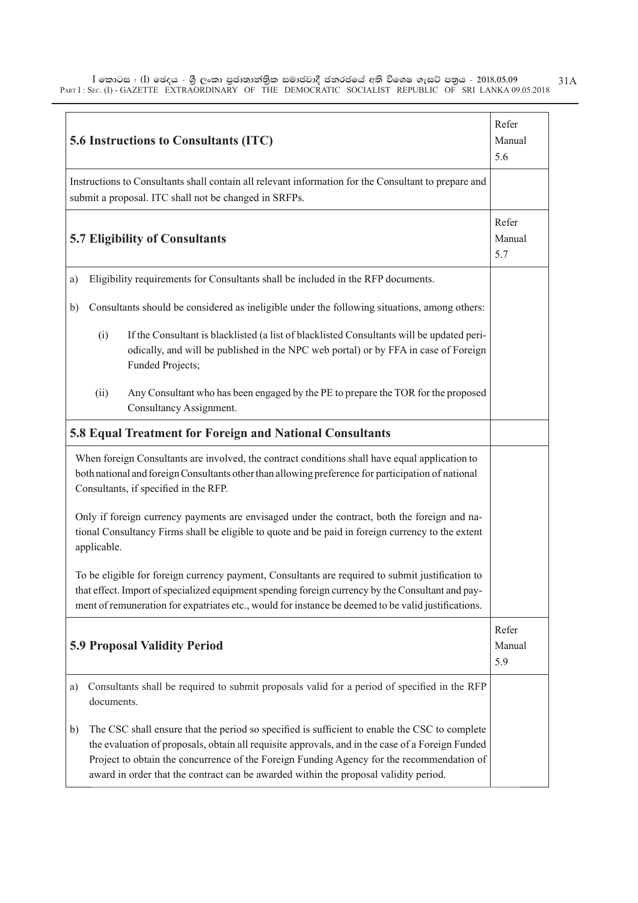|                                     |             | 5.6 Instructions to Consultants (ITC)                                                                                                                                                                                                                                                                                                                                                  | Refer<br>Manual<br>5.6 |
|-------------------------------------|-------------|----------------------------------------------------------------------------------------------------------------------------------------------------------------------------------------------------------------------------------------------------------------------------------------------------------------------------------------------------------------------------------------|------------------------|
|                                     |             | Instructions to Consultants shall contain all relevant information for the Consultant to prepare and<br>submit a proposal. ITC shall not be changed in SRFPs.                                                                                                                                                                                                                          |                        |
|                                     |             | <b>5.7 Eligibility of Consultants</b>                                                                                                                                                                                                                                                                                                                                                  | Refer<br>Manual<br>5.7 |
| a)                                  |             | Eligibility requirements for Consultants shall be included in the RFP documents.                                                                                                                                                                                                                                                                                                       |                        |
| b)                                  |             | Consultants should be considered as ineligible under the following situations, among others:                                                                                                                                                                                                                                                                                           |                        |
|                                     | (i)         | If the Consultant is blacklisted (a list of blacklisted Consultants will be updated peri-<br>odically, and will be published in the NPC web portal) or by FFA in case of Foreign<br>Funded Projects;                                                                                                                                                                                   |                        |
|                                     | (ii)        | Any Consultant who has been engaged by the PE to prepare the TOR for the proposed<br>Consultancy Assignment.                                                                                                                                                                                                                                                                           |                        |
|                                     |             | 5.8 Equal Treatment for Foreign and National Consultants                                                                                                                                                                                                                                                                                                                               |                        |
|                                     |             | When foreign Consultants are involved, the contract conditions shall have equal application to<br>both national and foreign Consultants other than allowing preference for participation of national<br>Consultants, if specified in the RFP.                                                                                                                                          |                        |
|                                     | applicable. | Only if foreign currency payments are envisaged under the contract, both the foreign and na-<br>tional Consultancy Firms shall be eligible to quote and be paid in foreign currency to the extent                                                                                                                                                                                      |                        |
|                                     |             | To be eligible for foreign currency payment, Consultants are required to submit justification to<br>that effect. Import of specialized equipment spending foreign currency by the Consultant and pay-<br>ment of remuneration for expatriates etc., would for instance be deemed to be valid justifications.                                                                           |                        |
| <b>5.9 Proposal Validity Period</b> |             |                                                                                                                                                                                                                                                                                                                                                                                        | Refer<br>Manual<br>5.9 |
| a)                                  | documents.  | Consultants shall be required to submit proposals valid for a period of specified in the RFP                                                                                                                                                                                                                                                                                           |                        |
| b)                                  |             | The CSC shall ensure that the period so specified is sufficient to enable the CSC to complete<br>the evaluation of proposals, obtain all requisite approvals, and in the case of a Foreign Funded<br>Project to obtain the concurrence of the Foreign Funding Agency for the recommendation of<br>award in order that the contract can be awarded within the proposal validity period. |                        |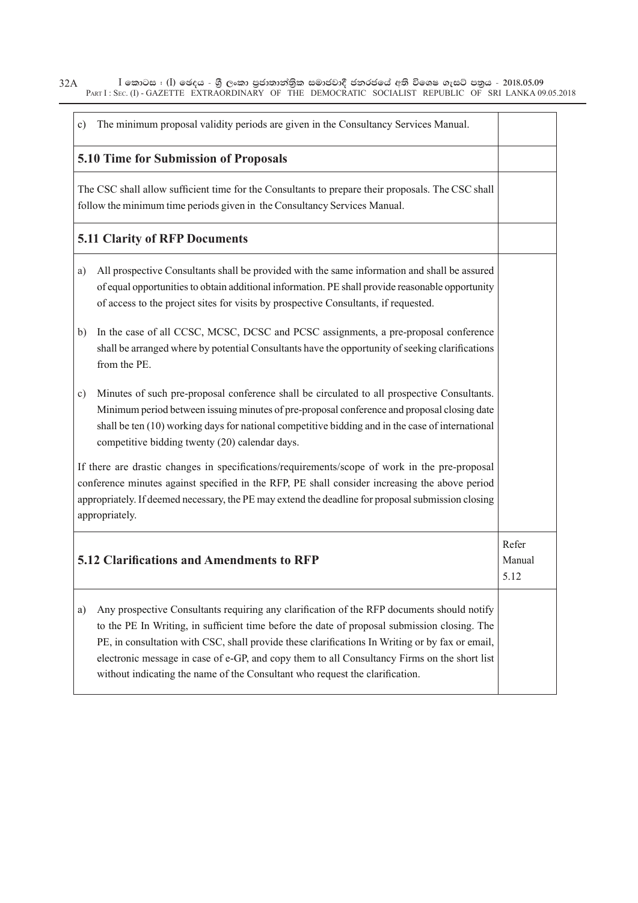| The minimum proposal validity periods are given in the Consultancy Services Manual.<br>c)                                                                                                                                                                                                                                                                                                                                                                                           |                         |
|-------------------------------------------------------------------------------------------------------------------------------------------------------------------------------------------------------------------------------------------------------------------------------------------------------------------------------------------------------------------------------------------------------------------------------------------------------------------------------------|-------------------------|
| 5.10 Time for Submission of Proposals                                                                                                                                                                                                                                                                                                                                                                                                                                               |                         |
| The CSC shall allow sufficient time for the Consultants to prepare their proposals. The CSC shall<br>follow the minimum time periods given in the Consultancy Services Manual.                                                                                                                                                                                                                                                                                                      |                         |
| <b>5.11 Clarity of RFP Documents</b>                                                                                                                                                                                                                                                                                                                                                                                                                                                |                         |
| All prospective Consultants shall be provided with the same information and shall be assured<br>a)<br>of equal opportunities to obtain additional information. PE shall provide reasonable opportunity<br>of access to the project sites for visits by prospective Consultants, if requested.                                                                                                                                                                                       |                         |
| In the case of all CCSC, MCSC, DCSC and PCSC assignments, a pre-proposal conference<br>b)<br>shall be arranged where by potential Consultants have the opportunity of seeking clarifications<br>from the PE.                                                                                                                                                                                                                                                                        |                         |
| Minutes of such pre-proposal conference shall be circulated to all prospective Consultants.<br>c)<br>Minimum period between issuing minutes of pre-proposal conference and proposal closing date<br>shall be ten (10) working days for national competitive bidding and in the case of international<br>competitive bidding twenty (20) calendar days.                                                                                                                              |                         |
| If there are drastic changes in specifications/requirements/scope of work in the pre-proposal<br>conference minutes against specified in the RFP, PE shall consider increasing the above period<br>appropriately. If deemed necessary, the PE may extend the deadline for proposal submission closing<br>appropriately.                                                                                                                                                             |                         |
| 5.12 Clarifications and Amendments to RFP                                                                                                                                                                                                                                                                                                                                                                                                                                           | Refer<br>Manual<br>5.12 |
| Any prospective Consultants requiring any clarification of the RFP documents should notify<br>a)<br>to the PE In Writing, in sufficient time before the date of proposal submission closing. The<br>PE, in consultation with CSC, shall provide these clarifications In Writing or by fax or email,<br>electronic message in case of e-GP, and copy them to all Consultancy Firms on the short list<br>without indicating the name of the Consultant who request the clarification. |                         |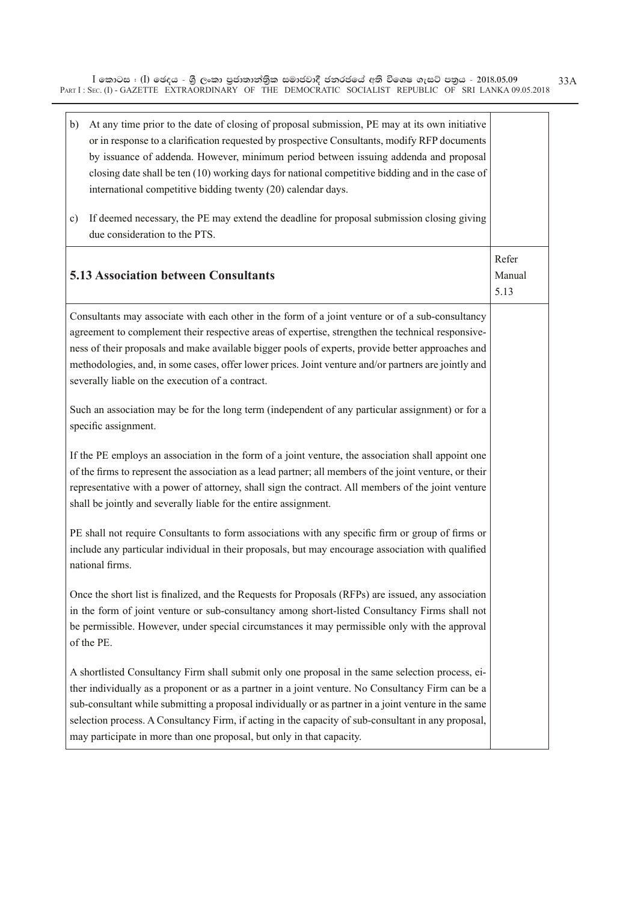| At any time prior to the date of closing of proposal submission, PE may at its own initiative<br>b)<br>or in response to a clarification requested by prospective Consultants, modify RFP documents<br>by issuance of addenda. However, minimum period between issuing addenda and proposal<br>closing date shall be ten (10) working days for national competitive bidding and in the case of<br>international competitive bidding twenty (20) calendar days.<br>If deemed necessary, the PE may extend the deadline for proposal submission closing giving<br>c)<br>due consideration to the PTS. |                         |
|-----------------------------------------------------------------------------------------------------------------------------------------------------------------------------------------------------------------------------------------------------------------------------------------------------------------------------------------------------------------------------------------------------------------------------------------------------------------------------------------------------------------------------------------------------------------------------------------------------|-------------------------|
| <b>5.13 Association between Consultants</b>                                                                                                                                                                                                                                                                                                                                                                                                                                                                                                                                                         | Refer<br>Manual<br>5.13 |
| Consultants may associate with each other in the form of a joint venture or of a sub-consultancy<br>agreement to complement their respective areas of expertise, strengthen the technical responsive-<br>ness of their proposals and make available bigger pools of experts, provide better approaches and<br>methodologies, and, in some cases, offer lower prices. Joint venture and/or partners are jointly and<br>severally liable on the execution of a contract.                                                                                                                              |                         |
| Such an association may be for the long term (independent of any particular assignment) or for a<br>specific assignment.                                                                                                                                                                                                                                                                                                                                                                                                                                                                            |                         |
| If the PE employs an association in the form of a joint venture, the association shall appoint one<br>of the firms to represent the association as a lead partner; all members of the joint venture, or their<br>representative with a power of attorney, shall sign the contract. All members of the joint venture<br>shall be jointly and severally liable for the entire assignment.                                                                                                                                                                                                             |                         |
| PE shall not require Consultants to form associations with any specific firm or group of firms or<br>include any particular individual in their proposals, but may encourage association with qualified<br>national firms.                                                                                                                                                                                                                                                                                                                                                                          |                         |
| Once the short list is finalized, and the Requests for Proposals (RFPs) are issued, any association<br>in the form of joint venture or sub-consultancy among short-listed Consultancy Firms shall not<br>be permissible. However, under special circumstances it may permissible only with the approval<br>of the PE.                                                                                                                                                                                                                                                                               |                         |
| A shortlisted Consultancy Firm shall submit only one proposal in the same selection process, ei-<br>ther individually as a proponent or as a partner in a joint venture. No Consultancy Firm can be a<br>sub-consultant while submitting a proposal individually or as partner in a joint venture in the same<br>selection process. A Consultancy Firm, if acting in the capacity of sub-consultant in any proposal,<br>may participate in more than one proposal, but only in that capacity.                                                                                                       |                         |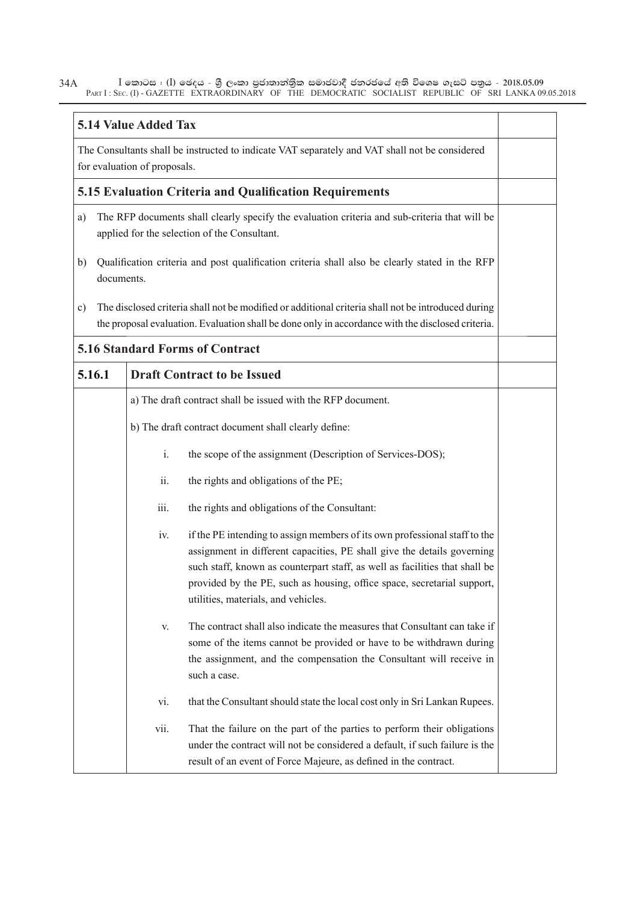| <b>5.14 Value Added Tax</b>                                                                                                    |      |                                                                                                                                                                                                                                                                                                                                                        |  |
|--------------------------------------------------------------------------------------------------------------------------------|------|--------------------------------------------------------------------------------------------------------------------------------------------------------------------------------------------------------------------------------------------------------------------------------------------------------------------------------------------------------|--|
| The Consultants shall be instructed to indicate VAT separately and VAT shall not be considered<br>for evaluation of proposals. |      |                                                                                                                                                                                                                                                                                                                                                        |  |
| 5.15 Evaluation Criteria and Qualification Requirements                                                                        |      |                                                                                                                                                                                                                                                                                                                                                        |  |
| a)                                                                                                                             |      | The RFP documents shall clearly specify the evaluation criteria and sub-criteria that will be<br>applied for the selection of the Consultant.                                                                                                                                                                                                          |  |
| b)<br>documents.                                                                                                               |      | Qualification criteria and post qualification criteria shall also be clearly stated in the RFP                                                                                                                                                                                                                                                         |  |
| c)                                                                                                                             |      | The disclosed criteria shall not be modified or additional criteria shall not be introduced during<br>the proposal evaluation. Evaluation shall be done only in accordance with the disclosed criteria.                                                                                                                                                |  |
|                                                                                                                                |      | <b>5.16 Standard Forms of Contract</b>                                                                                                                                                                                                                                                                                                                 |  |
| 5.16.1                                                                                                                         |      | <b>Draft Contract to be Issued</b>                                                                                                                                                                                                                                                                                                                     |  |
|                                                                                                                                |      | a) The draft contract shall be issued with the RFP document.                                                                                                                                                                                                                                                                                           |  |
|                                                                                                                                |      | b) The draft contract document shall clearly define:                                                                                                                                                                                                                                                                                                   |  |
|                                                                                                                                | i.   | the scope of the assignment (Description of Services-DOS);                                                                                                                                                                                                                                                                                             |  |
|                                                                                                                                | ii.  | the rights and obligations of the PE;                                                                                                                                                                                                                                                                                                                  |  |
|                                                                                                                                | iii. | the rights and obligations of the Consultant:                                                                                                                                                                                                                                                                                                          |  |
|                                                                                                                                | iv.  | if the PE intending to assign members of its own professional staff to the<br>assignment in different capacities, PE shall give the details governing<br>such staff, known as counterpart staff, as well as facilities that shall be<br>provided by the PE, such as housing, office space, secretarial support,<br>utilities, materials, and vehicles. |  |
|                                                                                                                                | V.   | The contract shall also indicate the measures that Consultant can take if<br>some of the items cannot be provided or have to be withdrawn during<br>the assignment, and the compensation the Consultant will receive in<br>such a case.                                                                                                                |  |
|                                                                                                                                | vi.  | that the Consultant should state the local cost only in Sri Lankan Rupees.                                                                                                                                                                                                                                                                             |  |
|                                                                                                                                | vii. | That the failure on the part of the parties to perform their obligations<br>under the contract will not be considered a default, if such failure is the<br>result of an event of Force Majeure, as defined in the contract.                                                                                                                            |  |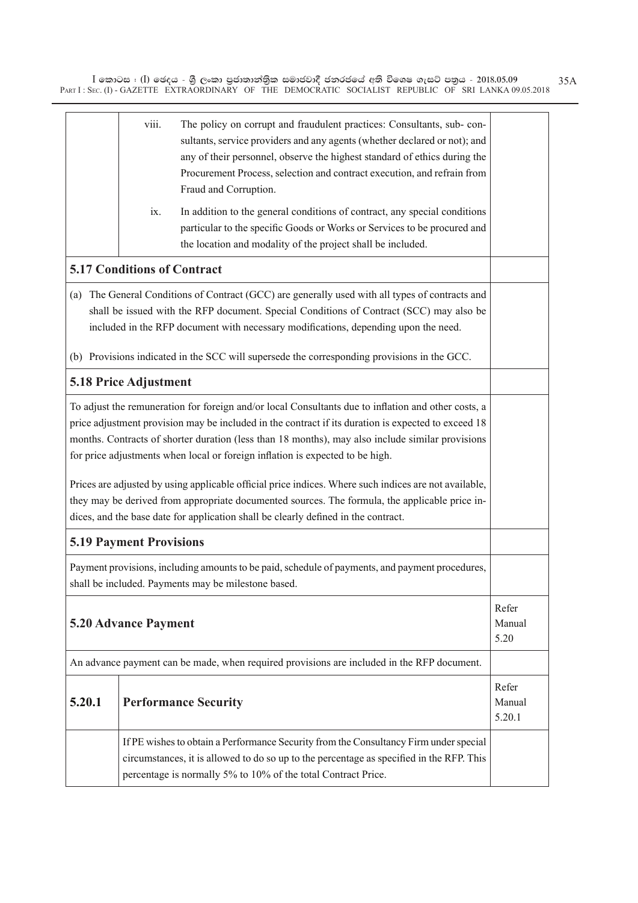|                      | viii.<br>The policy on corrupt and fraudulent practices: Consultants, sub-con-<br>sultants, service providers and any agents (whether declared or not); and<br>any of their personnel, observe the highest standard of ethics during the<br>Procurement Process, selection and contract execution, and refrain from<br>Fraud and Corruption.                                                                                                                                                                                                                                                                                                                                                     |                           |
|----------------------|--------------------------------------------------------------------------------------------------------------------------------------------------------------------------------------------------------------------------------------------------------------------------------------------------------------------------------------------------------------------------------------------------------------------------------------------------------------------------------------------------------------------------------------------------------------------------------------------------------------------------------------------------------------------------------------------------|---------------------------|
|                      | In addition to the general conditions of contract, any special conditions<br>ix.<br>particular to the specific Goods or Works or Services to be procured and<br>the location and modality of the project shall be included.                                                                                                                                                                                                                                                                                                                                                                                                                                                                      |                           |
|                      | <b>5.17 Conditions of Contract</b>                                                                                                                                                                                                                                                                                                                                                                                                                                                                                                                                                                                                                                                               |                           |
|                      | (a) The General Conditions of Contract (GCC) are generally used with all types of contracts and<br>shall be issued with the RFP document. Special Conditions of Contract (SCC) may also be<br>included in the RFP document with necessary modifications, depending upon the need.                                                                                                                                                                                                                                                                                                                                                                                                                |                           |
|                      | (b) Provisions indicated in the SCC will supersede the corresponding provisions in the GCC.                                                                                                                                                                                                                                                                                                                                                                                                                                                                                                                                                                                                      |                           |
|                      | 5.18 Price Adjustment                                                                                                                                                                                                                                                                                                                                                                                                                                                                                                                                                                                                                                                                            |                           |
|                      | To adjust the remuneration for foreign and/or local Consultants due to inflation and other costs, a<br>price adjustment provision may be included in the contract if its duration is expected to exceed 18<br>months. Contracts of shorter duration (less than 18 months), may also include similar provisions<br>for price adjustments when local or foreign inflation is expected to be high.<br>Prices are adjusted by using applicable official price indices. Where such indices are not available,<br>they may be derived from appropriate documented sources. The formula, the applicable price in-<br>dices, and the base date for application shall be clearly defined in the contract. |                           |
|                      | <b>5.19 Payment Provisions</b>                                                                                                                                                                                                                                                                                                                                                                                                                                                                                                                                                                                                                                                                   |                           |
|                      | Payment provisions, including amounts to be paid, schedule of payments, and payment procedures,<br>shall be included. Payments may be milestone based.                                                                                                                                                                                                                                                                                                                                                                                                                                                                                                                                           |                           |
| 5.20 Advance Payment |                                                                                                                                                                                                                                                                                                                                                                                                                                                                                                                                                                                                                                                                                                  |                           |
|                      | An advance payment can be made, when required provisions are included in the RFP document.                                                                                                                                                                                                                                                                                                                                                                                                                                                                                                                                                                                                       |                           |
| 5.20.1               | <b>Performance Security</b>                                                                                                                                                                                                                                                                                                                                                                                                                                                                                                                                                                                                                                                                      | Refer<br>Manual<br>5.20.1 |
|                      | If PE wishes to obtain a Performance Security from the Consultancy Firm under special<br>circumstances, it is allowed to do so up to the percentage as specified in the RFP. This<br>percentage is normally 5% to 10% of the total Contract Price.                                                                                                                                                                                                                                                                                                                                                                                                                                               |                           |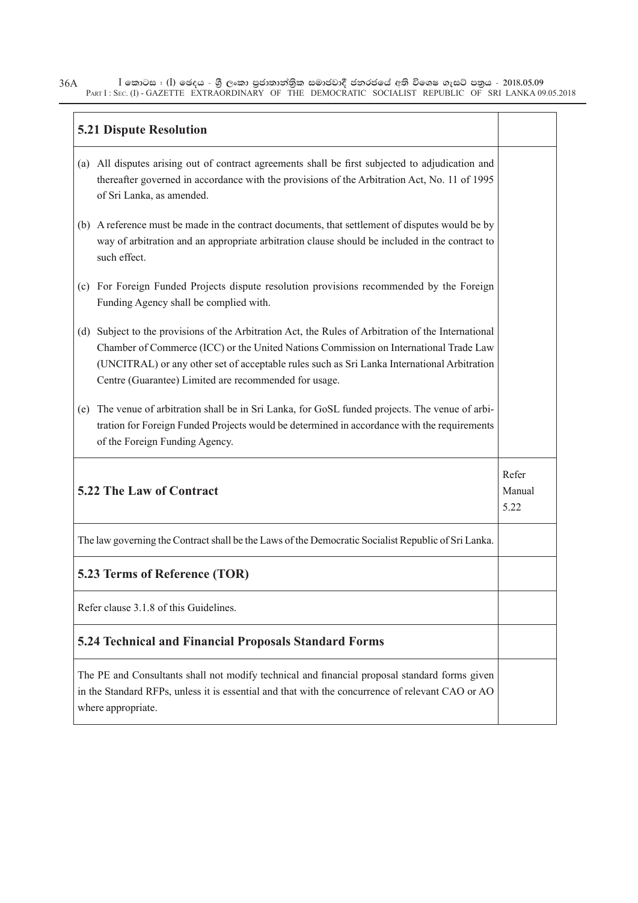|     | <b>5.21 Dispute Resolution</b>                                                                                                                                                                                                                                                                                                                   |                         |  |  |
|-----|--------------------------------------------------------------------------------------------------------------------------------------------------------------------------------------------------------------------------------------------------------------------------------------------------------------------------------------------------|-------------------------|--|--|
| (a) | All disputes arising out of contract agreements shall be first subjected to adjudication and<br>thereafter governed in accordance with the provisions of the Arbitration Act, No. 11 of 1995<br>of Sri Lanka, as amended.                                                                                                                        |                         |  |  |
|     | (b) A reference must be made in the contract documents, that settlement of disputes would be by<br>way of arbitration and an appropriate arbitration clause should be included in the contract to<br>such effect.                                                                                                                                |                         |  |  |
| (c) | For Foreign Funded Projects dispute resolution provisions recommended by the Foreign<br>Funding Agency shall be complied with.                                                                                                                                                                                                                   |                         |  |  |
| (d) | Subject to the provisions of the Arbitration Act, the Rules of Arbitration of the International<br>Chamber of Commerce (ICC) or the United Nations Commission on International Trade Law<br>(UNCITRAL) or any other set of acceptable rules such as Sri Lanka International Arbitration<br>Centre (Guarantee) Limited are recommended for usage. |                         |  |  |
| (e) | The venue of arbitration shall be in Sri Lanka, for GoSL funded projects. The venue of arbi-<br>tration for Foreign Funded Projects would be determined in accordance with the requirements<br>of the Foreign Funding Agency.                                                                                                                    |                         |  |  |
|     | <b>5.22 The Law of Contract</b>                                                                                                                                                                                                                                                                                                                  | Refer<br>Manual<br>5.22 |  |  |
|     | The law governing the Contract shall be the Laws of the Democratic Socialist Republic of Sri Lanka.                                                                                                                                                                                                                                              |                         |  |  |
|     | 5.23 Terms of Reference (TOR)                                                                                                                                                                                                                                                                                                                    |                         |  |  |
|     | Refer clause 3.1.8 of this Guidelines.                                                                                                                                                                                                                                                                                                           |                         |  |  |
|     | <b>5.24 Technical and Financial Proposals Standard Forms</b>                                                                                                                                                                                                                                                                                     |                         |  |  |
|     | The PE and Consultants shall not modify technical and financial proposal standard forms given<br>in the Standard RFPs, unless it is essential and that with the concurrence of relevant CAO or AO<br>where appropriate.                                                                                                                          |                         |  |  |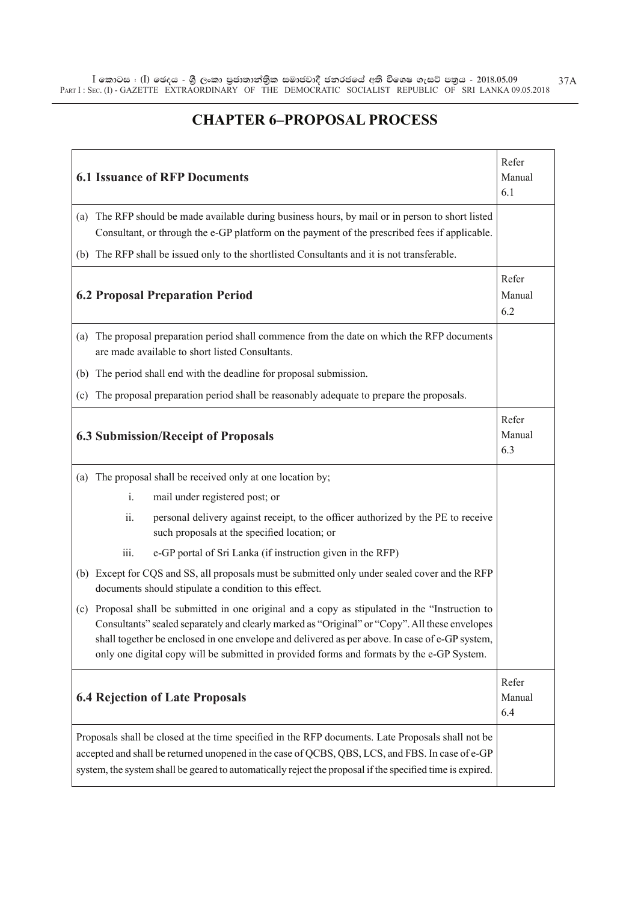### **CHAPTER 6–PROPOSAL PROCESS**

| Refer<br><b>6.1 Issuance of RFP Documents</b><br>Manual<br>6.1 |                                                                                                                                                                                                                                                                                                                                                                                                  |                        |  |
|----------------------------------------------------------------|--------------------------------------------------------------------------------------------------------------------------------------------------------------------------------------------------------------------------------------------------------------------------------------------------------------------------------------------------------------------------------------------------|------------------------|--|
|                                                                | (a) The RFP should be made available during business hours, by mail or in person to short listed<br>Consultant, or through the e-GP platform on the payment of the prescribed fees if applicable.                                                                                                                                                                                                |                        |  |
|                                                                | (b) The RFP shall be issued only to the shortlisted Consultants and it is not transferable.                                                                                                                                                                                                                                                                                                      |                        |  |
|                                                                | <b>6.2 Proposal Preparation Period</b>                                                                                                                                                                                                                                                                                                                                                           | Refer<br>Manual<br>6.2 |  |
| (a)                                                            | The proposal preparation period shall commence from the date on which the RFP documents<br>are made available to short listed Consultants.                                                                                                                                                                                                                                                       |                        |  |
|                                                                | (b) The period shall end with the deadline for proposal submission.                                                                                                                                                                                                                                                                                                                              |                        |  |
| (c)                                                            | The proposal preparation period shall be reasonably adequate to prepare the proposals.                                                                                                                                                                                                                                                                                                           |                        |  |
|                                                                | <b>6.3 Submission/Receipt of Proposals</b>                                                                                                                                                                                                                                                                                                                                                       | Refer<br>Manual<br>6.3 |  |
|                                                                | (a) The proposal shall be received only at one location by;                                                                                                                                                                                                                                                                                                                                      |                        |  |
|                                                                | mail under registered post; or<br>i.                                                                                                                                                                                                                                                                                                                                                             |                        |  |
|                                                                | ii.<br>personal delivery against receipt, to the officer authorized by the PE to receive<br>such proposals at the specified location; or                                                                                                                                                                                                                                                         |                        |  |
|                                                                | e-GP portal of Sri Lanka (if instruction given in the RFP)<br>iii.                                                                                                                                                                                                                                                                                                                               |                        |  |
|                                                                | (b) Except for CQS and SS, all proposals must be submitted only under sealed cover and the RFP<br>documents should stipulate a condition to this effect.                                                                                                                                                                                                                                         |                        |  |
|                                                                | (c) Proposal shall be submitted in one original and a copy as stipulated in the "Instruction to<br>Consultants" sealed separately and clearly marked as "Original" or "Copy". All these envelopes<br>shall together be enclosed in one envelope and delivered as per above. In case of e-GP system,<br>only one digital copy will be submitted in provided forms and formats by the e-GP System. |                        |  |
|                                                                | <b>6.4 Rejection of Late Proposals</b>                                                                                                                                                                                                                                                                                                                                                           | Refer<br>Manual<br>6.4 |  |
|                                                                | Proposals shall be closed at the time specified in the RFP documents. Late Proposals shall not be<br>accepted and shall be returned unopened in the case of QCBS, QBS, LCS, and FBS. In case of e-GP<br>system, the system shall be geared to automatically reject the proposal if the specified time is expired.                                                                                |                        |  |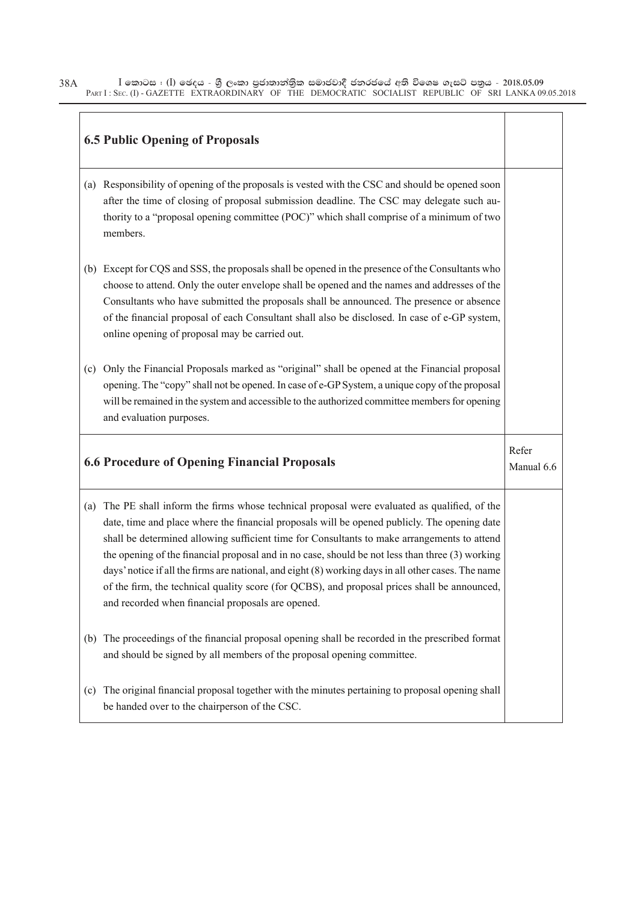|     | <b>6.5 Public Opening of Proposals</b>                                                                                                                                                                                                                                                                                                                                                                                                                                                                                                                                                                                                                   |                     |
|-----|----------------------------------------------------------------------------------------------------------------------------------------------------------------------------------------------------------------------------------------------------------------------------------------------------------------------------------------------------------------------------------------------------------------------------------------------------------------------------------------------------------------------------------------------------------------------------------------------------------------------------------------------------------|---------------------|
|     | (a) Responsibility of opening of the proposals is vested with the CSC and should be opened soon<br>after the time of closing of proposal submission deadline. The CSC may delegate such au-<br>thority to a "proposal opening committee (POC)" which shall comprise of a minimum of two<br>members.                                                                                                                                                                                                                                                                                                                                                      |                     |
|     | (b) Except for CQS and SSS, the proposals shall be opened in the presence of the Consultants who<br>choose to attend. Only the outer envelope shall be opened and the names and addresses of the<br>Consultants who have submitted the proposals shall be announced. The presence or absence<br>of the financial proposal of each Consultant shall also be disclosed. In case of e-GP system,<br>online opening of proposal may be carried out.                                                                                                                                                                                                          |                     |
| (c) | Only the Financial Proposals marked as "original" shall be opened at the Financial proposal<br>opening. The "copy" shall not be opened. In case of e-GP System, a unique copy of the proposal<br>will be remained in the system and accessible to the authorized committee members for opening<br>and evaluation purposes.                                                                                                                                                                                                                                                                                                                               |                     |
|     | <b>6.6 Procedure of Opening Financial Proposals</b>                                                                                                                                                                                                                                                                                                                                                                                                                                                                                                                                                                                                      | Refer<br>Manual 6.6 |
| (a) | The PE shall inform the firms whose technical proposal were evaluated as qualified, of the<br>date, time and place where the financial proposals will be opened publicly. The opening date<br>shall be determined allowing sufficient time for Consultants to make arrangements to attend<br>the opening of the financial proposal and in no case, should be not less than three (3) working<br>days' notice if all the firms are national, and eight (8) working days in all other cases. The name<br>of the firm, the technical quality score (for QCBS), and proposal prices shall be announced,<br>and recorded when financial proposals are opened. |                     |
| (b) | The proceedings of the financial proposal opening shall be recorded in the prescribed format<br>and should be signed by all members of the proposal opening committee.                                                                                                                                                                                                                                                                                                                                                                                                                                                                                   |                     |
| (c) | The original financial proposal together with the minutes pertaining to proposal opening shall<br>be handed over to the chairperson of the CSC.                                                                                                                                                                                                                                                                                                                                                                                                                                                                                                          |                     |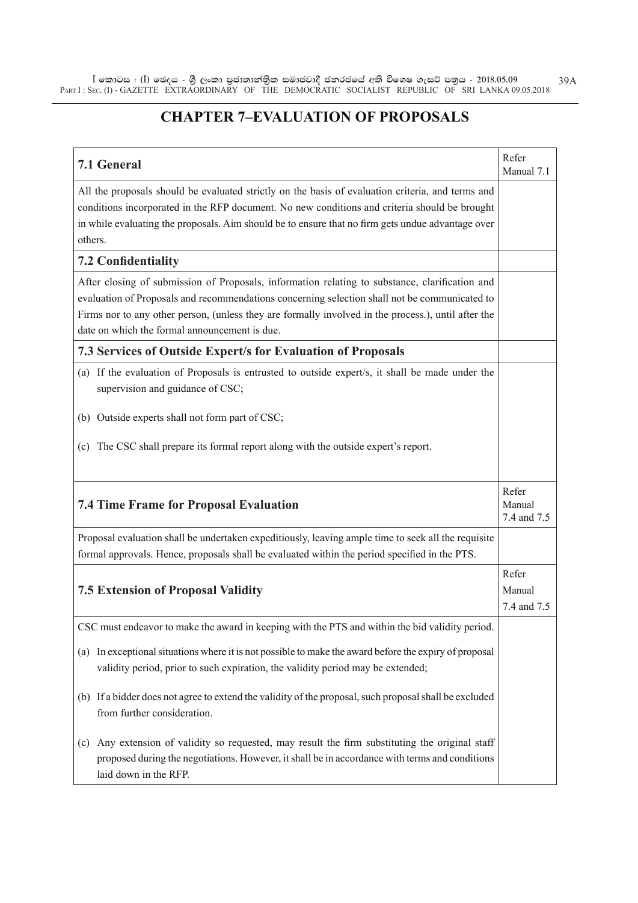# **CHAPTER 7–EVALUATION OF PROPOSALS**

| 7.1 General                                                                                                                                                                                                                                                                                                                                             | Refer<br>Manual 7.1            |
|---------------------------------------------------------------------------------------------------------------------------------------------------------------------------------------------------------------------------------------------------------------------------------------------------------------------------------------------------------|--------------------------------|
| All the proposals should be evaluated strictly on the basis of evaluation criteria, and terms and<br>conditions incorporated in the RFP document. No new conditions and criteria should be brought<br>in while evaluating the proposals. Aim should be to ensure that no firm gets undue advantage over<br>others.                                      |                                |
| <b>7.2 Confidentiality</b>                                                                                                                                                                                                                                                                                                                              |                                |
| After closing of submission of Proposals, information relating to substance, clarification and<br>evaluation of Proposals and recommendations concerning selection shall not be communicated to<br>Firms nor to any other person, (unless they are formally involved in the process.), until after the<br>date on which the formal announcement is due. |                                |
| <b>7.3 Services of Outside Expert/s for Evaluation of Proposals</b>                                                                                                                                                                                                                                                                                     |                                |
| (a) If the evaluation of Proposals is entrusted to outside expert/s, it shall be made under the<br>supervision and guidance of CSC;                                                                                                                                                                                                                     |                                |
| (b) Outside experts shall not form part of CSC;                                                                                                                                                                                                                                                                                                         |                                |
| (c) The CSC shall prepare its formal report along with the outside expert's report.                                                                                                                                                                                                                                                                     |                                |
| <b>7.4 Time Frame for Proposal Evaluation</b>                                                                                                                                                                                                                                                                                                           | Refer<br>Manual<br>7.4 and 7.5 |
| Proposal evaluation shall be undertaken expeditiously, leaving ample time to seek all the requisite                                                                                                                                                                                                                                                     |                                |
| formal approvals. Hence, proposals shall be evaluated within the period specified in the PTS.                                                                                                                                                                                                                                                           |                                |
| <b>7.5 Extension of Proposal Validity</b>                                                                                                                                                                                                                                                                                                               | Refer<br>Manual<br>7.4 and 7.5 |
| CSC must endeavor to make the award in keeping with the PTS and within the bid validity period.                                                                                                                                                                                                                                                         |                                |
| In exceptional situations where it is not possible to make the award before the expiry of proposal<br>(a)<br>validity period, prior to such expiration, the validity period may be extended;                                                                                                                                                            |                                |
| (b) If a bidder does not agree to extend the validity of the proposal, such proposal shall be excluded<br>from further consideration.                                                                                                                                                                                                                   |                                |
| Any extension of validity so requested, may result the firm substituting the original staff<br>(c)<br>proposed during the negotiations. However, it shall be in accordance with terms and conditions<br>laid down in the RFP.                                                                                                                           |                                |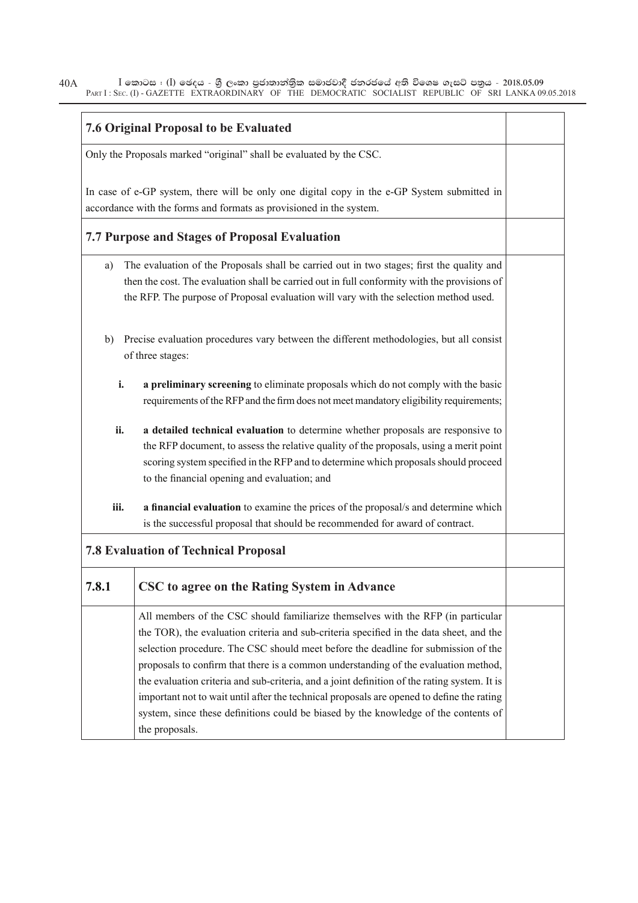| <b>7.6 Original Proposal to be Evaluated</b>                                                                                                                       |                                                                                                                                                                                                                                                                                                                                                                                                                                                                                                                                                                                                                                                                |  |  |
|--------------------------------------------------------------------------------------------------------------------------------------------------------------------|----------------------------------------------------------------------------------------------------------------------------------------------------------------------------------------------------------------------------------------------------------------------------------------------------------------------------------------------------------------------------------------------------------------------------------------------------------------------------------------------------------------------------------------------------------------------------------------------------------------------------------------------------------------|--|--|
|                                                                                                                                                                    |                                                                                                                                                                                                                                                                                                                                                                                                                                                                                                                                                                                                                                                                |  |  |
| Only the Proposals marked "original" shall be evaluated by the CSC.                                                                                                |                                                                                                                                                                                                                                                                                                                                                                                                                                                                                                                                                                                                                                                                |  |  |
| In case of e-GP system, there will be only one digital copy in the e-GP System submitted in<br>accordance with the forms and formats as provisioned in the system. |                                                                                                                                                                                                                                                                                                                                                                                                                                                                                                                                                                                                                                                                |  |  |
|                                                                                                                                                                    | 7.7 Purpose and Stages of Proposal Evaluation                                                                                                                                                                                                                                                                                                                                                                                                                                                                                                                                                                                                                  |  |  |
| a)                                                                                                                                                                 | The evaluation of the Proposals shall be carried out in two stages; first the quality and<br>then the cost. The evaluation shall be carried out in full conformity with the provisions of<br>the RFP. The purpose of Proposal evaluation will vary with the selection method used.                                                                                                                                                                                                                                                                                                                                                                             |  |  |
| Precise evaluation procedures vary between the different methodologies, but all consist<br>b)<br>of three stages:                                                  |                                                                                                                                                                                                                                                                                                                                                                                                                                                                                                                                                                                                                                                                |  |  |
| i.                                                                                                                                                                 | a preliminary screening to eliminate proposals which do not comply with the basic<br>requirements of the RFP and the firm does not meet mandatory eligibility requirements;                                                                                                                                                                                                                                                                                                                                                                                                                                                                                    |  |  |
| ii.                                                                                                                                                                | a detailed technical evaluation to determine whether proposals are responsive to<br>the RFP document, to assess the relative quality of the proposals, using a merit point<br>scoring system specified in the RFP and to determine which proposals should proceed<br>to the financial opening and evaluation; and                                                                                                                                                                                                                                                                                                                                              |  |  |
| iii.                                                                                                                                                               | a financial evaluation to examine the prices of the proposal/s and determine which<br>is the successful proposal that should be recommended for award of contract.                                                                                                                                                                                                                                                                                                                                                                                                                                                                                             |  |  |
|                                                                                                                                                                    | <b>7.8 Evaluation of Technical Proposal</b>                                                                                                                                                                                                                                                                                                                                                                                                                                                                                                                                                                                                                    |  |  |
| 7.8.1                                                                                                                                                              | CSC to agree on the Rating System in Advance                                                                                                                                                                                                                                                                                                                                                                                                                                                                                                                                                                                                                   |  |  |
|                                                                                                                                                                    | All members of the CSC should familiarize themselves with the RFP (in particular<br>the TOR), the evaluation criteria and sub-criteria specified in the data sheet, and the<br>selection procedure. The CSC should meet before the deadline for submission of the<br>proposals to confirm that there is a common understanding of the evaluation method,<br>the evaluation criteria and sub-criteria, and a joint definition of the rating system. It is<br>important not to wait until after the technical proposals are opened to define the rating<br>system, since these definitions could be biased by the knowledge of the contents of<br>the proposals. |  |  |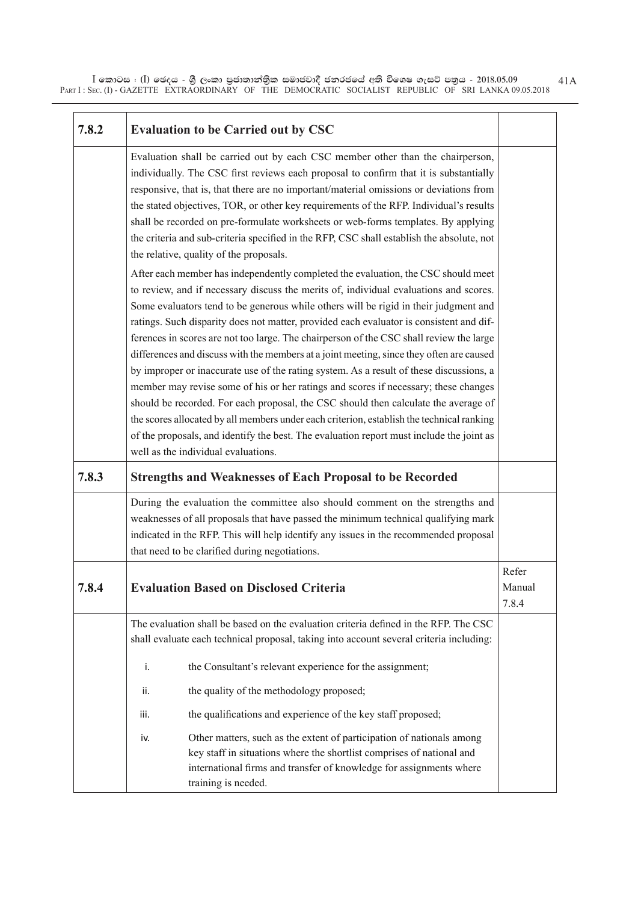| 7.8.2 |      | <b>Evaluation to be Carried out by CSC</b>                                                                                                                                                                                                                                                                                                                                                                                                                                                                                                                                                                                                                                                                                                                                                                                                                                                                                                                                                                                                                                                                                                                                                                                                                                                                                                                                                                                                                                                                                                                                                                                                                |                          |
|-------|------|-----------------------------------------------------------------------------------------------------------------------------------------------------------------------------------------------------------------------------------------------------------------------------------------------------------------------------------------------------------------------------------------------------------------------------------------------------------------------------------------------------------------------------------------------------------------------------------------------------------------------------------------------------------------------------------------------------------------------------------------------------------------------------------------------------------------------------------------------------------------------------------------------------------------------------------------------------------------------------------------------------------------------------------------------------------------------------------------------------------------------------------------------------------------------------------------------------------------------------------------------------------------------------------------------------------------------------------------------------------------------------------------------------------------------------------------------------------------------------------------------------------------------------------------------------------------------------------------------------------------------------------------------------------|--------------------------|
|       |      | Evaluation shall be carried out by each CSC member other than the chairperson,<br>individually. The CSC first reviews each proposal to confirm that it is substantially<br>responsive, that is, that there are no important/material omissions or deviations from<br>the stated objectives, TOR, or other key requirements of the RFP. Individual's results<br>shall be recorded on pre-formulate worksheets or web-forms templates. By applying<br>the criteria and sub-criteria specified in the RFP, CSC shall establish the absolute, not<br>the relative, quality of the proposals.<br>After each member has independently completed the evaluation, the CSC should meet<br>to review, and if necessary discuss the merits of, individual evaluations and scores.<br>Some evaluators tend to be generous while others will be rigid in their judgment and<br>ratings. Such disparity does not matter, provided each evaluator is consistent and dif-<br>ferences in scores are not too large. The chairperson of the CSC shall review the large<br>differences and discuss with the members at a joint meeting, since they often are caused<br>by improper or inaccurate use of the rating system. As a result of these discussions, a<br>member may revise some of his or her ratings and scores if necessary; these changes<br>should be recorded. For each proposal, the CSC should then calculate the average of<br>the scores allocated by all members under each criterion, establish the technical ranking<br>of the proposals, and identify the best. The evaluation report must include the joint as<br>well as the individual evaluations. |                          |
| 7.8.3 |      | <b>Strengths and Weaknesses of Each Proposal to be Recorded</b>                                                                                                                                                                                                                                                                                                                                                                                                                                                                                                                                                                                                                                                                                                                                                                                                                                                                                                                                                                                                                                                                                                                                                                                                                                                                                                                                                                                                                                                                                                                                                                                           |                          |
|       |      | During the evaluation the committee also should comment on the strengths and<br>weaknesses of all proposals that have passed the minimum technical qualifying mark<br>indicated in the RFP. This will help identify any issues in the recommended proposal<br>that need to be clarified during negotiations.                                                                                                                                                                                                                                                                                                                                                                                                                                                                                                                                                                                                                                                                                                                                                                                                                                                                                                                                                                                                                                                                                                                                                                                                                                                                                                                                              |                          |
| 7.8.4 |      | <b>Evaluation Based on Disclosed Criteria</b>                                                                                                                                                                                                                                                                                                                                                                                                                                                                                                                                                                                                                                                                                                                                                                                                                                                                                                                                                                                                                                                                                                                                                                                                                                                                                                                                                                                                                                                                                                                                                                                                             | Refer<br>Manual<br>7.8.4 |
|       |      | The evaluation shall be based on the evaluation criteria defined in the RFP. The CSC<br>shall evaluate each technical proposal, taking into account several criteria including:                                                                                                                                                                                                                                                                                                                                                                                                                                                                                                                                                                                                                                                                                                                                                                                                                                                                                                                                                                                                                                                                                                                                                                                                                                                                                                                                                                                                                                                                           |                          |
|       | i.   | the Consultant's relevant experience for the assignment;                                                                                                                                                                                                                                                                                                                                                                                                                                                                                                                                                                                                                                                                                                                                                                                                                                                                                                                                                                                                                                                                                                                                                                                                                                                                                                                                                                                                                                                                                                                                                                                                  |                          |
|       | ii.  | the quality of the methodology proposed;                                                                                                                                                                                                                                                                                                                                                                                                                                                                                                                                                                                                                                                                                                                                                                                                                                                                                                                                                                                                                                                                                                                                                                                                                                                                                                                                                                                                                                                                                                                                                                                                                  |                          |
|       | iii. | the qualifications and experience of the key staff proposed;                                                                                                                                                                                                                                                                                                                                                                                                                                                                                                                                                                                                                                                                                                                                                                                                                                                                                                                                                                                                                                                                                                                                                                                                                                                                                                                                                                                                                                                                                                                                                                                              |                          |
|       | iv.  | Other matters, such as the extent of participation of nationals among<br>key staff in situations where the shortlist comprises of national and<br>international firms and transfer of knowledge for assignments where<br>training is needed.                                                                                                                                                                                                                                                                                                                                                                                                                                                                                                                                                                                                                                                                                                                                                                                                                                                                                                                                                                                                                                                                                                                                                                                                                                                                                                                                                                                                              |                          |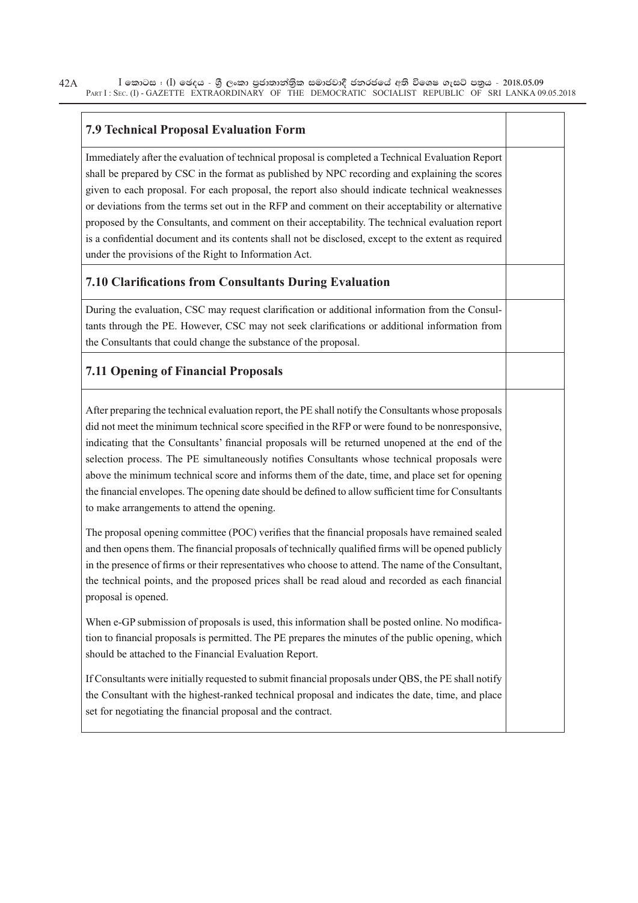#### **7.9 Technical Proposal Evaluation Form**

Immediately after the evaluation of technical proposal is completed a Technical Evaluation Report shall be prepared by CSC in the format as published by NPC recording and explaining the scores given to each proposal. For each proposal, the report also should indicate technical weaknesses or deviations from the terms set out in the RFP and comment on their acceptability or alternative proposed by the Consultants, and comment on their acceptability. The technical evaluation report is a confidential document and its contents shall not be disclosed, except to the extent as required under the provisions of the Right to Information Act.

#### **7.10 Clarifi cations from Consultants During Evaluation**

During the evaluation, CSC may request clarification or additional information from the Consultants through the PE. However, CSC may not seek clarifications or additional information from the Consultants that could change the substance of the proposal.

### **7.11 Opening of Financial Proposals**

After preparing the technical evaluation report, the PE shall notify the Consultants whose proposals did not meet the minimum technical score specified in the RFP or were found to be nonresponsive, indicating that the Consultants' financial proposals will be returned unopened at the end of the selection process. The PE simultaneously notifies Consultants whose technical proposals were above the minimum technical score and informs them of the date, time, and place set for opening the financial envelopes. The opening date should be defined to allow sufficient time for Consultants to make arrangements to attend the opening.

The proposal opening committee (POC) verifies that the financial proposals have remained sealed and then opens them. The financial proposals of technically qualified firms will be opened publicly in the presence of firms or their representatives who choose to attend. The name of the Consultant, the technical points, and the proposed prices shall be read aloud and recorded as each financial proposal is opened.

When e-GP submission of proposals is used, this information shall be posted online. No modification to financial proposals is permitted. The PE prepares the minutes of the public opening, which should be attached to the Financial Evaluation Report.

If Consultants were initially requested to submit financial proposals under OBS, the PE shall notify the Consultant with the highest-ranked technical proposal and indicates the date, time, and place set for negotiating the financial proposal and the contract.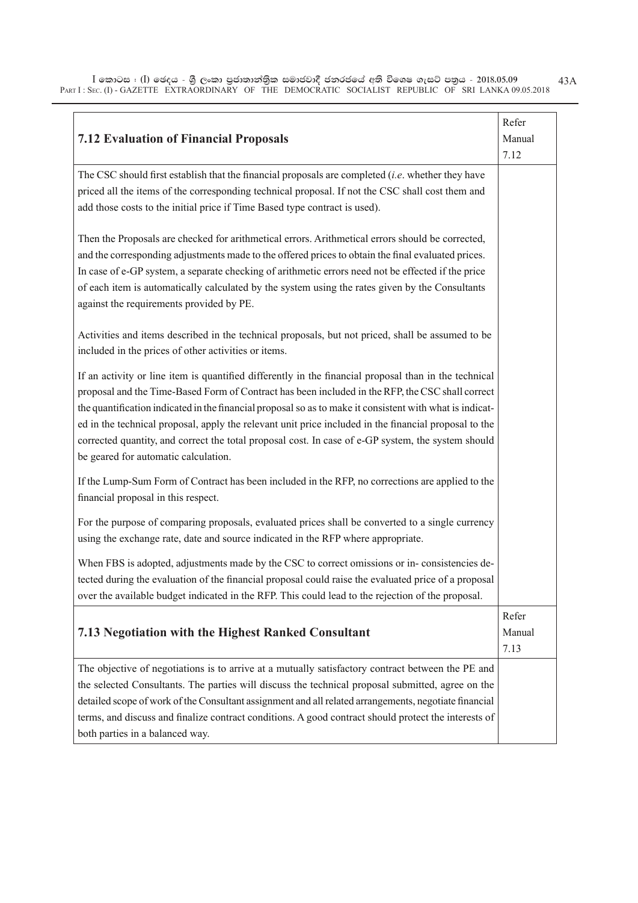| <b>7.12 Evaluation of Financial Proposals</b>                                                                                                                                                                                                                                                                                                                                                                                                                                                                                                                                | Refer<br>Manual<br>7.12 |
|------------------------------------------------------------------------------------------------------------------------------------------------------------------------------------------------------------------------------------------------------------------------------------------------------------------------------------------------------------------------------------------------------------------------------------------------------------------------------------------------------------------------------------------------------------------------------|-------------------------|
| The CSC should first establish that the financial proposals are completed $(i.e.$ whether they have<br>priced all the items of the corresponding technical proposal. If not the CSC shall cost them and<br>add those costs to the initial price if Time Based type contract is used).                                                                                                                                                                                                                                                                                        |                         |
| Then the Proposals are checked for arithmetical errors. Arithmetical errors should be corrected,<br>and the corresponding adjustments made to the offered prices to obtain the final evaluated prices.<br>In case of e-GP system, a separate checking of arithmetic errors need not be effected if the price<br>of each item is automatically calculated by the system using the rates given by the Consultants<br>against the requirements provided by PE.                                                                                                                  |                         |
| Activities and items described in the technical proposals, but not priced, shall be assumed to be<br>included in the prices of other activities or items.                                                                                                                                                                                                                                                                                                                                                                                                                    |                         |
| If an activity or line item is quantified differently in the financial proposal than in the technical<br>proposal and the Time-Based Form of Contract has been included in the RFP, the CSC shall correct<br>the quantification indicated in the financial proposal so as to make it consistent with what is indicat-<br>ed in the technical proposal, apply the relevant unit price included in the financial proposal to the<br>corrected quantity, and correct the total proposal cost. In case of e-GP system, the system should<br>be geared for automatic calculation. |                         |
| If the Lump-Sum Form of Contract has been included in the RFP, no corrections are applied to the<br>financial proposal in this respect.                                                                                                                                                                                                                                                                                                                                                                                                                                      |                         |
| For the purpose of comparing proposals, evaluated prices shall be converted to a single currency<br>using the exchange rate, date and source indicated in the RFP where appropriate.                                                                                                                                                                                                                                                                                                                                                                                         |                         |
| When FBS is adopted, adjustments made by the CSC to correct omissions or in-consistencies de-<br>tected during the evaluation of the financial proposal could raise the evaluated price of a proposal<br>over the available budget indicated in the RFP. This could lead to the rejection of the proposal.                                                                                                                                                                                                                                                                   |                         |
| 7.13 Negotiation with the Highest Ranked Consultant                                                                                                                                                                                                                                                                                                                                                                                                                                                                                                                          | Refer<br>Manual<br>7.13 |
| The objective of negotiations is to arrive at a mutually satisfactory contract between the PE and<br>the selected Consultants. The parties will discuss the technical proposal submitted, agree on the<br>detailed scope of work of the Consultant assignment and all related arrangements, negotiate financial<br>terms, and discuss and finalize contract conditions. A good contract should protect the interests of<br>both parties in a balanced way.                                                                                                                   |                         |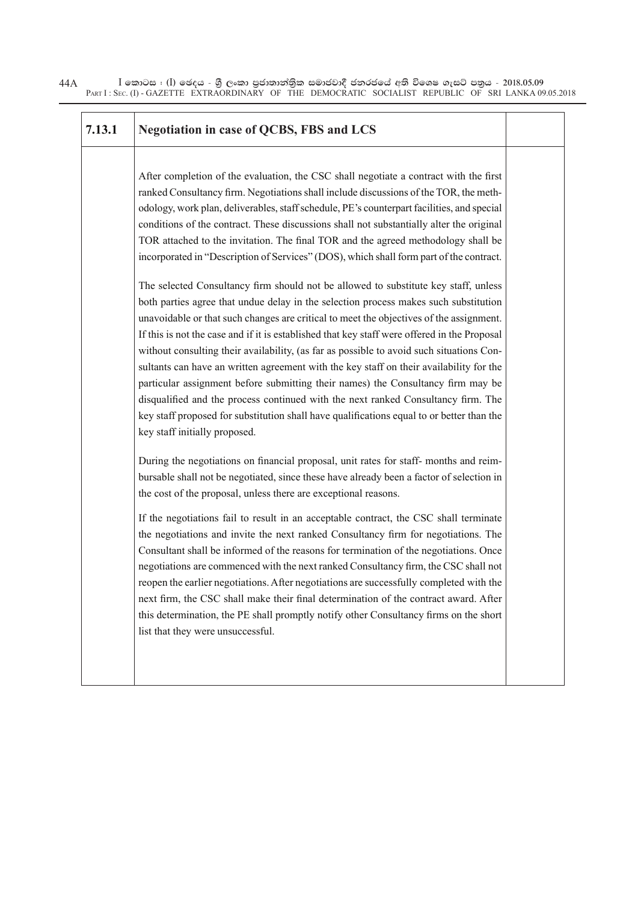| 7.13.1 | <b>Negotiation in case of QCBS, FBS and LCS</b>                                                                                                                                                                                                                                                                                                                                                                                                                                                                                                                                                                                                                                                                                                                                                                                                                                                                                                                                                                                                                                                                                                                                                               |  |
|--------|---------------------------------------------------------------------------------------------------------------------------------------------------------------------------------------------------------------------------------------------------------------------------------------------------------------------------------------------------------------------------------------------------------------------------------------------------------------------------------------------------------------------------------------------------------------------------------------------------------------------------------------------------------------------------------------------------------------------------------------------------------------------------------------------------------------------------------------------------------------------------------------------------------------------------------------------------------------------------------------------------------------------------------------------------------------------------------------------------------------------------------------------------------------------------------------------------------------|--|
|        | After completion of the evaluation, the CSC shall negotiate a contract with the first<br>ranked Consultancy firm. Negotiations shall include discussions of the TOR, the meth-<br>odology, work plan, deliverables, staff schedule, PE's counterpart facilities, and special<br>conditions of the contract. These discussions shall not substantially alter the original<br>TOR attached to the invitation. The final TOR and the agreed methodology shall be<br>incorporated in "Description of Services" (DOS), which shall form part of the contract.<br>The selected Consultancy firm should not be allowed to substitute key staff, unless<br>both parties agree that undue delay in the selection process makes such substitution<br>unavoidable or that such changes are critical to meet the objectives of the assignment.<br>If this is not the case and if it is established that key staff were offered in the Proposal<br>without consulting their availability, (as far as possible to avoid such situations Con-<br>sultants can have an written agreement with the key staff on their availability for the<br>particular assignment before submitting their names) the Consultancy firm may be |  |
|        | disqualified and the process continued with the next ranked Consultancy firm. The<br>key staff proposed for substitution shall have qualifications equal to or better than the<br>key staff initially proposed.                                                                                                                                                                                                                                                                                                                                                                                                                                                                                                                                                                                                                                                                                                                                                                                                                                                                                                                                                                                               |  |
|        | During the negotiations on financial proposal, unit rates for staff- months and reim-<br>bursable shall not be negotiated, since these have already been a factor of selection in<br>the cost of the proposal, unless there are exceptional reasons.                                                                                                                                                                                                                                                                                                                                                                                                                                                                                                                                                                                                                                                                                                                                                                                                                                                                                                                                                          |  |
|        | If the negotiations fail to result in an acceptable contract, the CSC shall terminate<br>the negotiations and invite the next ranked Consultancy firm for negotiations. The<br>Consultant shall be informed of the reasons for termination of the negotiations. Once<br>negotiations are commenced with the next ranked Consultancy firm, the CSC shall not<br>reopen the earlier negotiations. After negotiations are successfully completed with the<br>next firm, the CSC shall make their final determination of the contract award. After<br>this determination, the PE shall promptly notify other Consultancy firms on the short<br>list that they were unsuccessful.                                                                                                                                                                                                                                                                                                                                                                                                                                                                                                                                  |  |
|        |                                                                                                                                                                                                                                                                                                                                                                                                                                                                                                                                                                                                                                                                                                                                                                                                                                                                                                                                                                                                                                                                                                                                                                                                               |  |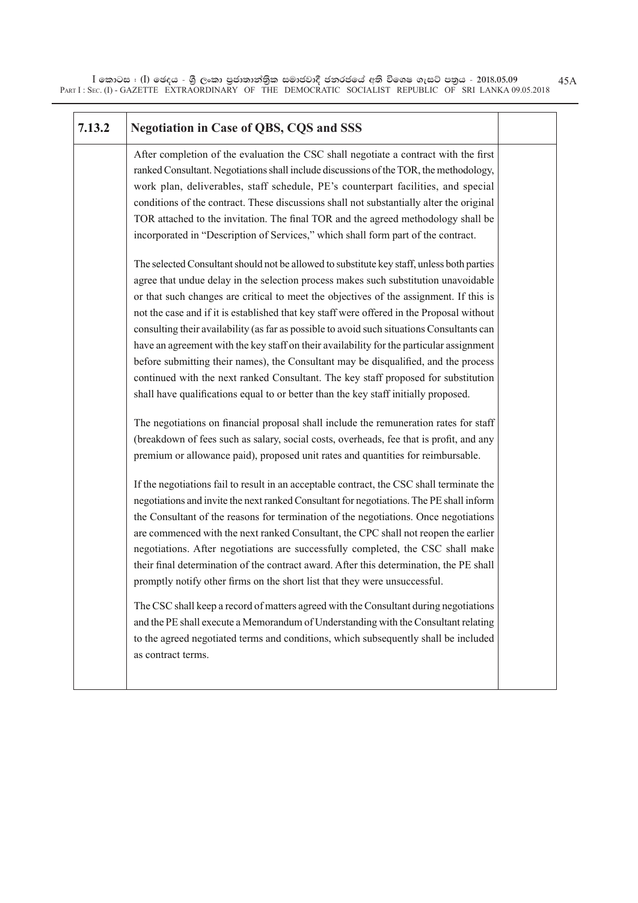$\bar{\rm I}$  කොටස : ( $\rm I$ ) ඡෙදය - ශුී ලංකා පුජාතාන්තිුක සමාජවාදී ජනරජයේ අති විශෙෂ ගැසට් පතුය - 2018.05.09 PART I : SEC. (I) - GAZETTE EXTRAORDINARY OF THE DEMOCRATIC SOCIALIST REPUBLIC OF SRI LANKA 09.05.2018

45A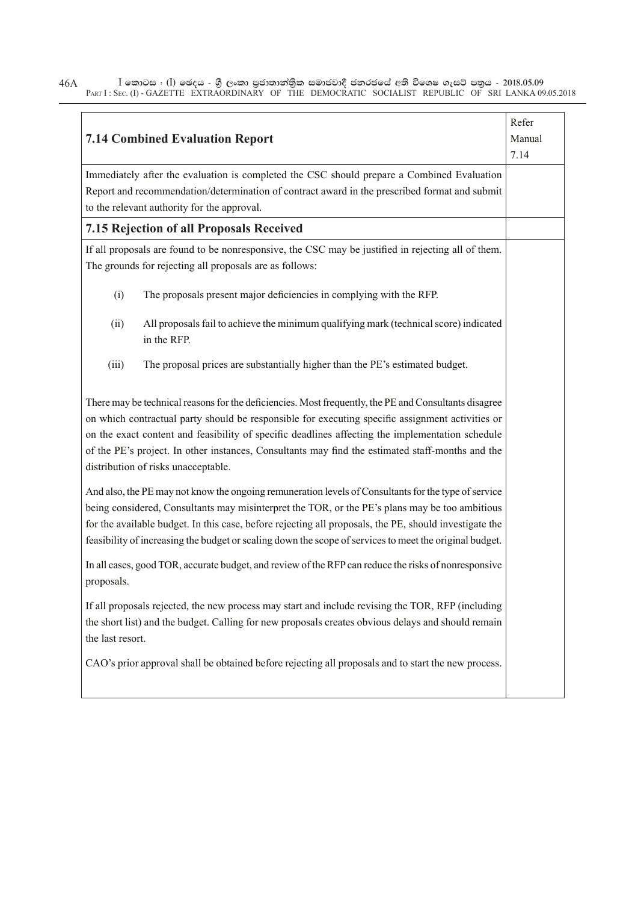$\bar{\rm I}$  කොටස : ( $\rm I$ ) ඡෙදය - ශුී ලංකා පුජාතාන්තිුක සමාජවාදී ජනරජයේ අති විශෙෂ ගැසට් පතුය - 2018.05.09 PART I : SEC. (I) - GAZETTE EXTRAORDINARY OF THE DEMOCRATIC SOCIALIST REPUBLIC OF SRI LANKA 09.05.2018 46A

| Immediately after the evaluation is completed the CSC should prepare a Combined Evaluation<br>Report and recommendation/determination of contract award in the prescribed format and submit<br>to the relevant authority for the approval.<br>7.15 Rejection of all Proposals Received<br>If all proposals are found to be nonresponsive, the CSC may be justified in rejecting all of them.<br>The grounds for rejecting all proposals are as follows:<br>(i)<br>The proposals present major deficiencies in complying with the RFP.<br>All proposals fail to achieve the minimum qualifying mark (technical score) indicated<br>(ii)<br>in the RFP.<br>(iii)<br>The proposal prices are substantially higher than the PE's estimated budget.<br>There may be technical reasons for the deficiencies. Most frequently, the PE and Consultants disagree<br>on which contractual party should be responsible for executing specific assignment activities or<br>on the exact content and feasibility of specific deadlines affecting the implementation schedule<br>of the PE's project. In other instances, Consultants may find the estimated staff-months and the<br>distribution of risks unacceptable.<br>And also, the PE may not know the ongoing remuneration levels of Consultants for the type of service<br>being considered, Consultants may misinterpret the TOR, or the PE's plans may be too ambitious<br>for the available budget. In this case, before rejecting all proposals, the PE, should investigate the<br>feasibility of increasing the budget or scaling down the scope of services to meet the original budget.<br>In all cases, good TOR, accurate budget, and review of the RFP can reduce the risks of nonresponsive<br>proposals.<br>If all proposals rejected, the new process may start and include revising the TOR, RFP (including<br>the short list) and the budget. Calling for new proposals creates obvious delays and should remain<br>the last resort.<br>CAO's prior approval shall be obtained before rejecting all proposals and to start the new process. | <b>7.14 Combined Evaluation Report</b> | Refer<br>Manual<br>7.14 |
|-------------------------------------------------------------------------------------------------------------------------------------------------------------------------------------------------------------------------------------------------------------------------------------------------------------------------------------------------------------------------------------------------------------------------------------------------------------------------------------------------------------------------------------------------------------------------------------------------------------------------------------------------------------------------------------------------------------------------------------------------------------------------------------------------------------------------------------------------------------------------------------------------------------------------------------------------------------------------------------------------------------------------------------------------------------------------------------------------------------------------------------------------------------------------------------------------------------------------------------------------------------------------------------------------------------------------------------------------------------------------------------------------------------------------------------------------------------------------------------------------------------------------------------------------------------------------------------------------------------------------------------------------------------------------------------------------------------------------------------------------------------------------------------------------------------------------------------------------------------------------------------------------------------------------------------------------------------------------------------------------------------------------------------------------------------------------------------------------------|----------------------------------------|-------------------------|
|                                                                                                                                                                                                                                                                                                                                                                                                                                                                                                                                                                                                                                                                                                                                                                                                                                                                                                                                                                                                                                                                                                                                                                                                                                                                                                                                                                                                                                                                                                                                                                                                                                                                                                                                                                                                                                                                                                                                                                                                                                                                                                       |                                        |                         |
|                                                                                                                                                                                                                                                                                                                                                                                                                                                                                                                                                                                                                                                                                                                                                                                                                                                                                                                                                                                                                                                                                                                                                                                                                                                                                                                                                                                                                                                                                                                                                                                                                                                                                                                                                                                                                                                                                                                                                                                                                                                                                                       |                                        |                         |
|                                                                                                                                                                                                                                                                                                                                                                                                                                                                                                                                                                                                                                                                                                                                                                                                                                                                                                                                                                                                                                                                                                                                                                                                                                                                                                                                                                                                                                                                                                                                                                                                                                                                                                                                                                                                                                                                                                                                                                                                                                                                                                       |                                        |                         |
|                                                                                                                                                                                                                                                                                                                                                                                                                                                                                                                                                                                                                                                                                                                                                                                                                                                                                                                                                                                                                                                                                                                                                                                                                                                                                                                                                                                                                                                                                                                                                                                                                                                                                                                                                                                                                                                                                                                                                                                                                                                                                                       |                                        |                         |
|                                                                                                                                                                                                                                                                                                                                                                                                                                                                                                                                                                                                                                                                                                                                                                                                                                                                                                                                                                                                                                                                                                                                                                                                                                                                                                                                                                                                                                                                                                                                                                                                                                                                                                                                                                                                                                                                                                                                                                                                                                                                                                       |                                        |                         |
|                                                                                                                                                                                                                                                                                                                                                                                                                                                                                                                                                                                                                                                                                                                                                                                                                                                                                                                                                                                                                                                                                                                                                                                                                                                                                                                                                                                                                                                                                                                                                                                                                                                                                                                                                                                                                                                                                                                                                                                                                                                                                                       |                                        |                         |
|                                                                                                                                                                                                                                                                                                                                                                                                                                                                                                                                                                                                                                                                                                                                                                                                                                                                                                                                                                                                                                                                                                                                                                                                                                                                                                                                                                                                                                                                                                                                                                                                                                                                                                                                                                                                                                                                                                                                                                                                                                                                                                       |                                        |                         |
|                                                                                                                                                                                                                                                                                                                                                                                                                                                                                                                                                                                                                                                                                                                                                                                                                                                                                                                                                                                                                                                                                                                                                                                                                                                                                                                                                                                                                                                                                                                                                                                                                                                                                                                                                                                                                                                                                                                                                                                                                                                                                                       |                                        |                         |
|                                                                                                                                                                                                                                                                                                                                                                                                                                                                                                                                                                                                                                                                                                                                                                                                                                                                                                                                                                                                                                                                                                                                                                                                                                                                                                                                                                                                                                                                                                                                                                                                                                                                                                                                                                                                                                                                                                                                                                                                                                                                                                       |                                        |                         |
|                                                                                                                                                                                                                                                                                                                                                                                                                                                                                                                                                                                                                                                                                                                                                                                                                                                                                                                                                                                                                                                                                                                                                                                                                                                                                                                                                                                                                                                                                                                                                                                                                                                                                                                                                                                                                                                                                                                                                                                                                                                                                                       |                                        |                         |
|                                                                                                                                                                                                                                                                                                                                                                                                                                                                                                                                                                                                                                                                                                                                                                                                                                                                                                                                                                                                                                                                                                                                                                                                                                                                                                                                                                                                                                                                                                                                                                                                                                                                                                                                                                                                                                                                                                                                                                                                                                                                                                       |                                        |                         |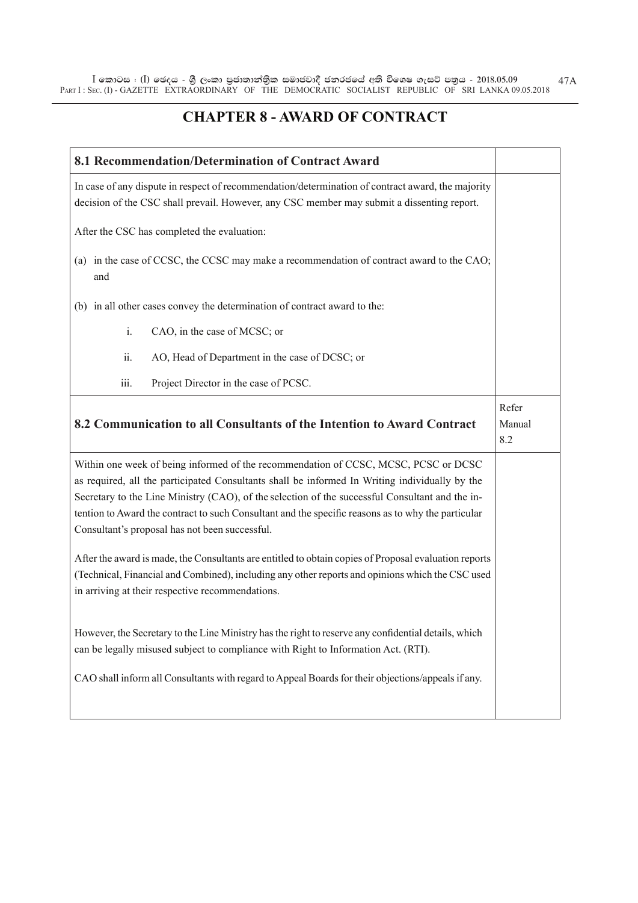$\bar{\rm I}$  කොටස : ( $\rm I$ ) ඡෙදය - ශුී ලංකා පුජාතාන්තිුක සමාජවාදී ජනරජයේ අති විශෙෂ ගැසට් පතුය - 2018.05.09 PART I : SEC. (I) - GAZETTE EXTRAORDINARY OF THE DEMOCRATIC SOCIALIST REPUBLIC OF SRI LANKA 09.05.2018 47A

## **CHAPTER 8 - AWARD OF CONTRACT**

| 8.1 Recommendation/Determination of Contract Award                                                                                                                                                                                                                                                                                                                                                                                                                                                                                                                                                                                                                                                                                                                                                                        |                        |
|---------------------------------------------------------------------------------------------------------------------------------------------------------------------------------------------------------------------------------------------------------------------------------------------------------------------------------------------------------------------------------------------------------------------------------------------------------------------------------------------------------------------------------------------------------------------------------------------------------------------------------------------------------------------------------------------------------------------------------------------------------------------------------------------------------------------------|------------------------|
| In case of any dispute in respect of recommendation/determination of contract award, the majority<br>decision of the CSC shall prevail. However, any CSC member may submit a dissenting report.                                                                                                                                                                                                                                                                                                                                                                                                                                                                                                                                                                                                                           |                        |
| After the CSC has completed the evaluation:                                                                                                                                                                                                                                                                                                                                                                                                                                                                                                                                                                                                                                                                                                                                                                               |                        |
| (a) in the case of CCSC, the CCSC may make a recommendation of contract award to the CAO;<br>and                                                                                                                                                                                                                                                                                                                                                                                                                                                                                                                                                                                                                                                                                                                          |                        |
| (b) in all other cases convey the determination of contract award to the:                                                                                                                                                                                                                                                                                                                                                                                                                                                                                                                                                                                                                                                                                                                                                 |                        |
| CAO, in the case of MCSC; or<br>i.                                                                                                                                                                                                                                                                                                                                                                                                                                                                                                                                                                                                                                                                                                                                                                                        |                        |
| ii.<br>AO, Head of Department in the case of DCSC; or                                                                                                                                                                                                                                                                                                                                                                                                                                                                                                                                                                                                                                                                                                                                                                     |                        |
| iii.<br>Project Director in the case of PCSC.                                                                                                                                                                                                                                                                                                                                                                                                                                                                                                                                                                                                                                                                                                                                                                             |                        |
| 8.2 Communication to all Consultants of the Intention to Award Contract                                                                                                                                                                                                                                                                                                                                                                                                                                                                                                                                                                                                                                                                                                                                                   | Refer<br>Manual<br>8.2 |
| Within one week of being informed of the recommendation of CCSC, MCSC, PCSC or DCSC<br>as required, all the participated Consultants shall be informed In Writing individually by the<br>Secretary to the Line Ministry (CAO), of the selection of the successful Consultant and the in-<br>tention to Award the contract to such Consultant and the specific reasons as to why the particular<br>Consultant's proposal has not been successful.<br>After the award is made, the Consultants are entitled to obtain copies of Proposal evaluation reports<br>(Technical, Financial and Combined), including any other reports and opinions which the CSC used<br>in arriving at their respective recommendations.<br>However, the Secretary to the Line Ministry has the right to reserve any confidential details, which |                        |
| can be legally misused subject to compliance with Right to Information Act. (RTI).<br>CAO shall inform all Consultants with regard to Appeal Boards for their objections/appeals if any.                                                                                                                                                                                                                                                                                                                                                                                                                                                                                                                                                                                                                                  |                        |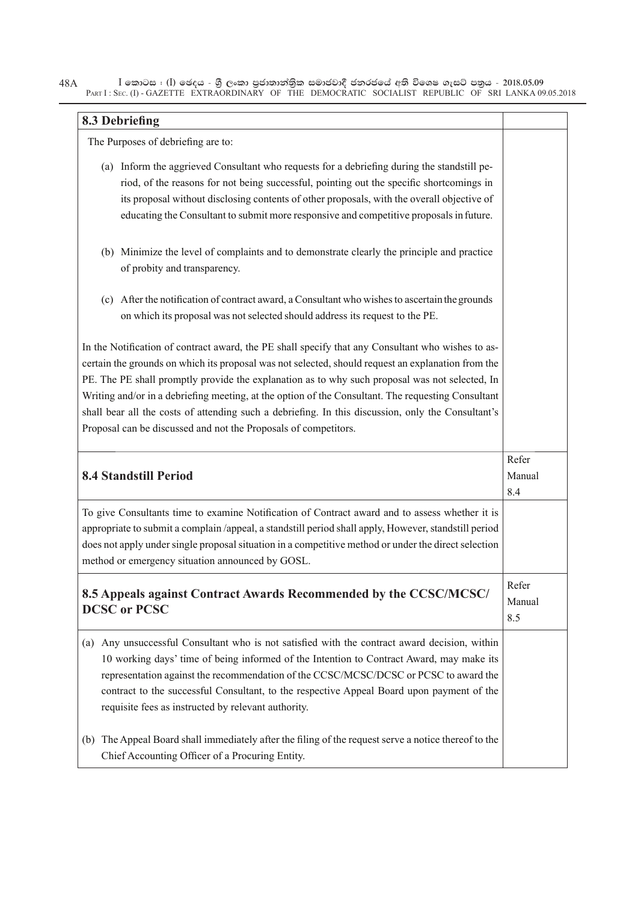$I$  කොටස : (I) ඡෙදය - ශුී ලංකා පුජාතාන්තිුක සමාජවාදී ජනරජයේ අති විශෙෂ ගැසට් පතුය - 2018.05.09 PART I: SEC. (I) - GAZETTE EXTRAORDINARY OF THE DEMOCRATIC SOCIALIST REPUBLIC OF SRI LANKA 09.05.2018 48A

## 8.3 Debriefing

The Purposes of debriefing are to:

- (a) Inform the aggrieved Consultant who requests for a debriefing during the standstill period, of the reasons for not being successful, pointing out the specific shortcomings in its proposal without disclosing contents of other proposals, with the overall objective of educating the Consultant to submit more responsive and competitive proposals in future.
- (b) Minimize the level of complaints and to demonstrate clearly the principle and practice of probity and transparency.
- (c) After the notification of contract award, a Consultant who wishes to ascertain the grounds on which its proposal was not selected should address its request to the PE.

In the Notification of contract award, the PE shall specify that any Consultant who wishes to ascertain the grounds on which its proposal was not selected, should request an explanation from the PE. The PE shall promptly provide the explanation as to why such proposal was not selected, In Writing and/or in a debriefing meeting, at the option of the Consultant. The requesting Consultant shall bear all the costs of attending such a debriefing. In this discussion, only the Consultant's Proposal can be discussed and not the Proposals of competitors.

| <b>8.4 Standstill Period</b>                                                                                                                                                                                                                                                                                                                                                                                                             | Refer<br>Manual<br>8.4 |
|------------------------------------------------------------------------------------------------------------------------------------------------------------------------------------------------------------------------------------------------------------------------------------------------------------------------------------------------------------------------------------------------------------------------------------------|------------------------|
| To give Consultants time to examine Notification of Contract award and to assess whether it is<br>appropriate to submit a complain /appeal, a standstill period shall apply, However, standstill period<br>does not apply under single proposal situation in a competitive method or under the direct selection<br>method or emergency situation announced by GOSL.                                                                      |                        |
| 8.5 Appeals against Contract Awards Recommended by the CCSC/MCSC/<br><b>DCSC</b> or PCSC                                                                                                                                                                                                                                                                                                                                                 | Refer<br>Manual<br>8.5 |
| Any unsuccessful Consultant who is not satisfied with the contract award decision, within<br>(a)<br>10 working days' time of being informed of the Intention to Contract Award, may make its<br>representation against the recommendation of the CCSC/MCSC/DCSC or PCSC to award the<br>contract to the successful Consultant, to the respective Appeal Board upon payment of the<br>requisite fees as instructed by relevant authority. |                        |
| The Appeal Board shall immediately after the filing of the request serve a notice thereof to the<br>(b)<br>Chief Accounting Officer of a Procuring Entity.                                                                                                                                                                                                                                                                               |                        |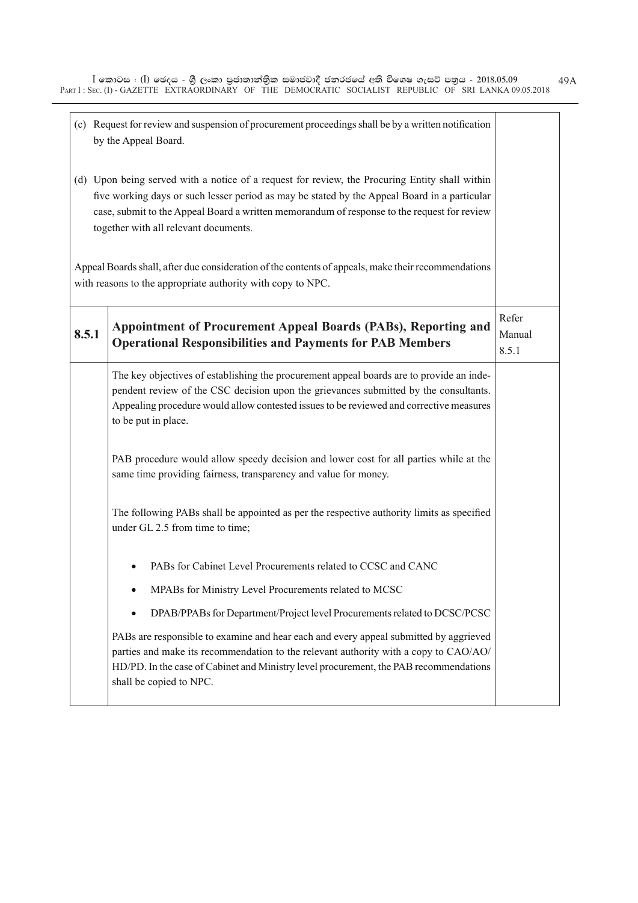|       | (c) Request for review and suspension of procurement proceedings shall be by a written notification<br>by the Appeal Board.                                                                                                                                                                                                            |                          |
|-------|----------------------------------------------------------------------------------------------------------------------------------------------------------------------------------------------------------------------------------------------------------------------------------------------------------------------------------------|--------------------------|
|       | (d) Upon being served with a notice of a request for review, the Procuring Entity shall within<br>five working days or such lesser period as may be stated by the Appeal Board in a particular<br>case, submit to the Appeal Board a written memorandum of response to the request for review<br>together with all relevant documents. |                          |
|       | Appeal Boards shall, after due consideration of the contents of appeals, make their recommendations<br>with reasons to the appropriate authority with copy to NPC.                                                                                                                                                                     |                          |
| 8.5.1 | Appointment of Procurement Appeal Boards (PABs), Reporting and<br><b>Operational Responsibilities and Payments for PAB Members</b>                                                                                                                                                                                                     | Refer<br>Manual<br>8.5.1 |
|       | The key objectives of establishing the procurement appeal boards are to provide an inde-<br>pendent review of the CSC decision upon the grievances submitted by the consultants.<br>Appealing procedure would allow contested issues to be reviewed and corrective measures<br>to be put in place.                                     |                          |
|       | PAB procedure would allow speedy decision and lower cost for all parties while at the<br>same time providing fairness, transparency and value for money.                                                                                                                                                                               |                          |
|       | The following PABs shall be appointed as per the respective authority limits as specified<br>under GL 2.5 from time to time;                                                                                                                                                                                                           |                          |
|       | PABs for Cabinet Level Procurements related to CCSC and CANC                                                                                                                                                                                                                                                                           |                          |
|       | MPABs for Ministry Level Procurements related to MCSC                                                                                                                                                                                                                                                                                  |                          |
|       | DPAB/PPABs for Department/Project level Procurements related to DCSC/PCSC                                                                                                                                                                                                                                                              |                          |
|       | PABs are responsible to examine and hear each and every appeal submitted by aggrieved<br>parties and make its recommendation to the relevant authority with a copy to CAO/AO/<br>HD/PD. In the case of Cabinet and Ministry level procurement, the PAB recommendations<br>shall be copied to NPC.                                      |                          |
|       |                                                                                                                                                                                                                                                                                                                                        |                          |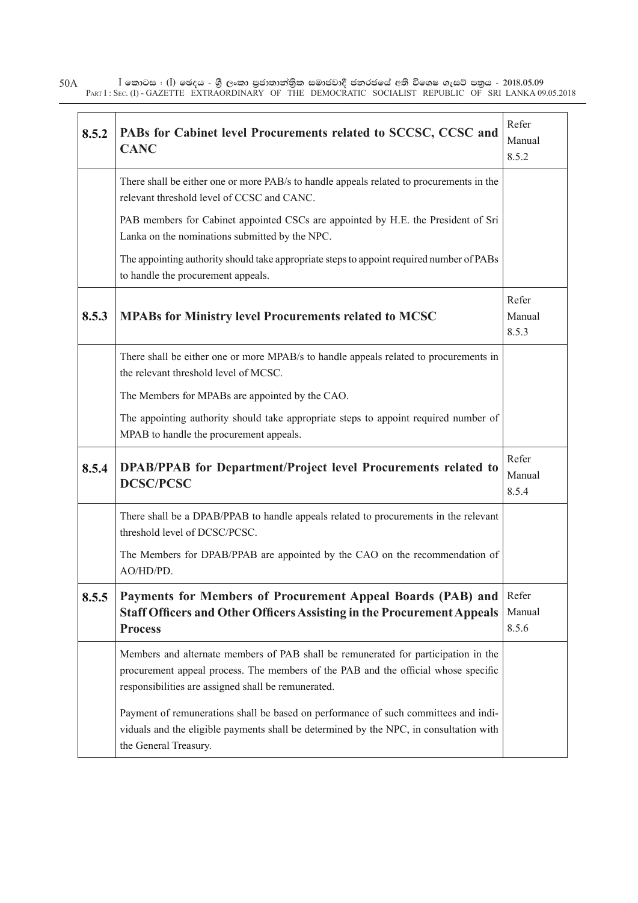$\bar{\rm I}$  කොටස : ( $\rm I$ ) ඡෙදය - ශුී ලංකා පුජාතාන්තිුක සමාජවාදී ජනරජයේ අති විශෙෂ ගැසට් පතුය - 2018.05.09 PART I : SEC. (I) - GAZETTE EXTRAORDINARY OF THE DEMOCRATIC SOCIALIST REPUBLIC OF SRI LANKA 09.05.2018 50A

| 8.5.2 | PABs for Cabinet level Procurements related to SCCSC, CCSC and<br><b>CANC</b>                                                                                                                                                   | Refer<br>Manual<br>8.5.2 |
|-------|---------------------------------------------------------------------------------------------------------------------------------------------------------------------------------------------------------------------------------|--------------------------|
|       | There shall be either one or more PAB/s to handle appeals related to procurements in the<br>relevant threshold level of CCSC and CANC.                                                                                          |                          |
|       | PAB members for Cabinet appointed CSCs are appointed by H.E. the President of Sri<br>Lanka on the nominations submitted by the NPC.                                                                                             |                          |
|       | The appointing authority should take appropriate steps to appoint required number of PABs<br>to handle the procurement appeals.                                                                                                 |                          |
| 8.5.3 | <b>MPABs for Ministry level Procurements related to MCSC</b>                                                                                                                                                                    | Refer<br>Manual<br>8.5.3 |
|       | There shall be either one or more MPAB/s to handle appeals related to procurements in<br>the relevant threshold level of MCSC.                                                                                                  |                          |
|       | The Members for MPABs are appointed by the CAO.                                                                                                                                                                                 |                          |
|       | The appointing authority should take appropriate steps to appoint required number of<br>MPAB to handle the procurement appeals.                                                                                                 |                          |
| 8.5.4 | DPAB/PPAB for Department/Project level Procurements related to<br><b>DCSC/PCSC</b>                                                                                                                                              | Refer<br>Manual<br>8.5.4 |
|       | There shall be a DPAB/PPAB to handle appeals related to procurements in the relevant<br>threshold level of DCSC/PCSC.                                                                                                           |                          |
|       | The Members for DPAB/PPAB are appointed by the CAO on the recommendation of<br>AO/HD/PD.                                                                                                                                        |                          |
| 8.5.5 | Payments for Members of Procurement Appeal Boards (PAB) and<br><b>Staff Officers and Other Officers Assisting in the Procurement Appeals</b><br><b>Process</b>                                                                  | Refer<br>Manual<br>8.5.6 |
|       | Members and alternate members of PAB shall be remunerated for participation in the<br>procurement appeal process. The members of the PAB and the official whose specific<br>responsibilities are assigned shall be remunerated. |                          |
|       | Payment of remunerations shall be based on performance of such committees and indi-<br>viduals and the eligible payments shall be determined by the NPC, in consultation with<br>the General Treasury.                          |                          |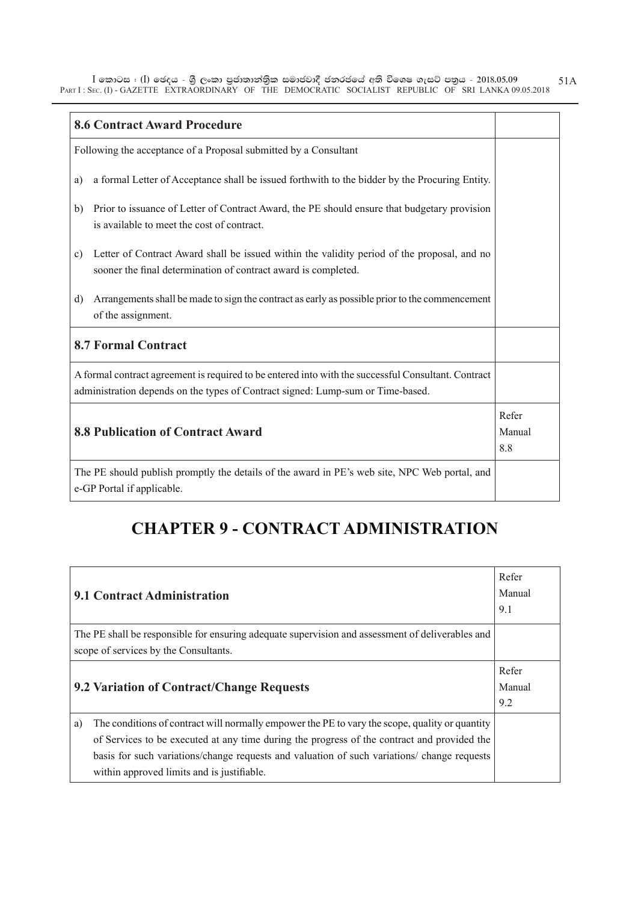$\bar{\rm I}$  කොටස : ( $\rm I$ ) ඡෙදය - ශුී ලංකා පුජාතාන්තිුක සමාජවාදී ජනරජයේ අති විශෙෂ ගැසට් පතුය - 2018.05.09 PART I : SEC. (I) - GAZETTE EXTRAORDINARY OF THE DEMOCRATIC SOCIALIST REPUBLIC OF SRI LANKA 09.05.2018 51A

| <b>8.6 Contract Award Procedure</b>                                                                                                                                                    |  |
|----------------------------------------------------------------------------------------------------------------------------------------------------------------------------------------|--|
| Following the acceptance of a Proposal submitted by a Consultant                                                                                                                       |  |
| a formal Letter of Acceptance shall be issued forthwith to the bidder by the Procuring Entity.<br>a)                                                                                   |  |
| Prior to issuance of Letter of Contract Award, the PE should ensure that budgetary provision<br>b)<br>is available to meet the cost of contract.                                       |  |
| Letter of Contract Award shall be issued within the validity period of the proposal, and no<br>c)<br>sooner the final determination of contract award is completed.                    |  |
| Arrangements shall be made to sign the contract as early as possible prior to the commencement<br>d)<br>of the assignment.                                                             |  |
| <b>8.7 Formal Contract</b>                                                                                                                                                             |  |
| A formal contract agreement is required to be entered into with the successful Consultant. Contract<br>administration depends on the types of Contract signed: Lump-sum or Time-based. |  |
| <b>8.8 Publication of Contract Award</b>                                                                                                                                               |  |
| The PE should publish promptly the details of the award in PE's web site, NPC Web portal, and<br>e-GP Portal if applicable.                                                            |  |

## **CHAPTER 9 - CONTRACT ADMINISTRATION**

| 9.1 Contract Administration                                                                                                                                                                                                                                                                                                                     |                        |  |
|-------------------------------------------------------------------------------------------------------------------------------------------------------------------------------------------------------------------------------------------------------------------------------------------------------------------------------------------------|------------------------|--|
| The PE shall be responsible for ensuring adequate supervision and assessment of deliverables and<br>scope of services by the Consultants.                                                                                                                                                                                                       |                        |  |
| 9.2 Variation of Contract/Change Requests                                                                                                                                                                                                                                                                                                       | Refer<br>Manual<br>9.2 |  |
| The conditions of contract will normally empower the PE to vary the scope, quality or quantity<br>a)<br>of Services to be executed at any time during the progress of the contract and provided the<br>basis for such variations/change requests and valuation of such variations/change requests<br>within approved limits and is justifiable. |                        |  |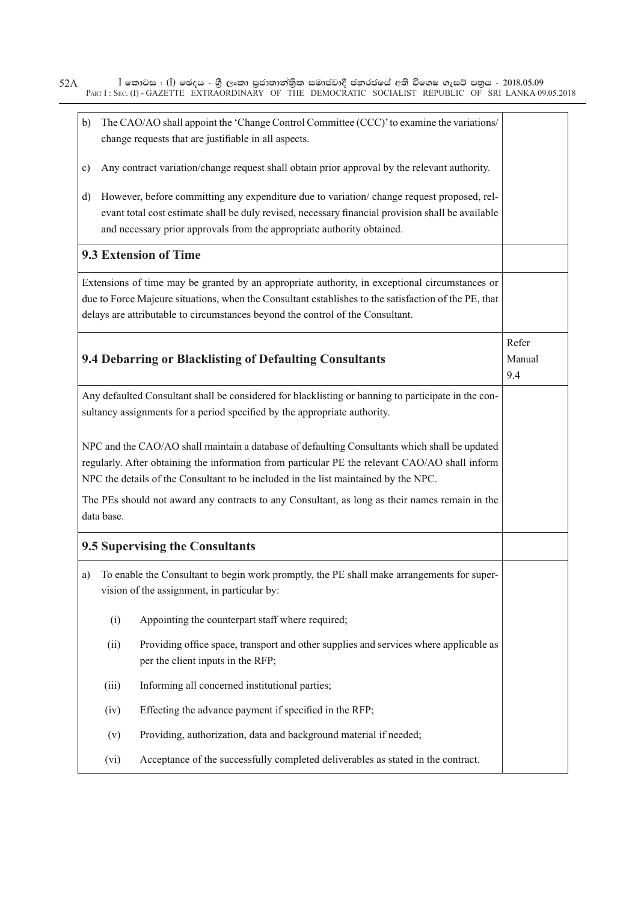$\bar{\rm I}$  කොටස : ( $\rm I$ ) ඡෙදය - ශුී ලංකා පුජාතාන්තිුක සමාජවාදී ජනරජයේ අති විශෙෂ ගැසට් පතුය - 2018.05.09 PART I : SEC. (I) - GAZETTE EXTRAORDINARY OF THE DEMOCRATIC SOCIALIST REPUBLIC OF SRI LANKA 09.05.2018 52A

| b) |            | The CAO/AO shall appoint the 'Change Control Committee (CCC)' to examine the variations/<br>change requests that are justifiable in all aspects.                                                                                                                                         |                        |
|----|------------|------------------------------------------------------------------------------------------------------------------------------------------------------------------------------------------------------------------------------------------------------------------------------------------|------------------------|
| c) |            | Any contract variation/change request shall obtain prior approval by the relevant authority.                                                                                                                                                                                             |                        |
| d) |            | However, before committing any expenditure due to variation/change request proposed, rel-<br>evant total cost estimate shall be duly revised, necessary financial provision shall be available<br>and necessary prior approvals from the appropriate authority obtained.                 |                        |
|    |            | 9.3 Extension of Time                                                                                                                                                                                                                                                                    |                        |
|    |            | Extensions of time may be granted by an appropriate authority, in exceptional circumstances or<br>due to Force Majeure situations, when the Consultant establishes to the satisfaction of the PE, that<br>delays are attributable to circumstances beyond the control of the Consultant. |                        |
|    |            | 9.4 Debarring or Blacklisting of Defaulting Consultants                                                                                                                                                                                                                                  | Refer<br>Manual<br>9.4 |
|    |            | Any defaulted Consultant shall be considered for blacklisting or banning to participate in the con-<br>sultancy assignments for a period specified by the appropriate authority.                                                                                                         |                        |
|    |            | NPC and the CAO/AO shall maintain a database of defaulting Consultants which shall be updated<br>regularly. After obtaining the information from particular PE the relevant CAO/AO shall inform<br>NPC the details of the Consultant to be included in the list maintained by the NPC.   |                        |
|    | data base. | The PEs should not award any contracts to any Consultant, as long as their names remain in the                                                                                                                                                                                           |                        |
|    |            | <b>9.5 Supervising the Consultants</b>                                                                                                                                                                                                                                                   |                        |
| a) |            | To enable the Consultant to begin work promptly, the PE shall make arrangements for super-<br>vision of the assignment, in particular by:                                                                                                                                                |                        |
|    | (i)        | Appointing the counterpart staff where required;                                                                                                                                                                                                                                         |                        |
|    | (ii)       | Providing office space, transport and other supplies and services where applicable as<br>per the client inputs in the RFP;                                                                                                                                                               |                        |
|    | (iii)      | Informing all concerned institutional parties;                                                                                                                                                                                                                                           |                        |
|    | (iv)       | Effecting the advance payment if specified in the RFP;                                                                                                                                                                                                                                   |                        |
|    | (v)        | Providing, authorization, data and background material if needed;                                                                                                                                                                                                                        |                        |
|    | (vi)       | Acceptance of the successfully completed deliverables as stated in the contract.                                                                                                                                                                                                         |                        |